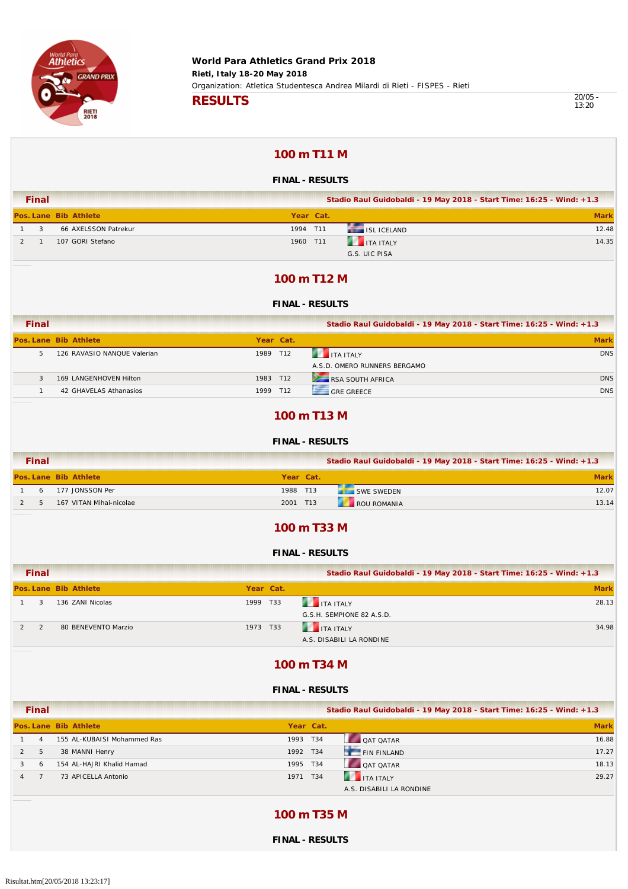

13:20

### **100 m T11 M**

### **FINAL - RESULTS**

| <b>Final</b> |  |                       | Stadio Raul Guidobaldi - 19 May 2018 - Start Time: 16:25 - Wind: +1.3 |           |                        |             |
|--------------|--|-----------------------|-----------------------------------------------------------------------|-----------|------------------------|-------------|
|              |  | Pos. Lane Bib Athlete |                                                                       | Year Cat. |                        | <b>Mark</b> |
|              |  | 66 AXELSSON Patrekur  |                                                                       | 1994 T11  | <b>THE ISL ICELAND</b> | 12.48       |
|              |  | 107 GORI Stefano      |                                                                       | 1960 T11  | <b>THE ITA ITALY</b>   | 14.35       |
|              |  |                       |                                                                       |           | G.S. UIC PISA          |             |

### **100 m T12 M**

#### **FINAL - RESULTS**

| Final |                             |           | Stadio Raul Guidobaldi - 19 May 2018 - Start Time: 16:25 - Wind: +1.3 |             |
|-------|-----------------------------|-----------|-----------------------------------------------------------------------|-------------|
|       | Pos. Lane Bib Athlete       | Year Cat. |                                                                       | <b>Mark</b> |
| b.    | 126 RAVASIO NANQUE Valerian | 1989 T12  | <b>ITA ITALY</b><br>A.S.D. OMERO RUNNERS BERGAMO                      | <b>DNS</b>  |
|       | 169 LANGENHOVEN Hilton      | 1983 T12  | RSA SOUTH AFRICA                                                      | <b>DNS</b>  |
|       | 42 GHAVELAS Athanasios      | 1999 T12  | <b>GRF GRFFCF</b>                                                     | <b>DNS</b>  |

### **100 m T13 M**

#### **FINAL - RESULTS**

| Final |                         |           | Stadio Raul Guidobaldi - 19 May 2018 - Start Time: 16:25 - Wind: +1.3 |       |
|-------|-------------------------|-----------|-----------------------------------------------------------------------|-------|
|       | Pos. Lane Bib Athlete   | Year Cat. |                                                                       |       |
| n     | 177 JONSSON Per         | 1988 T13  | <b>SWE SWEDEN</b>                                                     | 12.07 |
|       | 167 VITAN Mihai-nicolae | 2001 T13  | ROU ROMANIA                                                           | 13.14 |

### **100 m T33 M**

#### **FINAL - RESULTS**

| <b>Final</b> |                       |          |           | Stadio Raul Guidobaldi - 19 May 2018 - Start Time: 16:25 - Wind: +1.3 |             |
|--------------|-----------------------|----------|-----------|-----------------------------------------------------------------------|-------------|
|              | Pos. Lane Bib Athlete |          | Year Cat. |                                                                       | <b>Mark</b> |
|              | 136 ZANI Nicolas      | 1999 T33 |           | <b>THE ITA ITALY</b>                                                  | 28.13       |
|              |                       |          |           | G.S.H. SEMPIONE 82 A.S.D.                                             |             |
|              | 80 BENEVENTO Marzio   | 1973 T33 |           | <b>THE ITA ITALY</b>                                                  | 34.98       |
|              |                       |          |           | A.S. DISABILI LA RONDINE                                              |             |

### **100 m T34 M**

#### **FINAL - RESULTS**

| <b>Final</b> |                             |          |           | Stadio Raul Guidobaldi - 19 May 2018 - Start Time: 16:25 - Wind: +1.3 |             |
|--------------|-----------------------------|----------|-----------|-----------------------------------------------------------------------|-------------|
|              | Pos. Lane Bib Athlete       |          | Year Cat. |                                                                       | <b>Mark</b> |
| 4            | 155 AL-KUBAISI Mohammed Ras | 1993 T34 |           | <b>QAT QATAR</b>                                                      | 16.88       |
| 5            | 38 MANNI Henry              | 1992 T34 |           | FIN FINLAND                                                           | 17.27       |
| 6            | 154 AL-HAJRI Khalid Hamad   | 1995 T34 |           | <b>OAT OATAR</b>                                                      | 18.13       |
|              | 73 APICELLA Antonio         | 1971     | T34       | <b>THE ITA ITALY</b>                                                  | 29.27       |
|              |                             |          |           | A.S. DISABILI LA RONDINE                                              |             |

### **100 m T35 M**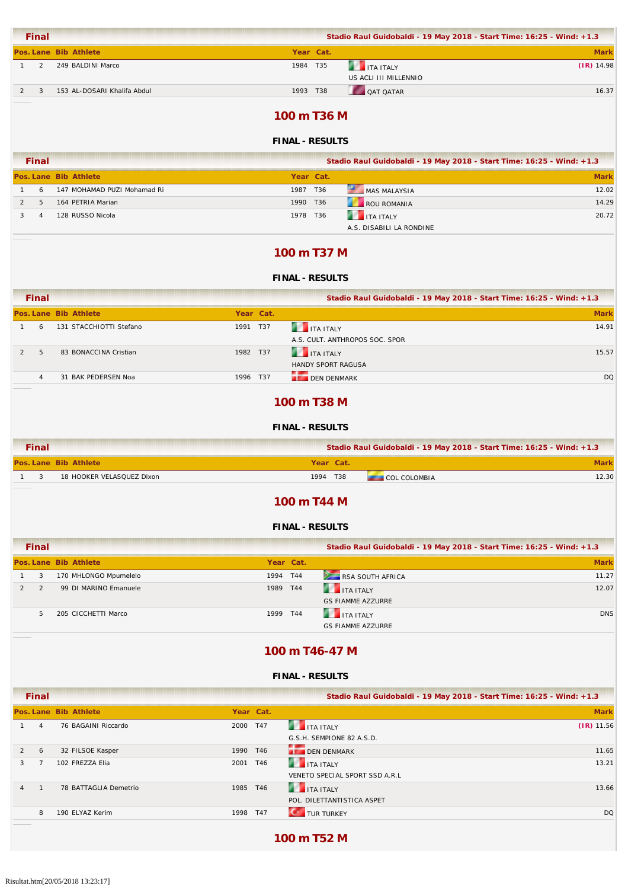|                | Final |                             |           | Stadio Raul Guidobaldi - 19 May 2018 - Start Time: 16:25 - Wind: +1.3 |              |
|----------------|-------|-----------------------------|-----------|-----------------------------------------------------------------------|--------------|
|                |       | Pos. Lane Bib Athlete       | Year Cat. |                                                                       | <b>Mark</b>  |
|                |       | 249 BALDINI Marco           | 1984 T35  | <b>THE TEAL ITALY</b>                                                 | $(IR)$ 14.98 |
|                |       |                             |           | US ACLI III MILLENNIO                                                 |              |
| $\overline{2}$ |       | 153 AL-DOSARI Khalifa Abdul | 1993 T38  | <b>QAT QATAR</b>                                                      | 16.37        |
|                |       |                             |           |                                                                       |              |

### **100 m T36 M**

### **FINAL - RESULTS**

| <b>Final</b> |   |                             | Stadio Raul Guidobaldi - 19 May 2018 - Start Time: 16:25 - Wind: +1.3 |  |                          |             |  |
|--------------|---|-----------------------------|-----------------------------------------------------------------------|--|--------------------------|-------------|--|
|              |   | Pos. Lane Bib Athlete       | Year Cat.                                                             |  |                          | <b>Mark</b> |  |
|              | 6 | 147 MOHAMAD PUZI Mohamad Ri | 1987 T36                                                              |  | MAS MALAYSIA             | 12.02       |  |
|              |   | 164 PETRIA Marian           | 1990 T36                                                              |  | ROU ROMANIA              | 14.29       |  |
|              |   | 128 RUSSO Nicola            | 1978 T36                                                              |  | <b>THE TEALY</b>         | 20.72       |  |
|              |   |                             |                                                                       |  | A.S. DISABILI LA RONDINE |             |  |

### **100 m T37 M**

### **FINAL - RESULTS**

| <b>Final</b> |                         |           |     | Stadio Raul Guidobaldi - 19 May 2018 - Start Time: 16:25 - Wind: +1.3 |             |
|--------------|-------------------------|-----------|-----|-----------------------------------------------------------------------|-------------|
|              | Pos. Lane Bib Athlete   | Year Cat. |     |                                                                       | <b>Mark</b> |
| 6            | 131 STACCHIOTTI Stefano | 1991      | T37 | <b>ITA ITALY</b>                                                      | 14.91       |
|              |                         |           |     | A.S. CULT. ANTHROPOS SOC. SPOR                                        |             |
| 5            | 83 BONACCINA Cristian   | 1982 T37  |     | <b>THE TEALY</b>                                                      | 15.57       |
|              |                         |           |     | <b>HANDY SPORT RAGUSA</b>                                             |             |
|              | 31 BAK PEDERSEN Noa     | 1996 T37  |     | <b>LE DEN DENMARK</b>                                                 | DQ          |

### **100 m T38 M**

### **FINAL - RESULTS**

| <b>Final</b>                     | Stadio Raul Guidobaldi - 19 May 2018 - Start Time: 16:25 - Wind: +1.3 |       |
|----------------------------------|-----------------------------------------------------------------------|-------|
| Pos. Lane Bib Athlete            | Year Cat.                                                             |       |
| 18 HOOKER VELASQUEZ Dixon<br>- 2 | 1994 T38<br>COL COLOMBIA                                              | 12.30 |

#### **100 m T44 M**

#### **FINAL - RESULTS**

| <b>Final</b> |                       |          |           | Stadio Raul Guidobaldi - 19 May 2018 - Start Time: 16:25 - Wind: +1.3 |             |
|--------------|-----------------------|----------|-----------|-----------------------------------------------------------------------|-------------|
|              | Pos. Lane Bib Athlete |          | Year Cat. |                                                                       | <b>Mark</b> |
| 3            | 170 MHLONGO Mpumelelo | 1994 T44 |           | RSA SOUTH AFRICA                                                      | 11.27       |
|              | 99 DI MARINO Emanuele | 1989 T44 |           | <b>THE TEAL SET ITALY</b>                                             | 12.07       |
|              |                       |          |           | <b>GS FIAMME AZZURRE</b>                                              |             |
| 5            | 205 CICCHETTI Marco   | 1999 T44 |           | <b>THE TALE AND STALLY</b>                                            | <b>DNS</b>  |
|              |                       |          |           | <b>GS FIAMME AZZURRE</b>                                              |             |

### **100 m T46-47 M**

#### **FINAL - RESULTS**

|                | <b>Final</b> |                       |          |           | Stadio Raul Guidobaldi - 19 May 2018 - Start Time: 16:25 - Wind: +1.3 |              |
|----------------|--------------|-----------------------|----------|-----------|-----------------------------------------------------------------------|--------------|
|                |              | Pos. Lane Bib Athlete |          | Year Cat. |                                                                       | <b>Mark</b>  |
|                | 4            | 76 BAGAINI Riccardo   | 2000 T47 |           | <b>THE TEALER</b>                                                     | $(IR)$ 11.56 |
|                |              |                       |          |           | G.S.H. SEMPIONE 82 A.S.D.                                             |              |
| $\overline{2}$ | 6            | 32 FILSOE Kasper      | 1990 T46 |           | <b>DEN DENMARK</b>                                                    | 11.65        |
| 3              |              | 102 FREZZA Elia       | 2001     | T46       | <b>THE ITA ITALY</b>                                                  | 13.21        |
|                |              |                       |          |           | VENETO SPECIAL SPORT SSD A.R.L                                        |              |
| $\overline{4}$ |              | 78 BATTAGLIA Demetrio | 1985     | T46       | <b>THE ITA ITALY</b>                                                  | 13.66        |
|                |              |                       |          |           | POL. DILETTANTISTICA ASPET                                            |              |
|                | 8            | 190 ELYAZ Kerim       | 1998 T47 |           | <b>TUR TURKEY</b>                                                     | DQ           |
|                |              |                       |          |           |                                                                       |              |

### **100 m T52 M**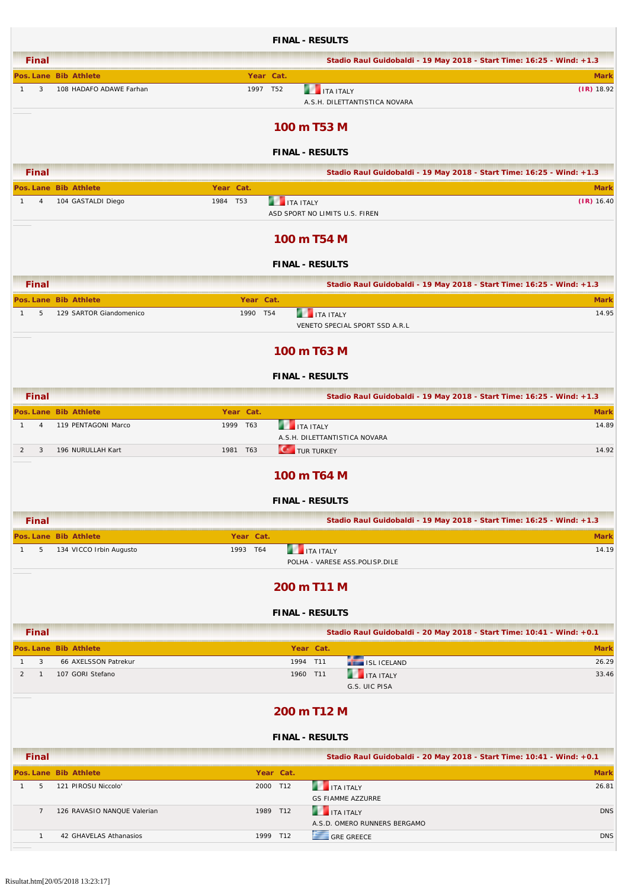|                                        |                                                  |                       |                       | <b>FINAL - RESULTS</b>                                |                                     |                                                                                      |
|----------------------------------------|--------------------------------------------------|-----------------------|-----------------------|-------------------------------------------------------|-------------------------------------|--------------------------------------------------------------------------------------|
| <b>Final</b>                           |                                                  |                       |                       |                                                       |                                     | Stadio Raul Guidobaldi - 19 May 2018 - Start Time: 16:25 - Wind: +1.3                |
| 3<br>$\mathbf{1}$                      | Pos. Lane Bib Athlete<br>108 HADAFO ADAWE Farhan | 1997 T52              | Year Cat.             | <b>THE ITA ITALY</b>                                  | A.S.H. DILETTANTISTICA NOVARA       | <b>Mark</b><br>$(IR)$ 18.92                                                          |
|                                        |                                                  |                       |                       | 100 m T53 M                                           |                                     |                                                                                      |
|                                        |                                                  |                       |                       | <b>FINAL - RESULTS</b>                                |                                     |                                                                                      |
| <b>Final</b>                           |                                                  |                       |                       |                                                       |                                     | Stadio Raul Guidobaldi - 19 May 2018 - Start Time: 16:25 - Wind: +1.3                |
| $\overline{4}$<br>$\mathbf{1}$         | Pos. Lane Bib Athlete<br>104 GASTALDI Diego      | Year Cat.<br>1984 T53 | <b>THE ITA ITALY</b>  |                                                       |                                     | <b>Mark</b><br>$(IR)$ 16.40                                                          |
|                                        |                                                  |                       |                       | ASD SPORT NO LIMITS U.S. FIREN                        |                                     |                                                                                      |
|                                        |                                                  |                       |                       | 100 m T54 M<br><b>FINAL - RESULTS</b>                 |                                     |                                                                                      |
|                                        |                                                  |                       |                       |                                                       |                                     |                                                                                      |
| <b>Final</b>                           | Pos. Lane Bib Athlete                            | Year Cat.             |                       |                                                       |                                     | Stadio Raul Guidobaldi - 19 May 2018 - Start Time: 16:25 - Wind: +1.3<br><b>Mark</b> |
| 5<br>$\mathbf{1}$                      | 129 SARTOR Giandomenico                          | 1990 T54              |                       | <b>THE ITA ITALY</b>                                  | VENETO SPECIAL SPORT SSD A.R.L      | 14.95                                                                                |
|                                        |                                                  |                       |                       | 100 m T63 M                                           |                                     |                                                                                      |
|                                        |                                                  |                       |                       | <b>FINAL - RESULTS</b>                                |                                     |                                                                                      |
| <b>Final</b>                           |                                                  |                       |                       |                                                       |                                     | Stadio Raul Guidobaldi - 19 May 2018 - Start Time: 16:25 - Wind: +1.3                |
|                                        | Pos. Lane Bib Athlete                            | Year Cat.             |                       |                                                       |                                     | <b>Mark</b>                                                                          |
| $\mathbf{1}$<br>$\overline{4}$         | 119 PENTAGONI Marco                              | 1999 T63              |                       | <b>THE ITA ITALY</b><br>A.S.H. DILETTANTISTICA NOVARA |                                     | 14.89                                                                                |
| $\overline{2}$<br>$\overline{3}$       | 196 NURULLAH Kart                                | 1981 T63              |                       | <b>CONTROL</b> TURKEY                                 |                                     | 14.92                                                                                |
|                                        |                                                  |                       |                       | 100 m T64 M                                           |                                     |                                                                                      |
|                                        |                                                  |                       |                       | <b>FINAL - RESULTS</b>                                |                                     |                                                                                      |
| <b>Final</b>                           |                                                  |                       |                       |                                                       |                                     | Stadio Raul Guidobaldi - 19 May 2018 - Start Time: 16:25 - Wind: +1.3                |
| 5<br>$\mathbf{1}$                      | Pos. Lane Bib Athlete<br>134 VICCO Irbin Augusto | Year Cat.<br>1993 T64 | r v                   | <b>ITA ITALY</b>                                      | POLHA - VARESE ASS.POLISP.DILE      | <b>Mark</b><br>14.19                                                                 |
|                                        |                                                  |                       |                       | 200 m T11 M                                           |                                     |                                                                                      |
|                                        |                                                  |                       |                       | <b>FINAL - RESULTS</b>                                |                                     |                                                                                      |
| <b>Final</b>                           |                                                  |                       |                       |                                                       |                                     | Stadio Raul Guidobaldi - 20 May 2018 - Start Time: 10:41 - Wind: +0.1                |
|                                        | Pos. Lane Bib Athlete                            |                       |                       | Year Cat.                                             |                                     | <b>Mark</b>                                                                          |
| 3<br>$\mathbf{1}$<br>2<br>$\mathbf{1}$ | 66 AXELSSON Patrekur<br>107 GORI Stefano         |                       |                       | 1994 T11<br>1960 T11                                  | ISL ICELAND<br><b>THE ITA ITALY</b> | 26.29<br>33.46                                                                       |
|                                        |                                                  |                       |                       |                                                       | G.S. UIC PISA                       |                                                                                      |
|                                        |                                                  |                       |                       | 200 m T12 M                                           |                                     |                                                                                      |
|                                        |                                                  |                       |                       | <b>FINAL - RESULTS</b>                                |                                     |                                                                                      |
| <b>Final</b>                           |                                                  |                       |                       |                                                       |                                     | Stadio Raul Guidobaldi - 20 May 2018 - Start Time: 10:41 - Wind: +0.1                |
| 5<br>$\mathbf{1}$                      | Pos. Lane Bib Athlete<br>121 PIROSU Niccolo'     |                       | Year Cat.<br>2000 T12 | <b>THE TEALY</b>                                      | <b>GS FIAMME AZZURRE</b>            | <b>Mark</b><br>26.81                                                                 |
| $\overline{7}$                         | 126 RAVASIO NANQUE Valerian                      |                       | 1989 T12              | <b>THE ITA ITALY</b>                                  | A.S.D. OMERO RUNNERS BERGAMO        | <b>DNS</b>                                                                           |
| $\mathbf{1}$                           | 42 GHAVELAS Athanasios                           |                       | 1999 T12              | GRE GREECE                                            |                                     | <b>DNS</b>                                                                           |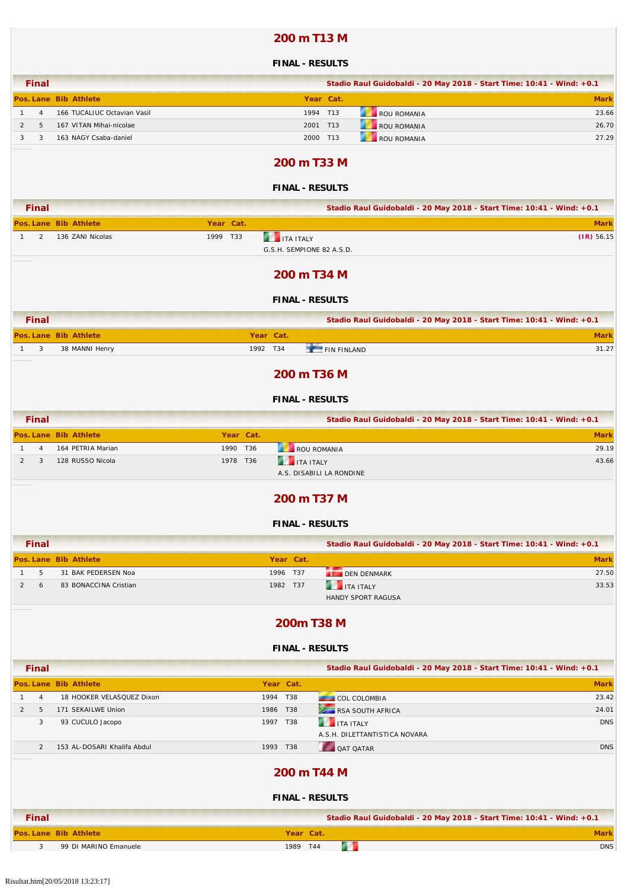### **200 m T13 M**

#### **FINAL - RESULTS**

| <b>Final</b> |                             |           | Stadio Raul Guidobaldi - 20 May 2018 - Start Time: 10:41 - Wind: +0.1 |             |
|--------------|-----------------------------|-----------|-----------------------------------------------------------------------|-------------|
|              | Pos. Lane Bib Athlete       | Year Cat. |                                                                       | <b>Mark</b> |
| 4            | 166 TUCALIUC Octavian Vasil | 1994 T13  | ROU ROMANIA                                                           | 23.66       |
|              | 167 VITAN Mihai-nicolae     | 2001 T13  | ROU ROMANIA                                                           | 26.70       |
|              | 163 NAGY Csaba-daniel       | 2000 T13  | ROU ROMANIA                                                           | 27.29       |

#### **200 m T33 M**

### **FINAL - RESULTS**

| <b>Final</b> |                              |           | Stadio Raul Guidobaldi - 20 May 2018 - Start Time: 10:41 - Wind: +0.1 |              |
|--------------|------------------------------|-----------|-----------------------------------------------------------------------|--------------|
|              | <b>Pos. Lane Bib Athlete</b> | Year Cat. |                                                                       | Mark         |
|              | 136 ZANI Nicolas             | 1999 T33  | <b>THE TANTALY</b><br>G.S.H. SEMPIONE 82 A.S.D.                       | $(1R)$ 56.15 |

### **200 m T34 M**

#### **FINAL - RESULTS**

| Final |                       |           |                    | Stadio Raul Guidobaldi - 20 May 2018 - Start Time: 10:41 - Wind: +0.1 |       |
|-------|-----------------------|-----------|--------------------|-----------------------------------------------------------------------|-------|
|       | Pos. Lane Bib Athlete | Year Cat. |                    |                                                                       |       |
| -3    | 38 MANNI Henry        | 1992 T34  | $F = FIN$ FINI AND |                                                                       | 31.27 |
|       |                       |           |                    |                                                                       |       |

### **200 m T36 M**

#### **FINAL - RESULTS**

| <b>Final</b> |                       |      |                 | Stadio Raul Guidobaldi - 20 May 2018 - Start Time: 10:41 - Wind: +0.1 |             |
|--------------|-----------------------|------|-----------------|-----------------------------------------------------------------------|-------------|
|              | Pos. Lane Bib Athlete |      | Year Cat.       |                                                                       | <b>Mark</b> |
| 4            | 164 PETRIA Marian     | 1990 | T36             | ROU ROMANIA                                                           | 29.19       |
|              | 128 RUSSO Nicola      | 1978 | T <sub>36</sub> | <b>THE TEALY</b>                                                      | 43.66       |
|              |                       |      |                 | A.S. DISABILI LA RONDINE                                              |             |

#### **200 m T37 M**

#### **FINAL - RESULTS**

| <b>Final</b> |   |                       |      |           | Stadio Raul Guidobaldi - 20 May 2018 - Start Time: 10:41 - Wind: +0.1 |             |
|--------------|---|-----------------------|------|-----------|-----------------------------------------------------------------------|-------------|
|              |   | Pos. Lane Bib Athlete |      | Year Cat. |                                                                       | <b>Mark</b> |
|              |   | 31 BAK PEDERSEN Noa   | 1996 | T37       | <b>DEN DENMARK</b>                                                    | 27.50       |
|              | h | 83 BONACCINA Cristian | 1982 | T37       | <b>THE ITA ITALY</b>                                                  | 33.53       |
|              |   |                       |      |           | <b>HANDY SPORT RAGUSA</b>                                             |             |

### **200m T38 M**

#### **FINAL - RESULTS**

| <b>Final</b>   |                             |           | Stadio Raul Guidobaldi - 20 May 2018 - Start Time: 10:41 - Wind: +0.1 |             |
|----------------|-----------------------------|-----------|-----------------------------------------------------------------------|-------------|
|                | Pos. Lane Bib Athlete       | Year Cat. |                                                                       | <b>Mark</b> |
| $\overline{4}$ | 18 HOOKER VELASQUEZ Dixon   | 1994 T38  | <b>COL COLOMBIA</b>                                                   | 23.42       |
| 5<br>2         | 171 SEKAILWE Union          | 1986 T38  | RSA SOUTH AFRICA                                                      | 24.01       |
| 3              | 93 CUCULO Jacopo            | 1997 T38  | <b>THE ITA ITALY</b>                                                  | <b>DNS</b>  |
|                |                             |           | A.S.H. DILETTANTISTICA NOVARA                                         |             |
| $\overline{2}$ | 153 AL-DOSARI Khalifa Abdul | 1993 T38  | <b>QAT QATAR</b>                                                      | <b>DNS</b>  |
|                |                             |           | 200 m T44 M<br><b>FINAL - RESULTS</b>                                 |             |
| <b>Final</b>   |                             |           | Stadio Raul Guidobaldi - 20 May 2018 - Start Time: 10:41 - Wind: +0.1 |             |
|                | Pos. Lane Bib Athlete       | Year Cat. |                                                                       | <b>Mark</b> |

**2** 3 99 DI MARINO Emanuele **1989 T44** DNS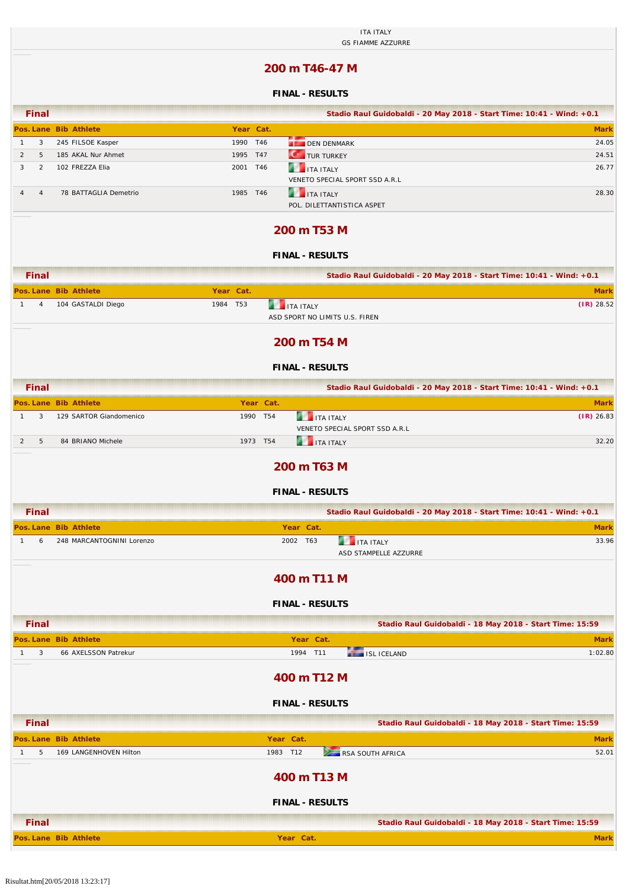|                                  |                           | <b>ITA ITALY</b><br><b>GS FIAMME AZZURRE</b>                          |              |
|----------------------------------|---------------------------|-----------------------------------------------------------------------|--------------|
|                                  |                           | 200 m T46-47 M                                                        |              |
|                                  |                           | <b>FINAL - RESULTS</b>                                                |              |
| <b>Final</b>                     |                           | Stadio Raul Guidobaldi - 20 May 2018 - Start Time: 10:41 - Wind: +0.1 |              |
|                                  | Pos. Lane Bib Athlete     | Year Cat.                                                             | <b>Mark</b>  |
| 3<br>$\mathbf{1}$                | 245 FILSOE Kasper         | <b>DEN DENMARK</b><br>1990 T46                                        | 24.05        |
| $\overline{2}$<br>5              | 185 AKAL Nur Ahmet        | $\mathbf{C}^*$<br>TUR TURKEY<br>1995 T47                              | 24.51        |
| 3<br>2                           | 102 FREZZA Elia           | n<br>2001 T46<br><b>ITA ITALY</b><br>VENETO SPECIAL SPORT SSD A.R.L   | 26.77        |
| $\overline{4}$<br>$\overline{4}$ | 78 BATTAGLIA Demetrio     | <b>THE ITA ITALY</b><br>1985 T46<br>POL. DILETTANTISTICA ASPET        | 28.30        |
|                                  |                           | 200 m T53 M                                                           |              |
|                                  |                           | <b>FINAL - RESULTS</b>                                                |              |
| <b>Final</b>                     |                           | Stadio Raul Guidobaldi - 20 May 2018 - Start Time: 10:41 - Wind: +0.1 |              |
|                                  | Pos. Lane Bib Athlete     | Year Cat.                                                             | <b>Mark</b>  |
| $\overline{4}$<br>$\mathbf{1}$   | 104 GASTALDI Diego        | <b>THE TEAL ITALY</b><br>1984 T53<br>ASD SPORT NO LIMITS U.S. FIREN   | $(IR)$ 28.52 |
|                                  |                           | 200 m T54 M                                                           |              |
|                                  |                           |                                                                       |              |
|                                  |                           | <b>FINAL - RESULTS</b>                                                |              |
| <b>Final</b>                     |                           | Stadio Raul Guidobaldi - 20 May 2018 - Start Time: 10:41 - Wind: +0.1 |              |
|                                  | Pos. Lane Bib Athlete     | Year Cat.                                                             | <b>Mark</b>  |
| 3<br>$\mathbf{1}$                | 129 SARTOR Giandomenico   | 1990 T54<br><b>THE ITA ITALY</b><br>VENETO SPECIAL SPORT SSD A.R.L    | $(IR)$ 26.83 |
| 5<br>$\overline{2}$              | 84 BRIANO Michele         | <b>THE ITALY</b><br>1973 T54                                          | 32.20        |
|                                  |                           | 200 m T63 M                                                           |              |
|                                  |                           | <b>FINAL - RESULTS</b>                                                |              |
| <b>Final</b>                     |                           | Stadio Raul Guidobaldi - 20 May 2018 - Start Time: 10:41 - Wind: +0.1 |              |
|                                  | Pos. Lane Bib Athlete     | Year Cat.                                                             | <b>Mark</b>  |
| 6<br>$\mathbf{1}$                | 248 MARCANTOGNINI Lorenzo | <b>THE ITA ITALY</b><br>2002 T63<br>ASD STAMPELLE AZZURRE             | 33.96        |
|                                  |                           | 400 m T11 M                                                           |              |
|                                  |                           | <b>FINAL - RESULTS</b>                                                |              |
| <b>Final</b>                     |                           | Stadio Raul Guidobaldi - 18 May 2018 - Start Time: 15:59              |              |
|                                  | Pos. Lane Bib Athlete     | Year Cat.                                                             | <b>Mark</b>  |
| 3<br>$\mathbf{1}$                | 66 AXELSSON Patrekur      | 1994 T11<br><b>ISL ICELAND</b>                                        | 1:02.80      |
|                                  |                           | 400 m T12 M                                                           |              |
|                                  |                           | <b>FINAL - RESULTS</b>                                                |              |
| <b>Final</b>                     |                           | Stadio Raul Guidobaldi - 18 May 2018 - Start Time: 15:59              |              |
|                                  | Pos. Lane Bib Athlete     | Year Cat.                                                             | <b>Mark</b>  |
| 5<br>$\mathbf{1}$                | 169 LANGENHOVEN Hilton    | 1983 T12<br>RSA SOUTH AFRICA                                          | 52.01        |
|                                  |                           | 400 m T13 M                                                           |              |
|                                  |                           | <b>FINAL - RESULTS</b>                                                |              |
| <b>Final</b>                     |                           | Stadio Raul Guidobaldi - 18 May 2018 - Start Time: 15:59              |              |

**Pos. Lane Bib Athlete Year Cat. Mark**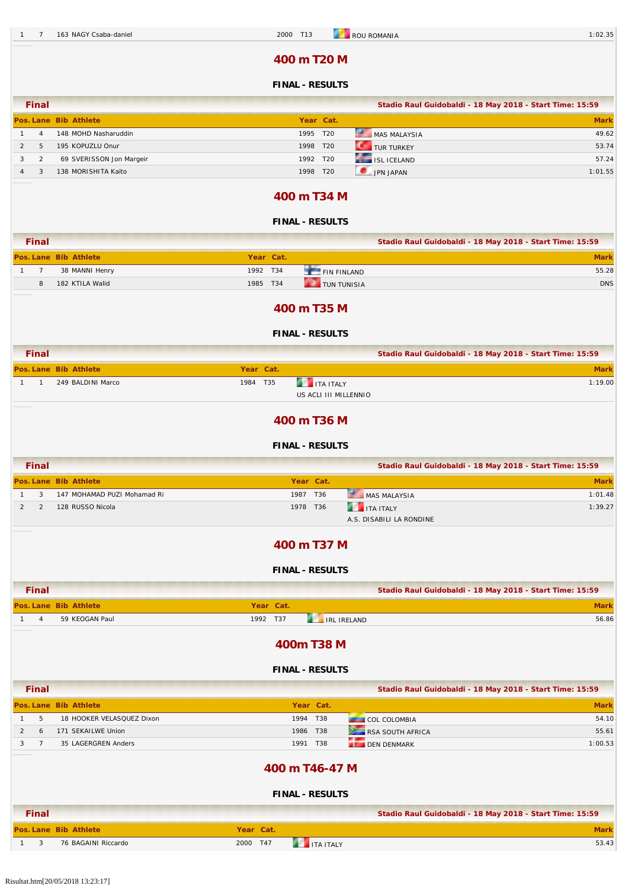### **400 m T20 M**

### **FINAL - RESULTS**

|               | <b>Final</b>   |                          |           |                 |                     | Stadio Raul Guidobaldi - 18 May 2018 - Start Time: 15:59 |
|---------------|----------------|--------------------------|-----------|-----------------|---------------------|----------------------------------------------------------|
|               |                | Pos. Lane Bib Athlete    | Year Cat. |                 |                     | <b>Mark</b>                                              |
|               | $\overline{A}$ | 148 MOHD Nasharuddin     | 1995 T20  |                 | MAS MALAYSIA        | 49.62                                                    |
| $\mathcal{P}$ |                | 195 KOPUZLU Onur         | 1998 T20  |                 | <b>CONTURTURKEY</b> | 53.74                                                    |
|               |                | 69 SVERISSON Jon Margeir | 1992 T20  |                 | ISL ICELAND         | 57.24                                                    |
|               |                | 138 MORISHITA Kaito      | 1998      | T <sub>20</sub> | JPN JAPAN           | 1:01.55                                                  |

### **400 m T34 M**

|                | <b>Final</b>   |                             |           |           |                                               |                                       | Stadio Raul Guidobaldi - 18 May 2018 - Start Time: 15:59 |
|----------------|----------------|-----------------------------|-----------|-----------|-----------------------------------------------|---------------------------------------|----------------------------------------------------------|
|                |                | Pos. Lane Bib Athlete       |           | Year Cat. |                                               |                                       | <b>Mark</b>                                              |
| $\mathbf{1}$   | $\overline{7}$ | 38 MANNI Henry              | 1992      | T34       | FIN FINLAND                                   |                                       | 55.28                                                    |
|                | 8              | 182 KTILA Walid             | 1985 T34  |           | <b>O</b> TUN TUNISIA                          |                                       | <b>DNS</b>                                               |
|                |                |                             |           |           |                                               |                                       |                                                          |
|                |                |                             |           |           | 400 m T35 M                                   |                                       |                                                          |
|                |                |                             |           |           | <b>FINAL - RESULTS</b>                        |                                       |                                                          |
|                | <b>Final</b>   |                             |           |           |                                               |                                       | Stadio Raul Guidobaldi - 18 May 2018 - Start Time: 15:59 |
|                |                | Pos. Lane Bib Athlete       | Year Cat. |           |                                               |                                       | <b>Mark</b>                                              |
| $\mathbf{1}$   | $\overline{1}$ | 249 BALDINI Marco           | 1984 T35  |           | <b>THE ITA ITALY</b><br>US ACLI III MILLENNIO |                                       | 1:19.00                                                  |
|                |                |                             |           |           |                                               |                                       |                                                          |
|                |                |                             |           |           | 400 m T36 M                                   |                                       |                                                          |
|                |                |                             |           |           | <b>FINAL - RESULTS</b>                        |                                       |                                                          |
|                | <b>Final</b>   |                             |           |           |                                               |                                       | Stadio Raul Guidobaldi - 18 May 2018 - Start Time: 15:59 |
|                |                | Pos. Lane Bib Athlete       |           |           | Year Cat.                                     |                                       | <b>Mark</b>                                              |
| $\mathbf{1}$   | 3              | 147 MOHAMAD PUZI Mohamad Ri |           |           | 1987 T36                                      | MAS MALAYSIA                          | 1:01.48                                                  |
| $\overline{2}$ | 2              | 128 RUSSO Nicola            |           |           | 1978 T36                                      | ITA ITALY<br>A.S. DISABILI LA RONDINE | 1:39.27                                                  |
|                |                |                             |           |           | 400 m T37 M                                   |                                       |                                                          |
|                |                |                             |           |           | <b>FINAL - RESULTS</b>                        |                                       |                                                          |
|                | <b>Final</b>   |                             |           |           |                                               |                                       | Stadio Raul Guidobaldi - 18 May 2018 - Start Time: 15:59 |
|                |                | Pos. Lane Bib Athlete       |           | Year Cat. |                                               |                                       | <b>Mark</b>                                              |
| $\mathbf{1}$   | $\overline{4}$ | 59 KEOGAN Paul              |           | 1992 T37  | <b>THE IRE IRELAND</b>                        |                                       | 56.86                                                    |
|                |                |                             |           |           | 400m T38 M                                    |                                       |                                                          |
|                |                |                             |           |           | <b>FINAL - RESULTS</b>                        |                                       |                                                          |
|                | <b>Final</b>   |                             |           |           |                                               |                                       | Stadio Raul Guidobaldi - 18 May 2018 - Start Time: 15:59 |
|                |                | Pos. Lane Bib Athlete       |           |           | Year Cat.                                     |                                       | <b>Mark</b>                                              |
| $\mathbf{1}$   | 5              | 18 HOOKER VELASQUEZ Dixon   |           |           | 1994 T38                                      | COL COLOMBIA                          | 54.10                                                    |
| $\overline{2}$ | 6              | 171 SEKAILWE Union          |           |           | 1986 T38                                      | RSA SOUTH AFRICA                      | 55.61                                                    |
| 3              | $7^{\circ}$    | 35 LAGERGREN Anders         |           |           | 1991 T38                                      | <b>DEN DENMARK</b>                    | 1:00.53                                                  |
|                |                |                             |           |           |                                               |                                       |                                                          |
|                |                |                             |           |           | 400 m T46-47 M                                |                                       |                                                          |
|                |                |                             |           |           | <b>FINAL - RESULTS</b>                        |                                       |                                                          |
|                | <b>Final</b>   |                             |           |           |                                               |                                       | Stadio Raul Guidobaldi - 18 May 2018 - Start Time: 15:59 |
|                |                | Pos. Lane Bib Athlete       | Year Cat. |           |                                               |                                       | <b>Mark</b>                                              |
| 1              | $\mathbf{3}$   | 76 BAGAINI Riccardo         | 2000 T47  |           | <b>THE ITA ITALY</b>                          |                                       | 53.43                                                    |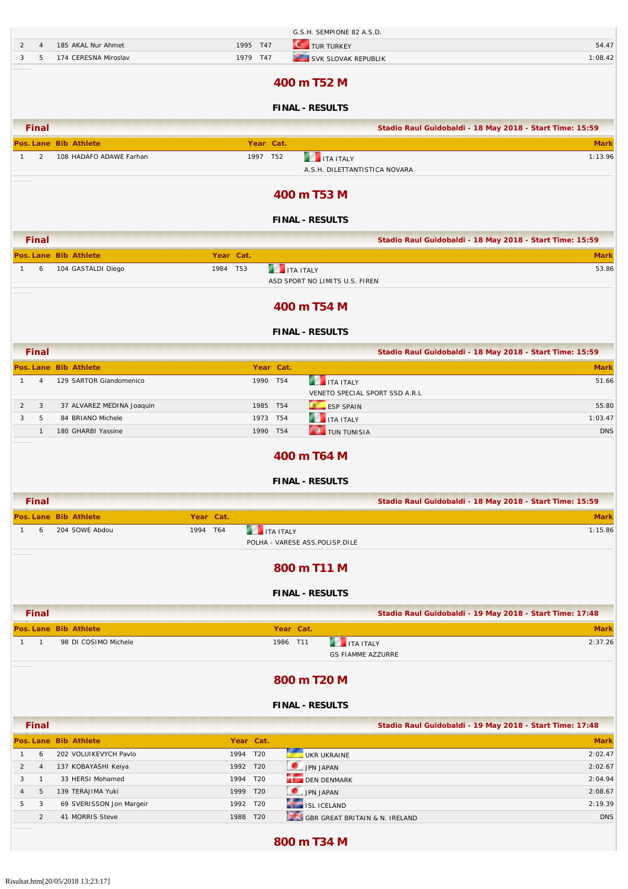|                |                |                           |             |                      | G.S.H. SEMPIONE 82 A.S.D.      |                                |                                                          |
|----------------|----------------|---------------------------|-------------|----------------------|--------------------------------|--------------------------------|----------------------------------------------------------|
| 2              | $\overline{4}$ | 185 AKAL Nur Ahmet        | 1995 T47    |                      | <b>C</b> TUR TURKEY            |                                | 54.47                                                    |
| 3              | 5              | 174 CERESNA Miroslav      | 1979 T47    |                      | SVK SLOVAK REPUBLIK            |                                | 1:08.42                                                  |
|                |                |                           |             |                      | 400 m T52 M                    |                                |                                                          |
|                |                |                           |             |                      | <b>FINAL - RESULTS</b>         |                                |                                                          |
|                | <b>Final</b>   |                           |             |                      |                                |                                | Stadio Raul Guidobaldi - 18 May 2018 - Start Time: 15:59 |
|                |                | Pos. Lane Bib Athlete     | Year Cat.   |                      |                                |                                | <b>Mark</b>                                              |
| $\mathbf{1}$   | 2              | 108 HADAFO ADAWE Farhan   | 1997 T52    |                      | <b>THE ITA ITALY</b>           |                                | 1:13.96                                                  |
|                |                |                           |             |                      | A.S.H. DILETTANTISTICA NOVARA  |                                |                                                          |
|                |                |                           |             |                      | 400 m T53 M                    |                                |                                                          |
|                |                |                           |             |                      |                                |                                |                                                          |
|                |                |                           |             |                      | <b>FINAL - RESULTS</b>         |                                |                                                          |
|                | <b>Final</b>   |                           |             |                      |                                |                                | Stadio Raul Guidobaldi - 18 May 2018 - Start Time: 15:59 |
|                |                | Pos. Lane Bib Athlete     | Year Cat.   |                      |                                |                                | <b>Mark</b>                                              |
| $\mathbf{1}$   | 6              | 104 GASTALDI Diego        | T53<br>1984 | <b>THE ITA ITALY</b> |                                |                                | 53.86                                                    |
|                |                |                           |             |                      | ASD SPORT NO LIMITS U.S. FIREN |                                |                                                          |
|                |                |                           |             |                      | 400 m T54 M                    |                                |                                                          |
|                |                |                           |             |                      |                                |                                |                                                          |
|                |                |                           |             |                      | <b>FINAL - RESULTS</b>         |                                |                                                          |
|                | <b>Final</b>   |                           |             |                      |                                |                                | Stadio Raul Guidobaldi - 18 May 2018 - Start Time: 15:59 |
|                |                | Pos. Lane Bib Athlete     |             | Year Cat.            |                                |                                | <b>Mark</b>                                              |
| $\mathbf{1}$   | 4              | 129 SARTOR Giandomenico   | 1990 T54    |                      | <b>THE ITA ITALY</b>           |                                | 51.66                                                    |
| $\overline{2}$ | 3              | 37 ALVAREZ MEDINA Joaquin | 1985 T54    |                      | ESP SPAIN                      | VENETO SPECIAL SPORT SSD A.R.L | 55.80                                                    |
| 3              | 5              | 84 BRIANO Michele         | 1973 T54    |                      | <b>THE ITA ITALY</b>           |                                | 1:03.47                                                  |
|                | $\mathbf{1}$   | 180 GHARBI Yassine        | 1990 T54    |                      | <b>O</b> TUN TUNISIA           |                                | <b>DNS</b>                                               |
|                |                |                           |             |                      |                                |                                |                                                          |
|                |                |                           |             |                      | 400 m T64 M                    |                                |                                                          |
|                |                |                           |             |                      | <b>FINAL - RESULTS</b>         |                                |                                                          |
|                | Final          |                           |             |                      |                                |                                | Stadio Raul Guidobaldi - 18 May 2018 - Start Time: 15:59 |
|                |                | Pos. Lane Bib Athlete     | Year Cat.   |                      |                                |                                | <b>Mark</b>                                              |
| $\mathbf{1}$   | 6              | 204 SOWE Abdou            | 1994 T64    | <b>ITA ITALY</b>     |                                |                                | 1:15.86                                                  |
|                |                |                           |             |                      | POLHA - VARESE ASS.POLISP.DILE |                                |                                                          |
|                |                |                           |             |                      |                                |                                |                                                          |
|                |                |                           |             |                      | 800 m T11 M                    |                                |                                                          |
|                |                |                           |             |                      | <b>FINAL - RESULTS</b>         |                                |                                                          |
|                | <b>Final</b>   |                           |             |                      |                                |                                | Stadio Raul Guidobaldi - 19 May 2018 - Start Time: 17:48 |
|                |                | Pos. Lane Bib Athlete     |             | Year Cat.            |                                |                                | <b>Mark</b>                                              |
| $1 \quad$      | $\overline{1}$ | 98 DI COSIMO Michele      |             | 1986 T11             | <b>THE ITA ITALY</b>           |                                | 2:37.26                                                  |
|                |                |                           |             |                      | <b>GS FIAMME AZZURRE</b>       |                                |                                                          |
|                |                |                           |             |                      |                                |                                |                                                          |
|                |                |                           |             |                      | 800 m T20 M                    |                                |                                                          |
|                |                |                           |             |                      | <b>FINAL - RESULTS</b>         |                                |                                                          |
|                | <b>Final</b>   |                           |             |                      |                                |                                | Stadio Raul Guidobaldi - 19 May 2018 - Start Time: 17:48 |
|                |                | Pos. Lane Bib Athlete     | Year Cat.   |                      |                                |                                | <b>Mark</b>                                              |
| $\mathbf{1}$   | 6              | 202 VOLUIKEVYCH Pavlo     | 1994 T20    |                      | UKR UKRAINE                    |                                | 2:02.47                                                  |
| $\overline{2}$ | $\overline{4}$ | 137 KOBAYASHI Keiya       | 1992 T20    |                      | JPN JAPAN                      |                                | 2:02.67                                                  |
| 3              | $\overline{1}$ | 33 HERSI Mohamed          | 1994 T20    |                      | DEN DENMARK                    |                                | 2:04.94                                                  |
| $\overline{4}$ | 5              | 139 TERAJIMA Yuki         | 1999 T20    |                      | JPN JAPAN                      |                                | 2:08.67                                                  |
| 5              | 3              | 69 SVERISSON Jon Margeir  | 1992 T20    |                      | ISL ICELAND                    |                                | 2:19.39                                                  |
|                | 2              | 41 MORRIS Steve           | 1988 T20    |                      | GBR GREAT BRITAIN & N. IRELAND |                                | <b>DNS</b>                                               |
|                |                |                           |             |                      |                                |                                |                                                          |

### **800 m T34 M**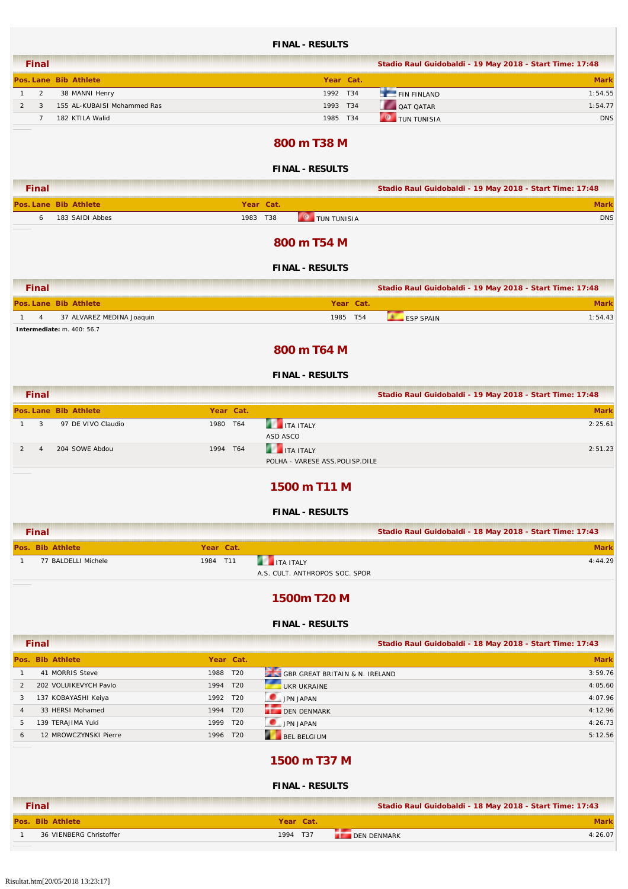|                                |                                       |                      | <b>FINAL - RESULTS</b>                                 |                                 |                                                          |
|--------------------------------|---------------------------------------|----------------------|--------------------------------------------------------|---------------------------------|----------------------------------------------------------|
| <b>Final</b>                   |                                       |                      |                                                        |                                 | Stadio Raul Guidobaldi - 19 May 2018 - Start Time: 17:48 |
|                                | Pos. Lane Bib Athlete                 |                      | Year Cat.                                              |                                 | <b>Mark</b>                                              |
| $\overline{c}$<br>$\mathbf{1}$ | 38 MANNI Henry                        |                      | 1992 T34                                               | FIN FINLAND                     | 1:54.55                                                  |
| $\overline{2}$<br>3            | 155 AL-KUBAISI Mohammed Ras           |                      | 1993 T34                                               | QAT QATAR                       | 1:54.77                                                  |
| $\overline{7}$                 | 182 KTILA Walid                       |                      | 1985 T34                                               | $\bullet$<br><b>TUN TUNISIA</b> | <b>DNS</b>                                               |
|                                |                                       |                      | 800 m T38 M                                            |                                 |                                                          |
|                                |                                       |                      | <b>FINAL - RESULTS</b>                                 |                                 |                                                          |
| <b>Final</b>                   |                                       |                      |                                                        |                                 | Stadio Raul Guidobaldi - 19 May 2018 - Start Time: 17:48 |
|                                | Pos. Lane Bib Athlete                 |                      | Year Cat.                                              |                                 | <b>Mark</b>                                              |
| 6                              | 183 SAIDI Abbes                       |                      | <b>O</b> TUN TUNISIA<br>1983 T38                       |                                 | <b>DNS</b>                                               |
|                                |                                       |                      | 800 m T54 M                                            |                                 |                                                          |
|                                |                                       |                      | <b>FINAL - RESULTS</b>                                 |                                 |                                                          |
| <b>Final</b>                   |                                       |                      |                                                        |                                 | Stadio Raul Guidobaldi - 19 May 2018 - Start Time: 17:48 |
|                                | Pos. Lane Bib Athlete                 |                      | Year Cat.                                              |                                 | <b>Mark</b>                                              |
| 4<br>$\mathbf{1}$              | 37 ALVAREZ MEDINA Joaquin             |                      | T54<br>1985                                            | <b>ESP SPAIN</b>                | 1:54.43                                                  |
|                                | Intermediate: m. 400: 56.7            |                      | 800 m T64 M                                            |                                 |                                                          |
|                                |                                       |                      | <b>FINAL - RESULTS</b>                                 |                                 |                                                          |
| <b>Final</b>                   |                                       |                      |                                                        |                                 | Stadio Raul Guidobaldi - 19 May 2018 - Start Time: 17:48 |
|                                | Pos. Lane Bib Athlete                 | Year Cat.            |                                                        |                                 | <b>Mark</b>                                              |
| 3<br>1                         | 97 DE VIVO Claudio                    | 1980 T64             | <b>THE ITA ITALY</b><br>ASD ASCO                       |                                 | 2:25.61                                                  |
| 2<br>$\overline{4}$            | 204 SOWE Abdou                        | 1994 T64             | <b>THE TEALY</b><br>POLHA - VARESE ASS.POLISP.DILE     |                                 | 2:51.23                                                  |
|                                |                                       |                      | 1500 m T11 M                                           |                                 |                                                          |
|                                |                                       |                      | <b>FINAL - RESULTS</b>                                 |                                 |                                                          |
| <b>Final</b>                   |                                       |                      |                                                        |                                 | Stadio Raul Guidobaldi - 18 May 2018 - Start Time: 17:43 |
| Pos. Bib Athlete               |                                       | Year Cat.            |                                                        |                                 | <b>Mark</b>                                              |
| $\mathbf{1}$                   | 77 BALDELLI Michele                   | 1984 T11             | <b>THE ITA ITALY</b><br>A.S. CULT. ANTHROPOS SOC. SPOR |                                 | 4:44.29                                                  |
|                                |                                       |                      | 1500m T20 M                                            |                                 |                                                          |
|                                |                                       |                      | <b>FINAL - RESULTS</b>                                 |                                 |                                                          |
| <b>Final</b>                   |                                       |                      |                                                        |                                 | Stadio Raul Guidobaldi - 18 May 2018 - Start Time: 17:43 |
| Pos. Bib Athlete               |                                       | Year Cat.            |                                                        |                                 | <b>Mark</b>                                              |
| $\mathbf{1}$                   | 41 MORRIS Steve                       | 1988 T20             | GBR GREAT BRITAIN & N. IRELAND                         |                                 | 3:59.76                                                  |
| 2                              | 202 VOLUIKEVYCH Pavlo                 | 1994 T20             | UKR UKRAINE                                            |                                 | 4:05.60                                                  |
| 3                              | 137 KOBAYASHI Keiya                   | 1992 T20             | JPN JAPAN                                              |                                 | 4:07.96                                                  |
| 4<br>5                         | 33 HERSI Mohamed<br>139 TERAJIMA Yuki | 1994 T20<br>1999 T20 | DEN DENMARK<br>JPN JAPAN                               |                                 | 4:12.96<br>4:26.73                                       |
| 6                              | 12 MROWCZYNSKI Pierre                 | 1996 T20             | и<br>BEL BELGIUM                                       |                                 | 5:12.56                                                  |
|                                |                                       |                      | 1500 m T37 M                                           |                                 |                                                          |
|                                |                                       |                      | <b>FINAL - RESULTS</b>                                 |                                 |                                                          |
| <b>Final</b>                   |                                       |                      |                                                        |                                 | Stadio Raul Guidobaldi - 18 May 2018 - Start Time: 17:43 |
| Pos. Bib Athlete               |                                       |                      | Year Cat.                                              |                                 | <b>Mark</b>                                              |
| 1                              | 36 VIENBERG Christoffer               |                      | 1994 T37                                               | <b>DEN DENMARK</b>              | 4:26.07                                                  |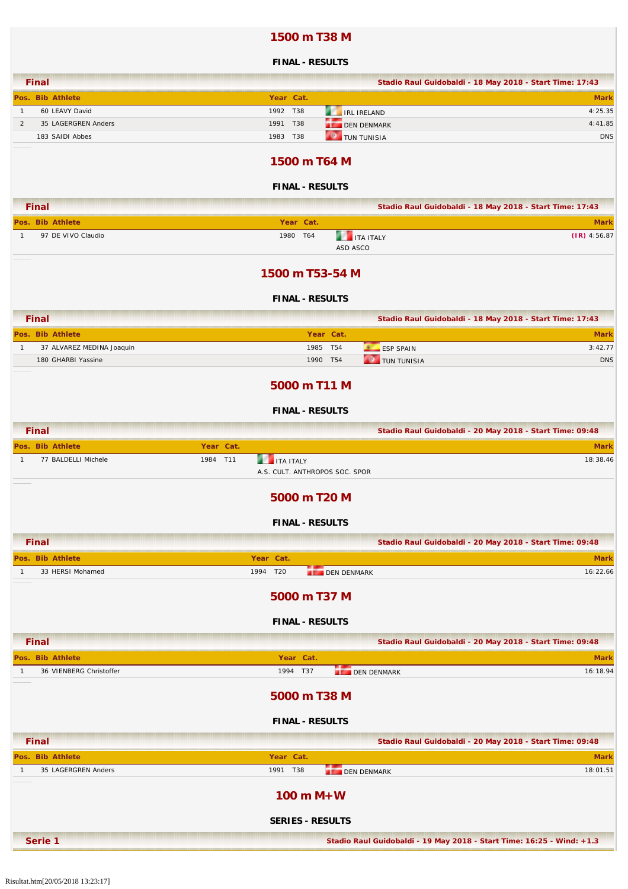### **1500 m T38 M**

|                                                 | <b>FINAL - RESULTS</b>                                   |                |
|-------------------------------------------------|----------------------------------------------------------|----------------|
| <b>Final</b>                                    | Stadio Raul Guidobaldi - 18 May 2018 - Start Time: 17:43 |                |
| Pos. Bib Athlete                                | Year Cat.                                                | <b>Mark</b>    |
| 60 LEAVY David<br>$\mathbf{1}$                  | 1992 T38<br><b>IRL IRELAND</b>                           | 4:25.35        |
| $\overline{2}$<br>35 LAGERGREN Anders           | 1991<br><b>T38</b><br><b>DEN DENMARK</b>                 | 4:41.85        |
| 183 SAIDI Abbes                                 | $\circ$<br>1983 T38<br>TUN TUNISIA                       | <b>DNS</b>     |
|                                                 | 1500 m T64 M                                             |                |
|                                                 | <b>FINAL - RESULTS</b>                                   |                |
| <b>Final</b>                                    | Stadio Raul Guidobaldi - 18 May 2018 - Start Time: 17:43 |                |
| Pos. Bib Athlete                                | Year Cat.                                                | <b>Mark</b>    |
| 97 DE VIVO Claudio<br>1                         | <b>THE ITA ITALY</b><br>1980 T64<br>ASD ASCO             | $(IR)$ 4:56.87 |
|                                                 | 1500 m T53-54 M                                          |                |
|                                                 | <b>FINAL - RESULTS</b>                                   |                |
| <b>Final</b>                                    | Stadio Raul Guidobaldi - 18 May 2018 - Start Time: 17:43 |                |
| Pos. Bib Athlete                                | Year Cat.                                                | <b>Mark</b>    |
| 37 ALVAREZ MEDINA Joaquin<br>1                  | 1985 T54<br><b>ESP SPAIN</b>                             | 3:42.77        |
| 180 GHARBI Yassine                              | <b>O</b> TUN TUNISIA<br>1990 T54                         | <b>DNS</b>     |
|                                                 | 5000 m T11 M                                             |                |
|                                                 | <b>FINAL - RESULTS</b>                                   |                |
| <b>Final</b>                                    | Stadio Raul Guidobaldi - 20 May 2018 - Start Time: 09:48 |                |
| Year Cat.<br>Pos. Bib Athlete                   |                                                          | <b>Mark</b>    |
| 77 BALDELLI Michele<br>1984 T11<br>$\mathbf{1}$ | <b>THE ITA ITALY</b><br>A.S. CULT. ANTHROPOS SOC. SPOR   | 18:38.46       |
|                                                 | 5000 m T20 M                                             |                |
|                                                 | <b>FINAL - RESULTS</b>                                   |                |
| <b>Final</b>                                    | Stadio Raul Guidobaldi - 20 May 2018 - Start Time: 09:48 |                |
| Pos. Bib Athlete                                | Year Cat.                                                | <b>Mark</b>    |
| 33 HERSI Mohamed<br>1                           | 1994 T20<br><b>DEN DENMARK</b>                           | 16:22.66       |
|                                                 | 5000 m T37 M                                             |                |
|                                                 | <b>FINAL - RESULTS</b>                                   |                |
| <b>Final</b>                                    | Stadio Raul Guidobaldi - 20 May 2018 - Start Time: 09:48 |                |
| Pos. Bib Athlete                                | Year Cat.                                                | <b>Mark</b>    |
| 36 VIENBERG Christoffer<br>1                    | 1994 T37<br><b>DEN DENMARK</b>                           | 16:18.94       |
|                                                 | 5000 m T38 M                                             |                |
|                                                 | <b>FINAL - RESULTS</b>                                   |                |
| <b>Final</b>                                    | Stadio Raul Guidobaldi - 20 May 2018 - Start Time: 09:48 |                |
| Pos. Bib Athlete                                | Year Cat.                                                | <b>Mark</b>    |
| 35 LAGERGREN Anders<br>1                        | 1991 T38<br><b>DEN DENMARK</b>                           | 18:01.51       |
|                                                 | $100 m M+W$                                              |                |

**SERIES - RESULTS**

**Serie 1 Stadio Raul Guidobaldi - 19 May 2018 - Start Time: 16:25 - Wind: +1.3**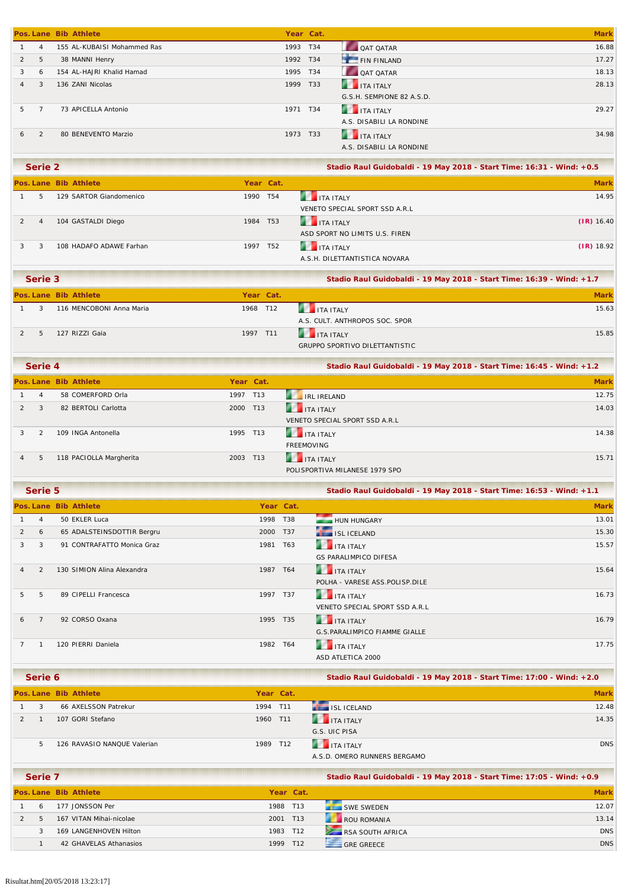|                |                | Pos. Lane Bib Athlete       |      | Year Cat. |                           | <b>Mark</b> |
|----------------|----------------|-----------------------------|------|-----------|---------------------------|-------------|
|                | $\overline{4}$ | 155 AL-KUBAISI Mohammed Ras | 1993 | T34       | <b>QAT QATAR</b>          | 16.88       |
| $\overline{2}$ | 5              | 38 MANNI Henry              | 1992 | T34       | FIN FINLAND               | 17.27       |
| 3              | 6              | 154 AL-HAJRI Khalid Hamad   | 1995 | T34       | <b>QAT QATAR</b>          | 18.13       |
| $\overline{4}$ | 3              | 136 ZANI Nicolas            | 1999 | T33       | <b>THE TEALY</b>          | 28.13       |
|                |                |                             |      |           | G.S.H. SEMPIONE 82 A.S.D. |             |
| 5.             |                | 73 APICELLA Antonio         | 1971 | T34       | <b>THE ITA ITALY</b>      | 29.27       |
|                |                |                             |      |           | A.S. DISABILI LA RONDINE  |             |
| 6              | $\mathcal{P}$  | 80 BENEVENTO Marzio         | 1973 | T33       | <b>THE TEALY</b>          | 34.98       |
|                |                |                             |      |           | A.S. DISABILI LA RONDINE  |             |
|                |                |                             |      |           |                           |             |

| Serie 2        |                         |          |           |                                | Stadio Raul Guidobaldi - 19 May 2018 - Start Time: 16:31 - Wind: +0.5 |  |  |
|----------------|-------------------------|----------|-----------|--------------------------------|-----------------------------------------------------------------------|--|--|
|                | Pos. Lane Bib Athlete   |          | Year Cat. |                                | <b>Mark</b>                                                           |  |  |
| 5.             | 129 SARTOR Giandomenico | 1990 T54 |           | <b>THE TANTALY</b>             | 14.95                                                                 |  |  |
|                |                         |          |           | VENETO SPECIAL SPORT SSD A.R.L |                                                                       |  |  |
| $\overline{4}$ | 104 GASTALDI Diego      | 1984 T53 |           | <b>THE TEALY</b>               | $(IR)$ 16.40                                                          |  |  |
|                |                         |          |           | ASD SPORT NO LIMITS U.S. FIREN |                                                                       |  |  |
| 3              | 108 HADAFO ADAWE Farhan | 1997 T52 |           | <b>THE TEALY</b>               | $(IR)$ 18.92                                                          |  |  |
|                |                         |          |           | A.S.H. DILETTANTISTICA NOVARA  |                                                                       |  |  |

| Serie 3 |                          |          |           | Stadio Raul Guidobaldi - 19 May 2018 - Start Time: 16:39 - Wind: +1.7 |             |  |
|---------|--------------------------|----------|-----------|-----------------------------------------------------------------------|-------------|--|
|         | Pos. Lane Bib Athlete    |          | Year Cat. |                                                                       | <b>Mark</b> |  |
|         | 116 MENCOBONI Anna Maria | 1968 T12 |           | <b>THE TEALER</b>                                                     | 15.63       |  |
|         |                          |          |           | A.S. CULT. ANTHROPOS SOC. SPOR                                        |             |  |
|         | 127 RIZZI Gaia           | 1997 T11 |           | <b>THE TEALY</b>                                                      | 15.85       |  |
|         |                          |          |           | GRUPPO SPORTIVO DILETTANTISTIC                                        |             |  |

|                | Serie 4 |                         |          |           | Stadio Raul Guidobaldi - 19 May 2018 - Start Time: 16:45 - Wind: +1.2 |             |  |
|----------------|---------|-------------------------|----------|-----------|-----------------------------------------------------------------------|-------------|--|
|                |         | Pos. Lane Bib Athlete   |          | Year Cat. |                                                                       | <b>Mark</b> |  |
|                | 4       | 58 COMERFORD Orla       | 1997 T13 |           | <b>EXAMPLE IRELAND</b>                                                | 12.75       |  |
|                | 3       | 82 BERTOLI Carlotta     | 2000     | T13       | <b>THE TEALY</b>                                                      | 14.03       |  |
|                |         |                         |          |           | VENETO SPECIAL SPORT SSD A.R.L                                        |             |  |
|                |         | 109 INGA Antonella      | 1995 T13 |           | <b>THE TEALY</b>                                                      | 14.38       |  |
|                |         |                         |          |           | <b>FREEMOVING</b>                                                     |             |  |
| $\overline{4}$ | 5       | 118 PACIOLLA Margherita | 2003 T13 |           | <b>THE TEAL SET IT ALLY</b>                                           | 15.71       |  |
|                |         |                         |          |           | POLISPORTIVA MILANESE 1979 SPO                                        |             |  |

|                | Serie 5        |                            |          |            | Stadio Raul Guidobaldi - 19 May 2018 - Start Time: 16:53 - Wind: +1.1 |             |  |  |  |
|----------------|----------------|----------------------------|----------|------------|-----------------------------------------------------------------------|-------------|--|--|--|
|                |                | Pos. Lane Bib Athlete      |          | Year Cat.  |                                                                       | <b>Mark</b> |  |  |  |
|                | $\overline{4}$ | 50 EKLER Luca              | 1998     | <b>T38</b> | HUN HUNGARY                                                           | 13.01       |  |  |  |
| $\overline{2}$ | 6              | 65 ADALSTEINSDOTTIR Bergru | 2000     | T37        | <b>ISL ICELAND</b>                                                    | 15.30       |  |  |  |
| 3              | 3              | 91 CONTRAFATTO Monica Graz | 1981 T63 |            | <b>THE ITA ITALY</b>                                                  | 15.57       |  |  |  |
|                |                |                            |          |            | <b>GS PARALIMPICO DIFESA</b>                                          |             |  |  |  |
|                | $\mathcal{P}$  | 130 SIMION Alina Alexandra | 1987     | T64        | <b>THE TEALY</b>                                                      | 15.64       |  |  |  |
|                |                |                            |          |            | POLHA - VARESE ASS.POLISP.DILE                                        |             |  |  |  |
| 5              | 5              | 89 CIPELLI Francesca       | 1997     | T37        | <b>THE TEAL SET IT ALLY</b>                                           | 16.73       |  |  |  |
|                |                |                            |          |            | VENETO SPECIAL SPORT SSD A.R.L                                        |             |  |  |  |
| 6              | $\overline{7}$ | 92 CORSO Oxana             | 1995 T35 |            | <b>THE TEALY</b>                                                      | 16.79       |  |  |  |
|                |                |                            |          |            | <b>G.S.PARALIMPICO FIAMME GIALLE</b>                                  |             |  |  |  |
|                |                | 120 PIERRI Daniela         | 1982 T64 |            | <b>THE TEAL ITALY</b>                                                 | 17.75       |  |  |  |
|                |                |                            |          |            | ASD ATLETICA 2000                                                     |             |  |  |  |

| Serie 6 |                             |          | Stadio Raul Guidobaldi - 19 May 2018 - Start Time: 17:00 - Wind: +2.0 |                                       |             |
|---------|-----------------------------|----------|-----------------------------------------------------------------------|---------------------------------------|-------------|
|         | Pos. Lane Bib Athlete       |          | Year Cat.                                                             |                                       | <b>Mark</b> |
| 3       | 66 AXELSSON Patrekur        | 1994 T11 |                                                                       | ISL ICELAND                           | 12.48       |
|         | 107 GORI Stefano            | 1960 T11 |                                                                       | <b>THE ITA ITALY</b><br>G.S. UIC PISA | 14.35       |
|         |                             |          |                                                                       |                                       |             |
| 5.      | 126 RAVASIO NANQUE Valerian | 1989 T12 |                                                                       | <b>THE TEALY</b>                      | <b>DNS</b>  |
|         |                             |          |                                                                       | A.S.D. OMERO RUNNERS BERGAMO          |             |

| Serie 7 |                         |           | Stadio Raul Guidobaldi - 19 May 2018 - Start Time: 17:05 - Wind: +0.9 |                   |             |
|---------|-------------------------|-----------|-----------------------------------------------------------------------|-------------------|-------------|
|         | Pos. Lane Bib Athlete   | Year Cat. |                                                                       |                   | <b>Mark</b> |
| 6       | 177 JONSSON Per         | 1988 T13  |                                                                       | SWE SWEDEN        | 12.07       |
|         | 167 VITAN Mihai-nicolae | 2001 T13  |                                                                       | ROU ROMANIA       | 13.14       |
|         | 169 LANGENHOVEN Hilton  | 1983 T12  |                                                                       | RSA SOUTH AFRICA  | <b>DNS</b>  |
|         | 42 GHAVELAS Athanasios  | 1999      | T <sub>12</sub>                                                       | <b>GRE GREECE</b> | <b>DNS</b>  |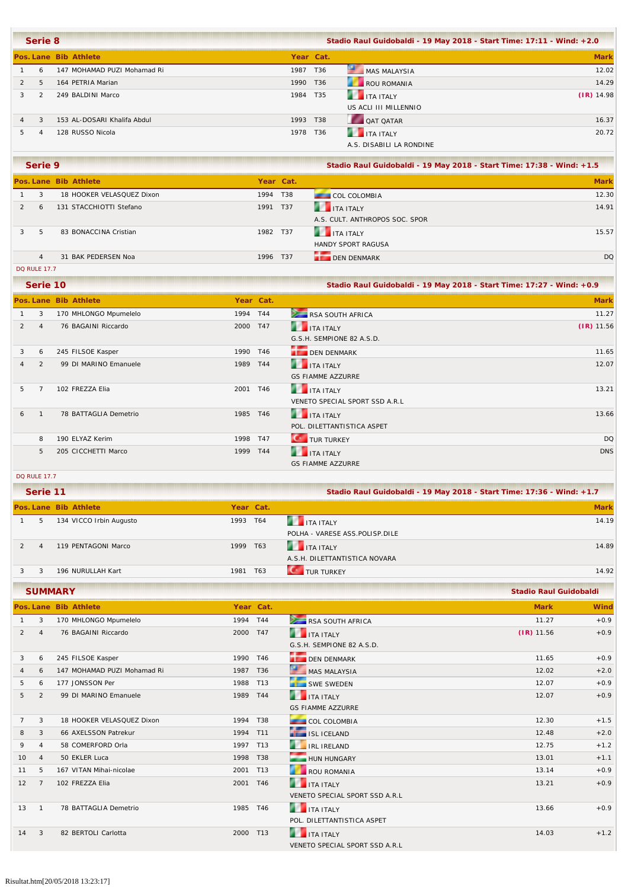|                | Serie 8       |                             |          |           | Stadio Raul Guidobaldi - 19 May 2018 - Start Time: 17:11 - Wind: +2.0 |              |  |  |  |
|----------------|---------------|-----------------------------|----------|-----------|-----------------------------------------------------------------------|--------------|--|--|--|
|                |               | Pos. Lane Bib Athlete       |          | Year Cat. |                                                                       | <b>Mark</b>  |  |  |  |
|                | 6             | 147 MOHAMAD PUZI Mohamad Ri | 1987 T36 |           | MAS MALAYSIA                                                          | 12.02        |  |  |  |
| $\overline{2}$ | 5             | 164 PETRIA Marian           | 1990 T36 |           | ROU ROMANIA                                                           | 14.29        |  |  |  |
|                | $\mathcal{P}$ | 249 BALDINI Marco           | 1984 T35 |           | <b>THE ITA ITALY</b>                                                  | $(IR)$ 14.98 |  |  |  |
|                |               |                             |          |           | US ACLI III MILLENNIO                                                 |              |  |  |  |
| $\overline{4}$ | 3             | 153 AL-DOSARI Khalifa Abdul | 1993 T38 |           | QAT QATAR                                                             | 16.37        |  |  |  |
|                |               | 128 RUSSO Nicola            | 1978 T36 |           | <b>THE TALE ITALY</b>                                                 | 20.72        |  |  |  |
|                |               |                             |          |           | A.S. DISABILI LA RONDINE                                              |              |  |  |  |

| Serie 9        |                           |           | Stadio Raul Guidobaldi - 19 May 2018 - Start Time: 17:38 - Wind: +1.5 |                                |             |
|----------------|---------------------------|-----------|-----------------------------------------------------------------------|--------------------------------|-------------|
|                | Pos. Lane Bib Athlete     | Year Cat. |                                                                       |                                | <b>Mark</b> |
| 3              | 18 HOOKER VELASQUEZ Dixon | 1994 T38  |                                                                       | <b>COL COLOMBIA</b>            | 12.30       |
| 6              | 131 STACCHIOTTI Stefano   | 1991 T37  |                                                                       | <b>THE TEALY</b>               | 14.91       |
|                |                           |           |                                                                       | A.S. CULT. ANTHROPOS SOC. SPOR |             |
| 5              | 83 BONACCINA Cristian     | 1982 T37  |                                                                       | <b>THE TEALY</b>               | 15.57       |
|                |                           |           |                                                                       | <b>HANDY SPORT RAGUSA</b>      |             |
| $\overline{4}$ | 31 BAK PEDERSEN Noa       | 1996 T37  |                                                                       | <b>DEN DENMARK</b>             | <b>DQ</b>   |
|                |                           |           |                                                                       |                                |             |

DQ RULE 17.7

|                | Serie 10       |                       |           |     |                                | Stadio Raul Guidobaldi - 19 May 2018 - Start Time: 17:27 - Wind: +0.9 |  |  |
|----------------|----------------|-----------------------|-----------|-----|--------------------------------|-----------------------------------------------------------------------|--|--|
|                |                | Pos. Lane Bib Athlete | Year Cat. |     |                                | <b>Mark</b>                                                           |  |  |
|                | 3              | 170 MHLONGO Mpumelelo | 1994      | T44 | RSA SOUTH AFRICA               | 11.27                                                                 |  |  |
| $\overline{2}$ | $\overline{4}$ | 76 BAGAINI Riccardo   | 2000      | T47 | <b>THE TEALY</b>               | $(IR)$ 11.56                                                          |  |  |
|                |                |                       |           |     | G.S.H. SEMPIONE 82 A.S.D.      |                                                                       |  |  |
| 3              | 6              | 245 FILSOE Kasper     | 1990      | T46 | DEN DENMARK                    | 11.65                                                                 |  |  |
| 4              | 2              | 99 DI MARINO Emanuele | 1989      | T44 | <b>THE TEAL ITALY</b>          | 12.07                                                                 |  |  |
|                |                |                       |           |     | <b>GS FIAMME AZZURRE</b>       |                                                                       |  |  |
| 5              |                | 102 FREZZA Elia       | 2001      | T46 | <b>THE TEAL ITALY</b>          | 13.21                                                                 |  |  |
|                |                |                       |           |     | VENETO SPECIAL SPORT SSD A.R.L |                                                                       |  |  |
| 6              |                | 78 BATTAGLIA Demetrio | 1985      | T46 | <b>THE TEALY</b>               | 13.66                                                                 |  |  |
|                |                |                       |           |     | POL. DILETTANTISTICA ASPET     |                                                                       |  |  |
|                | 8              | 190 ELYAZ Kerim       | 1998      | T47 | <b>CONTROL TURKEY</b>          | <b>DQ</b>                                                             |  |  |
|                | 5              | 205 CICCHETTI Marco   | 1999      | T44 | <b>THE TEALY</b>               | <b>DNS</b>                                                            |  |  |
|                |                |                       |           |     | <b>GS FIAMME AZZURRE</b>       |                                                                       |  |  |

DQ RULE 17.7

| Serie 11 |                         |           |     | Stadio Raul Guidobaldi - 19 May 2018 - Start Time: 17:36 - Wind: +1.7 |             |
|----------|-------------------------|-----------|-----|-----------------------------------------------------------------------|-------------|
|          | Pos. Lane Bib Athlete   | Year Cat. |     |                                                                       | <b>Mark</b> |
| 5        | 134 VICCO Irbin Augusto | 1993 T64  |     | <b>ITA ITALY</b>                                                      | 14.19       |
|          |                         |           |     | POLHA - VARESE ASS.POLISP.DILE                                        |             |
|          | 119 PENTAGONI Marco     | 1999 T63  |     | <b>THE ITA ITALY</b>                                                  | 14.89       |
|          |                         |           |     | A.S.H. DILETTANTISTICA NOVARA                                         |             |
|          | 196 NURULLAH Kart       | 1981      | T63 | <b>TUR TURKEY</b>                                                     | 14.92       |

|                |                | <b>SUMMARY</b>              |          |                 |                                   | <b>Stadio Raul Guidobaldi</b> |        |  |
|----------------|----------------|-----------------------------|----------|-----------------|-----------------------------------|-------------------------------|--------|--|
|                |                | Pos. Lane Bib Athlete       |          | Year Cat.       |                                   | <b>Mark</b>                   | Wind   |  |
| $\mathbf{1}$   | 3              | 170 MHLONGO Mpumelelo       | 1994 T44 |                 | $\sim$<br><b>RSA SOUTH AFRICA</b> | 11.27                         | $+0.9$ |  |
| 2              | $\overline{4}$ | 76 BAGAINI Riccardo         | 2000     | T47             | <b>THE TEALY</b>                  | $(IR)$ 11.56                  | $+0.9$ |  |
|                |                |                             |          |                 | G.S.H. SEMPIONE 82 A.S.D.         |                               |        |  |
| 3              | 6              | 245 FILSOE Kasper           | 1990 T46 |                 | <b>DEN DENMARK</b>                | 11.65                         | $+0.9$ |  |
| 4              | 6              | 147 MOHAMAD PUZI Mohamad Ri | 1987     | T36             | MAS MALAYSIA                      | 12.02                         | $+2.0$ |  |
| 5              | 6              | 177 JONSSON Per             | 1988 T13 |                 | <b>SWE SWEDEN</b>                 | 12.07                         | $+0.9$ |  |
| 5              | 2              | 99 DI MARINO Emanuele       | 1989     | T44             | ITA ITALY                         | 12.07                         | $+0.9$ |  |
|                |                |                             |          |                 | <b>GS FIAMME AZZURRE</b>          |                               |        |  |
| $\overline{7}$ | 3              | 18 HOOKER VELASQUEZ Dixon   | 1994     | T38             | <b>COL COLOMBIA</b>               | 12.30                         | $+1.5$ |  |
| 8              | 3              | 66 AXELSSON Patrekur        | 1994     | T11             | <b>ISL ICELAND</b>                | 12.48                         | $+2.0$ |  |
| 9              | $\overline{4}$ | 58 COMERFORD Orla           | 1997     | T <sub>13</sub> | <b>THE IRE IRELAND</b>            | 12.75                         | $+1.2$ |  |
| 10             | $\overline{4}$ | 50 EKLER Luca               | 1998     | T38             | HUN HUNGARY                       | 13.01                         | $+1.1$ |  |
| 11             | 5              | 167 VITAN Mihai-nicolae     | 2001     | T <sub>13</sub> | <b>ROU ROMANIA</b>                | 13.14                         | $+0.9$ |  |
| 12             | $\overline{7}$ | 102 FREZZA Elia             | 2001     | T46             | <b>THE TEALY</b>                  | 13.21                         | $+0.9$ |  |
|                |                |                             |          |                 | VENETO SPECIAL SPORT SSD A.R.L    |                               |        |  |
| 13             | $\mathbf{1}$   | 78 BATTAGLIA Demetrio       | 1985     | T46             | <b>THE ITA ITALY</b>              | 13.66                         | $+0.9$ |  |
|                |                |                             |          |                 | POL. DILETTANTISTICA ASPET        |                               |        |  |
| 14             | 3              | 82 BERTOLI Carlotta         | 2000     | T <sub>13</sub> | <b>ITA ITALY</b>                  | 14.03                         | $+1.2$ |  |
|                |                |                             |          |                 | VENETO SPECIAL SPORT SSD A.R.L    |                               |        |  |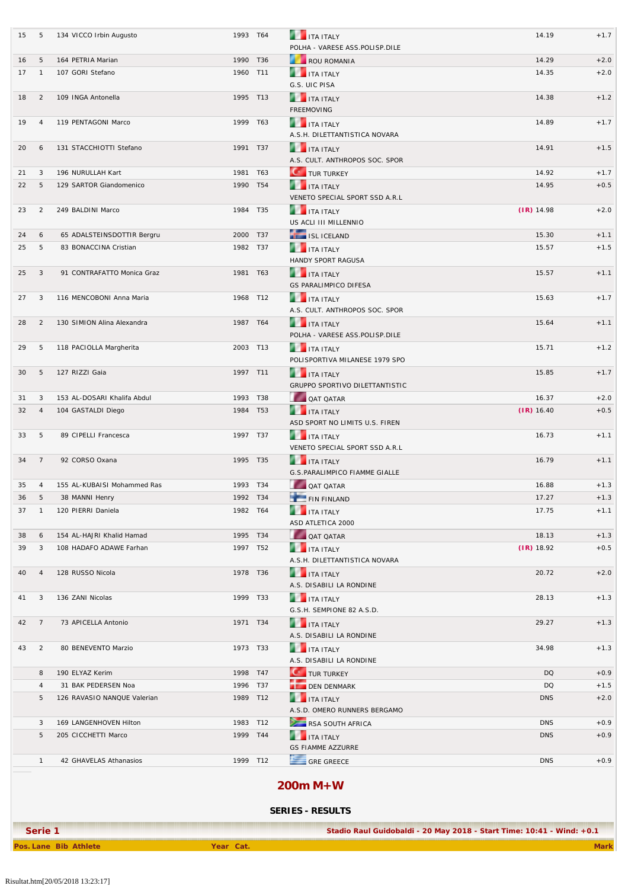| 15       | 5                   | 134 VICCO Irbin Augusto               | 1993 T64             |          | <b>THE ITA ITALY</b>                                   | 14.19          | $+1.7$           |
|----------|---------------------|---------------------------------------|----------------------|----------|--------------------------------------------------------|----------------|------------------|
|          |                     |                                       |                      |          | POLHA - VARESE ASS.POLISP.DILE                         |                |                  |
| 16<br>17 | 5<br>$\overline{1}$ | 164 PETRIA Marian<br>107 GORI Stefano | 1990 T36<br>1960 T11 |          | ROU ROMANIA<br><b>THE ITA ITALY</b>                    | 14.29<br>14.35 | $+2.0$<br>$+2.0$ |
|          |                     |                                       |                      |          | G.S. UIC PISA                                          |                |                  |
| 18       | $\overline{2}$      | 109 INGA Antonella                    | 1995 T13             |          | <b>THE TEAL ITALY</b><br><b>FREEMOVING</b>             | 14.38          | $+1.2$           |
| 19       | $\overline{4}$      | 119 PENTAGONI Marco                   |                      | 1999 T63 | <b>THE ITA ITALY</b><br>A.S.H. DILETTANTISTICA NOVARA  | 14.89          | $+1.7$           |
| 20       | 6                   | 131 STACCHIOTTI Stefano               | 1991 T37             |          | <b>THE ITA ITALY</b><br>A.S. CULT. ANTHROPOS SOC. SPOR | 14.91          | $+1.5$           |
| 21       | 3                   | 196 NURULLAH Kart                     | 1981 T63             |          | <b>C</b> TUR TURKEY                                    | 14.92          | $+1.7$           |
| 22       | 5                   | 129 SARTOR Giandomenico               | 1990 T54             |          | <b>THE ITA ITALY</b><br>VENETO SPECIAL SPORT SSD A.R.L | 14.95          | $+0.5$           |
| 23       | $\overline{2}$      | 249 BALDINI Marco                     | 1984 T35             |          | <b>THE ITA ITALY</b><br>US ACLI III MILLENNIO          | $(IR)$ 14.98   | $+2.0$           |
| 24       | 6                   | 65 ADALSTEINSDOTTIR Bergru            | 2000 T37             |          | ISL ICELAND                                            | 15.30          | $+1.1$           |
| 25       | 5                   | 83 BONACCINA Cristian                 | 1982 T37             |          | <b>THE TEAL ITALY</b>                                  | 15.57          | $+1.5$           |
|          |                     |                                       |                      |          | HANDY SPORT RAGUSA                                     |                |                  |
| 25       | 3                   | 91 CONTRAFATTO Monica Graz            | 1981                 | T63      | <b>THE ITA ITALY</b><br><b>GS PARALIMPICO DIFESA</b>   | 15.57          | $+1.1$           |
| 27       | 3                   | 116 MENCOBONI Anna Maria              | 1968 T12             |          | <b>THE ITA ITALY</b><br>A.S. CULT. ANTHROPOS SOC. SPOR | 15.63          | $+1.7$           |
| 28       | $\overline{2}$      | 130 SIMION Alina Alexandra            | 1987 T64             |          | <b>THE TEALY</b><br>POLHA - VARESE ASS.POLISP.DILE     | 15.64          | $+1.1$           |
| 29       | 5                   | 118 PACIOLLA Margherita               |                      | 2003 T13 | <b>THE ITA ITALY</b><br>POLISPORTIVA MILANESE 1979 SPO | 15.71          | $+1.2$           |
| 30       | 5                   | 127 RIZZI Gaia                        | 1997 T11             |          | <b>THE ITA ITALY</b><br>GRUPPO SPORTIVO DILETTANTISTIC | 15.85          | $+1.7$           |
| 31       | 3                   | 153 AL-DOSARI Khalifa Abdul           | 1993 T38             |          | QAT QATAR                                              | 16.37          | $+2.0$           |
| 32       | $\overline{4}$      | 104 GASTALDI Diego                    | 1984 T53             |          | <b>ITA ITALY</b><br>ASD SPORT NO LIMITS U.S. FIREN     | $(IR)$ 16.40   | $+0.5$           |
| 33       | 5                   | 89 CIPELLI Francesca                  | 1997 T37             |          | <b>THE ITA ITALY</b><br>VENETO SPECIAL SPORT SSD A.R.L | 16.73          | $+1.1$           |
| 34       | $\overline{7}$      | 92 CORSO Oxana                        | 1995 T35             |          | <b>THE TEALY</b><br>G.S.PARALIMPICO FIAMME GIALLE      | 16.79          | $+1.1$           |
| 35       | $\overline{4}$      | 155 AL-KUBAISI Mohammed Ras           | 1993 T34             |          | OAT QATAR                                              | 16.88          | $+1.3$           |
| 36       | 5                   | 38 MANNI Henry                        | 1992 T34             |          | FIN FINLAND                                            | 17.27          | $+1.3$           |
| 37       | $\overline{1}$      | 120 PIERRI Daniela                    | 1982 T64             |          | <b>THE ITA ITALY</b><br>ASD ATLETICA 2000              | 17.75          | $+1.1$           |
| 38       | 6                   | 154 AL-HAJRI Khalid Hamad             | 1995 T34             |          | OAT OATAR                                              | 18.13          | $+1.3$           |
| 39       | 3                   | 108 HADAFO ADAWE Farhan               |                      | 1997 T52 | <b>THE ITA ITALY</b><br>A.S.H. DILETTANTISTICA NOVARA  | $(IR)$ 18.92   | $+0.5$           |
| 40       | $\overline{4}$      | 128 RUSSO Nicola                      | 1978 T36             |          | <b>THE ITA ITALY</b><br>A.S. DISABILI LA RONDINE       | 20.72          | $+2.0$           |
| 41       | 3                   | 136 ZANI Nicolas                      |                      | 1999 T33 | <b>THE ITA ITALY</b><br>G.S.H. SEMPIONE 82 A.S.D.      | 28.13          | $+1.3$           |
| 42       | $\overline{7}$      | 73 APICELLA Antonio                   | 1971 T34             |          | <b>THE ITALY</b><br>A.S. DISABILI LA RONDINE           | 29.27          | $+1.3$           |
| 43       | $\overline{2}$      | 80 BENEVENTO Marzio                   | 1973 T33             |          | ITA ITALY<br>A.S. DISABILI LA RONDINE                  | 34.98          | $+1.3$           |
|          | 8                   | 190 ELYAZ Kerim                       | 1998 T47             |          | <b>C</b> TUR TURKEY                                    | <b>DQ</b>      | $+0.9$           |
|          | 4                   | 31 BAK PEDERSEN Noa                   | 1996 T37             |          | <b>DEN DENMARK</b>                                     | DQ             | $+1.5$           |
|          | 5                   | 126 RAVASIO NANQUE Valerian           |                      | 1989 T12 | <b>THE ITA ITALY</b><br>A.S.D. OMERO RUNNERS BERGAMO   | <b>DNS</b>     | $+2.0$           |
|          | 3                   | 169 LANGENHOVEN Hilton                | 1983 T12             |          | RSA SOUTH AFRICA                                       | <b>DNS</b>     | $+0.9$           |
|          | 5                   | 205 CICCHETTI Marco                   |                      | 1999 T44 | <b>THE ITALY</b><br><b>GS FIAMME AZZURRE</b>           | <b>DNS</b>     | $+0.9$           |
|          | $\mathbf{1}$        | 42 GHAVELAS Athanasios                | 1999 T12             |          | GRE GREECE                                             | <b>DNS</b>     | $+0.9$           |
|          |                     |                                       |                      |          | $200m M+W$                                             |                |                  |

### **SERIES - RESULTS**

**Pos. Lane Bib Athlete Year Cat. Mark**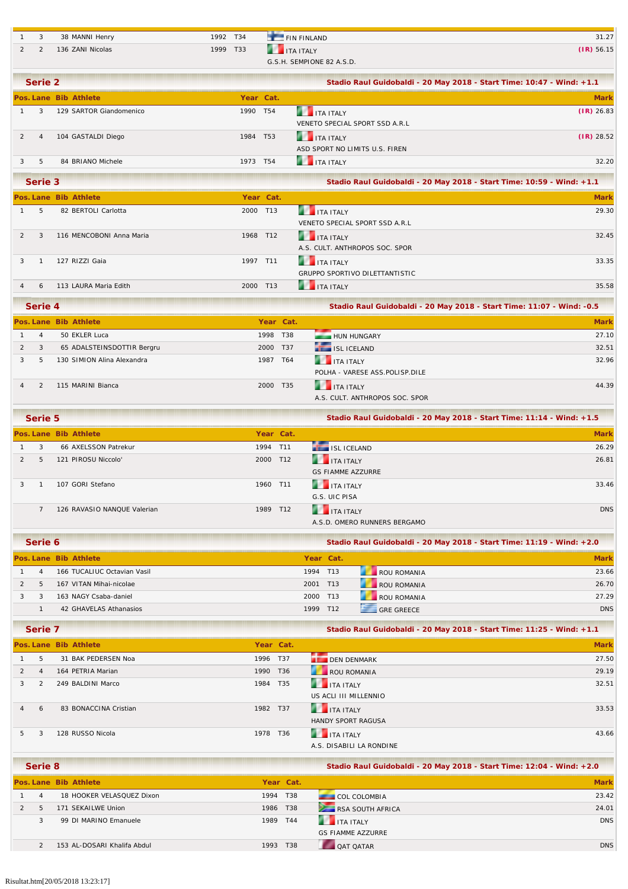| ت | 38 MANNI Henry   | 1992 T34 | <b>EXAMPLE IN FINLAND</b> | 31.27        |
|---|------------------|----------|---------------------------|--------------|
|   | 136 ZANI Nicolas | 1999 T33 | <b>THE ITA ITALY</b>      | $(IR)$ 56.15 |
|   |                  |          | G.S.H. SEMPIONE 82 A.S.D. |              |

| Serie 2 |                         |           |                                | Stadio Raul Guidobaldi - 20 May 2018 - Start Time: 10:47 - Wind: +1.1 |  |  |
|---------|-------------------------|-----------|--------------------------------|-----------------------------------------------------------------------|--|--|
|         | Pos. Lane Bib Athlete   | Year Cat. |                                | <b>Mark</b>                                                           |  |  |
|         | 129 SARTOR Giandomenico | 1990 T54  | <b>THE TEALY</b>               | $(IR)$ 26.83                                                          |  |  |
|         |                         |           | VENETO SPECIAL SPORT SSD A.R.L |                                                                       |  |  |
| 4       | 104 GASTALDI Diego      | 1984 T53  | <b>THE TEALY</b>               | $(IR)$ 28.52                                                          |  |  |
|         |                         |           | ASD SPORT NO LIMITS U.S. FIREN |                                                                       |  |  |
| 5       | 84 BRIANO Michele       | 1973 T54  | <b>THE ITA ITALY</b>           | 32.20                                                                 |  |  |

|   | Serie 3 |                          |           | Stadio Raul Guidobaldi - 20 May 2018 - Start Time: 10:59 - Wind: +1.1 |             |
|---|---------|--------------------------|-----------|-----------------------------------------------------------------------|-------------|
|   |         | Pos. Lane Bib Athlete    | Year Cat. |                                                                       | <b>Mark</b> |
|   | 5       | 82 BERTOLI Carlotta      | 2000 T13  | <b>ITA ITALY</b><br>VENETO SPECIAL SPORT SSD A.R.L                    | 29.30       |
|   | 3       | 116 MENCOBONI Anna Maria | 1968 T12  | <b>THE ITA ITALY</b><br>A.S. CULT. ANTHROPOS SOC. SPOR                | 32.45       |
| 3 |         | 127 RIZZI Gaja           | 1997 T11  | <b>THE ITA ITALY</b><br>GRUPPO SPORTIVO DILETTANTISTIC                | 33.35       |
|   |         | 113 LAURA Maria Edith    | 2000 T13  | <b>ITA ITALY</b>                                                      | 35.58       |

|                | Serie 4        |                            |  |           | Stadio Raul Guidobaldi - 20 May 2018 - Start Time: 11:07 - Wind: -0.5 |             |  |
|----------------|----------------|----------------------------|--|-----------|-----------------------------------------------------------------------|-------------|--|
|                |                | Pos. Lane Bib Athlete      |  | Year Cat. |                                                                       | <b>Mark</b> |  |
|                | $\overline{4}$ | 50 EKLER Luca              |  | 1998 T38  | HUN HUNGARY                                                           | 27.10       |  |
| $\overline{2}$ | 3              | 65 ADALSTEINSDOTTIR Bergru |  | 2000 T37  | ISL ICELAND                                                           | 32.51       |  |
|                | 5              | 130 SIMION Alina Alexandra |  | 1987 T64  | <b>THE ITA ITALY</b>                                                  | 32.96       |  |
|                |                |                            |  |           | POLHA - VARESE ASS.POLISP.DILE                                        |             |  |
|                |                | 115 MARINI Bianca          |  | 2000 T35  | <b>THE TEALY</b>                                                      | 44.39       |  |
|                |                |                            |  |           | A.S. CULT. ANTHROPOS SOC. SPOR                                        |             |  |

| Serie 5 |                             |          |           | Stadio Raul Guidobaldi - 20 May 2018 - Start Time: 11:14 - Wind: +1.5 |             |
|---------|-----------------------------|----------|-----------|-----------------------------------------------------------------------|-------------|
|         | Pos. Lane Bib Athlete       |          | Year Cat. |                                                                       | <b>Mark</b> |
| 3       | 66 AXELSSON Patrekur        | 1994 T11 |           | ISL ICELAND                                                           | 26.29       |
| 5       | 121 PIROSU Niccolo'         | 2000 T12 |           | <b>THE TEALY</b>                                                      | 26.81       |
|         |                             |          |           | <b>GS FIAMME AZZURRE</b>                                              |             |
|         | 107 GORI Stefano            | 1960 T11 |           | <b>THE TEALY</b>                                                      | 33.46       |
|         |                             |          |           | G.S. UIC PISA                                                         |             |
|         | 126 RAVASIO NANQUE Valerian | 1989 T12 |           | <b>THE TEALY</b>                                                      | <b>DNS</b>  |
|         |                             |          |           | A.S.D. OMERO RUNNERS BERGAMO                                          |             |

| Serie 6 |                             |           | Stadio Raul Guidobaldi - 20 May 2018 - Start Time: 11:19 - Wind: +2.0 |                    |             |
|---------|-----------------------------|-----------|-----------------------------------------------------------------------|--------------------|-------------|
|         | Pos. Lane Bib Athlete       | Year Cat. |                                                                       |                    | <b>Mark</b> |
| 4       | 166 TUCALIUC Octavian Vasil | 1994 T13  |                                                                       | <b>ROU ROMANIA</b> | 23.66       |
| 5.      | 167 VITAN Mihai-nicolae     | 2001 T13  |                                                                       | ROU ROMANIA        | 26.70       |
|         | 163 NAGY Csaba-daniel       | 2000 T13  |                                                                       | ROU ROMANIA        | 27.29       |
|         | 42 GHAVELAS Athanasios      | 1999 T12  |                                                                       | $-$ GRF GRFFCF     | <b>DNS</b>  |
|         |                             |           |                                                                       |                    |             |

| Serie 7        |                |                       |           |     | Stadio Raul Guidobaldi - 20 May 2018 - Start Time: 11:25 - Wind: +1.1 |             |
|----------------|----------------|-----------------------|-----------|-----|-----------------------------------------------------------------------|-------------|
|                |                | Pos. Lane Bib Athlete | Year Cat. |     |                                                                       | <b>Mark</b> |
|                | 5              | 31 BAK PEDERSEN Noa   | 1996 T37  |     | <b>DEN DENMARK</b>                                                    | 27.50       |
|                |                | 164 PETRIA Marian     | 1990 T36  |     | ROU ROMANIA                                                           | 29.19       |
|                | $\mathfrak{D}$ | 249 BALDINI Marco     | 1984      | T35 | <b>THE ITA ITALY</b>                                                  | 32.51       |
|                |                |                       |           |     | US ACLI III MILLENNIO                                                 |             |
| $\overline{4}$ | 6              | 83 BONACCINA Cristian | 1982 T37  |     | <b>THE ITA ITALY</b>                                                  | 33.53       |
|                |                |                       |           |     | <b>HANDY SPORT RAGUSA</b>                                             |             |
| 5.             | 3              | 128 RUSSO Nicola      | 1978 T36  |     | <b>THE ITA ITALY</b>                                                  | 43.66       |
|                |                |                       |           |     | A.S. DISABILI LA RONDINE                                              |             |

| Serie 8        |                             |      | Stadio Raul Guidobaldi - 20 May 2018 - Start Time: 12:04 - Wind: +2.0 |                           |             |
|----------------|-----------------------------|------|-----------------------------------------------------------------------|---------------------------|-------------|
|                | Pos. Lane Bib Athlete       |      | Year Cat.                                                             |                           | <b>Mark</b> |
| $\overline{A}$ | 18 HOOKER VELASQUEZ Dixon   | 1994 | T38                                                                   | <b>COL COLOMBIA</b>       | 23.42       |
| 5              | 171 SFKAILWF Union          | 1986 | T38                                                                   | RSA SOUTH AFRICA          | 24.01       |
|                | 99 DI MARINO Emanuele       | 1989 | T44                                                                   | $\blacksquare$ ITA ITAI Y | <b>DNS</b>  |
|                |                             |      |                                                                       | <b>GS FIAMME AZZURRE</b>  |             |
|                | 153 AL-DOSARI Khalifa Abdul | 1993 | T38                                                                   | <b>OAT OATAR</b>          | <b>DNS</b>  |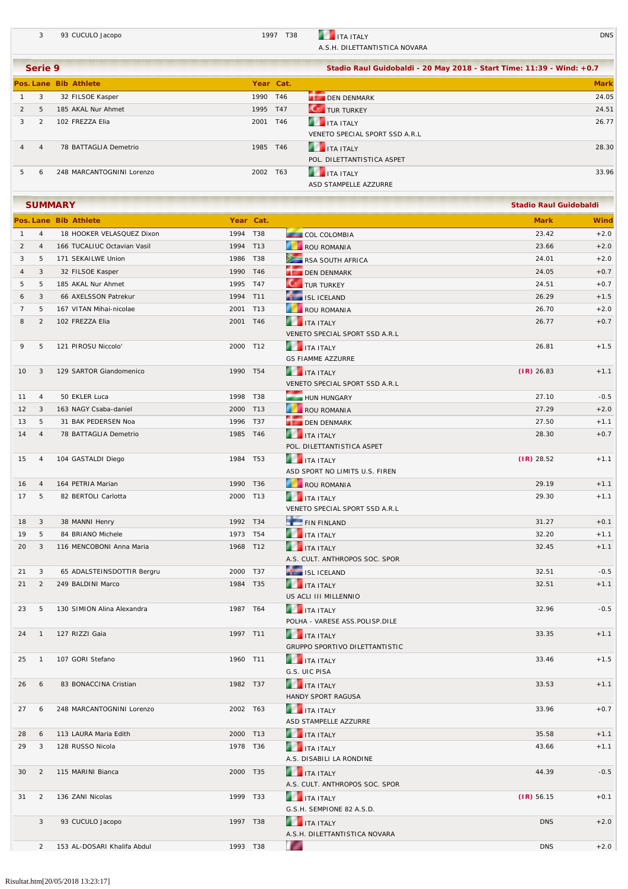3 93 CUCULO Jacopo 2008 2009 1997 T38 1TA ITALY DNS A.S.H. DILETTANTISTICA NOVARA

|               | Serie 9        |                           |      | Stadio Raul Guidobaldi - 20 May 2018 - Start Time: 11:39 - Wind: +0.7 |                                |             |
|---------------|----------------|---------------------------|------|-----------------------------------------------------------------------|--------------------------------|-------------|
|               |                | Pos. Lane Bib Athlete     |      | Year Cat.                                                             |                                | <b>Mark</b> |
|               | 3              | 32 FILSOE Kasper          | 1990 | T46                                                                   | <b>DEN DENMARK</b>             | 24.05       |
| $\mathcal{P}$ | -5             | 185 AKAL Nur Ahmet        | 1995 | T47                                                                   | <b>C</b> TUR TURKEY            | 24.51       |
| 3             | $\overline{2}$ | 102 FREZZA Elia           | 2001 | T46                                                                   | <b>THE ITA ITALY</b>           | 26.77       |
|               |                |                           |      |                                                                       | VENETO SPECIAL SPORT SSD A.R.L |             |
| 4             | $\overline{4}$ | 78 BATTAGLIA Demetrio     | 1985 | T46                                                                   | ITA ITALY                      | 28.30       |
|               |                |                           |      |                                                                       | POL. DILETTANTISTICA ASPET     |             |
| 5.            |                | 248 MARCANTOGNINI Lorenzo | 2002 | T63                                                                   | <b>THE TEAL ITALY</b>          | 33.96       |
|               |                |                           |      |                                                                       | ASD STAMPELLE AZZURRE          |             |

| <b>SUMMARY</b><br><b>Stadio Raul Guidobaldi</b> |                |                             |          |           |                                                        |              |             |
|-------------------------------------------------|----------------|-----------------------------|----------|-----------|--------------------------------------------------------|--------------|-------------|
|                                                 |                | Pos. Lane Bib Athlete       |          | Year Cat. |                                                        | <b>Mark</b>  | <b>Wind</b> |
| $\mathbf{1}$                                    | $\overline{4}$ | 18 HOOKER VELASQUEZ Dixon   | 1994 T38 |           | COL COLOMBIA                                           | 23.42        | $+2.0$      |
| 2                                               | $\overline{4}$ | 166 TUCALIUC Octavian Vasil | 1994 T13 |           | ROU ROMANIA                                            | 23.66        | $+2.0$      |
| 3                                               | 5              | 171 SEKAILWE Union          | 1986 T38 |           | RSA SOUTH AFRICA                                       | 24.01        | $+2.0$      |
| 4                                               | 3              | 32 FILSOE Kasper            | 1990 T46 |           | DEN DENMARK                                            | 24.05        | $+0.7$      |
| 5                                               | 5              | 185 AKAL Nur Ahmet          | 1995 T47 |           | <b>C</b> TUR TURKEY                                    | 24.51        | $+0.7$      |
| 6                                               | 3              | 66 AXELSSON Patrekur        | 1994 T11 |           | ISL ICELAND                                            | 26.29        | $+1.5$      |
| $\overline{7}$                                  | 5              | 167 VITAN Mihai-nicolae     | 2001 T13 |           | ROU ROMANIA                                            | 26.70        | $+2.0$      |
| 8                                               | $\overline{2}$ | 102 FREZZA Elia             | 2001 T46 |           | <b>THE ITA ITALY</b><br>VENETO SPECIAL SPORT SSD A.R.L | 26.77        | $+0.7$      |
| 9                                               | 5              | 121 PIROSU Niccolo'         | 2000 T12 |           | <b>THE ITA ITALY</b><br><b>GS FIAMME AZZURRE</b>       | 26.81        | $+1.5$      |
| 10                                              | 3              | 129 SARTOR Giandomenico     | 1990 T54 |           | <b>THE ITA ITALY</b><br>VENETO SPECIAL SPORT SSD A.R.L | $(IR)$ 26.83 | $+1.1$      |
| 11                                              | $\overline{4}$ | 50 EKLER Luca               | 1998 T38 |           | HUN HUNGARY                                            | 27.10        | $-0.5$      |
| 12                                              | 3              | 163 NAGY Csaba-daniel       | 2000 T13 |           | ROU ROMANIA                                            | 27.29        | $+2.0$      |
| 13                                              | 5              | 31 BAK PEDERSEN Noa         | 1996 T37 |           | DEN DENMARK                                            | 27.50        | $+1.1$      |
| 14                                              | $\overline{4}$ | 78 BATTAGLIA Demetrio       | 1985 T46 |           | <b>THE ITA ITALY</b><br>POL. DILETTANTISTICA ASPET     | 28.30        | $+0.7$      |
| 15                                              | 4              | 104 GASTALDI Diego          | 1984 T53 |           | <b>THE ITA ITALY</b><br>ASD SPORT NO LIMITS U.S. FIREN | $(IR)$ 28.52 | $+1.1$      |
| 16                                              | $\overline{4}$ | 164 PETRIA Marian           | 1990 T36 |           | ROU ROMANIA                                            | 29.19        | $+1.1$      |
| 17                                              | 5              | 82 BERTOLI Carlotta         | 2000 T13 |           | <b>THE ITA ITALY</b><br>VENETO SPECIAL SPORT SSD A.R.L | 29.30        | $+1.1$      |
| 18                                              | 3              | 38 MANNI Henry              | 1992 T34 |           | FIN FINLAND                                            | 31.27        | $+0.1$      |
| 19                                              | 5              | 84 BRIANO Michele           | 1973 T54 |           | <b>THE ITA ITALY</b>                                   | 32.20        | $+1.1$      |
| 20                                              | 3              | 116 MENCOBONI Anna Maria    | 1968 T12 |           | <b>ITA ITALY</b><br>A.S. CULT. ANTHROPOS SOC. SPOR     | 32.45        | $+1.1$      |
| 21                                              | 3              | 65 ADALSTEINSDOTTIR Bergru  | 2000 T37 |           | ISL ICELAND                                            | 32.51        | $-0.5$      |
| 21                                              | 2              | 249 BALDINI Marco           | 1984 T35 |           | <b>THE ITA ITALY</b><br>US ACLI III MILLENNIO          | 32.51        | $+1.1$      |
| 23                                              | 5              | 130 SIMION Alina Alexandra  | 1987 T64 |           | <b>THE ITA ITALY</b><br>POLHA - VARESE ASS.POLISP.DILE | 32.96        | $-0.5$      |
| 24                                              | $\overline{1}$ | 127 RIZZI Gaia              | 1997 T11 |           | <b>THE ITA ITALY</b><br>GRUPPO SPORTIVO DILETTANTISTIC | 33.35        | $+1.1$      |
| 25                                              | $\overline{1}$ | 107 GORI Stefano            | 1960 T11 |           | <b>THE ITA ITALY</b><br>G.S. UIC PISA                  | 33.46        | $+1.5$      |
| 26                                              | 6              | 83 BONACCINA Cristian       | 1982 T37 |           | <b>THE TEAL ITALY</b><br>HANDY SPORT RAGUSA            | 33.53        | $+1.1$      |
| 27                                              | 6              | 248 MARCANTOGNINI Lorenzo   | 2002 T63 |           | <b>THE ITA ITALY</b><br>ASD STAMPELLE AZZURRE          | 33.96        | $+0.7$      |
| 28                                              | 6              | 113 LAURA Maria Edith       | 2000 T13 |           | <b>THE ITA ITALY</b>                                   | 35.58        | $+1.1$      |
| 29                                              | 3              | 128 RUSSO Nicola            | 1978 T36 |           | <b>THE ITA ITALY</b><br>A.S. DISABILI LA RONDINE       | 43.66        | $+1.1$      |
| 30                                              | $\overline{2}$ | 115 MARINI Bianca           | 2000 T35 |           | <b>THE ITA ITALY</b><br>A.S. CULT. ANTHROPOS SOC. SPOR | 44.39        | $-0.5$      |
| 31                                              | $\overline{2}$ | 136 ZANI Nicolas            | 1999 T33 |           | ITA ITALY<br>G.S.H. SEMPIONE 82 A.S.D.                 | $(IR)$ 56.15 | $+0.1$      |
|                                                 | 3              | 93 CUCULO Jacopo            | 1997 T38 |           | <b>THE ITA ITALY</b><br>A.S.H. DILETTANTISTICA NOVARA  | <b>DNS</b>   | $+2.0$      |
|                                                 | $\overline{2}$ | 153 AL-DOSARI Khalifa Abdul | 1993 T38 |           | $\overline{\phantom{a}}$                               | <b>DNS</b>   | $+2.0$      |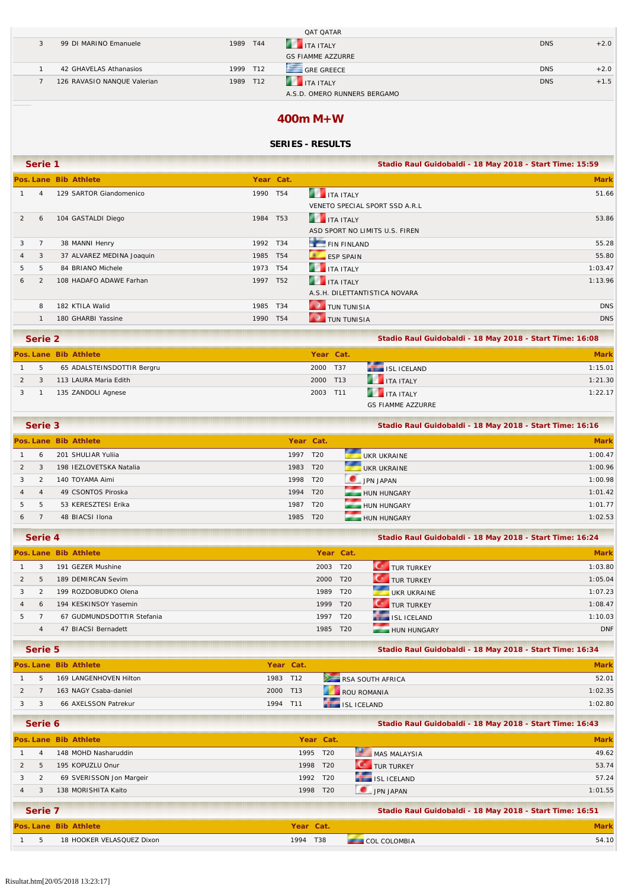|                             |          |     | <b>QAT QATAR</b>             |            |        |
|-----------------------------|----------|-----|------------------------------|------------|--------|
| 99 DI MARINO Emanuele       | 1989     | T44 | <b>THE ITALY</b>             | <b>DNS</b> | $+2.0$ |
|                             |          |     | <b>GS FIAMME AZZURRE</b>     |            |        |
| 42 GHAVELAS Athanasios      | 1999 T12 |     | $-$ GRF GRFFCF               | <b>DNS</b> | $+2.0$ |
| 126 RAVASIO NANQUE Valerian | 1989     | T12 | <b>ITA ITALY</b>             | <b>DNS</b> | $+1.5$ |
|                             |          |     | A.S.D. OMERO RUNNERS BERGAMO |            |        |

### **400m M+W**

### **SERIES - RESULTS**

|   | Serie 1        |                           |          |                 | Stadio Raul Guidobaldi - 18 May 2018 - Start Time: 15:59 |             |
|---|----------------|---------------------------|----------|-----------------|----------------------------------------------------------|-------------|
|   |                | Pos. Lane Bib Athlete     |          | Year Cat.       |                                                          | <b>Mark</b> |
|   | $\overline{4}$ | 129 SARTOR Giandomenico   | 1990     | T54             | <b>THE TEALY</b>                                         | 51.66       |
|   |                |                           |          |                 | VENETO SPECIAL SPORT SSD A.R.L                           |             |
| 2 | 6              | 104 GASTALDI Diego        | 1984 T53 |                 | ITA ITALY                                                | 53.86       |
|   |                |                           |          |                 | ASD SPORT NO LIMITS U.S. FIREN                           |             |
| 3 | $\overline{7}$ | 38 MANNI Henry            | 1992 T34 |                 | FIN FINLAND                                              | 55.28       |
| 4 | 3              | 37 ALVAREZ MEDINA Joaquin | 1985     | T <sub>54</sub> | <b>ESP SPAIN</b>                                         | 55.80       |
| 5 | 5              | 84 BRIANO Michele         | 1973 T54 |                 | <b>THE ITA ITALY</b>                                     | 1:03.47     |
| 6 | 2              | 108 HADAFO ADAWE Farhan   | 1997     | T52             | <b>THE ITA ITALY</b>                                     | 1:13.96     |
|   |                |                           |          |                 | A.S.H. DILETTANTISTICA NOVARA                            |             |
|   | 8              | 182 KTILA Walid           | 1985     | T34             | <b>O</b> TUN TUNISIA                                     | <b>DNS</b>  |
|   |                | 180 GHARBI Yassine        | 1990     | T54             | <b>C</b> TUN TUNISIA                                     | <b>DNS</b>  |
|   |                |                           |          |                 |                                                          |             |

| Serie 2 |                            |  |           | Stadio Raul Guidobaldi - 18 May 2018 - Start Time: 16:08 |             |
|---------|----------------------------|--|-----------|----------------------------------------------------------|-------------|
|         | Pos. Lane Bib Athlete      |  | Year Cat. |                                                          | <b>Mark</b> |
| 5       | 65 ADALSTEINSDOTTIR Bergru |  | 2000 T37  | ISL ICELAND                                              | 1:15.01     |
|         | 113 LAURA Maria Edith      |  | 2000 T13  | <b>THE ITA ITALY</b>                                     | 1:21.30     |
|         | 135 ZANDOLI Agnese         |  | 2003 T11  | <b>THE ITA ITALY</b>                                     | 1:22.17     |
|         |                            |  |           | <b>GS FIAMME AZZURRE</b>                                 |             |

| Serie 3        |                |                         |           |     | Stadio Raul Guidobaldi - 18 May 2018 - Start Time: 16:16 |             |  |
|----------------|----------------|-------------------------|-----------|-----|----------------------------------------------------------|-------------|--|
|                |                | Pos. Lane Bib Athlete   | Year Cat. |     |                                                          | <b>Mark</b> |  |
|                | 6              | 201 SHULIAR Yulija      | 1997      | T20 | UKR UKRAINE                                              | 1:00.47     |  |
| $\overline{2}$ | 3              | 198 IEZLOVETSKA Natalia | 1983 T20  |     | UKR UKRAINE                                              | 1:00.96     |  |
| $\mathcal{R}$  | $\mathcal{P}$  | 140 TOYAMA Aimi         | 1998 T20  |     | JPN JAPAN                                                | 1:00.98     |  |
|                | $\overline{A}$ | 49 CSONTOS Piroska      | 1994 T20  |     | HUN HUNGARY                                              | 1:01.42     |  |
| $5 -$          | 5              | 53 KERESZTESI Erika     | 1987 T20  |     | HUN HUNGARY                                              | 1:01.77     |  |
| 6              |                | 48 BIACSI Ilona         | 1985 T20  |     | HUN HUNGARY                                              | 1:02.53     |  |
|                |                |                         |           |     |                                                          |             |  |

|    | Serie 4        |                            |      | Stadio Raul Guidobaldi - 18 May 2018 - Start Time: 16:24 |                       |             |
|----|----------------|----------------------------|------|----------------------------------------------------------|-----------------------|-------------|
|    |                | Pos. Lane Bib Athlete      |      | Year Cat.                                                |                       | <b>Mark</b> |
|    | 3              | 191 GEZER Mushine          | 2003 | T <sub>20</sub>                                          | TUR TURKEY            | 1:03.80     |
|    | 5              | 189 DEMIRCAN Sevim         | 2000 | T <sub>20</sub>                                          | <b>CONTURTURKEY</b>   | 1:05.04     |
|    | $\overline{2}$ | 199 ROZDOBUDKO Olena       | 1989 | T <sub>20</sub>                                          | UKR UKRAINE           | 1:07.23     |
|    | 6              | 194 KESKINSOY Yasemin      | 1999 | T20                                                      | <b>CONTROL</b> TURKEY | 1:08.47     |
| 5. |                | 67 GUDMUNDSDOTTIR Stefania | 1997 | T <sub>20</sub>                                          | ISL ICELAND           | 1:10.03     |
|    | 4              | 47 BIACSI Bernadett        | 1985 | T <sub>20</sub>                                          | HUN HUNGARY           | <b>DNF</b>  |
|    |                |                            |      |                                                          |                       |             |

| Serie 5 |                                    |          | Stadio Raul Guidobaldi - 18 May 2018 - Start Time: 16:34 |                  |         |
|---------|------------------------------------|----------|----------------------------------------------------------|------------------|---------|
|         | Pos. Lane Bib Athlete<br>Year Cat. |          |                                                          | <b>Mark</b>      |         |
|         | 169 LANGENHOVEN Hilton             | 1983 T12 |                                                          | RSA SOUTH AFRICA | 52.01   |
|         | 163 NAGY Csaba-daniel              | 2000 T13 |                                                          | ROU ROMANIA      | 1:02.35 |
|         | 66 AXELSSON Patrekur               | 1994 T11 |                                                          | ISL ICELAND      | 1:02.80 |

| Serie 6 |                          |          | Stadio Raul Guidobaldi - 18 May 2018 - Start Time: 16:43 |                     |             |
|---------|--------------------------|----------|----------------------------------------------------------|---------------------|-------------|
|         | Pos. Lane Bib Athlete    |          | Year Cat.                                                |                     | <b>Mark</b> |
| 4       | 148 MOHD Nasharuddin     | 1995 T20 |                                                          | MAS MALAYSIA        | 49.62       |
| 5       | 195 KOPUZLU Onur         | 1998 T20 |                                                          | <b>C</b> TUR TURKEY | 53.74       |
|         | 69 SVERISSON Jon Margeir | 1992 T20 |                                                          | ISL ICELAND         | 57.24       |
| 3       | 138 MORISHITA Kaito      | 1998 T20 |                                                          | JPN JAPAN           | 1:01.55     |
|         |                          |          |                                                          |                     |             |

| Serie 7 |                           |           | Stadio Raul Guidobaldi - 18 May 2018 - Start Time: 16:51 |       |
|---------|---------------------------|-----------|----------------------------------------------------------|-------|
|         | Pos. Lane Bib Athlete     | Year Cat. |                                                          |       |
|         | 18 HOOKER VELASQUEZ Dixon | 1994 T38  | COL COLOMBIA                                             | 54.10 |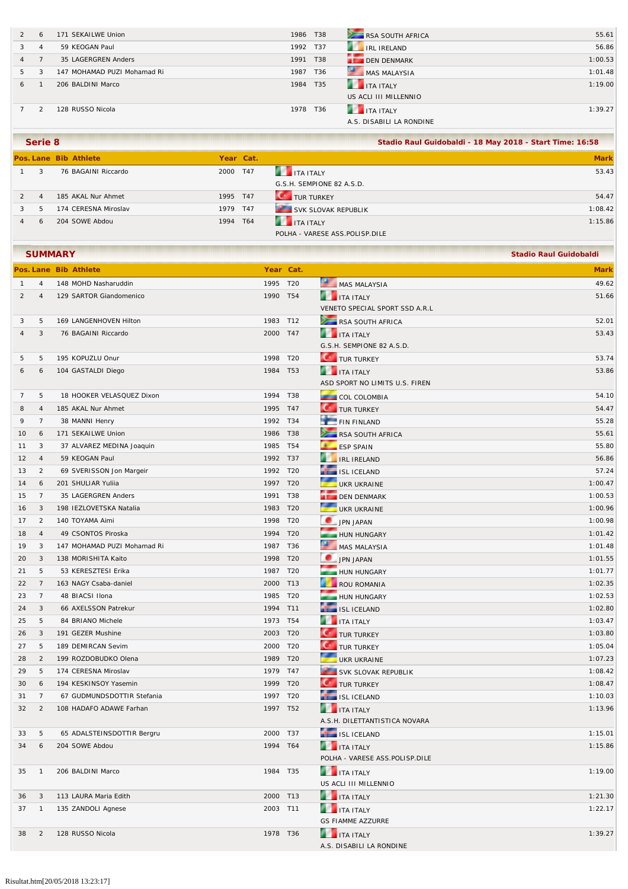|    | 6 | 171 SEKAILWE Union          | 1986 T38 |     | RSA SOUTH AFRICA         | 55.61   |
|----|---|-----------------------------|----------|-----|--------------------------|---------|
|    | 4 | 59 KEOGAN Paul              | 1992 T37 |     | IRL IRELAND              | 56.86   |
| 4  |   | 35 LAGERGREN Anders         | 1991     | T38 | DEN DENMARK              | 1:00.53 |
| 5. | 3 | 147 MOHAMAD PUZI Mohamad Ri | 1987     | T36 | MAS MALAYSIA             | 1:01.48 |
| 6  |   | 206 BALDINI Marco           | 1984 T35 |     | <b>THE TEALY</b>         | 1:19.00 |
|    |   |                             |          |     | US ACLI III MILLENNIO    |         |
|    |   | 128 RUSSO Nicola            | 1978 T36 |     | <b>THE TANK ITALY</b>    | 1:39.27 |
|    |   |                             |          |     | A.S. DISABILI LA RONDINE |         |

|                | Serie 8        |                       | Stadio Raul Guidobaldi - 18 May 2018 - Start Time: 16:58 |                                |             |
|----------------|----------------|-----------------------|----------------------------------------------------------|--------------------------------|-------------|
|                |                | Pos. Lane Bib Athlete | Year Cat.                                                |                                | <b>Mark</b> |
|                | 3              | 76 BAGAINI Riccardo   | 2000 T47                                                 | <b>THE TEALY</b>               | 53.43       |
|                |                |                       |                                                          | G.S.H. SEMPIONE 82 A.S.D.      |             |
| $\overline{2}$ | $\overline{4}$ | 185 AKAL Nur Ahmet    | 1995 T47                                                 | <b>CONTRACTORKEY</b>           | 54.47       |
| $\mathbf{3}$   | .5             | 174 CERESNA Miroslav  | 1979 T47                                                 | SVK SLOVAK REPUBLIK            | 1:08.42     |
|                | 6              | 204 SOWE Abdou        | 1994 T64                                                 | <b>THE TEALY</b>               | 1:15.86     |
|                |                |                       |                                                          | POLHA - VARESE ASS.POLISP.DILE |             |

|                |                | <b>SUMMARY</b>              |          |                 |                                | <b>Stadio Raul Guidobaldi</b> |
|----------------|----------------|-----------------------------|----------|-----------------|--------------------------------|-------------------------------|
|                |                | Pos. Lane Bib Athlete       |          | Year Cat.       |                                | <b>Mark</b>                   |
| $\mathbf{1}$   | 4              | 148 MOHD Nasharuddin        | 1995     | T20             | MAS MALAYSIA                   | 49.62                         |
| 2              | 4              | 129 SARTOR Giandomenico     | 1990 T54 |                 | <b>THE ITA ITALY</b>           | 51.66                         |
|                |                |                             |          |                 | VENETO SPECIAL SPORT SSD A.R.L |                               |
| 3              | 5              | 169 LANGENHOVEN Hilton      | 1983 T12 |                 | RSA SOUTH AFRICA               | 52.01                         |
| 4              | 3              | 76 BAGAINI Riccardo         | 2000 T47 |                 | <b>THE ITA ITALY</b>           | 53.43                         |
|                |                |                             |          |                 | G.S.H. SEMPIONE 82 A.S.D.      |                               |
| 5              | 5              | 195 KOPUZLU Onur            | 1998     | T20             | <b>C</b> TUR TURKEY            | 53.74                         |
| 6              | 6              | 104 GASTALDI Diego          | 1984 T53 |                 | <b>THE TEAL ITALY</b>          | 53.86                         |
|                |                |                             |          |                 | ASD SPORT NO LIMITS U.S. FIREN |                               |
| $\overline{7}$ | 5              | 18 HOOKER VELASQUEZ Dixon   | 1994 T38 |                 | COL COLOMBIA                   | 54.10                         |
| 8              | 4              | 185 AKAL Nur Ahmet          | 1995 T47 |                 | <b>C</b> TUR TURKEY            | 54.47                         |
| 9              | $\overline{7}$ | 38 MANNI Henry              | 1992 T34 |                 | FIN FINLAND                    | 55.28                         |
| 10             | 6              | 171 SEKAILWE Union          | 1986 T38 |                 | RSA SOUTH AFRICA               | 55.61                         |
| 11             | 3              | 37 ALVAREZ MEDINA Joaquin   | 1985 T54 |                 | ESP SPAIN                      | 55.80                         |
| 12             | $\overline{4}$ | 59 KEOGAN Paul              | 1992 T37 |                 | <b>THE IRELAND</b>             | 56.86                         |
| 13             | $\overline{2}$ | 69 SVERISSON Jon Margeir    | 1992 T20 |                 | ISL ICELAND                    | 57.24                         |
| 14             | 6              | 201 SHULIAR Yuliia          | 1997 T20 |                 | UKR UKRAINE                    | 1:00.47                       |
| 15             | $\overline{7}$ | 35 LAGERGREN Anders         | 1991 T38 |                 | <b>DEN DENMARK</b>             | 1:00.53                       |
| 16             | 3              | 198 IEZLOVETSKA Natalia     | 1983 T20 |                 | UKR UKRAINE                    | 1:00.96                       |
| 17             | 2              | 140 TOYAMA Aimi             | 1998     | T20             | JPN JAPAN                      | 1:00.98                       |
| 18             | $\overline{4}$ | 49 CSONTOS Piroska          | 1994     | T <sub>20</sub> | HUN HUNGARY                    | 1:01.42                       |
| 19             | 3              | 147 MOHAMAD PUZI Mohamad Ri | 1987     | T36             | MAS MALAYSIA                   | 1:01.48                       |
| 20             | 3              | 138 MORISHITA Kaito         | 1998     | T <sub>20</sub> | JPN JAPAN                      | 1:01.55                       |
| 21             | 5              | 53 KERESZTESI Erika         | 1987     | T20             | HUN HUNGARY                    | 1:01.77                       |
| 22             | $\overline{7}$ | 163 NAGY Csaba-daniel       | 2000     | T13             | ROU ROMANIA                    | 1:02.35                       |
| 23             | $\overline{7}$ | 48 BIACSI Ilona             | 1985     | T20             | HUN HUNGARY                    | 1:02.53                       |
| 24             | 3              | 66 AXELSSON Patrekur        | 1994     | T11             | ISL ICELAND                    | 1:02.80                       |
| 25             | 5              | 84 BRIANO Michele           | 1973     | T54             | <b>THE ITALY</b>               | 1:03.47                       |
| 26             | 3              | 191 GEZER Mushine           | 2003     | T20             | <b>C</b> TUR TURKEY            | 1:03.80                       |
| 27             | 5              | 189 DEMIRCAN Sevim          | 2000     | T20             | <b>C</b> TUR TURKEY            | 1:05.04                       |
| 28             | $\overline{2}$ | 199 ROZDOBUDKO Olena        | 1989     | T20             | UKR UKRAINE                    | 1:07.23                       |
| 29             | 5              | 174 CERESNA Miroslav        | 1979     | T47             | SVK SLOVAK REPUBLIK            | 1:08.42                       |
| 30             | 6              | 194 KESKINSOY Yasemin       | 1999     | T20             | <b>C</b> TUR TURKEY            | 1:08.47                       |
| 31             | $\overline{7}$ | 67 GUDMUNDSDOTTIR Stefania  | 1997 T20 |                 | ISL ICELAND                    | 1:10.03                       |
| 32             | $\overline{2}$ | 108 HADAFO ADAWE Farhan     | 1997 T52 |                 | <b>THE ITA ITALY</b>           | 1:13.96                       |
|                |                |                             |          |                 | A.S.H. DILETTANTISTICA NOVARA  |                               |
| 33             | 5              | 65 ADALSTEINSDOTTIR Bergru  | 2000 T37 |                 | ISL ICELAND                    | 1:15.01                       |
| 34             | 6              | 204 SOWE Abdou              | 1994 T64 |                 | <b>THE ITA ITALY</b>           | 1:15.86                       |
|                |                |                             |          |                 | POLHA - VARESE ASS.POLISP.DILE |                               |
| 35             | $\overline{1}$ | 206 BALDINI Marco           | 1984 T35 |                 | <b>THE ITA ITALY</b>           | 1:19.00                       |
|                |                |                             |          |                 | US ACLI III MILLENNIO          |                               |
| 36             | 3              | 113 LAURA Maria Edith       | 2000 T13 |                 | <b>THE ITALY</b>               | 1:21.30                       |
| 37             | $\overline{1}$ | 135 ZANDOLI Agnese          | 2003 T11 |                 | <b>THE ITALY</b>               | 1:22.17                       |
|                |                |                             |          |                 | <b>GS FIAMME AZZURRE</b>       |                               |
| 38             | $\overline{2}$ | 128 RUSSO Nicola            | 1978 T36 |                 | <b>THE ITALY</b>               | 1:39.27                       |
|                |                |                             |          |                 | A.S. DISABILI LA RONDINE       |                               |
|                |                |                             |          |                 |                                |                               |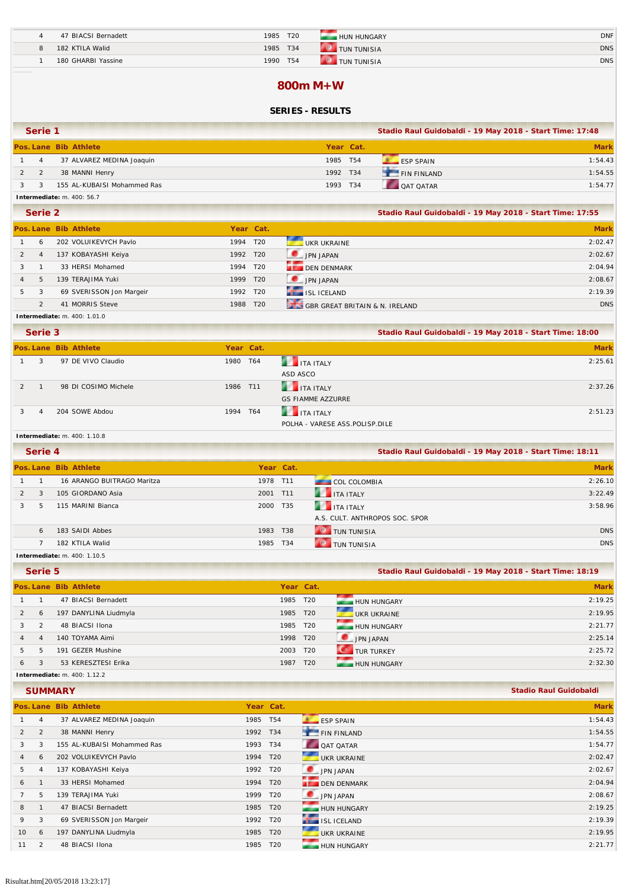| 47 BIACSI Bernadett | T <sub>20</sub><br>1985 | <b>HUN HUNGARY</b>                   | <b>DNF</b> |
|---------------------|-------------------------|--------------------------------------|------------|
| 182 KTILA Walid     | T34<br>1985             | <b>COLLEGE</b><br><b>TUN TUNISIA</b> | <b>DNS</b> |
| 180 GHARBI Yassine  | T <sub>54</sub><br>1990 | $\sim$<br>TUN TUNISIA                | <b>DNS</b> |

#### **800m M+W**

### **SERIES - RESULTS**

| Serie 1                           |                             |           |     | Stadio Raul Guidobaldi - 19 May 2018 - Start Time: 17:48 |             |  |  |
|-----------------------------------|-----------------------------|-----------|-----|----------------------------------------------------------|-------------|--|--|
|                                   | Pos. Lane Bib Athlete       | Year Cat. |     |                                                          | <b>Mark</b> |  |  |
| 4                                 | 37 ALVAREZ MEDINA Joaquin   | 1985      | T54 | <b>FSP SPAIN</b>                                         | 1:54.43     |  |  |
|                                   | 38 MANNI Henry              | 1992 T34  |     | <b>FIN FINLAND</b>                                       | 1:54.55     |  |  |
|                                   | 155 AL-KUBAISI Mohammed Ras | 1993      | T34 | <b>OAT OATAR</b>                                         | 1:54.77     |  |  |
| <b>Intermediate:</b> m. 400: 56.7 |                             |           |     |                                                          |             |  |  |

|   | Serie 2        |                          |           |                 |                                | Stadio Raul Guidobaldi - 19 May 2018 - Start Time: 17:55 |             |
|---|----------------|--------------------------|-----------|-----------------|--------------------------------|----------------------------------------------------------|-------------|
|   |                | Pos. Lane Bib Athlete    | Year Cat. |                 |                                |                                                          | <b>Mark</b> |
|   | 6              | 202 VOLUIKEVYCH Pavlo    | 1994      | T20             | UKR UKRAINE                    |                                                          | 2:02.47     |
|   | $\overline{4}$ | 137 KOBAYASHI Keiya      | 1992 T20  |                 | JPN JAPAN                      |                                                          | 2:02.67     |
|   |                | 33 HERSI Mohamed         | 1994      | T <sub>20</sub> | DEN DENMARK                    |                                                          | 2:04.94     |
|   | 5              | 139 TERAJIMA Yuki        | 1999      | T20             | JPN JAPAN                      |                                                          | 2:08.67     |
| 5 | 3              | 69 SVERISSON Jon Margeir | 1992 T20  |                 | ISL ICELAND                    |                                                          | 2:19.39     |
|   | $\mathfrak{D}$ | 41 MORRIS Steve          | 1988      | T <sub>20</sub> | GBR GREAT BRITAIN & N. IRELAND |                                                          | <b>DNS</b>  |

#### **Intermediate:** m. 400: 1.01.0

|               | Serie 3        |                       | Stadio Raul Guidobaldi - 19 May 2018 - Start Time: 18:00 |                                |             |
|---------------|----------------|-----------------------|----------------------------------------------------------|--------------------------------|-------------|
|               |                | Pos. Lane Bib Athlete | Year Cat.                                                |                                | <b>Mark</b> |
|               | 3              | 97 DE VIVO Claudio    | 1980 T64                                                 | <b>THE TEALY</b>               | 2:25.61     |
|               |                |                       |                                                          | ASD ASCO                       |             |
| $\mathcal{P}$ |                | 98 DI COSIMO Michele  | 1986 T11                                                 | <b>THE TEALY</b>               | 2:37.26     |
|               |                |                       |                                                          | <b>GS FIAMME AZZURRE</b>       |             |
|               | $\overline{A}$ | 204 SOWE Abdou        | 1994 T64                                                 | <b>THE ITA ITALY</b>           | 2:51.23     |
|               |                |                       |                                                          | POLHA - VARESE ASS.POLISP.DILE |             |

#### **Intermediate:** m. 400: 1.10.8

| Serie 4 |                                     |          | Stadio Raul Guidobaldi - 19 May 2018 - Start Time: 18:11 |                                |             |
|---------|-------------------------------------|----------|----------------------------------------------------------|--------------------------------|-------------|
|         | Pos. Lane Bib Athlete               |          | Year Cat.                                                |                                | <b>Mark</b> |
|         | 16 ARANGO BUITRAGO Maritza          | 1978 T11 |                                                          | <b>COL COLOMBIA</b>            | 2:26.10     |
| 3       | 105 GIORDANO Asia                   | 2001 T11 |                                                          | <b>THE TAILER</b>              | 3:22.49     |
| .5      | 115 MARINI Bianca                   | 2000 T35 |                                                          | <b>THE ITA ITALY</b>           | 3:58.96     |
|         |                                     |          |                                                          | A.S. CULT. ANTHROPOS SOC. SPOR |             |
| 6       | 183 SAIDI Abbes                     | 1983 T38 |                                                          | <b>O</b> TUN TUNISIA           | <b>DNS</b>  |
|         | 182 KTILA Walid                     | 1985 T34 |                                                          | <b>O</b> TUN TUNISIA           | <b>DNS</b>  |
|         | <b>Intermediate:</b> m. 400: 1.10.5 |          |                                                          |                                |             |

|   | Serie 5        |                                     |      |                 | Stadio Raul Guidobaldi - 19 May 2018 - Start Time: 18:19 |             |  |
|---|----------------|-------------------------------------|------|-----------------|----------------------------------------------------------|-------------|--|
|   |                | Pos. Lane Bib Athlete               |      | Year Cat.       |                                                          | <b>Mark</b> |  |
|   |                | 47 BIACSI Bernadett                 |      | 1985 T20        | <b>HUN HUNGARY</b>                                       | 2:19.25     |  |
| 2 | 6              | 197 DANYLINA Liudmyla               |      | 1985 T20        | ┲<br>UKR UKRAINE                                         | 2:19.95     |  |
| 3 | $\mathcal{P}$  | 48 BIACSI Ilona                     |      | 1985 T20        | HUN HUNGARY                                              | 2:21.77     |  |
|   | $\overline{4}$ | 140 TOYAMA Aimi                     |      | 1998 T20        | JPN JAPAN                                                | 2:25.14     |  |
| 5 | 5              | 191 GEZER Mushine                   |      | 2003 T20        | <b>CONTURTURKEY</b>                                      | 2:25.72     |  |
| 6 | 3              | 53 KERESZTESI Erika                 | 1987 | T <sub>20</sub> | HUN HUNGARY                                              | 2:32.30     |  |
|   |                | <b>Intermediate:</b> m. 400: 1.12.2 |      |                 |                                                          |             |  |

|                |   | <b>SUMMARY</b>              |          |                 |                  | <b>Stadio Raul Guidobaldi</b> |
|----------------|---|-----------------------------|----------|-----------------|------------------|-------------------------------|
|                |   | Pos. Lane Bib Athlete       |          | Year Cat.       |                  | <b>Mark</b>                   |
|                | 4 | 37 ALVAREZ MEDINA Joaquin   | 1985 T54 |                 | <b>ESP SPAIN</b> | 1:54.43                       |
| 2              | 2 | 38 MANNI Henry              | 1992 T34 |                 | FIN FINLAND      | 1:54.55                       |
| 3              | 3 | 155 AL-KUBAISI Mohammed Ras | 1993 T34 |                 | QAT QATAR        | 1:54.77                       |
| $\overline{4}$ | 6 | 202 VOLUIKEVYCH Pavlo       | 1994     | T <sub>20</sub> | UKR UKRAINE      | 2:02.47                       |
| 5              |   | 137 KOBAYASHI Keiya         | 1992 T20 |                 | JPN JAPAN        | 2:02.67                       |
| 6              |   | 33 HERSI Mohamed            | 1994 T20 |                 | DEN DENMARK      | 2:04.94                       |
|                | 5 | 139 TERAJIMA Yuki           | 1999 T20 |                 | JPN JAPAN        | 2:08.67                       |
| 8              |   | 47 BIACSI Bernadett         | 1985 T20 |                 | HUN HUNGARY      | 2:19.25                       |
| 9              | 3 | 69 SVERISSON Jon Margeir    | 1992 T20 |                 | ISL ICELAND      | 2:19.39                       |
| 10             | 6 | 197 DANYLINA Liudmyla       | 1985 T20 |                 | UKR UKRAINE      | 2:19.95                       |
| 11             | 2 | 48 BIACSI Ilona             | 1985 T20 |                 | HUN HUNGARY      | 2:21.77                       |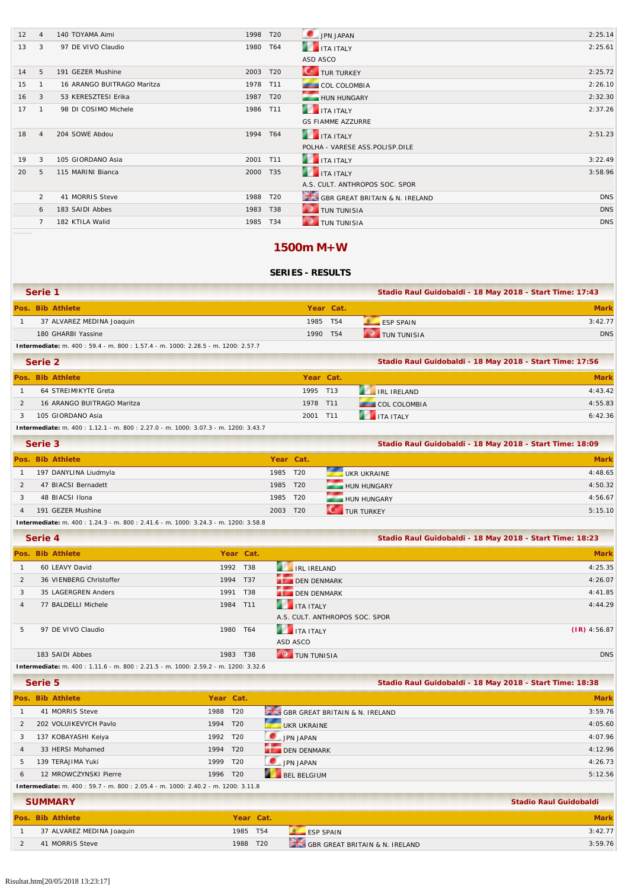| 12 | $\overline{4}$ | 140 TOYAMA Aimi            | 1998     | T <sub>20</sub> | JPN JAPAN                      | 2:25.14    |
|----|----------------|----------------------------|----------|-----------------|--------------------------------|------------|
| 13 | 3              | 97 DE VIVO Claudio         | 1980 T64 |                 | <b>THE TEALY</b>               | 2:25.61    |
|    |                |                            |          |                 | ASD ASCO                       |            |
| 14 | 5              | 191 GEZER Mushine          | 2003     | T <sub>20</sub> | <b>C</b> TUR TURKEY            | 2:25.72    |
| 15 |                | 16 ARANGO BUITRAGO Maritza | 1978 T11 |                 | <b>COL COLOMBIA</b>            | 2:26.10    |
| 16 | 3              | 53 KERESZTESI Erika        | 1987 T20 |                 | HUN HUNGARY                    | 2:32.30    |
| 17 | $\mathbf{1}$   | 98 DI COSIMO Michele       | 1986 T11 |                 | <b>THE ITA ITALY</b>           | 2:37.26    |
|    |                |                            |          |                 | <b>GS FIAMME AZZURRE</b>       |            |
| 18 | $\overline{4}$ | 204 SOWE Abdou             | 1994 T64 |                 | <b>THE TEALY</b>               | 2:51.23    |
|    |                |                            |          |                 | POLHA - VARESE ASS.POLISP.DILE |            |
| 19 | 3              | 105 GIORDANO Asia          | 2001 T11 |                 | <b>THE TEALY</b>               | 3:22.49    |
| 20 | 5              | 115 MARINI Bianca          | 2000 T35 |                 | <b>THE TEALY</b>               | 3:58.96    |
|    |                |                            |          |                 | A.S. CULT. ANTHROPOS SOC. SPOR |            |
|    | 2              | 41 MORRIS Steve            | 1988     | T20             | GBR GREAT BRITAIN & N. IRELAND | <b>DNS</b> |
|    | 6              | 183 SAIDI Abbes            | 1983 T38 |                 | <b>C</b> TUN TUNISIA           | <b>DNS</b> |
|    | 7              | 182 KTILA Walid            | 1985 T34 |                 | <b>TUN TUNISIA</b>             | <b>DNS</b> |
|    |                |                            |          |                 |                                |            |

### **1500m M+W**

### **SERIES - RESULTS**

| Serie 1                   |           |                      | Stadio Raul Guidobaldi - 18 May 2018 - Start Time: 17:43 |
|---------------------------|-----------|----------------------|----------------------------------------------------------|
| Pos. Bib Athlete          | Year Cat. |                      | <b>Mark</b>                                              |
| 37 ALVAREZ MEDINA Joaquin | 1985 T54  | $FSP$ SPAIN          | 3:42.77                                                  |
| 180 GHARBI Yassine        | 1990 T54  | <b>O</b> TUN TUNISIA | <b>DNS</b>                                               |

**Intermediate:** m. 400 : 59.4 - m. 800 : 1.57.4 - m. 1000: 2.28.5 - m. 1200: 2.57.7

| Serie 2                    | Stadio Raul Guidobaldi - 18 May 2018 - Start Time: 17:56 |  |                      |             |
|----------------------------|----------------------------------------------------------|--|----------------------|-------------|
| Pos. Bib Athlete           | Year Cat.                                                |  |                      | <b>Mark</b> |
| 64 STREIMIKYTE Greta       | 1995 T13                                                 |  | <b>RELIRELAND</b>    | 4:43.42     |
| 16 ARANGO BUITRAGO Maritza | 1978 T11                                                 |  | <b>COL COLOMBIA</b>  | 4:55.83     |
| 105 GIORDANO Asia          | 2001 T11                                                 |  | <b>THE ITA ITALY</b> | 6:42.36     |

**Intermediate:** m. 400 : 1.12.1 - m. 800 : 2.27.0 - m. 1000: 3.07.3 - m. 1200: 3.43.7

| Serie 3 |  |                                                                                                                                                                                                                                   |          |           | Stadio Raul Guidobaldi - 18 May 2018 - Start Time: 18:09 |             |  |  |  |
|---------|--|-----------------------------------------------------------------------------------------------------------------------------------------------------------------------------------------------------------------------------------|----------|-----------|----------------------------------------------------------|-------------|--|--|--|
|         |  | Pos. Bib Athlete                                                                                                                                                                                                                  |          | Year Cat. |                                                          | <b>Mark</b> |  |  |  |
|         |  | 197 DANYLINA Liudmyla                                                                                                                                                                                                             | 1985 T20 |           | UKR UKRAINE                                              | 4:48.65     |  |  |  |
|         |  | 47 BIACSI Bernadett                                                                                                                                                                                                               | 1985 T20 |           | HUN HUNGARY                                              | 4:50.32     |  |  |  |
|         |  | 48 BIACSI Ilona                                                                                                                                                                                                                   | 1985 T20 |           | HUN HUNGARY                                              | 4:56.67     |  |  |  |
|         |  | 191 GEZER Mushine                                                                                                                                                                                                                 | 2003 T20 |           | TUR TURKEY                                               | 5:15.10     |  |  |  |
|         |  | $\mathbf{r}$ , and the same state that the same state are stated to the state of the state of the state of the state of the state of the state of the state of the state of the state of the state of the state of the state of t |          |           |                                                          |             |  |  |  |

**Intermediate:** m. 400 : 1.24.3 - m. 800 : 2.41.6 - m. 1000: 3.24.3 - m. 1200: 3.58.8

|                | Serie 4                                                                           |          |           | Stadio Raul Guidobaldi - 18 May 2018 - Start Time: 18:23 |                |
|----------------|-----------------------------------------------------------------------------------|----------|-----------|----------------------------------------------------------|----------------|
|                | Pos. Bib Athlete                                                                  |          | Year Cat. |                                                          | <b>Mark</b>    |
|                | 60 LEAVY David                                                                    | 1992 T38 |           | <b>EXAMPLE IRELAND</b>                                   | 4:25.35        |
|                | 36 VIENBERG Christoffer                                                           | 1994     | T37       | DEN DENMARK                                              | 4:26.07        |
| 3              | 35 LAGERGREN Anders                                                               | 1991     | T38       | DEN DENMARK                                              | 4:41.85        |
| $\overline{4}$ | 77 BALDELLI Michele                                                               | 1984     | T11       | <b>THE TEAL ITALY</b>                                    | 4:44.29        |
|                |                                                                                   |          |           | A.S. CULT. ANTHROPOS SOC. SPOR                           |                |
| 5.             | 97 DE VIVO Claudio                                                                | 1980     | T64       | <b>THE ITA ITALY</b>                                     | $(IR)$ 4:56.87 |
|                |                                                                                   |          |           | ASD ASCO                                                 |                |
|                | 183 SAIDI Abbes                                                                   | 1983     | T38       | TUN TUNISIA                                              | <b>DNS</b>     |
|                | Intermediate: m. 400: 1.11.6 - m. 800: 2.21.5 - m. 1000: 2.59.2 - m. 1200: 3.32.6 |          |           |                                                          |                |

**Serie 5 Stadio Raul Guidobaldi - 18 May 2018 - Start Time: 18:38**

|    | Pos. Bib Athlete                                                                | Year Cat. |                                | <b>Mark</b> |  |  |  |  |  |  |
|----|---------------------------------------------------------------------------------|-----------|--------------------------------|-------------|--|--|--|--|--|--|
|    | 41 MORRIS Steve                                                                 | 1988 T20  | GBR GREAT BRITAIN & N. IRELAND | 3:59.76     |  |  |  |  |  |  |
|    | 202 VOLUIKEVYCH Pavlo                                                           | 1994 T20  | - 1<br>UKR UKRAINE             | 4:05.60     |  |  |  |  |  |  |
| 3  | 137 KOBAYASHI Keiya                                                             | 1992 T20  | <b>DE JPN JAPAN</b>            | 4:07.96     |  |  |  |  |  |  |
| 4  | 33 HERSI Mohamed                                                                | 1994 T20  | DEN DENMARK                    | 4:12.96     |  |  |  |  |  |  |
| 5. | 139 TERAJIMA Yuki                                                               | 1999 T20  | JPN JAPAN                      | 4:26.73     |  |  |  |  |  |  |
| 6  | 12 MROWCZYNSKI Pierre                                                           | 1996 T20  | <b>BEL BELGIUM</b>             | 5:12.56     |  |  |  |  |  |  |
|    | Intermediate: m. 400: 59.7 - m. 800: 2.05.4 - m. 1000: 2.40.2 - m. 1200: 3.11.8 |           |                                |             |  |  |  |  |  |  |

| <b>SUMMARY</b>            |          | <b>Stadio Raul Guidobaldi</b> |                                                 |         |
|---------------------------|----------|-------------------------------|-------------------------------------------------|---------|
| Pos. Bib Athlete          |          | Year Cat.                     |                                                 | Mark    |
| 37 ALVAREZ MEDINA Joaquin | 1985 T54 |                               | <b>FSP SPAIN</b>                                | 3:42.77 |
| 41 MORRIS Steve           | 1988     | T <sub>20</sub>               | <b>EXILS GBR GREAT BRITAIN &amp; N. IRELAND</b> | 3:59.76 |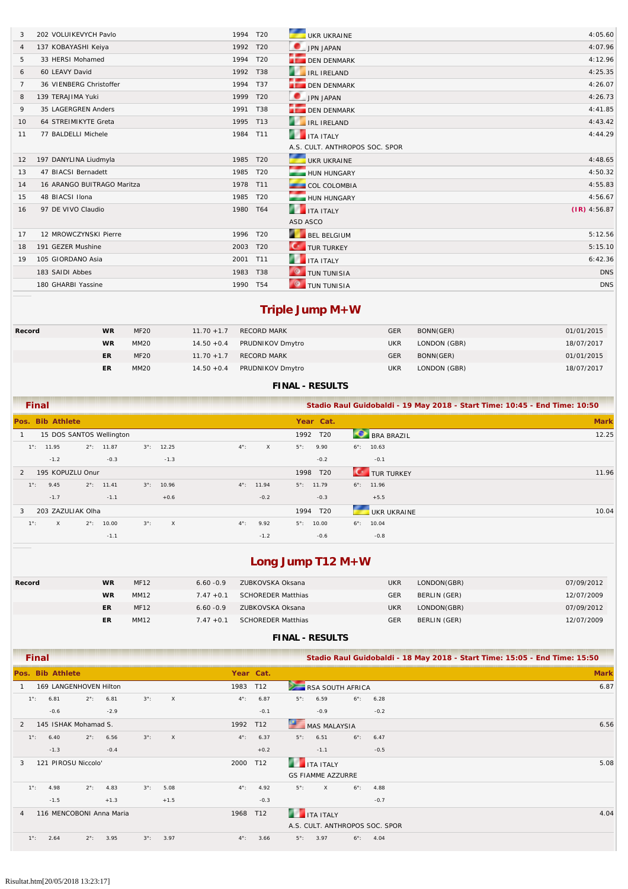| 3              | 202 VOLUIKEVYCH Pavlo      | 1994 T20 |            | UKR UKRAINE                    | 4:05.60        |
|----------------|----------------------------|----------|------------|--------------------------------|----------------|
| 4              | 137 KOBAYASHI Keiya        | 1992 T20 |            | JPN JAPAN                      | 4:07.96        |
| 5              | 33 HERSI Mohamed           | 1994 T20 |            | <b>DEN DENMARK</b>             | 4:12.96        |
| 6              | 60 LEAVY David             | 1992     | T38        | <b>IRL IRELAND</b>             | 4:25.35        |
| $\overline{7}$ | 36 VIENBERG Christoffer    | 1994 T37 |            | <b>DEN DENMARK</b>             | 4:26.07        |
| 8              | 139 TERAJIMA Yuki          | 1999 T20 |            | JPN JAPAN                      | 4:26.73        |
| 9              | 35 LAGERGREN Anders        | 1991 T38 |            | <b>DEN DENMARK</b>             | 4:41.85        |
| 10             | 64 STREIMIKYTE Greta       | 1995 T13 |            | <b>THE IRE IRELAND</b>         | 4:43.42        |
| 11             | 77 BALDELLI Michele        | 1984     | T11        | ITA ITALY                      | 4:44.29        |
|                |                            |          |            | A.S. CULT. ANTHROPOS SOC. SPOR |                |
| 12             | 197 DANYLINA Liudmyla      | 1985 T20 |            | UKR UKRAINE                    | 4:48.65        |
| 13             | 47 BIACSI Bernadett        | 1985 T20 |            | HUN HUNGARY                    | 4:50.32        |
| 14             | 16 ARANGO BUITRAGO Maritza | 1978 T11 |            | <b>COL COLOMBIA</b>            | 4:55.83        |
| 15             | 48 BIACSI Ilona            | 1985 T20 |            | HUN HUNGARY                    | 4:56.67        |
| 16             | 97 DE VIVO Claudio         | 1980     | T64        | <b>THE ITA ITALY</b>           | $(IR)$ 4:56.87 |
|                |                            |          |            | ASD ASCO                       |                |
| 17             | 12 MROWCZYNSKI Pierre      | 1996 T20 |            | BEL BELGIUM                    | 5:12.56        |
| 18             | 191 GEZER Mushine          | 2003     | T20        | <b>CONTROL</b> TURKEY          | 5:15.10        |
| 19             | 105 GIORDANO Asia          | 2001 T11 |            | <b>THE ITA ITALY</b>           | 6:42.36        |
|                | 183 SAIDI Abbes            | 1983     | <b>T38</b> | <b>O</b> TUN TUNISIA           | <b>DNS</b>     |
|                | 180 GHARBI Yassine         | 1990 T54 |            | <b>O</b> TUN TUNISIA           | <b>DNS</b>     |

# **Triple Jump M+W**

| Record | <b>WR</b> | <b>MF20</b>      | $11.70 + 1.7$ | <b>RECORD MARK</b> | <b>GER</b> | BONN(GER)    | 01/01/2015 |
|--------|-----------|------------------|---------------|--------------------|------------|--------------|------------|
|        | <b>WR</b> | MM <sub>20</sub> | $14.50 + 0.4$ | PRUDNIKOV Dmytro   | <b>UKR</b> | LONDON (GBR) | 18/07/2017 |
|        | ER        | <b>MF20</b>      | $11.70 + 1.7$ | <b>RECORD MARK</b> | <b>GER</b> | BONN(GER)    | 01/01/2015 |
|        | ER        | MM20             | $14.50 + 0.4$ | PRUDNIKOV Dmytro   | <b>UKR</b> | LONDON (GBR) | 18/07/2017 |

#### **FINAL - RESULTS**

| Final               |                  |                   |                          |             |                     |               |                     |                     | Stadio Raul Guidobaldi - 19 May 2018 - Start Time: 10:45 - End Time: 10:50 |                      |             |  |  |  |
|---------------------|------------------|-------------------|--------------------------|-------------|---------------------|---------------|---------------------|---------------------|----------------------------------------------------------------------------|----------------------|-------------|--|--|--|
| Pos. Bib Athlete    |                  |                   |                          |             |                     |               |                     |                     | Year Cat.                                                                  |                      | <b>Mark</b> |  |  |  |
|                     |                  |                   | 15 DOS SANTOS Wellington |             |                     |               |                     | 1992 T20            |                                                                            | <b>BRA BRAZIL</b>    | 12.25       |  |  |  |
| $1^{\circ}$ : 11.95 |                  |                   | $2^{\circ}$ : 11.87      | $3^\circ$ : | 12.25               | $4^{\circ}$ : | $\times$            | $5^\circ$ :         | 9.90                                                                       | $6^\circ$ :<br>10.63 |             |  |  |  |
|                     | $-1.2$           |                   | $-0.3$                   |             | $-1.3$              |               |                     |                     | $-0.2$                                                                     | $-0.1$               |             |  |  |  |
| $\mathfrak{D}$      | 195 KOPUZLU Onur |                   |                          |             |                     |               |                     | 1998 T20            |                                                                            | TUR TURKEY           | 11.96       |  |  |  |
| $1^\circ$ :         | 9.45             |                   | $2^{\circ}$ : 11.41      |             | $3^{\circ}$ : 10.96 |               | $4^{\circ}$ : 11.94 | $5^{\circ}$ : 11.79 |                                                                            | $6^{\circ}$ : 11.96  |             |  |  |  |
|                     | $-1.7$           |                   | $-1.1$                   |             | $+0.6$              |               | $-0.2$              |                     | $-0.3$                                                                     | $+5.5$               |             |  |  |  |
| 3                   |                  | 203 ZAZULIAK Olha |                          |             |                     |               |                     | 1994 T20            |                                                                            | UKR UKRAINE          | 10.04       |  |  |  |
| $1^{\circ}$ :       | $\times$         | $2^{\circ}$ :     | 10.00                    | $3^\circ$ : | $\mathsf{X}$        | $4^{\circ}$ : | 9.92                | $5^\circ$ :         | 10.00                                                                      | $6^\circ$ :<br>10.04 |             |  |  |  |
|                     |                  |                   | $-1.1$                   |             |                     |               | $-1.2$              |                     | $-0.6$                                                                     | $-0.8$               |             |  |  |  |

# **Long Jump T12 M+W**

| Record | <b>WR</b> | <b>MF12</b> | $6.60 - 0.9$ | ZUBKOVSKA Oksana          | <b>UKR</b> | LONDON(GBR)  | 07/09/2012 |
|--------|-----------|-------------|--------------|---------------------------|------------|--------------|------------|
|        | <b>WR</b> | MM12        | $7.47 + 0.1$ | SCHOREDER Matthias        | <b>GER</b> | BERLIN (GER) | 12/07/2009 |
|        | ER        | <b>MF12</b> | $6.60 - 0.9$ | ZUBKOVSKA Oksana          | <b>UKR</b> | LONDON(GBR)  | 07/09/2012 |
|        | ER        | MM12        | $7.47 + 0.1$ | <b>SCHOREDER Matthias</b> | <b>GER</b> | BERLIN (GER) | 12/07/2009 |

| <b>Final</b>                                                                           |               |        | Stadio Raul Guidobaldi - 18 May 2018 - Start Time: 15:05 - End Time: 15:50 |
|----------------------------------------------------------------------------------------|---------------|--------|----------------------------------------------------------------------------|
| Pos. Bib Athlete                                                                       | Year Cat.     |        | <b>Mark</b>                                                                |
| 169 LANGENHOVEN Hilton                                                                 | 1983 T12      |        | 6.87<br>RSA SOUTH AFRICA                                                   |
| $3^\circ$ :<br>6.81<br>$2^\circ$ :<br>6.81<br>$\boldsymbol{\mathsf{X}}$<br>$1^\circ$ : | $4^{\circ}$ : | 6.87   | $6^\circ$ :<br>$5^\circ$ :<br>6.59<br>6.28                                 |
| $-2.9$<br>$-0.6$                                                                       |               | $-0.1$ | $-0.9$<br>$-0.2$                                                           |
| 145 ISHAK Mohamad S.<br>2                                                              | 1992 T12      |        | 6.56<br><b>MAS MALAYSIA</b>                                                |
| 6.56<br>$3^\circ$ :<br>$1^\circ$ :<br>6.40<br>$2^\circ$ :<br>$\times$                  | $4^{\circ}$ : | 6.37   | $5^\circ$ :<br>6.51<br>$6^\circ$ :<br>6.47                                 |
| $-1.3$<br>$-0.4$                                                                       |               | $+0.2$ | $-0.5$<br>$-1.1$                                                           |
| 121 PIROSU Niccolo'<br>3                                                               | 2000          | T12    | 5.08<br><b>THE TEALY</b>                                                   |
|                                                                                        |               |        | <b>GS FIAMME AZZURRE</b>                                                   |
| 4.98<br>$2^{\circ}$ :<br>$3^\circ$ :<br>5.08<br>$1^\circ$ :<br>4.83                    | $4^{\circ}$ : | 4.92   | $5^\circ$ :<br>$6^\circ$ :<br>4.88<br>$\times$                             |
| $-1.5$<br>$+1.5$<br>$+1.3$                                                             |               | $-0.3$ | $-0.7$                                                                     |
| 116 MENCOBONI Anna Maria<br>$\overline{A}$                                             | 1968          | T12    | <b>THE TEALY</b><br>4.04                                                   |
|                                                                                        |               |        | A.S. CULT. ANTHROPOS SOC. SPOR                                             |
| 2.64<br>$2^\circ$ :<br>3.95<br>$1^\circ$ :<br>$3^\circ$ :<br>3.97                      | $4^{\circ}$ : | 3.66   | $5^\circ$ :<br>3.97<br>$6^\circ$ :<br>4.04                                 |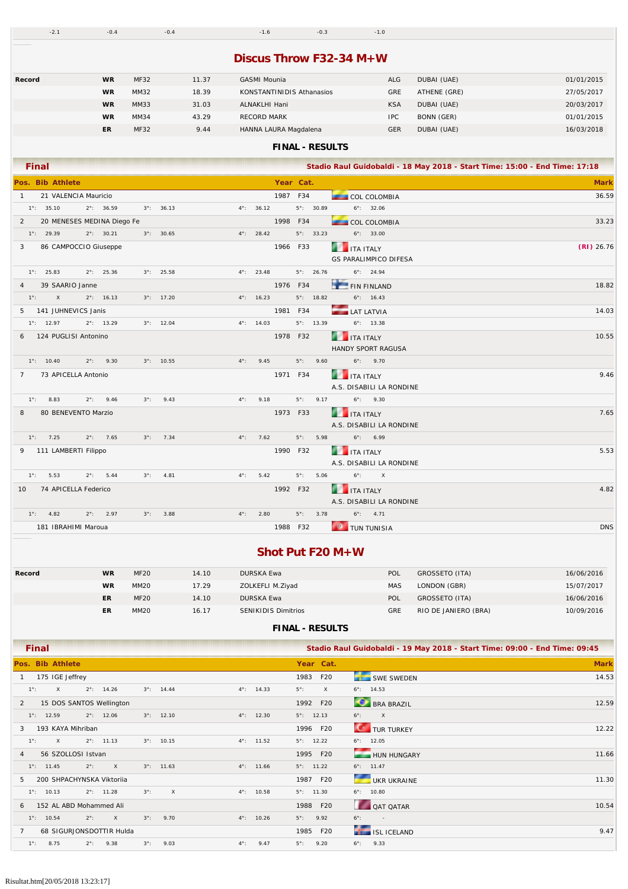|  | $-2.1$ $-0.4$ $-0.4$ $-1.6$ $-0.3$ $-1.0$ |  |
|--|-------------------------------------------|--|
|  |                                           |  |

### **Discus Throw F32-34 M+W**

| Record | <b>WR</b> | <b>MF32</b> | 11.37 | GASMI Mounia              | ALG        | DUBAI (UAE)  | 01/01/2015 |
|--------|-----------|-------------|-------|---------------------------|------------|--------------|------------|
|        | <b>WR</b> | MM32        | 18.39 | KONSTANTINIDIS Athanasios | <b>GRE</b> | ATHENE (GRE) | 27/05/2017 |
|        | <b>WR</b> | MM33        | 31.03 | ALNAKLHI Hani             | <b>KSA</b> | DUBAI (UAE)  | 20/03/2017 |
|        | <b>WR</b> | MM34        | 43.29 | <b>RECORD MARK</b>        | <b>IPC</b> | BONN (GER)   | 01/01/2015 |
|        | ER        | <b>MF32</b> | 9.44  | HANNA LAURA Magdalena     | <b>GER</b> | DUBAI (UAE)  | 16/03/2018 |
|        |           |             |       |                           |            |              |            |

#### **FINAL - RESULTS**

|                 |               | <b>Final</b>           |               |                            |             |                     |               |                     |           |             |                     | Stadio Raul Guidobaldi - 18 May 2018 - Start Time: 15:00 - End Time: 17:18 |              |
|-----------------|---------------|------------------------|---------------|----------------------------|-------------|---------------------|---------------|---------------------|-----------|-------------|---------------------|----------------------------------------------------------------------------|--------------|
|                 |               | Pos. Bib Athlete       |               |                            |             |                     |               |                     | Year Cat. |             |                     |                                                                            | <b>Mark</b>  |
| $\mathbf{1}$    |               | 21 VALENCIA Mauricio   |               |                            |             |                     |               |                     | 1987 F34  |             |                     | <b>COL COLOMBIA</b>                                                        | 36.59        |
|                 |               | $1^{\circ}$ : 35.10    |               | $2^{\circ}$ : 36.59        |             | $3^{\circ}$ : 36.13 |               | $4^{\circ}$ : 36.12 |           |             | $5^{\circ}$ : 30.89 | $6^{\circ}$ : 32.06                                                        |              |
| 2               |               |                        |               | 20 MENESES MEDINA Diego Fe |             |                     |               |                     | 1998 F34  |             |                     | COL COLOMBIA                                                               | 33.23        |
|                 |               | $1^{\circ}$ : 29.39    |               | $2^{\circ}$ : 30.21        |             | $3^{\circ}$ : 30.65 |               | $4^{\circ}$ : 28.42 |           |             | $5^{\circ}$ : 33.23 | $6^{\circ}$ : 33.00                                                        |              |
| 3               |               | 86 CAMPOCCIO Giuseppe  |               |                            |             |                     |               |                     | 1966 F33  |             |                     | <b>THE ITA ITALY</b><br><b>GS PARALIMPICO DIFESA</b>                       | $(RI)$ 26.76 |
|                 |               | $1^{\circ}$ : 25.83    |               | $2^{\circ}$ : 25.36        |             | $3^{\circ}$ : 25.58 |               | $4^{\circ}$ : 23.48 |           |             | $5^{\circ}$ : 26.76 | $6^{\circ}$ : 24.94                                                        |              |
| $\overline{4}$  |               | 39 SAARIO Janne        |               |                            |             |                     |               |                     | 1976 F34  |             |                     | <b>FIN FINLAND</b>                                                         | 18.82        |
|                 | $1^{\circ}$ : | $\mathsf{X}$           |               | $2^{\circ}$ : 16.13        |             | $3^{\circ}$ : 17.20 |               | $4^{\circ}$ : 16.23 |           |             | $5^{\circ}$ : 18.82 | $6^{\circ}$ : 16.43                                                        |              |
|                 |               | 5 141 JUHNEVICS Janis  |               |                            |             |                     |               |                     | 1981 F34  |             |                     | <b>LAT LATVIA</b>                                                          | 14.03        |
|                 |               | $1^\circ$ : 12.97      |               | $2^{\circ}$ : 13.29        |             | $3^{\circ}$ : 12.04 |               | $4^{\circ}$ : 14.03 |           |             | $5^{\circ}$ : 13.39 | $6^{\circ}$ : 13.38                                                        |              |
| 6               |               | 124 PUGLISI Antonino   |               |                            |             |                     |               |                     | 1978 F32  |             |                     | <b>THE ITA ITALY</b><br><b>HANDY SPORT RAGUSA</b>                          | 10.55        |
|                 |               | $1^{\circ}$ : 10.40    |               | $2^{\circ}$ : 9.30         |             | $3^{\circ}$ : 10.55 | $4^{\circ}$ : | 9.45                |           | $5^\circ$ : | 9.60                | $6^{\circ}$ : 9.70                                                         |              |
| $7^{\circ}$     |               | 73 APICELLA Antonio    |               |                            |             |                     |               |                     | 1971 F34  |             |                     | <b>THE ITA ITALY</b><br>A.S. DISABILI LA RONDINE                           | 9.46         |
|                 |               | $1^{\circ}$ : 8.83     | $2^{\circ}$ : | 9.46                       | $3^\circ$ : | 9.43                | $4^{\circ}$ : | 9.18                |           | $5^\circ$ : | 9.17                | $6^{\circ}$ : 9.30                                                         |              |
| 8               |               | 80 BENEVENTO Marzio    |               |                            |             |                     |               |                     | 1973 F33  |             |                     | <b>ITA ITALY</b><br>A.S. DISABILI LA RONDINE                               | 7.65         |
|                 |               | $1^{\circ}$ : 7.25     |               | $2^{\circ}$ : 7.65         |             | $3^{\circ}$ : 7.34  |               | $4^{\circ}$ : 7.62  |           | $5^\circ$ : | 5.98                | $6^{\circ}$ : 6.99                                                         |              |
|                 |               | 9 111 LAMBERTI Filippo |               |                            |             |                     |               |                     | 1990 F32  |             |                     | <b>THE TEALY</b><br>A.S. DISABILI LA RONDINE                               | 5.53         |
|                 |               | $1^{\circ}$ : 5.53     |               | $2^{\circ}$ : 5.44         | $3^\circ$ : | 4.81                | $4^{\circ}$ : | 5.42                |           | $5^\circ$ : | 5.06                | $6^\circ$ :<br>$\mathsf{X}$                                                |              |
| 10 <sup>°</sup> |               | 74 APICELLA Federico   |               |                            |             |                     |               |                     | 1992 F32  |             |                     | <b>THE TEAL SET IT ALLY</b><br>A.S. DISABILI LA RONDINE                    | 4.82         |
|                 |               | $1^{\circ}$ : 4.82     |               | $2^{\circ}$ : 2.97         | $3^\circ$ : | 3.88                | $4^{\circ}$ : | 2.80                |           | $5^\circ$ : | 3.78                | $6^{\circ}$ : 4.71                                                         |              |
|                 |               | 181 IBRAHIMI Maroua    |               |                            |             |                     |               |                     | 1988 F32  |             |                     | <b>O</b> TUN TUNISIA                                                       | <b>DNS</b>   |

### **Shot Put F20 M+W**

| Record | <b>WR</b> | <b>MF20</b>      | 14.10 | DURSKA Ewa          | POL        | GROSSETO (ITA)       | 16/06/2016 |
|--------|-----------|------------------|-------|---------------------|------------|----------------------|------------|
|        | <b>WR</b> | MM <sub>20</sub> | 17.29 | ZOLKEFLI M.Ziyad    | <b>MAS</b> | LONDON (GBR)         | 15/07/2017 |
|        | <b>ER</b> | <b>MF20</b>      | 14.10 | DURSKA Ewa          | <b>POL</b> | GROSSETO (ITA)       | 16/06/2016 |
|        | ER        | <b>MM20</b>      | 16.17 | SENIKIDIS Dimitrios | GRE        | RIO DE JANIERO (BRA) | 10/09/2016 |

| <b>Final</b>                                                                   |                                        |                         | Stadio Raul Guidobaldi - 19 May 2018 - Start Time: 09:00 - End Time: 09:45 |             |
|--------------------------------------------------------------------------------|----------------------------------------|-------------------------|----------------------------------------------------------------------------|-------------|
| Pos. Bib Athlete                                                               |                                        | Year Cat.               |                                                                            | <b>Mark</b> |
| 175 IGE Jeffrey                                                                |                                        | 1983<br>F20             | <b>SWE SWEDEN</b>                                                          | 14.53       |
| $1^{\circ}$ :<br>$2^{\circ}$ :<br>14.26<br>$\mathsf{X}$<br>$3^{\circ}$ : 14.44 | $4^{\circ}$ : 14.33                    | $\times$<br>$5^\circ$ : | $6^{\circ}$ : 14.53                                                        |             |
| 15 DOS SANTOS Wellington<br>2                                                  |                                        | 1992<br>F20             | <b>BRA BRAZIL</b>                                                          | 12.59       |
| $1^{\circ}$ : 12.59<br>$2^{\circ}$ : 12.06<br>$3^{\circ}$ : 12.10              | $4^{\circ}$ : 12.30                    | $5^\circ$ : 12.13       | $\mathsf{X}$<br>$6^\circ$ :                                                |             |
| 193 KAYA Mihriban<br>3                                                         |                                        | 1996 F20                | <b>C</b> TUR TURKEY                                                        | 12.22       |
| $2^{\circ}$ : 11.13<br>$3^{\circ}$ : 10.15<br>$1^\circ$ :<br>$\mathsf{X}$      | $4^{\circ}$ : 11.52                    | 12.22<br>$5^\circ$ :    | $6^{\circ}$ : 12.05                                                        |             |
| 56 SZOLLOSI Istvan<br>4                                                        |                                        | 1995<br>F20             | HUN HUNGARY                                                                | 11.66       |
| $3^{\circ}$ : 11.63<br>$1^\circ$ : 11.45<br>$2^\circ$ :<br>$\times$            | $4^{\circ}$ : 11.66                    | $5^{\circ}$ : 11.22     | $6^\circ$ : 11.47                                                          |             |
| 200 SHPACHYNSKA Viktoriia<br>5.                                                |                                        | F20<br>1987             | UKR UKRAINE                                                                | 11.30       |
| $3^\circ$ :<br>$1^{\circ}$ : 10.13<br>$2^{\circ}$ : 11.28                      | $\mathsf{X}$<br>$4^{\circ}$ :<br>10.58 | $5^\circ$ :<br>11.30    | 10.80<br>$6^\circ$ :                                                       |             |
| 152 AL ABD Mohammed Ali<br>6                                                   |                                        | 1988<br>F20             | <b>QAT QATAR</b>                                                           | 10.54       |
| $1^{\circ}$ : 10.54<br>$2^\circ$ :<br>$\times$<br>$3^\circ$ :                  | 9.70<br>$4^{\circ}$ :<br>10.26         | $5^\circ$ :<br>9.92     | $6^\circ$ :<br>$\sim$ 100 $\pm$                                            |             |
| 68 SIGURJONSDOTTIR Hulda                                                       |                                        | 1985<br>F20             | <b>TELESE ISL ICELAND</b>                                                  | 9.47        |
| 8.75<br>$3^\circ$ :<br>$1^{\circ}$ :<br>$2^{\circ}$ :<br>9.38                  | 9.03<br>$4^{\circ}$ :<br>9.47          | $5^\circ$ :<br>9.20     | $6^\circ$ :<br>9.33                                                        |             |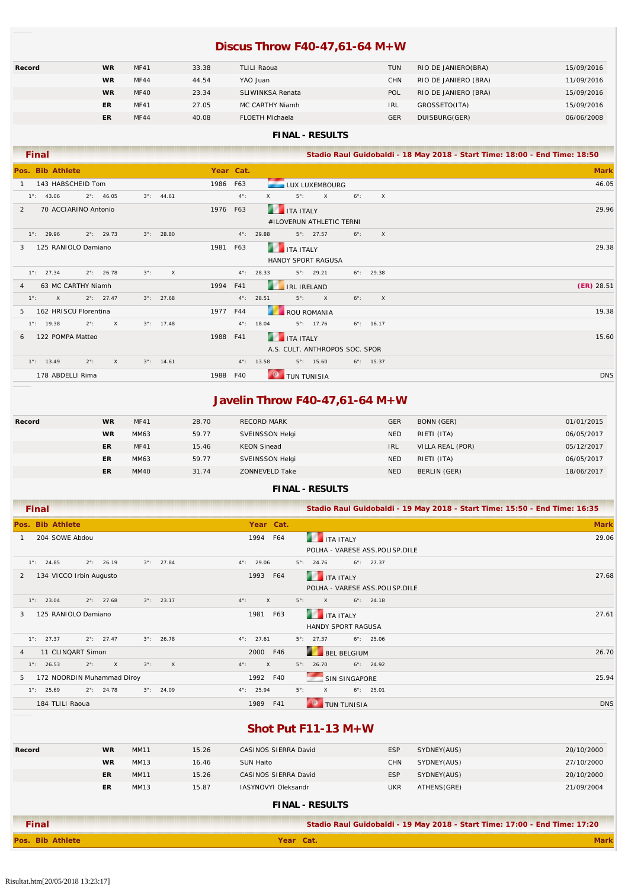## **Discus Throw F40-47,61-64 M+W**

| Record | <b>WR</b> | <b>MF41</b> | 33.38 | <b>TLILI Raoua</b>     | <b>TUN</b> | RIO DE JANIERO(BRA)  | 15/09/2016 |
|--------|-----------|-------------|-------|------------------------|------------|----------------------|------------|
|        | <b>WR</b> | <b>MF44</b> | 44.54 | YAO Juan               | <b>CHN</b> | RIO DE JANIERO (BRA) | 11/09/2016 |
|        | <b>WR</b> | <b>MF40</b> | 23.34 | SLIWINKSA Renata       | POL        | RIO DE JANIERO (BRA) | 15/09/2016 |
|        | ER        | <b>MF41</b> | 27.05 | MC CARTHY Niamh        | <b>IRL</b> | GROSSETO(ITA)        | 15/09/2016 |
|        | ER        | <b>MF44</b> | 40.08 | <b>FLOETH Michaela</b> | <b>GER</b> | DUISBURG(GER)        | 06/06/2008 |
|        |           |             |       |                        |            |                      |            |

### **FINAL - RESULTS**

| <b>Final</b>                                                                |               | Stadio Raul Guidobaldi - 18 May 2018 - Start Time: 18:00 - End Time: 18:50        |             |
|-----------------------------------------------------------------------------|---------------|-----------------------------------------------------------------------------------|-------------|
| Pos. Bib Athlete                                                            | Year Cat.     |                                                                                   | <b>Mark</b> |
| 143 HABSCHEID Tom                                                           | 1986 F63      | LUX LUXEMBOURG                                                                    | 46.05       |
| $1^{\circ}$ : 43.06<br>$2^{\circ}$ : 46.05<br>$3^{\circ}$ : 44.61           | $4^{\circ}$ : | $\times$<br>$5^\circ$ :<br>$6^\circ$ :<br>$\times$<br>$\mathsf{X}$                |             |
| 70 ACCIARINO Antonio<br>$\mathcal{P}$                                       | 1976 F63      | <b>THE TEALY</b>                                                                  | 29.96       |
|                                                                             |               | #ILOVERUN ATHLETIC TERNI                                                          |             |
| $2^{\circ}$ : 29.73<br>$3^{\circ}$ : 28.80<br>$1^{\circ}$ : 29.96           |               | $4^{\circ}$ : 29.88<br>$5^{\circ}$ : 27.57<br>$6^\circ$ :<br>$\mathsf{X}$         |             |
| 125 RANIOLO Damiano<br>1981<br>3                                            | F63           | <b>THE TEAL ITALY</b>                                                             | 29.38       |
|                                                                             |               | HANDY SPORT RAGUSA                                                                |             |
| $1^{\circ}$ : 27.34<br>$2^{\circ}$ : 26.78<br>$3^\circ$ :<br>$\times$       |               | $4^{\circ}$ : 28.33<br>$5^{\circ}$ : 29.21<br>$6^{\circ}$ : 29.38                 |             |
| 63 MC CARTHY Niamh<br>1994<br>4                                             | F41           | <b>IRL IRELAND</b><br>$(ER)$ 28.51                                                |             |
| $1^\circ$ :<br>$\mathsf{X}$<br>$2^{\circ}$ : 27.47<br>$3^{\circ}$ : 27.68   |               | $5^\circ$ :<br>$4^{\circ}$ : 28.51<br>$\mathsf{X}$<br>$6^\circ$ :<br>$\mathsf{X}$ |             |
| 162 HRISCU Florentina<br>5                                                  | 1977 F44      | ROU ROMANIA                                                                       | 19.38       |
| $2^{\circ}$ :<br>$\mathsf{X}$<br>$3^{\circ}$ : 17.48<br>$1^{\circ}$ : 19.38 |               | $4^{\circ}$ : 18.04<br>$5^\circ$ : 17.76<br>$6^{\circ}$ : 16.17                   |             |
| 122 POMPA Matteo<br>1988<br>6                                               | F41           | <b>THE TEALY</b>                                                                  | 15.60       |
|                                                                             |               | A.S. CULT. ANTHROPOS SOC. SPOR                                                    |             |
| $1^{\circ}$ : 13.49<br>$2^\circ$ :<br>$\times$<br>$3^{\circ}$ : 14.61       |               | $4^{\circ}$ : 13.58<br>$5^\circ$ : 15.60<br>$6^\circ$ : 15.37                     |             |
| 178 ABDELLI Rima                                                            | 1988 F40      | <b>TUN TUNISIA</b>                                                                | <b>DNS</b>  |

### **Javelin Throw F40-47,61-64 M+W**

| Record | <b>WR</b> | <b>MF41</b> | 28.70 | <b>RECORD MARK</b>    | <b>GER</b> | BONN (GER)       | 01/01/2015 |
|--------|-----------|-------------|-------|-----------------------|------------|------------------|------------|
|        | <b>WR</b> | MM63        | 59.77 | SVEINSSON Helgi       | <b>NED</b> | RIETI (ITA)      | 06/05/2017 |
|        | <b>ER</b> | <b>MF41</b> | 15.46 | <b>KEON Sinead</b>    | <b>IRL</b> | VILLA REAL (POR) | 05/12/2017 |
|        | ER        | MM63        | 59.77 | SVEINSSON Helgi       | <b>NED</b> | RIETI (ITA)      | 06/05/2017 |
|        | ER        | MM40        | 31.74 | <b>ZONNEVELD Take</b> | <b>NED</b> | BERLIN (GER)     | 18/06/2017 |

#### **FINAL - RESULTS**

| Final                                                                       | Stadio Raul Guidobaldi - 19 May 2018 - Start Time: 15:50 - End Time: 16:35    |             |
|-----------------------------------------------------------------------------|-------------------------------------------------------------------------------|-------------|
| Pos. Bib Athlete                                                            | Year Cat.                                                                     | <b>Mark</b> |
| 204 SOWE Abdou                                                              | F64<br>1994<br><b>13</b><br><b>ITA ITALY</b>                                  | 29.06       |
|                                                                             | POLHA - VARESE ASS.POLISP.DILE                                                |             |
| $1^{\circ}$ : 24.85<br>$2^{\circ}$ : 26.19<br>$3^{\circ}$ : 27.84           | $4^{\circ}$ : 29.06<br>$6^\circ$ : 27.37<br>$5^\circ$ : 24.76                 |             |
| 134 VICCO Irbin Augusto<br>2                                                | <b>THE TEALY</b><br>1993<br>F64                                               | 27.68       |
|                                                                             | POLHA - VARESE ASS.POLISP.DILE                                                |             |
| $1^{\circ}$ : 23.04<br>$2^{\circ}$ : 27.68<br>$3^{\circ}$ : 23.17           | $5^\circ$ :<br>$4^{\circ}$ :<br>$\mathsf{X}$<br>$6^\circ$ : 24.18<br>$\times$ |             |
| 125 RANIOLO Damiano<br>3                                                    | <b>THE TEAL ITALY</b><br>F63<br>1981                                          | 27.61       |
|                                                                             | <b>HANDY SPORT RAGUSA</b>                                                     |             |
| $1^\circ$ : 27.37<br>$2^{\circ}$ : 27.47<br>$3^{\circ}$ : 26.78             | $4^{\circ}$ : 27.61<br>$5^\circ$ : 27.37<br>$6^{\circ}$ : 25.06               |             |
| 11 CLINQART Simon<br>$\overline{4}$                                         | BEL BELGIUM<br>2000 F46                                                       | 26.70       |
| $2^\circ$ :<br>$\mathsf{X}$<br>$3^\circ$ :<br>$\times$<br>$1^\circ$ : 26.53 | $\mathsf{X}$<br>$5^\circ$ : 26.70<br>$6^{\circ}$ : 24.92<br>$4^\circ$ :       |             |
| 172 NOORDIN Muhammad Diroy<br>5                                             | F40<br>SIN SINGAPORE<br>1992                                                  | 25.94       |
| $1^\circ$ : 25.69<br>$2^{\circ}$ : 24.78<br>$3^{\circ}$ : 24.09             | $4^{\circ}$ : 25.94<br>$5^\circ$ :<br>$\times$<br>$6^{\circ}$ : 25.01         |             |
| 184 TLILI Raoua                                                             | F41<br>1989<br><b>TUN TUNISIA</b>                                             | <b>DNS</b>  |

### **Shot Put F11-13 M+W**

| Record                 | <b>WR</b> | <b>MM11</b> | 15.26 | CASINOS SIERRA David       | <b>ESP</b> | SYDNEY(AUS) | 20/10/2000 |  |  |
|------------------------|-----------|-------------|-------|----------------------------|------------|-------------|------------|--|--|
|                        | <b>WR</b> | MM13        | 16.46 | SUN Haito                  | <b>CHN</b> | SYDNEY(AUS) | 27/10/2000 |  |  |
|                        | ER        | <b>MM11</b> | 15.26 | CASINOS SIERRA David       | <b>ESP</b> | SYDNEY(AUS) | 20/10/2000 |  |  |
|                        | ER        | MM13        | 15.87 | <b>IASYNOVYI Oleksandr</b> | <b>UKR</b> | ATHENS(GRE) | 21/09/2004 |  |  |
| <b>FINAL - RESULTS</b> |           |             |       |                            |            |             |            |  |  |

| Final            | Stadio Raul Guidobaldi - 19 May 2018 - Start Time: 17:00 - End Time: 17:20 |  |  |
|------------------|----------------------------------------------------------------------------|--|--|
| Pos. Bib Athlete | Year Cat.                                                                  |  |  |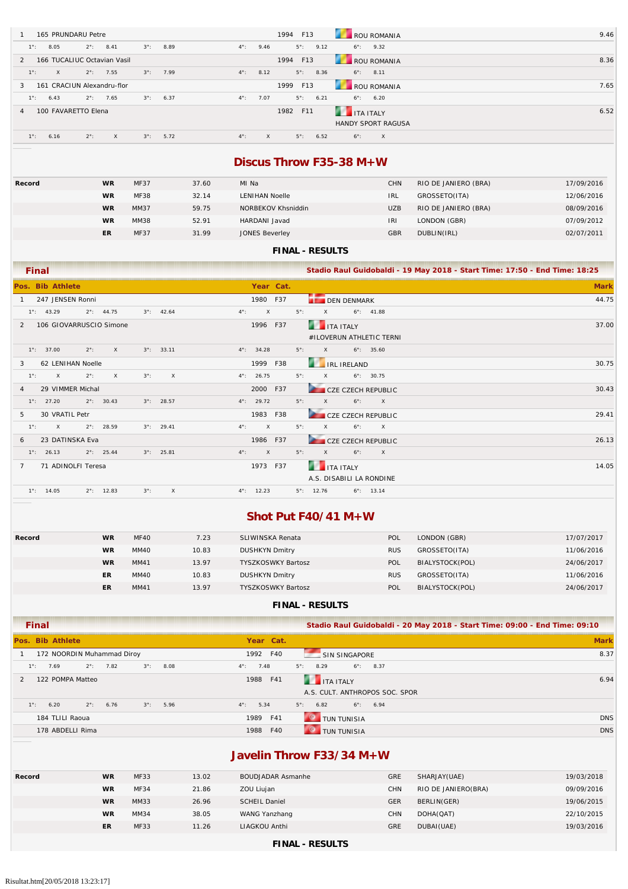| 165 PRUNDARU Petre                                                                         | 1994<br>F13<br><b>ROU ROMANIA</b>                              | 9.46 |
|--------------------------------------------------------------------------------------------|----------------------------------------------------------------|------|
| $2^{\circ}$ :<br>$3^\circ$ :<br>$4^{\circ}$ :<br>8.41<br>8.89<br>$1^{\circ}$ :<br>8.05     | $5^\circ$ :<br>$6^{\circ}$ : 9.32<br>9.46<br>9.12              |      |
| 166 TUCALIUC Octavian Vasil<br>$\mathcal{P}$                                               | ROU ROMANIA<br>1994<br>F13                                     | 8.36 |
| $2^{\circ}$ : 7.55<br>$3^{\circ}$ : 7.99<br>$4^{\circ}$ :<br>$1^\circ$ :<br>$\times$       | $5^\circ$ :<br>8.12<br>8.36<br>$6^{\circ}$ : 8.11              |      |
| 161 CRACIUN Alexandru-flor<br>3                                                            | 1999<br>F13<br>ROU ROMANIA                                     | 7.65 |
| $2^{\circ}$ :<br>7.65<br>$3^{\circ}$ : 6.37<br>$4^{\circ}$ :<br>$1^\circ$ :<br>6.43        | $5^\circ$ :<br>7.07<br>6.21<br>$6^\circ$ :<br>6.20             |      |
| 100 FAVARETTO Elena<br>4                                                                   | <b>THE ITA ITALY</b><br>1982<br>F11                            | 6.52 |
|                                                                                            | <b>HANDY SPORT RAGUSA</b>                                      |      |
| $2^\circ$ :<br>$3^\circ$ :<br>$1^{\circ}$ :<br>5.72<br>$4^\circ$ :<br>6.16<br>$\mathsf{X}$ | $5^\circ$ :<br>6.52<br>$\times$<br>$\mathsf{X}$<br>$6^\circ$ : |      |

### **Discus Throw F35-38 M+W**

| Record | <b>WR</b> | <b>MF37</b> | 37.60 | MI Na                 | <b>CHN</b> | RIO DE JANIERO (BRA) | 17/09/2016 |
|--------|-----------|-------------|-------|-----------------------|------------|----------------------|------------|
|        | <b>WR</b> | <b>MF38</b> | 32.14 | <b>LENIHAN Noelle</b> | <b>IRL</b> | GROSSETO(ITA)        | 12/06/2016 |
|        | <b>WR</b> | MM37        | 59.75 | NORBEKOV Khsniddin    | <b>UZB</b> | RIO DE JANIERO (BRA) | 08/09/2016 |
|        | <b>WR</b> | MM38        | 52.91 | HARDANI Javad         | <b>IRI</b> | LONDON (GBR)         | 07/09/2012 |
|        | ER        | <b>MF37</b> | 31.99 | <b>JONES Beverley</b> | <b>GBR</b> | DUBLIN(IRL)          | 02/07/2011 |

### **FINAL - RESULTS**

| <b>Final</b>                                                                                  |                                                                                             | Stadio Raul Guidobaldi - 19 May 2018 - Start Time: 17:50 - End Time: 18:25 |
|-----------------------------------------------------------------------------------------------|---------------------------------------------------------------------------------------------|----------------------------------------------------------------------------|
| Pos. Bib Athlete                                                                              | Year Cat.                                                                                   | <b>Mark</b>                                                                |
| 247 JENSEN Ronni                                                                              | 1980 F37<br><b>DEN DENMARK</b>                                                              | 44.75                                                                      |
| $2^{\circ}$ : 44.75<br>$1^{\circ}$ : 43.29<br>$3^{\circ}$ : 42.64                             | $5^\circ$ :<br>$4^{\circ}$ :<br>$\times$<br>$\mathsf{X}$<br>$6^{\circ}$ : 41.88             |                                                                            |
| 106 GIOVARRUSCIO Simone<br>$\mathcal{P}$                                                      | <b>THE ITA ITALY</b><br>1996 F37                                                            | 37.00                                                                      |
|                                                                                               | #ILOVERUN ATHLETIC TERNI                                                                    |                                                                            |
| $1^{\circ}$ : 37.00<br>$2^{\circ}$ :<br>$\mathsf{X}$<br>$3^{\circ}$ : 33.11                   | $5^\circ$ :<br>$\mathsf{X}$<br>$6^\circ$ : 35.60<br>$4^{\circ}$ : 34.28                     |                                                                            |
| 62 LENIHAN Noelle<br>3                                                                        | <b>EXAMPLE IRELAND</b><br>F38<br>1999                                                       | 30.75                                                                      |
| $1^{\circ}$ :<br>$\mathsf{X}$<br>$2^{\circ}$ :<br>$\mathsf{X}$<br>$3^\circ$ :<br>$\mathsf{X}$ | $4^{\circ}$ : 26.75<br>$5^\circ$ :<br>$\mathsf{X}$<br>$6^{\circ}$ : 30.75                   |                                                                            |
| 29 VIMMER Michal<br>4                                                                         | CZE CZECH REPUBLIC<br>2000 F37                                                              | 30.43                                                                      |
| $2^{\circ}$ : 30.43<br>$3^{\circ}$ : 28.57<br>$1^{\circ}$ : 27.20                             | $5^\circ$ :<br>$6^\circ$ :<br>$4^{\circ}$ : 29.72<br>$\mathsf{X}$<br>$\mathsf{X}$           |                                                                            |
| 30 VRATIL Petr<br>5.                                                                          | 1983 F38<br><b>CZE CZECH REPUBLIC</b>                                                       | 29.41                                                                      |
| $2^{\circ}$ : 28.59<br>$3^{\circ}$ : 29.41<br>$1^\circ$ :<br>$\mathsf{X}$                     | $5^\circ$ :<br>$\mathsf{X}$<br>$4^{\circ}$ :<br>$\mathsf{X}$<br>$6^\circ$ :<br>$\mathsf{X}$ |                                                                            |
| 23 DATINSKA Eva<br>6                                                                          | 1986 F37<br><b>STATE</b><br><b>CZE CZECH REPUBLIC</b>                                       | 26.13                                                                      |
| $2^{\circ}$ : 25.44<br>$3^{\circ}$ : 25.81<br>$1^{\circ}$ : 26.13                             | $5^\circ$ :<br>$\mathsf{X}$<br>$\mathsf{X}$<br>$6^\circ$ :<br>$\mathsf{X}$<br>$4^\circ$ :   |                                                                            |
| 71 ADINOLFI Teresa<br>$\mathbf{7}$                                                            | 1973 F37<br><b>THE TEALY</b>                                                                | 14.05                                                                      |
|                                                                                               | A.S. DISABILI LA RONDINE                                                                    |                                                                            |
| $1^{\circ}$ : 14.05<br>$2^{\circ}$ : 12.83<br>$3^\circ$ :                                     | X<br>$4^{\circ}$ : 12.23<br>$5^{\circ}$ : 12.76<br>$6^\circ$ : 13.14                        |                                                                            |

### **Shot Put F40/41 M+W**

| Record | <b>WR</b> | <b>MF40</b> | 7.23  | SLIWINSKA Renata          | POL        | LONDON (GBR)    | 17/07/2017 |
|--------|-----------|-------------|-------|---------------------------|------------|-----------------|------------|
|        | WR        | MM40        | 10.83 | <b>DUSHKYN Dmitry</b>     | <b>RUS</b> | GROSSETO(ITA)   | 11/06/2016 |
|        | <b>WR</b> | MM41        | 13.97 | <b>TYSZKOSWKY Bartosz</b> | POL        | BIALYSTOCK(POL) | 24/06/2017 |
|        | ER        | MM40        | 10.83 | <b>DUSHKYN Dmitry</b>     | <b>RUS</b> | GROSSETO(ITA)   | 11/06/2016 |
|        | ER        | MM41        | 13.97 | <b>TYSZKOSWKY Bartosz</b> | POL        | BIALYSTOCK(POL) | 24/06/2017 |

#### **FINAL - RESULTS**

| Final                                                            | Stadio Raul Guidobaldi - 20 May 2018 - Start Time: 09:00 - End Time: 09:10 |             |
|------------------------------------------------------------------|----------------------------------------------------------------------------|-------------|
| Pos. Bib Athlete                                                 | Year Cat.                                                                  | <b>Mark</b> |
| 172 NOORDIN Muhammad Diroy                                       | 1992 F40<br>SIN SINGAPORE                                                  | 8.37        |
| $2^{\circ}$ : 7.82<br>$3^\circ$ :<br>8.08<br>$1^\circ$ :<br>7.69 | $5^{\circ}$ : 8.29<br>$6^{\circ}$ : 8.37<br>$4^\circ$ :<br>7.48            |             |
| 122 POMPA Matteo                                                 | <b>THE TEALY</b><br>1988 F41                                               | 6.94        |
|                                                                  | A.S. CULT. ANTHROPOS SOC. SPOR                                             |             |
| $2^{\circ}$ : 6.76<br>$1^\circ$ :<br>$3^\circ$ :<br>5.96<br>6.20 | $4^{\circ}$ : 5.34<br>$6^\circ$ : 6.94<br>$5^{\circ}$ : 6.82               |             |
| 184 TLILI Raoua                                                  | TUN TUNISIA<br>1989 F41                                                    | <b>DNS</b>  |
| 178 ABDELLI Rima                                                 | 1988 F40<br><b>TUN TUNISIA</b>                                             | <b>DNS</b>  |

### **Javelin Throw F33/34 M+W**

| Record | <b>WR</b> | <b>MF33</b> | 13.02 | <b>BOUDJADAR Asmanhe</b> | <b>GRE</b> | SHARJAY(UAE)        | 19/03/2018 |
|--------|-----------|-------------|-------|--------------------------|------------|---------------------|------------|
|        | <b>WR</b> | <b>MF34</b> | 21.86 | ZOU Liujan               | <b>CHN</b> | RIO DE JANIERO(BRA) | 09/09/2016 |
|        | <b>WR</b> | MM33        | 26.96 | <b>SCHEIL Daniel</b>     | <b>GER</b> | BERLIN(GER)         | 19/06/2015 |
|        | <b>WR</b> | MM34        | 38.05 | WANG Yanzhang            | <b>CHN</b> | DOHA(QAT)           | 22/10/2015 |
|        | <b>ER</b> | <b>MF33</b> | 11.26 | LIAGKOU Anthi            | GRE        | DUBAI(UAE)          | 19/03/2016 |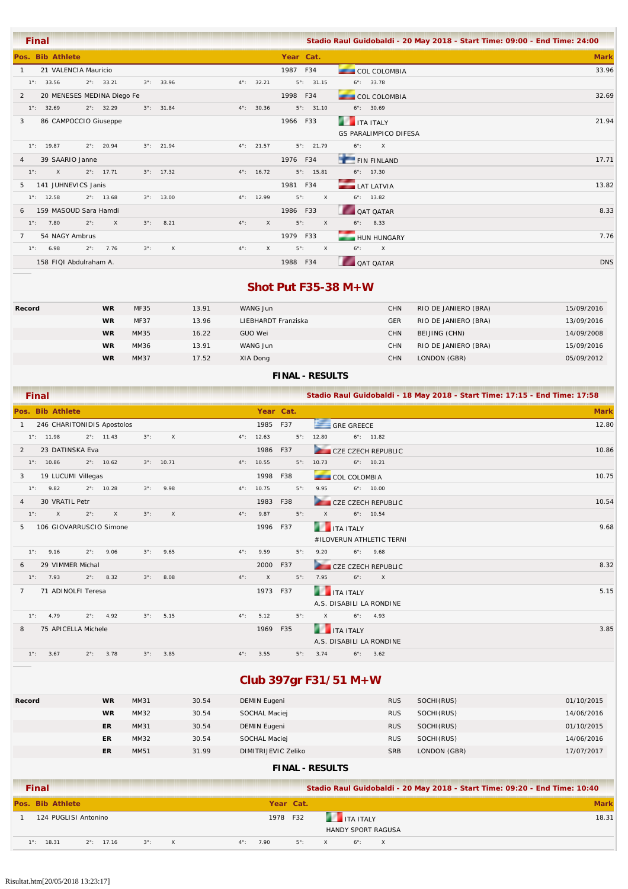| <b>Final</b>                      |                             |             |                     |                     |             |                     |                   |                              | Stadio Raul Guidobaldi - 20 May 2018 - Start Time: 09:00 - End Time: 24:00 |             |
|-----------------------------------|-----------------------------|-------------|---------------------|---------------------|-------------|---------------------|-------------------|------------------------------|----------------------------------------------------------------------------|-------------|
| Pos. Bib Athlete                  |                             |             |                     |                     | Year Cat.   |                     |                   |                              |                                                                            | <b>Mark</b> |
| 21 VALENCIA Mauricio              |                             |             |                     |                     | 1987 F34    |                     |                   | <b>COL COLOMBIA</b>          |                                                                            | 33.96       |
| $1^{\circ}$ : 33.56               | $2^{\circ}$ : 33.21         |             | $3^{\circ}$ : 33.96 | $4^{\circ}$ : 32.21 |             | $5^{\circ}$ : 31.15 |                   | $6^{\circ}$ : 33.78          |                                                                            |             |
| 2                                 | 20 MENESES MEDINA Diego Fe  |             |                     |                     | 1998 F34    |                     |                   | COL COLOMBIA                 |                                                                            | 32.69       |
| $1^{\circ}$ : 32.69               | $2^{\circ}$ : 32.29         |             | $3^{\circ}$ : 31.84 | $4^{\circ}$ : 30.36 |             | $5^{\circ}$ : 31.10 |                   | $6^{\circ}$ : 30.69          |                                                                            |             |
| 86 CAMPOCCIO Giuseppe<br>3        |                             |             |                     |                     | 1966 F33    |                     | <b>THE TEALY</b>  |                              |                                                                            | 21.94       |
|                                   |                             |             |                     |                     |             |                     |                   | <b>GS PARALIMPICO DIFESA</b> |                                                                            |             |
| $1^{\circ}$ : 19.87               | $2^{\circ}$ : 20.94         |             | $3^{\circ}$ : 21.94 | $4^{\circ}$ : 21.57 |             | $5^{\circ}$ : 21.79 | $6^\circ$ :       | $\mathsf{X}$                 |                                                                            |             |
| 39 SAARIO Janne<br>$\overline{4}$ |                             |             |                     |                     | 1976 F34    |                     |                   | <b>FIN FINLAND</b>           |                                                                            | 17.71       |
| $\mathsf{X}$<br>$1^{\circ}$ :     | $2^{\circ}$ : 17.71         |             | $3^{\circ}$ : 17.32 | $4^{\circ}$ : 16.72 |             | $5^{\circ}$ : 15.81 |                   | $6^{\circ}$ : 17.30          |                                                                            |             |
| 141 JUHNEVICS Janis<br>5.         |                             |             |                     |                     | 1981 F34    |                     | <b>LAT LATVIA</b> |                              |                                                                            | 13.82       |
| $1^{\circ}$ : 12.58               | $2^{\circ}$ : 13.68         |             | $3^{\circ}$ : 13.00 | $4^{\circ}$ : 12.99 | $5^\circ$ : | $\mathsf{X}$        |                   | $6^{\circ}$ : 13.82          |                                                                            |             |
| 159 MASOUD Sara Hamdi<br>6        |                             |             |                     |                     | 1986 F33    |                     |                   | <b>QAT QATAR</b>             |                                                                            | 8.33        |
| $1^\circ$ :<br>7.80               | $2^\circ$ :<br>$\mathsf{X}$ | $3^\circ$ : | 8.21                | $4^{\circ}$ :<br>X  | $5^\circ$ : | $\mathsf{X}$        |                   | $6^{\circ}$ : 8.33           |                                                                            |             |
| 54 NAGY Ambrus<br>$\overline{7}$  |                             |             |                     |                     | 1979 F33    |                     |                   | <b>HUN HUNGARY</b>           |                                                                            | 7.76        |
| 6.98<br>$1^{\circ}$ :             | 7.76<br>$2^{\circ}$ :       | $3^\circ$ : | $\times$            | $4^{\circ}$ :<br>X  | $5^\circ$ : | $\mathsf{X}$        | $6^\circ$ :       | $\mathsf{X}$                 |                                                                            |             |
| 158 FIQI Abdulraham A.            |                             |             |                     |                     | 1988 F34    |                     |                   | <b>QAT QATAR</b>             |                                                                            | <b>DNS</b>  |

### **Shot Put F35-38 M+W**

| Record | <b>WR</b> | <b>MF35</b> | 13.91 | WANG Jun            | <b>CHN</b> | RIO DE JANIERO (BRA) | 15/09/2016 |
|--------|-----------|-------------|-------|---------------------|------------|----------------------|------------|
|        | <b>WR</b> | <b>MF37</b> | 13.96 | LIEBHARDT Franziska | <b>GER</b> | RIO DE JANIERO (BRA) | 13/09/2016 |
|        | <b>WR</b> | MM35        | 16.22 | GUO Wei             | <b>CHN</b> | BEIJING (CHN)        | 14/09/2008 |
|        | <b>WR</b> | MM36        | 13.91 | WANG Jun            | <b>CHN</b> | RIO DE JANIERO (BRA) | 15/09/2016 |
|        | <b>WR</b> | MM37        | 17.52 | XIA Dong            | <b>CHN</b> | LONDON (GBR)         | 05/09/2012 |
|        |           |             |       |                     |            |                      |            |

### **FINAL - RESULTS**

|              | <b>Final</b>  |                         |               |                            |             |                     |               |                     |           |             |          |                          |                           | Stadio Raul Guidobaldi - 18 May 2018 - Start Time: 17:15 - End Time: 17:58 |
|--------------|---------------|-------------------------|---------------|----------------------------|-------------|---------------------|---------------|---------------------|-----------|-------------|----------|--------------------------|---------------------------|----------------------------------------------------------------------------|
|              |               | Pos. Bib Athlete        |               |                            |             |                     |               |                     | Year Cat. |             |          |                          |                           | <b>Mark</b>                                                                |
| $\mathbf{1}$ |               |                         |               | 246 CHARITONIDIS Apostolos |             |                     |               | 1985 F37            |           |             |          | GRE GREECE               |                           | 12.80                                                                      |
|              |               | $1^{\circ}$ : 11.98     |               | $2^{\circ}$ : 11.43        | $3^\circ$ : | $\times$            |               | $4^{\circ}$ : 12.63 |           | $5^\circ$ : | 12.80    |                          | $6^{\circ}$ : 11.82       |                                                                            |
| 2            |               | 23 DATINSKA Eva         |               |                            |             |                     |               | 1986 F37            |           |             |          |                          | CZE CZECH REPUBLIC        | 10.86                                                                      |
|              |               | $1^{\circ}$ : 10.86     |               | $2^{\circ}$ : 10.62        |             | $3^{\circ}$ : 10.71 |               | $4^{\circ}$ : 10.55 |           | $5^\circ$ : | 10.73    |                          | $6^{\circ}$ : 10.21       |                                                                            |
| 3            |               | 19 LUCUMI Villegas      |               |                            |             |                     |               | 1998                | F38       |             |          | COL COLOMBIA             |                           | 10.75                                                                      |
|              | $1^{\circ}$ : | 9.82                    |               | $2^{\circ}$ : 10.28        | $3^\circ$ : | 9.98                |               | $4^{\circ}$ : 10.75 |           | $5^\circ$ : | 9.95     |                          | $6^{\circ}$ : 10.00       |                                                                            |
| 4            |               | 30 VRATIL Petr          |               |                            |             |                     |               | 1983                | F38       |             |          |                          | <b>CZE CZECH REPUBLIC</b> | 10.54                                                                      |
|              | $1^\circ$ :   | $\mathsf{X}$            | $2^{\circ}$ : | $\times$                   | $3^\circ$ : | $\times$            | $4^{\circ}$ : | 9.87                |           | $5^\circ$ : | $\times$ |                          | $6^{\circ}$ : 10.54       |                                                                            |
| 5            |               | 106 GIOVARRUSCIO Simone |               |                            |             |                     |               | 1996 F37            |           |             |          | <b>THE ITA ITALY</b>     |                           | 9.68                                                                       |
|              |               |                         |               |                            |             |                     |               |                     |           |             |          |                          | #ILOVERUN ATHLETIC TERNI  |                                                                            |
|              | $1^\circ$ :   | 9.16                    | $2^{\circ}$ : | 9.06                       | $3^\circ$ : | 9.65                | $4^\circ$ :   | 9.59                |           | $5^\circ$ : | 9.20     |                          | $6^{\circ}$ : 9.68        |                                                                            |
| 6            |               | 29 VIMMER Michal        |               |                            |             |                     |               | 2000                | F37       |             |          |                          | CZE CZECH REPUBLIC        | 8.32                                                                       |
|              | $1^\circ$ :   | 7.93                    | $2^{\circ}$ : | 8.32                       | $3^\circ$ : | 8.08                | $4^{\circ}$ : | $\mathsf{X}$        |           | $5^\circ$ : | 7.95     | $6^\circ$ :              | $\mathsf{X}$              |                                                                            |
| $7^{\circ}$  |               | 71 ADINOLFI Teresa      |               |                            |             |                     |               | 1973 F37            |           |             |          | <b>THE ITA ITALY</b>     |                           | 5.15                                                                       |
|              |               |                         |               |                            |             |                     |               |                     |           |             |          | A.S. DISABILI LA RONDINE |                           |                                                                            |
|              | $1^\circ$ :   | 4.79                    |               | $2^{\circ}$ : 4.92         | $3^\circ$ : | 5.15                | $4^{\circ}$ : | 5.12                |           | $5^\circ$ : | $\times$ |                          | $6^{\circ}$ : 4.93        |                                                                            |
| 8            |               | 75 APICELLA Michele     |               |                            |             |                     |               | 1969 F35            |           |             |          | <b>THE TEALY</b>         |                           | 3.85                                                                       |
|              |               |                         |               |                            |             |                     |               |                     |           |             |          | A.S. DISABILI LA RONDINE |                           |                                                                            |
|              | $1^{\circ}$ : | 3.67                    | $2^\circ$ :   | 3.78                       | $3^\circ$ : | 3.85                | $4^{\circ}$ : | 3.55                |           | $5^\circ$ : | 3.74     |                          | $6^{\circ}$ : 3.62        |                                                                            |

# **Club 397gr F31/51 M+W**

| Record | <b>WR</b> | MM31 | 30.54 | DEMIN Eugeni        | <b>RUS</b> | SOCHI(RUS)   | 01/10/2015 |
|--------|-----------|------|-------|---------------------|------------|--------------|------------|
|        | <b>WR</b> | MM32 | 30.54 | SOCHAL Maciej       | <b>RUS</b> | SOCHI(RUS)   | 14/06/2016 |
|        | ER        | MM31 | 30.54 | DEMIN Eugeni        | <b>RUS</b> | SOCHI(RUS)   | 01/10/2015 |
|        | ER        | MM32 | 30.54 | SOCHAL Maciej       | <b>RUS</b> | SOCHI(RUS)   | 14/06/2016 |
|        | ER        | MM51 | 31.99 | DIMITRIJEVIC Zeliko | <b>SRB</b> | LONDON (GBR) | 17/07/2017 |
|        |           |      |       |                     |            |              |            |

| <b>Final</b> |                      |                     |             |              |               |      |             |  |                      |                           |  | Stadio Raul Guidobaldi - 20 May 2018 - Start Time: 09:20 - End Time: 10:40 |
|--------------|----------------------|---------------------|-------------|--------------|---------------|------|-------------|--|----------------------|---------------------------|--|----------------------------------------------------------------------------|
|              | Pos. Bib Athlete     |                     |             |              |               |      | Year Cat.   |  |                      |                           |  | <b>Mark</b>                                                                |
|              | 124 PUGLISI Antonino |                     |             |              |               | 1978 | F32         |  | <b>THE ITA ITALY</b> |                           |  | 18.31                                                                      |
|              |                      |                     |             |              |               |      |             |  |                      | <b>HANDY SPORT RAGUSA</b> |  |                                                                            |
| $1^\circ$ :  | 18.31                | $2^{\circ}$ : 17.16 | $3^\circ$ : | $\mathsf{X}$ | $4^{\circ}$ : | 7.90 | $5^\circ$ : |  | $6^\circ$ :          | $\times$                  |  |                                                                            |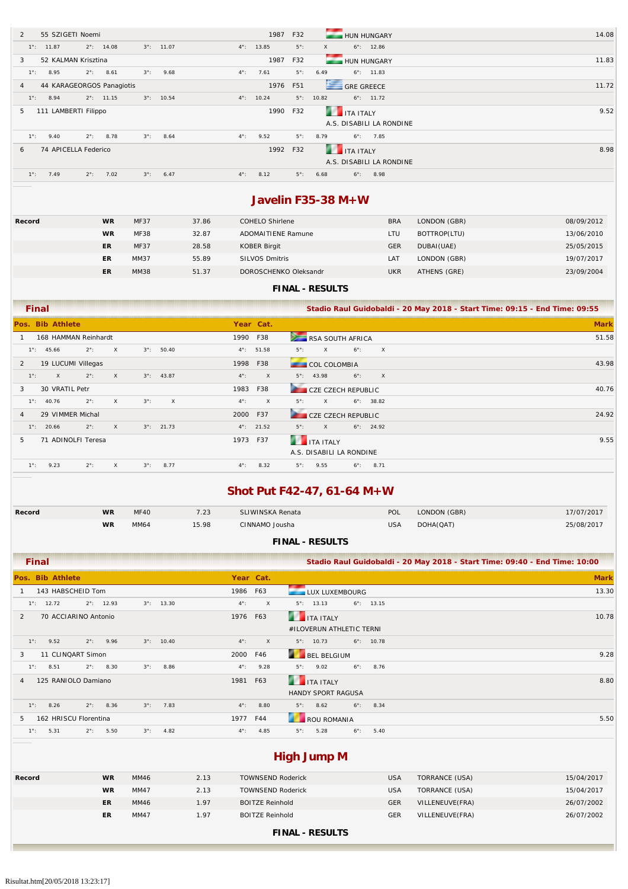| $\mathcal{P}$  | 55 SZIGETI Noemi          |               |                     |             |                     |               | 1987                | F32         |                      | <b>HUN HUNGARY</b>       | 14.08 |
|----------------|---------------------------|---------------|---------------------|-------------|---------------------|---------------|---------------------|-------------|----------------------|--------------------------|-------|
|                | $1^{\circ}$ : 11.87       |               | $2^{\circ}$ : 14.08 |             | $3^{\circ}$ : 11.07 |               | $4^{\circ}$ : 13.85 | $5^\circ$ : | $\times$             | $6^{\circ}$ : 12.86      |       |
| 3              | 52 KALMAN Krisztina       |               |                     |             |                     |               | 1987                | F32         |                      | <b>HUN HUNGARY</b>       | 11.83 |
| $1^\circ$ :    | 8.95                      | $2^{\circ}$ : | 8.61                | $3^\circ$ : | 9.68                | $4^{\circ}$ : | 7.61                | $5^\circ$ : | 6.49                 | $6^{\circ}$ : 11.83      |       |
| $\overline{4}$ | 44 KARAGEORGOS Panagiotis |               |                     |             |                     |               | 1976                | F51         |                      | GRE GREECE               | 11.72 |
| $1^{\circ}$ :  | 8.94                      |               | $2^{\circ}$ : 11.15 |             | $3^{\circ}$ : 10.54 |               | $4^{\circ}$ : 10.24 | $5^\circ$ : | 10.82                | $6^{\circ}$ : 11.72      |       |
| 5              | 111 LAMBERTI Filippo      |               |                     |             |                     |               | 1990                | F32         | <b>THE ITA ITALY</b> |                          | 9.52  |
|                |                           |               |                     |             |                     |               |                     |             |                      | A.S. DISABILI LA RONDINE |       |
| $1^\circ$ :    | 9.40                      |               | $2^{\circ}$ : 8.78  | $3^\circ$ : | 8.64                | $4^{\circ}$ : | 9.52                | $5^\circ$ : | 8.79                 | $6^\circ$ : 7.85         |       |
|                |                           |               |                     |             |                     |               |                     |             |                      |                          |       |
| 6              | 74 APICELLA Federico      |               |                     |             |                     |               | 1992 F32            |             | ITA ITALY            |                          | 8.98  |
|                |                           |               |                     |             |                     |               |                     |             |                      | A.S. DISABILI LA RONDINE |       |

### **Javelin F35-38 M+W**

| Record | <b>WR</b> | <b>MF37</b> | 37.86 | COHELO Shirlene           | <b>BRA</b>      | LONDON (GBR) | 08/09/2012 |
|--------|-----------|-------------|-------|---------------------------|-----------------|--------------|------------|
|        | <b>WR</b> | <b>MF38</b> | 32.87 | <b>ADOMAITIENE Ramune</b> | LTU             | BOTTROP(LTU) | 13/06/2010 |
|        | ER        | <b>MF37</b> | 28.58 | <b>KOBER Birgit</b>       | <b>GER</b>      | DUBAI (UAE)  | 25/05/2015 |
|        | ER        | MM37        | 55.89 | <b>SILVOS Dmitris</b>     | LA <sub>T</sub> | LONDON (GBR) | 19/07/2017 |
|        | ER        | <b>MM38</b> | 51.37 | DOROSCHENKO Oleksandr     | UKR             | ATHENS (GRE) | 23/09/2004 |

#### **FINAL - RESULTS**

|               | <b>Final</b>        |                      |          |             |                     |               |                     | Stadio Raul Guidobaldi - 20 May 2018 - Start Time: 09:15 - End Time: 09:55 |      |
|---------------|---------------------|----------------------|----------|-------------|---------------------|---------------|---------------------|----------------------------------------------------------------------------|------|
|               | Pos. Bib Athlete    |                      |          |             |                     |               | Year Cat.           | <b>Mark</b>                                                                |      |
|               |                     | 168 HAMMAN Reinhardt |          |             |                     | 1990 F38      |                     | RSA SOUTH AFRICA<br>51.58                                                  |      |
|               | $1^{\circ}$ : 45.66 | $2^\circ$ :          | $\times$ |             | $3^{\circ}$ : 50.40 |               | $4^{\circ}$ : 51.58 | $6^\circ$ :<br>X<br>$5^\circ$ :<br>$\times$                                |      |
| 2             |                     | 19 LUCUMI Villegas   |          |             |                     | 1998 F38      |                     | 43.98<br><b>COL COLOMBIA</b>                                               |      |
| $1^\circ$ :   | $\mathsf{X}$        | $2^\circ$ :          | $\times$ |             | $3^{\circ}$ : 43.87 | $4^\circ$ :   | $\times$            | $6^\circ$ :<br>$5^{\circ}$ : 43.98<br>$\mathsf{X}$                         |      |
| 3             | 30 VRATIL Petr      |                      |          |             |                     | 1983          | F38                 | <b>Service</b><br>40.76<br>CZE CZECH REPUBLIC                              |      |
|               | $1^{\circ}$ : 40.76 | $2^{\circ}$ :        | $\times$ | $3^\circ$ : | $\times$            | $4^{\circ}$ : | $\mathsf{X}$        | $6^\circ$ : 38.82<br>$5^\circ$ :<br>$\times$                               |      |
| 4             |                     | 29 VIMMER Michal     |          |             |                     | 2000 F37      |                     | CZE CZECH REPUBLIC<br>24.92                                                |      |
|               | $1^\circ$ : 20.66   | $2^\circ$ :          | $\times$ |             | $3^{\circ}$ : 21.73 |               | $4^{\circ}$ : 21.52 | $6^\circ$ : 24.92<br>$5^\circ$ :<br>$\times$                               |      |
| 5             |                     | 71 ADINOLFI Teresa   |          |             |                     | 1973 F37      |                     | r ur<br><b>ITA ITALY</b>                                                   | 9.55 |
|               |                     |                      |          |             |                     |               |                     | A.S. DISABILI LA RONDINE                                                   |      |
| $1^{\circ}$ : | 9.23                | $2^\circ$ :          | $\times$ | $3^\circ$ : | 8.77                | $4^{\circ}$ : | 8.32                | $5^\circ$ :<br>9.55<br>$6^\circ$ :<br>8.71                                 |      |

# **Shot Put F42-47, 61-64 M+W**

| Record | WR        | <b>MF40</b> | 7.23  | SLIWINSKA Renata | POL        | LONDON (GBR) | 17/07/2017 |
|--------|-----------|-------------|-------|------------------|------------|--------------|------------|
|        | <b>WR</b> | MM64        | 15.98 | CINNAMO Jousha   | <b>USA</b> | DOHA(QAT)    | 25/08/2017 |

| <b>FINAL - RESULTS</b> |  |
|------------------------|--|
|------------------------|--|

| Final                                                                               |              | Stadio Raul Guidobaldi - 20 May 2018 - Start Time: 09:40 - End Time: 10:00 |             |
|-------------------------------------------------------------------------------------|--------------|----------------------------------------------------------------------------|-------------|
| Pos. Bib Athlete                                                                    | Year Cat.    |                                                                            | <b>Mark</b> |
| 143 HABSCHEID Tom                                                                   | 1986 F63     | LUX LUXEMBOURG                                                             | 13.30       |
| $2^{\circ}$ : 12.93<br>$3^{\circ}$ : 13.30<br>$1^\circ$ : 12.72<br>$4^{\circ}$ :    | $\mathsf{X}$ | $5^{\circ}$ : 13.13<br>$6^{\circ}$ : 13.15                                 |             |
| 70 ACCIARINO Antonio<br>2                                                           | 1976 F63     | <b>THE TALE AND STALLY</b>                                                 | 10.78       |
|                                                                                     |              | #ILOVERUN ATHLETIC TERNI                                                   |             |
| $3^{\circ}$ : 10.40<br>$1^\circ$ :<br>9.52<br>$2^{\circ}$ : 9.96<br>$4^{\circ}$ :   | $\mathsf{X}$ | $5^\circ$ : 10.73<br>$6^{\circ}$ : 10.78                                   |             |
| 11 CLINQART Simon<br>3                                                              | 2000 F46     | <b>BEL BELGIUM</b>                                                         | 9.28        |
| 8.86<br>$2^{\circ}$ : 8.30<br>$3^\circ$ :<br>$1^\circ$ :<br>8.51<br>$4^{\circ}$ :   | 9.28         | $5^{\circ}$ : 9.02<br>$6^{\circ}$ : 8.76                                   |             |
| 125 RANIOLO Damiano<br>$\overline{4}$                                               | 1981 F63     | <b>THE TEAL ITALY</b>                                                      | 8.80        |
|                                                                                     |              | <b>HANDY SPORT RAGUSA</b>                                                  |             |
| $1^\circ$ :<br>7.83<br>8.26<br>$2^{\circ}$ : 8.36<br>$3^\circ$ :<br>$4^{\circ}$ :   | 8.80         | $6^\circ$ :<br>$5^\circ$ :<br>8.62<br>8.34                                 |             |
| 162 HRISCU Florentina<br>.5                                                         | 1977 F44     | <b>ROU ROMANIA</b>                                                         | 5.50        |
| 4.82<br>$1^{\circ}$ :<br>5.31<br>$2^{\circ}$ : 5.50<br>$3^\circ$ :<br>$4^{\circ}$ : | 4.85         | $5^\circ$ :<br>5.28<br>$6^\circ$ :<br>5.40                                 |             |

# **High Jump M**

| Record | <b>WR</b> | MM46 | 2.13 | <b>TOWNSEND Roderick</b> | <b>USA</b> | TORRANCE (USA)  | 15/04/2017 |
|--------|-----------|------|------|--------------------------|------------|-----------------|------------|
|        | <b>WR</b> | MM47 | 2.13 | <b>TOWNSEND Roderick</b> | <b>USA</b> | TORRANCE (USA)  | 15/04/2017 |
|        | ER        | MM46 | 1.97 | <b>BOITZE Reinhold</b>   | <b>GER</b> | VILLENEUVE(FRA) | 26/07/2002 |
|        | ER        | MM47 | 1.97 | <b>BOITZE Reinhold</b>   | <b>GER</b> | VILLENEUVE(FRA) | 26/07/2002 |
|        |           |      |      | -------<br>--------      |            |                 |            |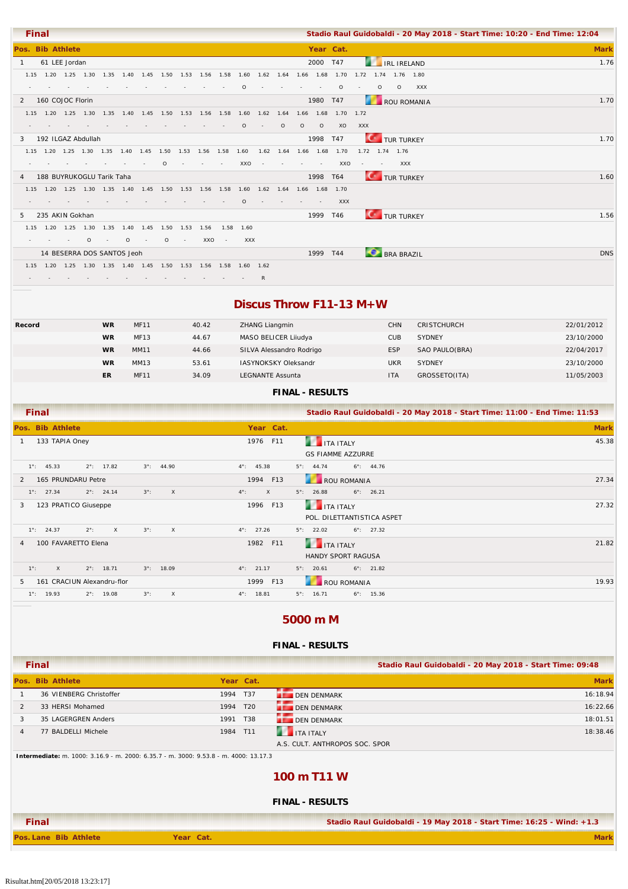|                  | <b>Final</b> |                                                                                      |       |         |                  |          |                 |        |            |        |         |         |                          |                                                                                                          |               |                 |         |                        | Stadio Raul Guidobaldi - 20 May 2018 - Start Time: 10:20 - End Time: 12:04 |             |
|------------------|--------------|--------------------------------------------------------------------------------------|-------|---------|------------------|----------|-----------------|--------|------------|--------|---------|---------|--------------------------|----------------------------------------------------------------------------------------------------------|---------------|-----------------|---------|------------------------|----------------------------------------------------------------------------|-------------|
| Pos. Bib Athlete |              |                                                                                      |       |         |                  |          |                 |        |            |        |         |         |                          | Year Cat.                                                                                                |               |                 |         |                        |                                                                            | <b>Mark</b> |
| $\overline{1}$   |              | 61 LEE Jordan                                                                        |       |         |                  |          |                 |        |            |        |         |         | 2000 T47                 |                                                                                                          |               |                 |         | <b>EXAMPLE IRELAND</b> |                                                                            | 1.76        |
|                  |              |                                                                                      |       |         |                  |          |                 |        |            |        |         |         |                          | 1.15 1.20 1.25 1.30 1.35 1.40 1.45 1.50 1.53 1.56 1.58 1.60 1.62 1.64 1.66 1.68 1.70 1.72 1.74 1.76 1.80 |               |                 |         |                        |                                                                            |             |
|                  |              |                                                                                      |       |         |                  |          |                 |        | $\Omega$   |        |         |         | $\sim$                   | $\Omega$                                                                                                 | $\sim$ $\sim$ | $\circ$         | $\circ$ | <b>XXX</b>             |                                                                            |             |
|                  |              | 2 160 COJOC Florin                                                                   |       |         |                  |          |                 |        |            |        |         |         | 1980 T47                 |                                                                                                          |               |                 |         | ROU ROMANIA            |                                                                            | 1.70        |
|                  |              |                                                                                      |       |         |                  |          |                 |        |            |        |         |         |                          | 1.15 1.20 1.25 1.30 1.35 1.40 1.45 1.50 1.53 1.56 1.58 1.60 1.62 1.64 1.66 1.68 1.70 1.72                |               |                 |         |                        |                                                                            |             |
|                  |              |                                                                                      |       |         |                  |          |                 |        | $\circ$    | $\sim$ | $\circ$ | $\circ$ | $\circ$                  | XO                                                                                                       | XXX           |                 |         |                        |                                                                            |             |
| 3                |              | 192 ILGAZ Abdullah                                                                   |       |         |                  |          |                 |        |            |        |         |         | 1998 T47                 |                                                                                                          |               |                 |         | <b>TUR TURKEY</b>      |                                                                            | 1.70        |
|                  |              |                                                                                      |       |         |                  |          |                 |        |            |        |         |         |                          | 1.15 1.20 1.25 1.30 1.35 1.40 1.45 1.50 1.53 1.56 1.58 1.60 1.62 1.64 1.66 1.68 1.70                     |               | 1.72 1.74 1.76  |         |                        |                                                                            |             |
|                  |              |                                                                                      |       |         |                  | $\Omega$ |                 | $\sim$ | XXO        |        |         |         |                          | XXO                                                                                                      |               | the contract of |         | <b>XXX</b>             |                                                                            |             |
|                  |              | 4 188 BUYRUKOGLU Tarik Taha                                                          |       |         |                  |          |                 |        |            |        |         |         | 1998 T64                 |                                                                                                          |               |                 |         | TUR TURKEY             |                                                                            | 1.60        |
|                  |              | 1.15 1.20 1.25 1.30 1.35 1.40 1.45 1.50 1.53 1.56 1.58 1.60 1.62 1.64 1.66 1.68 1.70 |       |         |                  |          |                 |        |            |        |         |         |                          |                                                                                                          |               |                 |         |                        |                                                                            |             |
|                  |              |                                                                                      |       |         |                  |          |                 |        | $\Omega$   |        |         |         | <b>Contract Contract</b> | <b>XXX</b>                                                                                               |               |                 |         |                        |                                                                            |             |
| 5.               |              | 235 AKIN Gokhan                                                                      |       |         |                  |          |                 |        |            |        |         |         | 1999 T46                 |                                                                                                          |               |                 |         | <b>TUR TURKEY</b>      |                                                                            | 1.56        |
|                  |              | 1.15 1.20 1.25 1.30 1.35 1.40 1.45 1.50 1.53 1.56                                    |       |         |                  |          |                 |        | 1.58 1.60  |        |         |         |                          |                                                                                                          |               |                 |         |                        |                                                                            |             |
|                  |              |                                                                                      | $0 -$ | $\circ$ | $\sim$ 100 $\pm$ | $\circ$  | <b>Contract</b> | XXO -  | <b>XXX</b> |        |         |         |                          |                                                                                                          |               |                 |         |                        |                                                                            |             |
|                  |              | 14 BESERRA DOS SANTOS Jeoh                                                           |       |         |                  |          |                 |        |            |        |         |         | 1999 T44                 |                                                                                                          |               |                 |         | <b>BRA BRAZIL</b>      |                                                                            | <b>DNS</b>  |
|                  |              | 1.15 1.20 1.25 1.30 1.35 1.40 1.45 1.50 1.53 1.56 1.58 1.60 1.62                     |       |         |                  |          |                 |        |            |        |         |         |                          |                                                                                                          |               |                 |         |                        |                                                                            |             |
|                  |              |                                                                                      |       |         |                  |          |                 |        |            | R      |         |         |                          |                                                                                                          |               |                 |         |                        |                                                                            |             |

### **Discus Throw F11-13 M+W**

| Record | <b>WR</b> | <b>MF11</b> | 40.42 | ZHANG Liangmin              | <b>CHN</b> | <b>CRISTCHURCH</b> | 22/01/2012 |
|--------|-----------|-------------|-------|-----------------------------|------------|--------------------|------------|
|        | <b>WR</b> | <b>MF13</b> | 44.67 | MASO BELICER Liiudya        | <b>CUB</b> | <b>SYDNEY</b>      | 23/10/2000 |
|        | <b>WR</b> | <b>MM11</b> | 44.66 | SILVA Alessandro Rodrigo    | <b>ESP</b> | SAO PAULO(BRA)     | 22/04/2017 |
|        | <b>WR</b> | MM13        | 53.61 | <b>IASYNOKSKY Oleksandr</b> | <b>UKR</b> | <b>SYDNEY</b>      | 23/10/2000 |
|        | <b>ER</b> | <b>MF11</b> | 34.09 | <b>LEGNANTE Assunta</b>     | <b>ITA</b> | GROSSETO(ITA)      | 11/05/2003 |
|        |           |             |       |                             |            |                    |            |

### **FINAL - RESULTS**

| <b>Final</b>                                                                        |                             | Stadio Raul Guidobaldi - 20 May 2018 - Start Time: 11:00 - End Time: 11:53 |             |
|-------------------------------------------------------------------------------------|-----------------------------|----------------------------------------------------------------------------|-------------|
| Pos. Bib Athlete                                                                    | Year Cat.                   |                                                                            | <b>Mark</b> |
| 133 TAPIA Oney                                                                      | 1976 F11                    | r ur<br><b>ITA ITALY</b><br><b>GS FIAMME AZZURRE</b>                       | 45.38       |
| $1^\circ$ : 45.33<br>$2^{\circ}$ : 17.82<br>$3^{\circ}$ : 44.90                     | $4^{\circ}$ : 45.38         | $6^\circ$ : 44.76<br>$5^\circ$ : 44.74                                     |             |
| 165 PRUNDARU Petre<br>$\mathcal{P}$                                                 | 1994 F13                    | <b>ROU ROMANIA</b>                                                         | 27.34       |
| $2^{\circ}$ : 24.14<br>$3^\circ$ :<br>$\mathsf{X}$<br>$1^\circ$ : 27.34             | $\mathsf{X}$<br>$4^\circ$ : | $6^{\circ}$ : 26.21<br>$5^\circ$ : 26.88                                   |             |
| 123 PRATICO Giuseppe<br>3                                                           | 1996 F13                    | <b>THE TEALY</b>                                                           | 27.32       |
|                                                                                     |                             | POL. DILETTANTISTICA ASPET                                                 |             |
| $\mathsf{X}$<br>$3^\circ$ :<br>$\mathsf{X}$<br>$1^{\circ}$ : 24.37<br>$2^{\circ}$ : | $4^{\circ}$ : 27.26         | $5^\circ$ :<br>22.02<br>$6^{\circ}$ : 27.32                                |             |
| 100 FAVARETTO Elena<br>4                                                            | 1982 F11                    | <b>THE TEAL SET AT A LITALY</b>                                            | 21.82       |
|                                                                                     |                             | <b>HANDY SPORT RAGUSA</b>                                                  |             |
| $1^\circ$ :<br>$\times$<br>$2^{\circ}$ : 18.71<br>$3^{\circ}$ : 18.09               | $4^{\circ}$ : 21.17         | $5^\circ$ : 20.61<br>$6^{\circ}$ : 21.82                                   |             |
| 161 CRACIUN Alexandru-flor<br>5                                                     | 1999 F13                    | ROU ROMANIA                                                                | 19.93       |
| $1^\circ$ : 19.93<br>$2^{\circ}$ : 19.08<br>$3^\circ$ :<br>$\mathsf{X}$             | $4^{\circ}$ : 18.81         | $5^\circ$ : 16.71<br>$6^\circ$ : 15.36                                     |             |

### **5000 m M**

#### **FINAL - RESULTS**

|                | Final                                                                                |           |           | Stadio Raul Guidobaldi - 20 May 2018 - Start Time: 09:48              |             |
|----------------|--------------------------------------------------------------------------------------|-----------|-----------|-----------------------------------------------------------------------|-------------|
|                | Pos. Bib Athlete                                                                     |           | Year Cat. |                                                                       | <b>Mark</b> |
|                | 36 VIENBERG Christoffer                                                              | 1994 T37  |           | <b>DEN DENMARK</b>                                                    | 16:18.94    |
| 2              | 33 HERSI Mohamed                                                                     | 1994 T20  |           | DEN DENMARK                                                           | 16:22.66    |
| 3              | 35 LAGERGREN Anders                                                                  | 1991 T38  |           | DEN DENMARK                                                           | 18:01.51    |
| $\overline{4}$ | 77 BALDELLI Michele                                                                  | 1984 T11  |           | ITA ITALY                                                             | 18:38.46    |
|                |                                                                                      |           |           | A.S. CULT. ANTHROPOS SOC. SPOR                                        |             |
|                | Intermediate: m. 1000: 3.16.9 - m. 2000: 6.35.7 - m. 3000: 9.53.8 - m. 4000: 13.17.3 |           |           |                                                                       |             |
|                |                                                                                      |           |           | 100 m T11 W                                                           |             |
|                |                                                                                      |           |           | <b>FINAL - RESULTS</b>                                                |             |
|                | <b>Final</b>                                                                         |           |           | Stadio Raul Guidobaldi - 19 May 2018 - Start Time: 16:25 - Wind: +1.3 |             |
|                | Pos. Lane Bib Athlete                                                                | Year Cat. |           |                                                                       | <b>Mark</b> |

Risultat.htm[20/05/2018 13:23:17]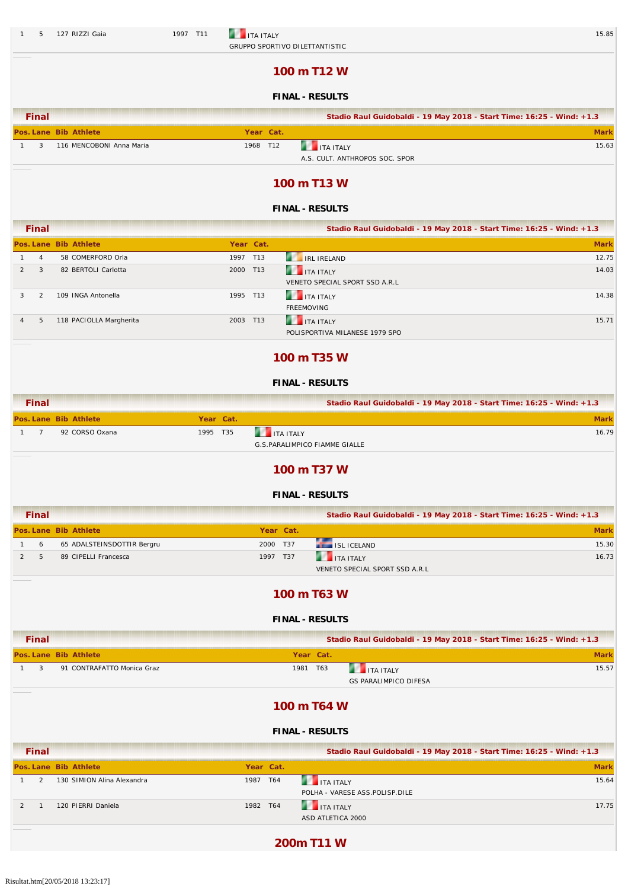#### 1 5 127 RIZZI Gaia 1997 T11 **1997 T11 1997 T11 1** TA ITALY 15.85 GRUPPO SPORTIVO DILETTANTISTIC

### **100 m T12 W**

### **FINAL - RESULTS**

| <b>Final</b> |                          |           | Stadio Raul Guidobaldi - 19 May 2018 - Start Time: 16:25 - Wind: +1.3 |       |
|--------------|--------------------------|-----------|-----------------------------------------------------------------------|-------|
|              | Pos. Lane Bib Athlete    | Year Cat. |                                                                       |       |
|              | 116 MENCOBONI Anna Maria | 1968 T12  | <b>THE TEAL SET AT A LITALY</b>                                       | 15.63 |
|              |                          |           | A.S. CULT. ANTHROPOS SOC. SPOR                                        |       |

**100 m T13 W**

#### **FINAL - RESULTS**

|                | <b>Final</b>   |                         |           | Stadio Raul Guidobaldi - 19 May 2018 - Start Time: 16:25 - Wind: +1.3 |             |
|----------------|----------------|-------------------------|-----------|-----------------------------------------------------------------------|-------------|
|                |                | Pos. Lane Bib Athlete   | Year Cat. |                                                                       | <b>Mark</b> |
|                | $\overline{4}$ | 58 COMERFORD Orla       | 1997 T13  | <b>IRL IRELAND</b>                                                    | 12.75       |
|                | 3              | 82 BERTOLI Carlotta     | 2000 T13  | <b>THE TEALY</b>                                                      | 14.03       |
|                |                |                         |           | VENETO SPECIAL SPORT SSD A.R.L                                        |             |
|                |                | 109 INGA Antonella      | 1995 T13  | <b>THE ITA ITALY</b>                                                  | 14.38       |
|                |                |                         |           | <b>FREEMOVING</b>                                                     |             |
| $\overline{4}$ | 5              | 118 PACIOLLA Margherita | 2003 T13  | <b>THE TEALY</b>                                                      | 15.71       |
|                |                |                         |           | POLISPORTIVA MILANESE 1979 SPO                                        |             |
|                |                |                         |           |                                                                       |             |

### **100 m T35 W**

#### **FINAL - RESULTS**

| <b>Final</b> |                       |          |           | Stadio Raul Guidobaldi - 19 May 2018 - Start Time: 16:25 - Wind: +1.3 |       |
|--------------|-----------------------|----------|-----------|-----------------------------------------------------------------------|-------|
|              | Pos. Lane Bib Athlete |          | Year Cat. |                                                                       | Mark  |
|              | 92 CORSO Oxana        | 1995 T35 |           | <b>THE TALE ITALY</b>                                                 | 16.79 |
|              |                       |          |           | G.S.PARALIMPICO FIAMME GIALLE                                         |       |

### **100 m T37 W**

#### **FINAL - RESULTS**

| <b>Final</b> |                            |           | Stadio Raul Guidobaldi - 19 May 2018 - Start Time: 16:25 - Wind: +1.3 |             |
|--------------|----------------------------|-----------|-----------------------------------------------------------------------|-------------|
|              | Pos. Lane Bib Athlete      | Year Cat. |                                                                       | <b>Mark</b> |
| 6            | 65 ADALSTEINSDOTTIR Bergru | 2000 T37  | ISL ICELAND                                                           | 15.30       |
|              | 89 CIPELLI Francesca       | 1997 T37  | <b>THE ITA ITALY</b>                                                  | 16.73       |
|              |                            |           | VENETO SPECIAL SPORT SSD A.R.L                                        |             |

### **100 m T63 W**

#### **FINAL - RESULTS**

| <b>Final</b> |                            |               |           | Stadio Raul Guidobaldi - 19 May 2018 - Start Time: 16:25 - Wind: +1.3 |             |
|--------------|----------------------------|---------------|-----------|-----------------------------------------------------------------------|-------------|
|              | Pos. Lane Bib Athlete      |               | Year Cat. |                                                                       | <b>Mark</b> |
| 3            | 91 CONTRAFATTO Monica Graz | 1981          | T63       | <b>THE ITA ITALY</b><br><b>GS PARALIMPICO DIFESA</b>                  | 15.57       |
|              |                            | 100 m $T64$ W |           |                                                                       |             |

#### **FINAL - RESULTS**

| <b>Final</b> |                            |           |     | Stadio Raul Guidobaldi - 19 May 2018 - Start Time: 16:25 - Wind: +1.3 |             |
|--------------|----------------------------|-----------|-----|-----------------------------------------------------------------------|-------------|
|              | Pos. Lane Bib Athlete      | Year Cat. |     |                                                                       | <b>Mark</b> |
|              | 130 SIMION Alina Alexandra | 1987      | T64 | <b>THE ITA ITALY</b><br>POLHA - VARESE ASS.POLISP.DILE                | 15.64       |
|              | 120 PIERRI Daniela         | 1982 T64  |     | <b>THE TALE ITALY</b><br>ASD ATLETICA 2000                            | 17.75       |

**200m T11 W**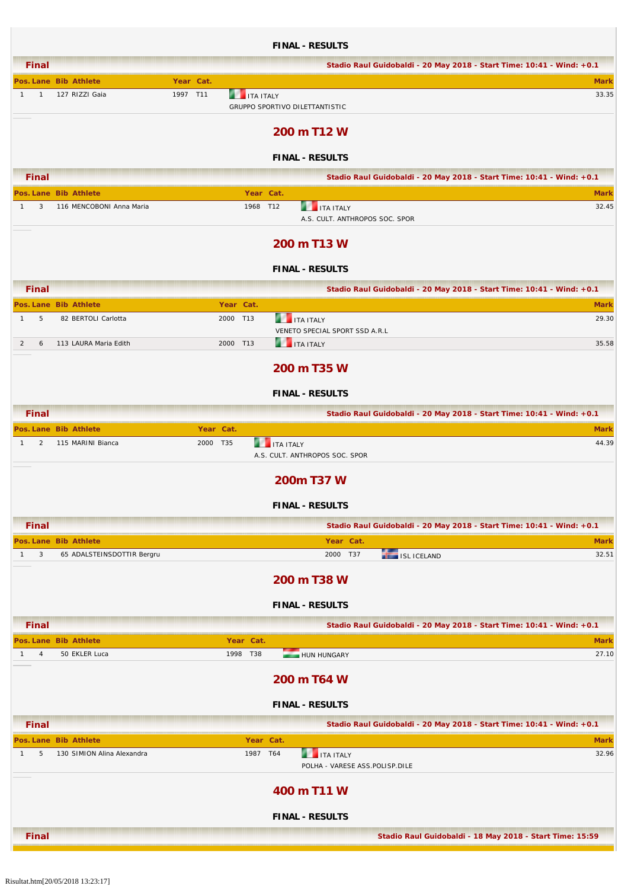|                                |                                                     |           |                       | <b>FINAL - RESULTS</b>                                 |                                                                       |
|--------------------------------|-----------------------------------------------------|-----------|-----------------------|--------------------------------------------------------|-----------------------------------------------------------------------|
| <b>Final</b>                   |                                                     |           |                       |                                                        | Stadio Raul Guidobaldi - 20 May 2018 - Start Time: 10:41 - Wind: +0.1 |
|                                | Pos. Lane Bib Athlete                               | Year Cat. |                       |                                                        | <b>Mark</b>                                                           |
| $\mathbf{1}$<br>$\mathbf{1}$   | 127 RIZZI Gaia                                      | 1997 T11  | <b>THE ITA ITALY</b>  | GRUPPO SPORTIVO DILETTANTISTIC                         | 33.35                                                                 |
|                                |                                                     |           |                       | 200 m T12 W                                            |                                                                       |
|                                |                                                     |           |                       | <b>FINAL - RESULTS</b>                                 |                                                                       |
| <b>Final</b>                   |                                                     |           |                       |                                                        | Stadio Raul Guidobaldi - 20 May 2018 - Start Time: 10:41 - Wind: +0.1 |
|                                | Pos. Lane Bib Athlete                               |           | Year Cat.             |                                                        | <b>Mark</b>                                                           |
| 3<br>$\mathbf{1}$              | 116 MENCOBONI Anna Maria                            |           | 1968 T12              | <b>THE ITA ITALY</b>                                   | 32.45<br>A.S. CULT. ANTHROPOS SOC. SPOR                               |
|                                |                                                     |           |                       | 200 m T13 W                                            |                                                                       |
|                                |                                                     |           |                       | <b>FINAL - RESULTS</b>                                 |                                                                       |
| <b>Final</b>                   |                                                     |           |                       |                                                        | Stadio Raul Guidobaldi - 20 May 2018 - Start Time: 10:41 - Wind: +0.1 |
|                                | Pos. Lane Bib Athlete                               |           | Year Cat.             |                                                        | <b>Mark</b>                                                           |
| 5<br>$\mathbf{1}$              | 82 BERTOLI Carlotta                                 |           | 2000 T13              | <b>THE ITA ITALY</b><br>VENETO SPECIAL SPORT SSD A.R.L | 29.30                                                                 |
| 2<br>6                         | 113 LAURA Maria Edith                               |           | 2000 T13              | <b>THE ITA ITALY</b>                                   | 35.58                                                                 |
|                                |                                                     |           |                       | 200 m T35 W                                            |                                                                       |
|                                |                                                     |           |                       | <b>FINAL - RESULTS</b>                                 |                                                                       |
| <b>Final</b>                   |                                                     |           |                       |                                                        | Stadio Raul Guidobaldi - 20 May 2018 - Start Time: 10:41 - Wind: +0.1 |
|                                | Pos. Lane Bib Athlete                               |           | Year Cat.             |                                                        | <b>Mark</b>                                                           |
| 2<br>$\mathbf{1}$              | 115 MARINI Bianca                                   |           | 2000 T35              | <b>THE ITA ITALY</b><br>A.S. CULT. ANTHROPOS SOC. SPOR | 44.39                                                                 |
|                                |                                                     |           |                       | 200m T37 W                                             |                                                                       |
|                                |                                                     |           |                       | <b>FINAL - RESULTS</b>                                 |                                                                       |
| <b>Final</b>                   |                                                     |           |                       |                                                        | Stadio Raul Guidobaldi - 20 May 2018 - Start Time: 10:41 - Wind: +0.1 |
|                                | Pos. Lane Bib Athlete                               |           |                       | Year Cat.                                              | <b>Mark</b>                                                           |
| 3<br>$\mathbf{1}$              | 65 ADALSTEINSDOTTIR Bergru                          |           |                       | 2000 T37                                               | 32.51<br>ISL ICELAND                                                  |
|                                |                                                     |           |                       | 200 m T38 W                                            |                                                                       |
|                                |                                                     |           |                       | <b>FINAL - RESULTS</b>                                 |                                                                       |
| <b>Final</b>                   |                                                     |           |                       |                                                        | Stadio Raul Guidobaldi - 20 May 2018 - Start Time: 10:41 - Wind: +0.1 |
|                                | Pos. Lane Bib Athlete                               |           | Year Cat.             |                                                        | <b>Mark</b>                                                           |
| $\mathbf{1}$<br>$\overline{4}$ | 50 EKLER Luca                                       |           | 1998 T38              | HUN HUNGARY                                            | 27.10                                                                 |
|                                |                                                     |           |                       | 200 m T64 W                                            |                                                                       |
|                                |                                                     |           |                       | <b>FINAL - RESULTS</b>                                 |                                                                       |
| <b>Final</b>                   |                                                     |           |                       |                                                        | Stadio Raul Guidobaldi - 20 May 2018 - Start Time: 10:41 - Wind: +0.1 |
| $\mathbf{1}$<br>5              | Pos. Lane Bib Athlete<br>130 SIMION Alina Alexandra |           | Year Cat.<br>1987 T64 | <b>THE ITA ITALY</b>                                   | <b>Mark</b><br>32.96<br>POLHA - VARESE ASS.POLISP.DILE                |
|                                |                                                     |           |                       | 400 m T11 W                                            |                                                                       |
|                                |                                                     |           |                       | <b>FINAL - RESULTS</b>                                 |                                                                       |
| <b>Final</b>                   |                                                     |           |                       |                                                        | Stadio Raul Guidobaldi - 18 May 2018 - Start Time: 15:59              |

٦

- F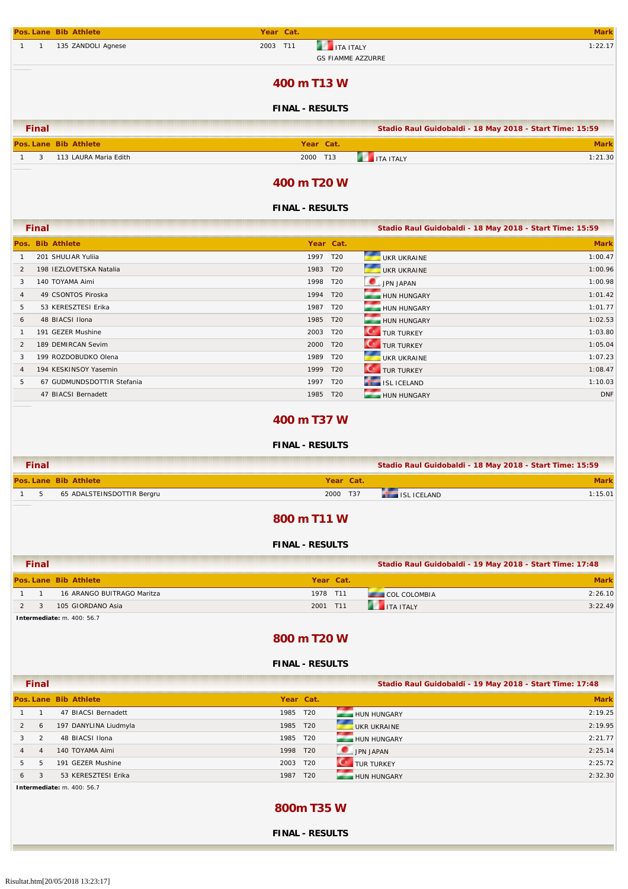|              |                | Pos. Lane Bib Athlete   | Year Cat.                    | <b>Mark</b>                                              |
|--------------|----------------|-------------------------|------------------------------|----------------------------------------------------------|
| $\mathbf{1}$ | $\overline{1}$ | 135 ZANDOLI Agnese      | 2003 T11<br><b>THE TEALY</b> | 1:22.17<br><b>GS FIAMME AZZURRE</b>                      |
|              |                |                         | 400 m T13 W                  |                                                          |
|              |                |                         | <b>FINAL - RESULTS</b>       |                                                          |
|              | <b>Final</b>   |                         |                              | Stadio Raul Guidobaldi - 18 May 2018 - Start Time: 15:59 |
|              |                | Pos. Lane Bib Athlete   | Year Cat.                    | <b>Mark</b>                                              |
| $\mathbf{1}$ | 3              | 113 LAURA Maria Edith   | 2000 T13                     | <b>THE TEALY</b><br>1:21.30                              |
|              |                |                         | 400 m T20 W                  |                                                          |
|              |                |                         | <b>FINAL - RESULTS</b>       |                                                          |
|              | <b>Final</b>   |                         |                              | Stadio Raul Guidobaldi - 18 May 2018 - Start Time: 15:59 |
|              |                | Pos. Bib Athlete        | Year Cat.                    | <b>Mark</b>                                              |
| $\mathbf{1}$ |                | 201 SHULIAR Yulija      | 1997 T20                     | 1:00.47<br>UKR UKRAINE                                   |
| 2            |                | 198 IEZLOVETSKA Natalia | 1983 T20                     | UKR UKRAINE<br>1:00.96                                   |
| 3            |                | 140 TOYAMA Aimi         | 1998 T20                     | JPN JAPAN<br>1:00.98                                     |
| 4            |                | 49 CSONTOS Piroska      | 1994 T20                     | 1:01.42<br>HUN HUNGARY                                   |
| 5            |                | 53 KERESZTESI Erika     | 1987<br>T20                  | 1:01.77<br>HUN HUNGARY                                   |
| 6            |                | 48 BIACSI Ilona         | 1985 T20                     | 1:02.53<br>HUN HUNGARY                                   |

### **400 m T37 W**

1 191 GEZER Mushine 1:03.80<br>2 189 DEMIRCAN Sevim 1:05.04 2000 T20 TUR TURKEY 1265.04 TUR TURKEY 1:05.04 TUR TURKEY 1:05.04 TUR TURKEY 1:05.04 3 199 ROZDOBUDKO Olena 1:07.23 4 194 KESKINSOY Yasemin 1:08.47<br>1:08.47 1999 T20 TUR TUR TURKEY 1:08.47 1:08.47 1:08.47 1:08.47 1999 T20 1:10.03 5 67 GUDMUNDSDOTTIR Stefania 1:10.03 and the step of the step of the step of the step of the step of the step of the step of the step of the step of the step of the step of the step of the step of the step of the step of t 47 BIACSI Bernadett **1985 T20** HUN HUNGARY DNF

#### **FINAL - RESULTS**

| <b>Final</b>  |                            |           | Stadio Raul Guidobaldi - 18 May 2018 - Start Time: 15:59 |         |
|---------------|----------------------------|-----------|----------------------------------------------------------|---------|
|               | Pos. Lane Bib Athlete      | Year Cat. |                                                          | Mark    |
| $\mathcal{D}$ | 65 ADALSTEINSDOTTIR Bergru | 2000 T37  | ISL ICELAND                                              | 1:15.01 |

#### **800 m T11 W**

#### **FINAL - RESULTS**

| Final |                            |           |                      | Stadio Raul Guidobaldi - 19 May 2018 - Start Time: 17:48 |
|-------|----------------------------|-----------|----------------------|----------------------------------------------------------|
|       | Pos. Lane Bib Athlete      | Year Cat. |                      | <b>Mark</b>                                              |
|       | 16 ARANGO BUITRAGO Maritza | 1978 T11  | <b>COL COLOMBIA</b>  | 2:26.10                                                  |
|       | 105 GIORDANO Asia          | 2001 T11  | <b>THE ITA ITALY</b> | 3:22.49                                                  |

**Intermediate:** m. 400: 56.7

#### **800 m T20 W**

#### **FINAL - RESULTS**

**Final Stadio Raul Guidobaldi - 19 May 2018 - Start Time: 17:48**

|   |                | Pos. Lane Bib Athlete | Year Cat. |                 |                    | <b>Mark</b> |
|---|----------------|-----------------------|-----------|-----------------|--------------------|-------------|
|   |                | 47 BIACSI Bernadett   | 1985 T20  |                 | <b>HUN HUNGARY</b> | 2:19.25     |
|   | 6              | 197 DANYLINA Liudmyla | 1985 T20  |                 | UKR UKRAINE        | 2:19.95     |
|   |                | 48 BIACSI Ilona       | 1985 T20  |                 | HUN HUNGARY        | 2:21.77     |
| 4 | $\overline{4}$ | 140 TOYAMA Aimi       | 1998 T20  |                 | JPN JAPAN          | 2:25.14     |
| 5 |                | 191 GEZER Mushine     | 2003 T20  |                 | <b>TUR TURKEY</b>  | 2:25.72     |
| 6 | 3              | 53 KERESZTESI Erika   | 1987      | T <sub>20</sub> | HUN HUNGARY        | 2:32.30     |

**Intermediate:** m. 400: 56.7

### **800m T35 W**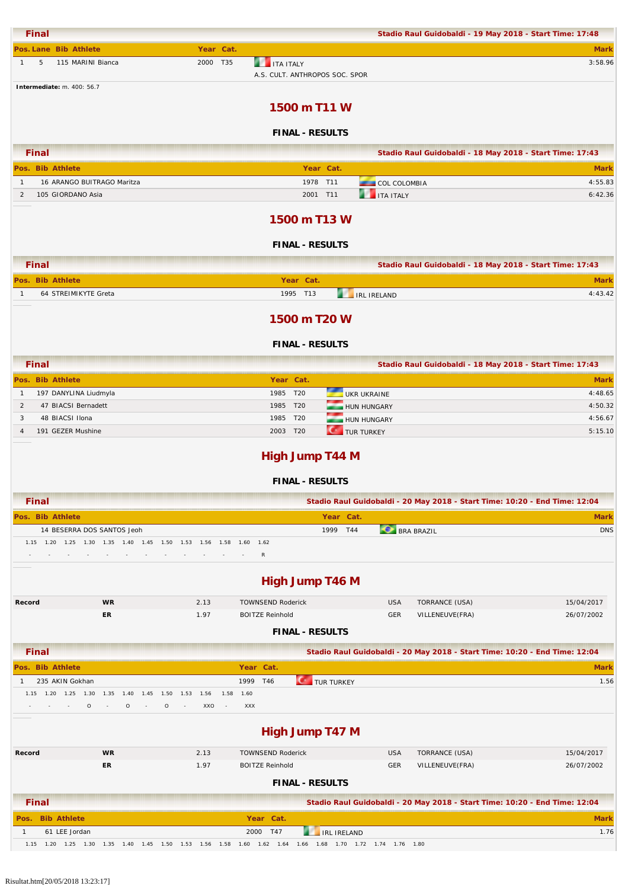| <b>Final</b>                                                  |                                                                  |                                                       |                                                                                       | Stadio Raul Guidobaldi - 19 May 2018 - Start Time: 17:48                   |                    |
|---------------------------------------------------------------|------------------------------------------------------------------|-------------------------------------------------------|---------------------------------------------------------------------------------------|----------------------------------------------------------------------------|--------------------|
| Pos. Lane Bib Athlete                                         |                                                                  | Year Cat.                                             |                                                                                       |                                                                            | <b>Mark</b>        |
| $\mathbf{1}$<br>5                                             | 115 MARINI Bianca                                                | 2000 T35                                              | <b>THE ITA ITALY</b><br>A.S. CULT. ANTHROPOS SOC. SPOR                                |                                                                            | 3:58.96            |
| Intermediate: m. 400: 56.7                                    |                                                                  |                                                       |                                                                                       |                                                                            |                    |
|                                                               |                                                                  |                                                       | 1500 m T11 W                                                                          |                                                                            |                    |
|                                                               |                                                                  |                                                       | <b>FINAL - RESULTS</b>                                                                |                                                                            |                    |
| <b>Final</b>                                                  |                                                                  |                                                       |                                                                                       | Stadio Raul Guidobaldi - 18 May 2018 - Start Time: 17:43                   |                    |
| Pos. Bib Athlete                                              |                                                                  |                                                       | Year Cat.                                                                             |                                                                            | <b>Mark</b>        |
| $\mathbf{1}$                                                  | 16 ARANGO BUITRAGO Maritza                                       |                                                       | 1978 T11                                                                              | <b>COL COLOMBIA</b>                                                        | 4:55.83            |
| 105 GIORDANO Asia<br>2                                        |                                                                  |                                                       | 2001 T11                                                                              | <b>THE ITA ITALY</b>                                                       | 6:42.36            |
|                                                               |                                                                  |                                                       | 1500 m T13 W                                                                          |                                                                            |                    |
|                                                               |                                                                  |                                                       | <b>FINAL - RESULTS</b>                                                                |                                                                            |                    |
| <b>Final</b>                                                  |                                                                  |                                                       |                                                                                       | Stadio Raul Guidobaldi - 18 May 2018 - Start Time: 17:43                   |                    |
| Pos. Bib Athlete                                              |                                                                  |                                                       | Year Cat.                                                                             |                                                                            | <b>Mark</b>        |
| 64 STREIMIKYTE Greta<br>$\mathbf{1}$                          |                                                                  |                                                       | 1995 T13                                                                              | <b>THE IRE IRELAND</b>                                                     | 4:43.42            |
|                                                               |                                                                  |                                                       | 1500 m T20 W                                                                          |                                                                            |                    |
|                                                               |                                                                  |                                                       | <b>FINAL - RESULTS</b>                                                                |                                                                            |                    |
| <b>Final</b>                                                  |                                                                  |                                                       |                                                                                       | Stadio Raul Guidobaldi - 18 May 2018 - Start Time: 17:43                   |                    |
| Pos. Bib Athlete                                              |                                                                  |                                                       | Year Cat.                                                                             |                                                                            | <b>Mark</b>        |
| 197 DANYLINA Liudmyla<br>$\mathbf{1}$                         |                                                                  |                                                       | 1985 T20                                                                              | <b>UKR UKRAINE</b>                                                         | 4:48.65            |
| $\overline{2}$<br>47 BIACSI Bernadett<br>48 BIACSI Ilona<br>3 |                                                                  |                                                       | 1985 T20<br>1985 T20                                                                  | HUN HUNGARY<br>HUN HUNGARY                                                 | 4:50.32<br>4:56.67 |
| 191 GEZER Mushine<br>$\overline{4}$                           |                                                                  |                                                       | <b>CONTROL</b> TURKEY<br>2003 T20                                                     |                                                                            | 5:15.10            |
| <b>Final</b>                                                  |                                                                  |                                                       | <b>High Jump T44 M</b><br><b>FINAL - RESULTS</b>                                      | Stadio Raul Guidobaldi - 20 May 2018 - Start Time: 10:20 - End Time: 12:04 |                    |
| Pos. Bib Athlete                                              |                                                                  |                                                       | Year Cat.                                                                             |                                                                            | <b>Mark</b>        |
|                                                               | 14 BESERRA DOS SANTOS Jeoh                                       |                                                       | 1999 T44                                                                              | <b>BRA BRAZIL</b>                                                          | <b>DNS</b>         |
|                                                               | 1.15 1.20 1.25 1.30 1.35 1.40 1.45 1.50 1.53 1.56 1.58           |                                                       | 1.60<br>1.62                                                                          |                                                                            |                    |
|                                                               |                                                                  |                                                       | R                                                                                     |                                                                            |                    |
|                                                               |                                                                  |                                                       | <b>High Jump T46 M</b>                                                                |                                                                            |                    |
| Record                                                        | <b>WR</b>                                                        | 2.13                                                  | <b>TOWNSEND Roderick</b>                                                              | <b>USA</b><br>TORRANCE (USA)                                               | 15/04/2017         |
|                                                               | ER                                                               | 1.97                                                  | <b>BOITZE Reinhold</b>                                                                | GER<br>VILLENEUVE(FRA)                                                     | 26/07/2002         |
|                                                               |                                                                  |                                                       | <b>FINAL - RESULTS</b>                                                                |                                                                            |                    |
| <b>Final</b>                                                  |                                                                  |                                                       |                                                                                       | Stadio Raul Guidobaldi - 20 May 2018 - Start Time: 10:20 - End Time: 12:04 |                    |
| Pos. Bib Athlete                                              |                                                                  |                                                       | Year Cat.                                                                             |                                                                            | <b>Mark</b>        |
| 235 AKIN Gokhan<br>$\mathbf{1}$                               |                                                                  |                                                       | 1999 T46<br>TUR TURKEY                                                                |                                                                            | 1.56               |
|                                                               | 1.15  1.20  1.25  1.30  1.35  1.40<br>1.45<br>$\circ$<br>$\circ$ | 1.50<br>1.53 1.56<br>1.58<br>$\circ$<br>XXO<br>$\sim$ | 1.60<br>XXX                                                                           |                                                                            |                    |
|                                                               |                                                                  |                                                       | <b>High Jump T47 M</b>                                                                |                                                                            |                    |
| Record                                                        | <b>WR</b>                                                        | 2.13                                                  | <b>TOWNSEND Roderick</b>                                                              | <b>USA</b><br>TORRANCE (USA)                                               | 15/04/2017         |
|                                                               | ER                                                               | 1.97                                                  | <b>BOITZE Reinhold</b>                                                                | GER<br>VILLENEUVE(FRA)                                                     | 26/07/2002         |
|                                                               |                                                                  |                                                       | <b>FINAL - RESULTS</b>                                                                |                                                                            |                    |
| <b>Final</b>                                                  |                                                                  |                                                       |                                                                                       | Stadio Raul Guidobaldi - 20 May 2018 - Start Time: 10:20 - End Time: 12:04 |                    |
| Pos. Bib Athlete                                              |                                                                  |                                                       | Year Cat.                                                                             |                                                                            | <b>Mark</b>        |
| 61 LEE Jordan<br>$\mathbf{1}$                                 |                                                                  |                                                       | 2000 T47<br>IRL IRELAND<br>1.60  1.62  1.64  1.66  1.68  1.70  1.72  1.74  1.76  1.80 |                                                                            | 1.76               |
|                                                               | 1.15  1.20  1.25  1.30  1.35  1.40                               | 1.53 1.56 1.58                                        |                                                                                       |                                                                            |                    |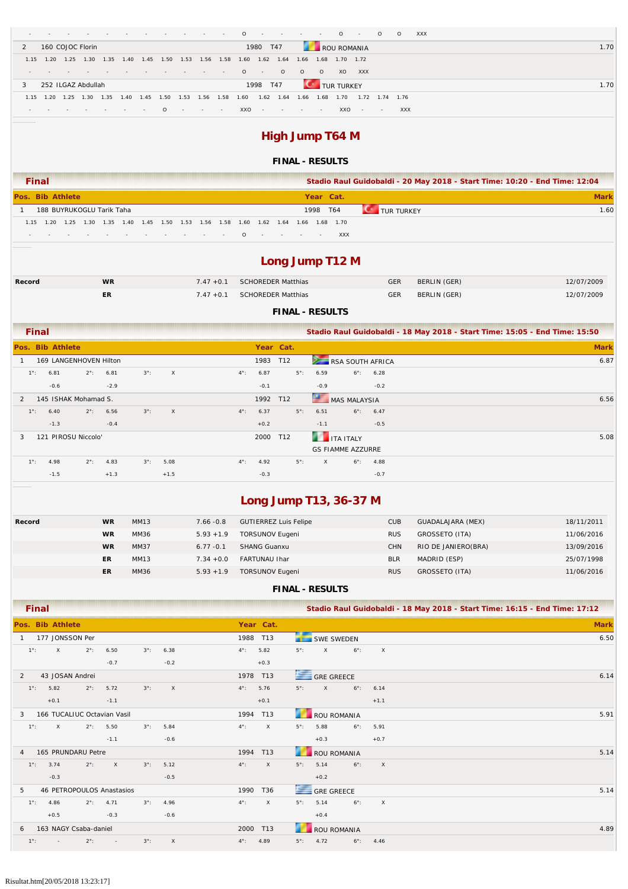|               |                                              |                          |      |        |      |  |                     |  |                                                                                 |  |          | $0 \rightarrow \cdots$ |               | <b>State State</b> | <b>Contract Contract</b> | $\circ$ -                                                  |            | $\circ$        | $\circ$ |     | XXX  |
|---------------|----------------------------------------------|--------------------------|------|--------|------|--|---------------------|--|---------------------------------------------------------------------------------|--|----------|------------------------|---------------|--------------------|--------------------------|------------------------------------------------------------|------------|----------------|---------|-----|------|
| $\mathcal{P}$ |                                              | 160 COJOC Florin         |      |        |      |  |                     |  |                                                                                 |  |          | 1980 T47               |               |                    |                          | ROU ROMANIA                                                |            |                |         |     | 1.70 |
|               |                                              | 1.15 1.20 1.25           | 1.30 |        |      |  | 1.35 1.40 1.45 1.50 |  |                                                                                 |  |          |                        |               |                    |                          | 1.53  1.56  1.58  1.60  1.62  1.64  1.66  1.68  1.70  1.72 |            |                |         |     |      |
|               | $\sim$                                       |                          |      | $\sim$ |      |  |                     |  | the contract of the contract of the contract of the contract of the contract of |  | $\Omega$ | $\sim$                 | $\circ$       | $\Omega$           | $\Omega$                 | XO.                                                        | <b>XXX</b> |                |         |     |      |
| 3             | 1998 T47<br>252 ILGAZ Abdullah<br>TUR TURKEY |                          |      |        |      |  |                     |  |                                                                                 |  |          | 1.70                   |               |                    |                          |                                                            |            |                |         |     |      |
|               |                                              | 1.15 1.20 1.25 1.30 1.35 |      |        | 1.40 |  |                     |  | 1.45 1.50 1.53 1.56 1.58                                                        |  | 1.60     |                        | $1.62$ $1.64$ | 1.66               | 1.68                     | 1.70                                                       |            | 1.72 1.74 1.76 |         |     |      |
|               |                                              | . 0                      |      |        |      |  |                     |  |                                                                                 |  |          |                        | $XXO$ $   -$  |                    |                          | XXO                                                        | $\sim$     | $\sim$ $-$     |         | XXX |      |

# **High Jump T64 M**

### **FINAL - RESULTS**

|                  | <b>Final</b> |  |  |  |                           |  |  |  |  |     |  | Stadio Raul Guidobaldi - 20 May 2018 - Start Time: 10:20 - End Time: 12:04 |           |                                                                                      |                     |      |  |
|------------------|--------------|--|--|--|---------------------------|--|--|--|--|-----|--|----------------------------------------------------------------------------|-----------|--------------------------------------------------------------------------------------|---------------------|------|--|
| Pos. Bib Athlete |              |  |  |  |                           |  |  |  |  |     |  |                                                                            | Year Cat. |                                                                                      |                     | Mark |  |
|                  |              |  |  |  | 188 BUYRUKOGLU Tarik Taha |  |  |  |  |     |  |                                                                            | 1998 T64  |                                                                                      | <b>CONTURTURKEY</b> | 1.60 |  |
|                  |              |  |  |  |                           |  |  |  |  |     |  |                                                                            |           | 1.15 1.20 1.25 1.30 1.35 1.40 1.45 1.50 1.53 1.56 1.58 1.60 1.62 1.64 1.66 1.68 1.70 |                     |      |  |
|                  |              |  |  |  |                           |  |  |  |  | . 0 |  |                                                                            |           | <b>XXX</b>                                                                           |                     |      |  |

# **Long Jump T12 M**

| Record | <b>WR</b> | 7.47 +0.1 SCHOREDER Matthias | <b>GER</b> | BERLIN (GER) | 12/07/2009 |
|--------|-----------|------------------------------|------------|--------------|------------|
|        | ER        | 7.47 +0.1 SCHOREDER Matthias | <b>GER</b> | BERLIN (GER) | 12/07/2009 |

### **FINAL - RESULTS**

|               | <b>Final</b>  |                        |               |                    |             |              |               |           |             |              |                          |                    | Stadio Raul Guidobaldi - 18 May 2018 - Start Time: 15:05 - End Time: 15:50 |
|---------------|---------------|------------------------|---------------|--------------------|-------------|--------------|---------------|-----------|-------------|--------------|--------------------------|--------------------|----------------------------------------------------------------------------|
|               |               | Pos. Bib Athlete       |               |                    |             |              |               | Year Cat. |             |              |                          |                    | <b>Mark</b>                                                                |
|               |               | 169 LANGENHOVEN Hilton |               |                    |             |              |               | 1983      | T12         |              | RSA SOUTH AFRICA         |                    | 6.87                                                                       |
|               | $1^{\circ}$ : | 6.81                   |               | $2^{\circ}$ : 6.81 | $3^\circ$ : | $\mathsf{X}$ | $4^{\circ}$ : | 6.87      | $5^\circ$ : | 6.59         | $6^\circ$ :              | 6.28               |                                                                            |
|               |               | $-0.6$                 |               | $-2.9$             |             |              |               | $-0.1$    |             | $-0.9$       |                          | $-0.2$             |                                                                            |
| $\mathcal{P}$ |               | 145 ISHAK Mohamad S.   |               |                    |             |              |               | 1992 T12  |             |              | MAS MALAYSIA             |                    | 6.56                                                                       |
|               | $1^{\circ}$ : | 6.40                   | $2^{\circ}$ : | 6.56               | $3^\circ$ : | $\mathsf{X}$ | $4^{\circ}$ : | 6.37      | $5^\circ$ : | 6.51         |                          | $6^{\circ}$ : 6.47 |                                                                            |
|               |               | $-1.3$                 |               | $-0.4$             |             |              |               | $+0.2$    |             | $-1.1$       |                          | $-0.5$             |                                                                            |
| 3             |               | 121 PIROSU Niccolo'    |               |                    |             |              |               | 2000 T12  |             |              | <b>THE TEALY</b>         |                    | 5.08                                                                       |
|               |               |                        |               |                    |             |              |               |           |             |              | <b>GS FIAMME AZZURRE</b> |                    |                                                                            |
|               | $1^{\circ}$ : | 4.98                   | $2^{\circ}$ : | 4.83               | $3^\circ$ : | 5.08         | $4^{\circ}$ : | 4.92      | $5^\circ$ : | $\mathsf{X}$ | $6^\circ$ :              | 4.88               |                                                                            |
|               |               | $-1.5$                 |               | $+1.3$             |             | $+1.5$       |               | $-0.3$    |             |              |                          | $-0.7$             |                                                                            |

# **Long Jump T13, 36-37 M**

| Record | <b>WR</b> | MM13 | $7.66 - 0.8$ | <b>GUTIERREZ Luis Felipe</b> | <b>CUB</b> | GUADALAJARA (MEX)   | 18/11/2011 |
|--------|-----------|------|--------------|------------------------------|------------|---------------------|------------|
|        | <b>WR</b> | MM36 | $5.93 + 1.9$ | <b>TORSUNOV Eugeni</b>       | <b>RUS</b> | GROSSETO (ITA)      | 11/06/2016 |
|        | <b>WR</b> | MM37 | $6.77 - 0.1$ | <b>SHANG Guanxu</b>          | <b>CHN</b> | RIO DE JANIERO(BRA) | 13/09/2016 |
|        | ER        | MM13 | $7.34 + 0.0$ | <b>FARTUNAU Ihar</b>         | <b>BLR</b> | MADRID (ESP)        | 25/07/1998 |
|        | ER        | MM36 | $5.93 + 1.9$ | <b>TORSUNOV Eugeni</b>       | <b>RUS</b> | GROSSETO (ITA)      | 11/06/2016 |

| <b>Final</b>                                                                             |                               | Stadio Raul Guidobaldi - 18 May 2018 - Start Time: 16:15 - End Time: 17:12 |             |
|------------------------------------------------------------------------------------------|-------------------------------|----------------------------------------------------------------------------|-------------|
| Pos. Bib Athlete                                                                         | Year Cat.                     |                                                                            | <b>Mark</b> |
| 177 JONSSON Per<br>1                                                                     | 1988 T13                      | <b>SWE SWEDEN</b>                                                          | 6.50        |
| $1^\circ$ :<br>$\times$<br>$2^\circ$ :<br>6.50<br>6.38<br>$3^\circ$ :                    | $4^{\circ}$ :<br>5.82         | $6^\circ$ :<br>$5^\circ$ :<br>$\times$<br>$\times$                         |             |
| $-0.7$<br>$-0.2$                                                                         | $+0.3$                        |                                                                            |             |
| 43 JOSAN Andrei<br>2                                                                     | 1978 T13                      | <b>GRE GREECE</b>                                                          | 6.14        |
| 5.82<br>5.72<br>$3^\circ$ :<br>$\boldsymbol{\mathsf{X}}$<br>$1^{\circ}$ :<br>$2^\circ$ : | $4^{\circ}$ :<br>5.76         | $5^\circ$ :<br>X<br>$6^\circ$ :<br>6.14                                    |             |
| $+0.1$<br>$-1.1$                                                                         | $+0.1$                        | $+1.1$                                                                     |             |
| 166 TUCALIUC Octavian Vasil<br>3                                                         | 1994 T13                      | <b>ROU ROMANIA</b>                                                         | 5.91        |
| $\mathsf{X}$<br>$2^{\circ}$ :<br>5.50<br>5.84<br>$1^\circ$ :<br>$3^\circ$ :              | $\mathsf{X}$<br>$4^{\circ}$ : | $5^\circ$ :<br>5.88<br>$6^\circ$ :<br>5.91                                 |             |
| $-1.1$<br>$-0.6$                                                                         |                               | $+0.3$<br>$+0.7$                                                           |             |
| 165 PRUNDARU Petre<br>4                                                                  | 1994 T13                      | <b>ROU ROMANIA</b>                                                         | 5.14        |
| $\times$<br>$1^\circ$ :<br>3.74<br>$2^\circ$ :<br>$3^\circ$ :<br>5.12                    | $\mathsf{X}$<br>$4^{\circ}$ : | 5.14<br>$6^\circ$ :<br>$\mathsf{X}$<br>$5^\circ$ :                         |             |
| $-0.3$<br>$-0.5$                                                                         |                               | $+0.2$                                                                     |             |
| 46 PETROPOULOS Anastasios<br>5                                                           | 1990 T36                      | GRE GREECE                                                                 | 5.14        |
| $1^{\circ}$ :<br>4.86<br>$2^{\circ}$ :<br>4.71<br>$3^\circ$ :<br>4.96                    | $\mathsf{X}$<br>$4^{\circ}$ : | $6^\circ$ :<br>$5^\circ$ :<br>5.14<br>$\times$                             |             |
| $+0.5$<br>$-0.3$<br>$-0.6$                                                               |                               | $+0.4$                                                                     |             |
| 163 NAGY Csaba-daniel<br>6                                                               | 2000 T13                      | <b>ROU ROMANIA</b>                                                         | 4.89        |
| $2^\circ$ :<br>$3^\circ$ :<br>X<br>$1^{\circ}$ :<br>$\sim$<br>$\sim$                     | 4.89<br>$4^{\circ}$ :         | 4.72<br>$6^\circ$ :<br>$5^\circ$ :<br>4.46                                 |             |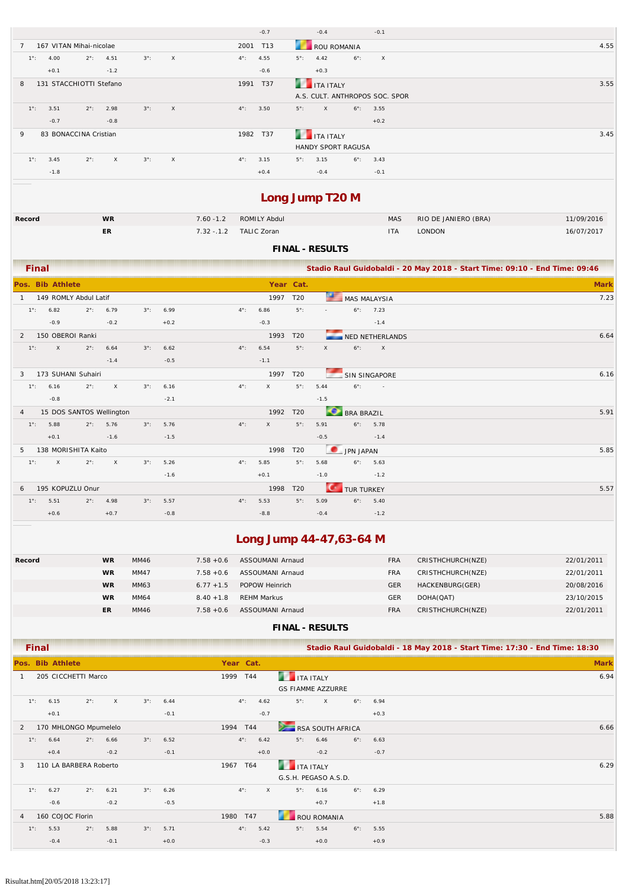|                                                                                     | $-0.7$                | $-0.4$<br>$-0.1$                                  |      |
|-------------------------------------------------------------------------------------|-----------------------|---------------------------------------------------|------|
| 167 VITAN Mihai-nicolae                                                             | 2001 T13              | ROU ROMANIA                                       | 4.55 |
| $2^{\circ}$ : 4.51<br>$3^\circ$ :<br>$\mathsf{X}$<br>$1^{\circ}$ :<br>4.00          | 4.55<br>$4^{\circ}$ : | $5^{\circ}$ : 4.42<br>$6^\circ$ :<br>$\mathsf{X}$ |      |
| $+0.1$<br>$-1.2$                                                                    | $-0.6$                | $+0.3$                                            |      |
| 131 STACCHIOTTI Stefano<br>8                                                        | T37<br>1991           | <b>THE TEAL ITALY</b>                             | 3.55 |
|                                                                                     |                       | A.S. CULT. ANTHROPOS SOC. SPOR                    |      |
| $2^{\circ}$ : 2.98<br>$3^\circ$ :<br>$1^\circ$ :<br>3.51<br>$\mathsf{X}$            | $4^{\circ}$ :<br>3.50 | $5^\circ$ :<br>$6^{\circ}$ : 3.55<br>X            |      |
| $-0.7$<br>$-0.8$                                                                    |                       | $+0.2$                                            |      |
| 83 BONACCINA Cristian<br>9                                                          | 1982 T37              | <b>THE TEALY</b>                                  | 3.45 |
|                                                                                     |                       | <b>HANDY SPORT RAGUSA</b>                         |      |
| $2^{\circ}$ :<br>$3^\circ$ :<br>$1^\circ$ :<br>3.45<br>$\mathsf{X}$<br>$\mathsf{X}$ | $4^{\circ}$ :<br>3.15 | $5^\circ$ :<br>$6^\circ$ :<br>3.15<br>3.43        |      |
| $-1.8$                                                                              | $+0.4$                | $-0.1$<br>$-0.4$                                  |      |

# **Long Jump T20 M**

| Record | WR        | 7.60 -1.2 ROMILY Abdul | MAS        | RIO DE JANIERO (BRA) | 11/09/2016 |
|--------|-----------|------------------------|------------|----------------------|------------|
|        | <b>ER</b> | 7.32 -.1.2 TALIC Zoran | <b>ITA</b> | LONDON               | 16/07/2017 |

### **FINAL - RESULTS**

|                | <b>Final</b>  |                  |                          |              |             |        |               |           |                 |                |                      |                 | Stadio Raul Guidobaldi - 20 May 2018 - Start Time: 09:10 - End Time: 09:46 |  |
|----------------|---------------|------------------|--------------------------|--------------|-------------|--------|---------------|-----------|-----------------|----------------|----------------------|-----------------|----------------------------------------------------------------------------|--|
|                |               | Pos. Bib Athlete |                          |              |             |        |               | Year Cat. |                 |                |                      |                 | <b>Mark</b>                                                                |  |
|                |               |                  | 149 ROMLY Abdul Latif    |              |             |        |               | 1997      | T20             | ×              | <b>MAS MALAYSIA</b>  |                 | 7.23                                                                       |  |
|                | $1^{\circ}$ : | 6.82             | $2^{\circ}$ :            | 6.79         | $3^\circ$ : | 6.99   | $4^{\circ}$ : | 6.86      | $5^\circ$ :     | $\overline{a}$ | $6^\circ$ :          | 7.23            |                                                                            |  |
|                |               | $-0.9$           |                          | $-0.2$       |             | $+0.2$ |               | $-0.3$    |                 |                |                      | $-1.4$          |                                                                            |  |
| 2              |               | 150 OBEROI Ranki |                          |              |             |        |               | 1993      | T <sub>20</sub> |                |                      | NED NETHERLANDS | 6.64                                                                       |  |
|                | $1^\circ$ :   | $\mathsf{X}$     | $2^{\circ}$ :            | 6.64         | $3^\circ$ : | 6.62   | $4^{\circ}$ : | 6.54      | $5^{\circ}$ :   | $\times$       | $6^\circ$ :          | $\mathsf{X}$    |                                                                            |  |
|                |               |                  |                          | $-1.4$       |             | $-0.5$ |               | $-1.1$    |                 |                |                      |                 |                                                                            |  |
| 3              |               |                  | 173 SUHANI Suhairi       |              |             |        |               | 1997      | T20             |                | <b>SIN SINGAPORE</b> |                 | 6.16                                                                       |  |
|                | $1^\circ$ :   | 6.16             | $2^{\circ}$ :            | $\mathsf{X}$ | $3^\circ$ : | 6.16   | $4^{\circ}$ : | $\times$  | $5^\circ$ :     | 5.44           | $6^\circ$ :          | $\sim 100$      |                                                                            |  |
|                |               | $-0.8$           |                          |              |             | $-2.1$ |               |           |                 | $-1.5$         |                      |                 |                                                                            |  |
| $\overline{4}$ |               |                  | 15 DOS SANTOS Wellington |              |             |        |               | 1992      | T <sub>20</sub> |                | <b>BRA BRAZIL</b>    |                 | 5.91                                                                       |  |
|                | $1^{\circ}$ : | 5.88             | $2^{\circ}$ :            | 5.76         | $3^\circ$ : | 5.76   | $4^{\circ}$ : | $\times$  | $5^\circ$ :     | 5.91           | $6^\circ$ :          | 5.78            |                                                                            |  |
|                |               | $+0.1$           |                          | $-1.6$       |             | $-1.5$ |               |           |                 | $-0.5$         |                      | $-1.4$          |                                                                            |  |
| 5              |               |                  | 138 MORISHITA Kaito      |              |             |        |               | 1998      | T20             |                | JPN JAPAN            |                 | 5.85                                                                       |  |
|                | $1^\circ$ :   | $\mathsf{X}$     | $2^{\circ}$ :            | $\times$     | $3^\circ$ : | 5.26   | $4^{\circ}$ : | 5.85      | $5^\circ$ :     | 5.68           | $6^\circ$ :          | 5.63            |                                                                            |  |
|                |               |                  |                          |              |             | $-1.6$ |               | $+0.1$    |                 | $-1.0$         |                      | $-1.2$          |                                                                            |  |
| 6              |               |                  | 195 KOPUZLU Onur         |              |             |        |               | 1998      | T20             |                | <b>TUR TURKEY</b>    |                 | 5.57                                                                       |  |
|                | $1^\circ$ :   | 5.51             | $2^{\circ}$ :            | 4.98         | $3^\circ$ : | 5.57   | $4^\circ$ :   | 5.53      | $5^\circ$ :     | 5.09           | $6^\circ$ :          | 5.40            |                                                                            |  |
|                |               | $+0.6$           |                          | $+0.7$       |             | $-0.8$ |               | $-8.8$    |                 | $-0.4$         |                      | $-1.2$          |                                                                            |  |

# **Long Jump 44-47,63-64 M**

| Record | <b>WR</b> | MM46        | $7.58 + 0.6$ | ASSOUMANI Arnaud   | <b>FRA</b> | CRISTHCHURCH(NZE) | 22/01/2011 |
|--------|-----------|-------------|--------------|--------------------|------------|-------------------|------------|
|        | <b>WR</b> | MM47        | $7.58 + 0.6$ | ASSOUMANI Arnaud   | <b>FRA</b> | CRISTHCHURCH(NZE) | 22/01/2011 |
|        | <b>WR</b> | MM63        | $6.77 + 1.5$ | POPOW Heinrich     | <b>GER</b> | HACKENBURG(GER)   | 20/08/2016 |
|        | WR        | <b>MM64</b> | $8.40 + 1.8$ | <b>REHM Markus</b> | GER        | DOHA(QAT)         | 23/10/2015 |
|        | ER        | MM46        | $7.58 + 0.6$ | ASSOUMANI Arnaud   | FRA        | CRISTHCHURCH(NZE) | 22/01/2011 |

| <b>Final</b>                       |                           |                     |                           |                                    | Stadio Raul Guidobaldi - 18 May 2018 - Start Time: 17:30 - End Time: 18:30 |             |
|------------------------------------|---------------------------|---------------------|---------------------------|------------------------------------|----------------------------------------------------------------------------|-------------|
| Pos. Bib Athlete                   |                           |                     | Year Cat.                 |                                    |                                                                            | <b>Mark</b> |
| 205 CICCHETTI Marco                |                           |                     | 1999 T44                  | <b>ITA ITALY</b>                   |                                                                            | 6.94        |
|                                    |                           |                     |                           | <b>GS FIAMME AZZURRE</b>           |                                                                            |             |
| $1^\circ$ :<br>6.15                | $2^{\circ}$ :<br>$\times$ | $3^\circ$ :<br>6.44 | $4^{\circ}$ :<br>4.62     | $6^\circ$ :<br>$5^\circ$ :<br>X    | 6.94                                                                       |             |
| $+0.1$                             |                           | $-0.1$              | $-0.7$                    |                                    | $+0.3$                                                                     |             |
| $\overline{2}$                     | 170 MHLONGO Mpumelelo     |                     | $\geq$<br>1994 T44        | RSA SOUTH AFRICA                   |                                                                            | 6.66        |
| $1^{\circ}$ :<br>6.64              | $2^{\circ}$ :<br>6.66     | $3^\circ$ :<br>6.52 | $4^{\circ}$ :<br>6.42     | $5^\circ$ :<br>$6^\circ$ :<br>6.46 | 6.63                                                                       |             |
| $+0.4$                             | $-0.2$                    | $-0.1$              | $+0.0$                    | $-0.2$                             | $-0.7$                                                                     |             |
| 3                                  | 110 LA BARBERA Roberto    |                     | 1967<br>T64               | <b>THE TEALY</b>                   |                                                                            | 6.29        |
|                                    |                           |                     |                           | G.S.H. PEGASO A.S.D.               |                                                                            |             |
| $1^\circ$ :<br>6.27                | $2^{\circ}$ :<br>6.21     | $3^\circ$ :<br>6.26 | $4^{\circ}$ :<br>$\times$ | $5^\circ$ :<br>$6^\circ$ :<br>6.16 | 6.29                                                                       |             |
| $-0.6$                             | $-0.2$                    | $-0.5$              |                           | $+0.7$                             | $+1.8$                                                                     |             |
| 160 COJOC Florin<br>$\overline{4}$ |                           |                     | 1980<br>T47               | <b>ROU ROMANIA</b>                 |                                                                            | 5.88        |
| 5.53<br>$1^\circ$ :                | 5.88<br>$2^\circ$ :       | $3^\circ$ :<br>5.71 | 5.42<br>$4^\circ$ :       | $5^\circ$ :<br>5.54<br>$6^\circ$ : | 5.55                                                                       |             |
| $-0.4$                             | $-0.1$                    | $+0.0$              | $-0.3$                    | $+0.0$                             | $+0.9$                                                                     |             |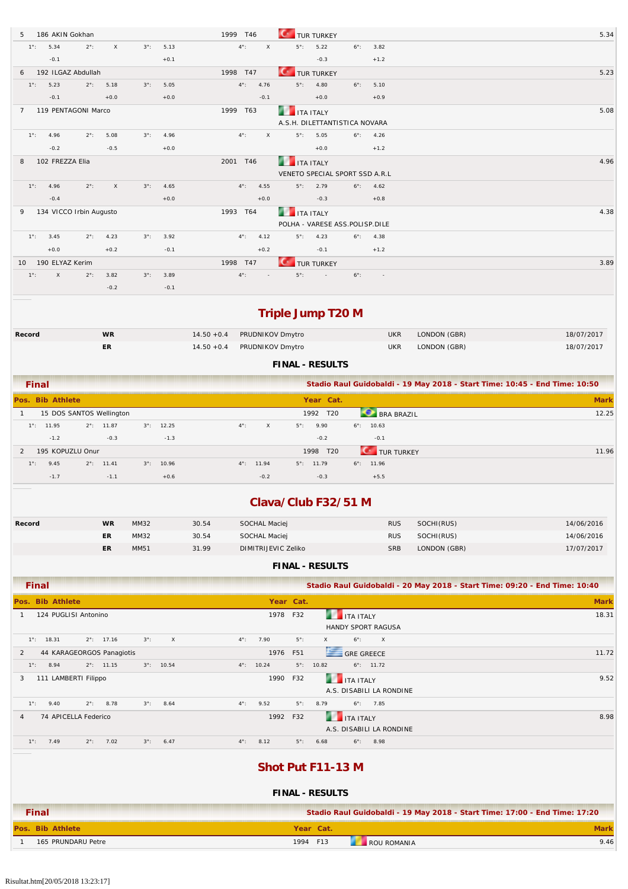| 186 AKIN Gokhan                      |                               |             |                     | 1999<br>T46                       |             |                     | TUR TURKEY                                         |                      |                          |              | 5.34                                                                       |
|--------------------------------------|-------------------------------|-------------|---------------------|-----------------------------------|-------------|---------------------|----------------------------------------------------|----------------------|--------------------------|--------------|----------------------------------------------------------------------------|
| 5.34<br>$1^{\circ}$ :                | $\mathsf X$<br>$2^{\circ}$ :  | $3^\circ$ : | 5.13                | $4^{\circ}$ :                     | $\times$    | $5^\circ$ :         | 5.22<br>$-0.3$                                     | $6^\circ$ :          | 3.82                     |              |                                                                            |
| $-0.1$<br>192 ILGAZ Abdullah<br>6    |                               |             | $+0.1$              | 1998 T47                          |             |                     |                                                    |                      | $+1.2$                   |              | 5.23                                                                       |
| 5.23<br>$1^{\circ}$ :                | 5.18<br>$2^\circ$ :           | $3^\circ$ : | 5.05                | $4^{\circ}$ :                     | 4.76        | $5^\circ$ :         | <b>TUR TURKEY</b><br>4.80                          | $6^\circ$ :          | 5.10                     |              |                                                                            |
| $-0.1$                               | $+0.0$                        |             | $+0.0$              |                                   | $-0.1$      |                     | $+0.0$                                             |                      | $+0.9$                   |              |                                                                            |
| 119 PENTAGONI Marco<br>7             |                               |             |                     | 1999 T63                          |             |                     | <b>ITA ITALY</b><br>A.S.H. DILETTANTISTICA NOVARA  |                      |                          |              | 5.08                                                                       |
| 4.96<br>$1^{\circ}$ :                | 5.08<br>$2^{\circ}$ :         | $3^\circ$ : | 4.96                | $4^{\circ}$ :                     | $\mathsf X$ | $5^\circ$ :         | 5.05                                               | $6^\circ$ :          | 4.26                     |              |                                                                            |
| $-0.2$                               | $-0.5$                        |             | $+0.0$              |                                   |             |                     | $+0.0$                                             |                      | $+1.2$                   |              |                                                                            |
| 102 FREZZA Elia<br>8                 |                               |             |                     | 2001 T46                          |             |                     | <b>ITA ITALY</b><br>VENETO SPECIAL SPORT SSD A.R.L |                      |                          |              | 4.96                                                                       |
| 4.96<br>$1^{\circ}$ :                | $2^{\circ}$ :<br>X            | $3^\circ$ : | 4.65                | $4^{\circ}$ :                     | 4.55        | $5^\circ$ :         | 2.79                                               | $6^\circ$ :          | 4.62                     |              |                                                                            |
| $-0.4$                               |                               |             | $+0.0$              |                                   | $+0.0$      |                     | $-0.3$                                             |                      | $+0.8$                   |              |                                                                            |
| 134 VICCO Irbin Augusto<br>9         |                               |             |                     | 1993 T64                          |             |                     | <b>ITA ITALY</b><br>POLHA - VARESE ASS.POLISP.DILE |                      |                          |              | 4.38                                                                       |
| 3.45<br>$1^{\circ}$ :                | 4.23<br>$2^{\circ}$ :         | $3^\circ$ : | 3.92                | $4^{\circ}$ :                     | 4.12        | $5^\circ$ :         | 4.23                                               | $6^\circ$ :          | 4.38                     |              |                                                                            |
| $+0.0$                               | $+0.2$                        |             | $-0.1$              |                                   | $+0.2$      |                     | $-0.1$                                             |                      | $+1.2$                   |              |                                                                            |
| 190 ELYAZ Kerim<br>10                |                               |             |                     | 1998 T47                          |             |                     | <b>TUR TURKEY</b>                                  |                      |                          |              | 3.89                                                                       |
| $1^{\circ}$ :<br>Χ                   | $2^\circ$ :<br>3.82           | $3^\circ$ : | 3.89                | $4^{\circ}$ :                     |             | $5^\circ$ :         | $\sim$                                             | $6^\circ$ :          | $\sim$                   |              |                                                                            |
|                                      | $-0.2$                        |             | $-0.1$              |                                   |             |                     |                                                    |                      |                          |              |                                                                            |
|                                      |                               |             |                     |                                   |             |                     | <b>Triple Jump T20 M</b>                           |                      |                          |              |                                                                            |
| Record                               | <b>WR</b>                     |             |                     | $14.50 + 0.4$<br>PRUDNIKOV Dmytro |             |                     |                                                    |                      | <b>UKR</b>               | LONDON (GBR) | 18/07/2017                                                                 |
|                                      | ER                            |             |                     | $14.50 + 0.4$<br>PRUDNIKOV Dmytro |             |                     |                                                    |                      | <b>UKR</b>               | LONDON (GBR) | 18/07/2017                                                                 |
|                                      |                               |             |                     |                                   |             |                     | <b>FINAL - RESULTS</b>                             |                      |                          |              |                                                                            |
| <b>Final</b>                         |                               |             |                     |                                   |             |                     |                                                    |                      |                          |              | Stadio Raul Guidobaldi - 19 May 2018 - Start Time: 10:45 - End Time: 10:50 |
| Pos. Bib Athlete                     |                               |             |                     |                                   |             |                     | Year Cat.                                          |                      |                          |              | <b>Mark</b>                                                                |
| $\mathbf{1}$                         | 15 DOS SANTOS Wellington      |             |                     |                                   |             |                     | 1992 T20                                           |                      | <b>BRA BRAZIL</b>        |              | 12.25                                                                      |
| $1^{\circ}$ : 11.95                  | $2^{\circ}$ : 11.87           | $3^\circ$ : | 12.25               | $4^{\circ}$ :                     | $\mathsf X$ | $5^\circ$ :         | 9.90                                               | $6^{\circ}$ : 10.63  |                          |              |                                                                            |
| $-1.2$                               | $-0.3$                        |             | $-1.3$              |                                   |             |                     | $-0.2$                                             |                      | $-0.1$                   |              |                                                                            |
| 195 KOPUZLU Onur<br>2                |                               |             |                     |                                   |             |                     | 1998 T20                                           |                      | TUR TURKEY               |              | 11.96                                                                      |
| $1^{\circ}$ :<br>9.45<br>$-1.7$      | $2^{\circ}$ : 11.41<br>$-1.1$ | $3^\circ$ : | 10.96<br>$+0.6$     | $4^{\circ}$ : 11.94               | $-0.2$      |                     | $5^{\circ}$ : 11.79<br>$-0.3$                      | $6^{\circ}$ : 11.96  | $+5.5$                   |              |                                                                            |
|                                      |                               |             |                     |                                   |             |                     |                                                    |                      |                          |              |                                                                            |
|                                      |                               |             |                     |                                   |             |                     | Clava/Club F32/51 M                                |                      |                          |              |                                                                            |
| Record                               | <b>WR</b>                     | MM32        |                     | 30.54<br><b>SOCHAL Maciej</b>     |             |                     |                                                    |                      | <b>RUS</b>               | SOCHI(RUS)   | 14/06/2016                                                                 |
|                                      | ER                            | MM32        |                     | 30.54<br>SOCHAL Maciej            |             |                     |                                                    |                      | <b>RUS</b>               | SOCHI(RUS)   | 14/06/2016                                                                 |
|                                      | ER                            | MM51        |                     | 31.99                             |             | DIMITRIJEVIC Zeliko |                                                    |                      | <b>SRB</b>               | LONDON (GBR) | 17/07/2017                                                                 |
|                                      |                               |             |                     |                                   |             |                     | <b>FINAL - RESULTS</b>                             |                      |                          |              |                                                                            |
| <b>Final</b>                         |                               |             |                     |                                   |             |                     |                                                    |                      |                          |              | Stadio Raul Guidobaldi - 20 May 2018 - Start Time: 09:20 - End Time: 10:40 |
| Pos. Bib Athlete                     |                               |             |                     |                                   |             | Year Cat.           |                                                    |                      |                          |              | <b>Mark</b>                                                                |
| 124 PUGLISI Antonino<br>$\mathbf{1}$ |                               |             |                     |                                   |             | 1978 F32            |                                                    | <b>THE ITA ITALY</b> | HANDY SPORT RAGUSA       |              | 18.31                                                                      |
| $1^{\circ}$ : 18.31                  | $2^{\circ}$ : 17.16           | $3^\circ$ : | $\mathsf X$         | $4^{\circ}$ :                     | 7.90        | $5^\circ$ :         | X                                                  | $6^\circ$ :          | $\times$                 |              |                                                                            |
| 2                                    | 44 KARAGEORGOS Panagiotis     |             |                     |                                   |             | 1976 F51            |                                                    | <b>GRE GREECE</b>    |                          |              | 11.72                                                                      |
| 8.94<br>$1^\circ$ :                  | $2^{\circ}$ : 11.15           |             | $3^{\circ}$ : 10.54 | $4^{\circ}$ : 10.24               |             |                     | $5^{\circ}$ : 10.82                                | $6^{\circ}$ : 11.72  |                          |              |                                                                            |
| 111 LAMBERTI Filippo<br>3            |                               |             |                     |                                   |             | 1990 F32            |                                                    | <b>THE ITA ITALY</b> | A.S. DISABILI LA RONDINE |              | 9.52                                                                       |
| 9.40<br>$1^\circ$ :                  | $2^{\circ}$ : 8.78            | $3^\circ$ : | 8.64                | $4^{\circ}$ :                     | 9.52        | $5^\circ$ :         | 8.79                                               | $6^{\circ}$ : 7.85   |                          |              |                                                                            |
| 74 APICELLA Federico<br>4            |                               |             |                     |                                   |             | 1992 F32            | 79                                                 | <b>ITA ITALY</b>     | A.S. DISABILI LA RONDINE |              | 8.98                                                                       |
| $1^{\circ}$ : 7.49                   | $2^{\circ}$ : 7.02            | $3^\circ$ : | 6.47                | $4^{\circ}$ :                     | 8.12        | $5^\circ$ :         | 6.68                                               | $6^{\circ}$ : 8.98   |                          |              |                                                                            |
|                                      |                               |             |                     |                                   |             |                     | Shot Put F11-13 M<br><b>FINAL - RESULTS</b>        |                      |                          |              |                                                                            |

| Final              | Stadio Raul Guidobaldi - 19 May 2018 - Start Time: 17:00 - End Time: 17:20 |      |
|--------------------|----------------------------------------------------------------------------|------|
| Pos. Bib Athlete   | Year Cat.                                                                  | Mark |
| 165 PRUNDARU Petre | 1994 F13<br>ROU ROMANIA                                                    | 9.46 |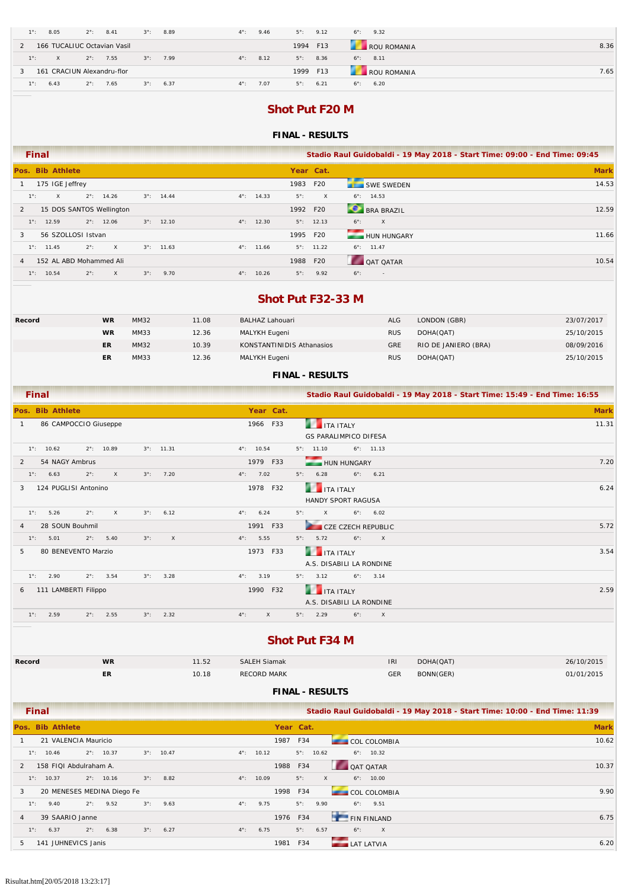| $1^\circ$ :<br>8.05     | $2^\circ$ :<br>8.41         | $3^\circ$ :<br>8.89 | $4^\circ$ :<br>9.46   | 9.12<br>$5^\circ$ : | $6^\circ$ :<br>9.32 |      |
|-------------------------|-----------------------------|---------------------|-----------------------|---------------------|---------------------|------|
|                         | 166 TUCALIUC Octavian Vasil |                     |                       | 1994 F13            | ROU ROMANIA         | 8.36 |
| $1^\circ$ :<br>$\times$ | $2^{\circ}$ : 7.55          | $3^\circ$ :<br>7.99 | $4^\circ$ :<br>8.12   | $5^\circ$ :<br>8.36 | $6^\circ$ : 8.11    |      |
|                         | 161 CRACIUN Alexandru-flor  |                     |                       | 1999 F13            | ROU ROMANIA         | 7.65 |
| $1^\circ$ :<br>6.43     | 7.65<br>$2^{\circ}$ :       | 6.37<br>$3^\circ$ : | 7.07<br>$4^{\circ}$ : | $5^\circ$ :<br>6.21 | $6^\circ$ :<br>6.20 |      |

# **Shot Put F20 M**

#### **FINAL - RESULTS**

| Final                         |                             |             |                     |             |                     |             |                     | Stadio Raul Guidobaldi - 19 May 2018 - Start Time: 09:00 - End Time: 09:45 |             |
|-------------------------------|-----------------------------|-------------|---------------------|-------------|---------------------|-------------|---------------------|----------------------------------------------------------------------------|-------------|
| Pos. Bib Athlete              |                             |             |                     |             |                     | Year Cat.   |                     |                                                                            | <b>Mark</b> |
| 175 IGE Jeffrey               |                             |             |                     |             |                     | 1983 F20    |                     | SWE SWEDEN                                                                 | 14.53       |
| $1^{\circ}$ :<br>$\mathsf{X}$ | $2^{\circ}$ : 14.26         |             | $3^{\circ}$ : 14.44 |             | $4^{\circ}$ : 14.33 | $5^\circ$ : | X                   | $6^\circ$ : 14.53                                                          |             |
| 2                             | 15 DOS SANTOS Wellington    |             |                     |             |                     | 1992 F20    |                     | BRA BRAZIL                                                                 | 12.59       |
| $1^\circ$ : 12.59             | $2^{\circ}$ : 12.06         |             | $3^{\circ}$ : 12.10 |             | $4^{\circ}$ : 12.30 |             | $5^\circ$ : 12.13   | $6^\circ$ :<br>$\mathsf{X}$                                                |             |
| 56 SZOLLOSI Istvan<br>3       |                             |             |                     |             |                     | 1995 F20    |                     | HUN HUNGARY                                                                | 11.66       |
| $1^\circ$ : 11.45             | $2^\circ$ :<br>$\mathsf{X}$ |             | $3^{\circ}$ : 11.63 |             | $4^{\circ}$ : 11.66 |             | $5^{\circ}$ : 11.22 | $6^\circ$ : 11.47                                                          |             |
| 4                             | 152 AL ABD Mohammed Ali     |             |                     |             |                     | 1988        | F20                 | <b>QAT QATAR</b>                                                           | 10.54       |
| $1^\circ$ : 10.54             | $2^\circ$ :<br>X            | $3^\circ$ : | 9.70                | $4^\circ$ : | 10.26               | $5^\circ$ : | 9.92                | $6^\circ$ :<br>$\overline{\phantom{a}}$                                    |             |

### **Shot Put F32-33 M**

| Record | <b>WR</b> | MM32 | 11.08 | BALHAZ Lahouari           | <b>ALG</b> | LONDON (GBR)         | 23/07/2017 |
|--------|-----------|------|-------|---------------------------|------------|----------------------|------------|
|        | <b>WR</b> | MM33 | 12.36 | MALYKH Eugeni             | <b>RUS</b> | DOHA(QAT)            | 25/10/2015 |
|        | ER        | MM32 | 10.39 | KONSTANTINIDIS Athanasios | <b>GRE</b> | RIO DE JANIERO (BRA) | 08/09/2016 |
|        | ER        | MM33 | 12.36 | MALYKH Eugeni             | <b>RUS</b> | DOHA(QAT)            | 25/10/2015 |

### **FINAL - RESULTS**

| <b>Final</b>                                                                  |                               | Stadio Raul Guidobaldi - 19 May 2018 - Start Time: 15:49 - End Time: 16:55 |
|-------------------------------------------------------------------------------|-------------------------------|----------------------------------------------------------------------------|
| Pos. Bib Athlete                                                              | Year Cat.                     | <b>Mark</b>                                                                |
| 86 CAMPOCCIO Giuseppe                                                         | 1966 F33                      | 11.31<br><b>THE TEALY</b>                                                  |
|                                                                               |                               | <b>GS PARALIMPICO DIFESA</b>                                               |
| $1^\circ$ :<br>10.62<br>$2^{\circ}$ :<br>10.89<br>$3^{\circ}$ : 11.31         | 10.54<br>$4^{\circ}$ :        | $6^{\circ}$ : 11.13<br>$5^\circ$ :<br>11.10                                |
| 54 NAGY Ambrus<br>2                                                           | 1979 F33                      | 7.20<br>HUN HUNGARY                                                        |
| $\mathsf{X}$<br>7.20<br>$1^\circ$ :<br>$2^\circ$ :<br>$3^\circ$ :<br>6.63     | $4^{\circ}$ : 7.02            | $5^\circ$ :<br>$6^\circ$ :<br>6.21<br>6.28                                 |
| 124 PUGLISI Antonino<br>3                                                     | 1978 F32                      | 6.24<br><b>THE TEALY</b>                                                   |
|                                                                               |                               | HANDY SPORT RAGUSA                                                         |
| $2^{\circ}$ :<br>$\times$<br>6.12<br>$1^{\circ}$ :<br>5.26<br>$3^\circ$ :     | 6.24<br>$4^{\circ}$ :         | $5^\circ$ :<br>$\mathsf{X}$<br>$6^{\circ}$ : 6.02                          |
| 28 SOUN Bouhmil<br>4                                                          | 1991 F33                      | 5.72<br>CZE CZECH REPUBLIC                                                 |
| $2^{\circ}$ :<br>5.40<br>$3^\circ$ :<br>$\mathsf{X}$<br>$1^{\circ}$ :<br>5.01 | $4^{\circ}$ : 5.55            | $5^{\circ}$ : 5.72<br>$6^\circ$ :<br>$\mathsf{X}$                          |
| 80 BENEVENTO Marzio<br>5                                                      | 1973 F33                      | <b>THE TEALY</b><br>3.54                                                   |
|                                                                               |                               | A.S. DISABILI LA RONDINE                                                   |
| 2.90<br>3.54<br>3.28<br>$1^{\circ}$ :<br>$2^{\circ}$ :<br>$3^\circ$ :         | $4^\circ$ :<br>3.19           | $6^{\circ}$ : 3.14<br>$5^\circ$ :<br>3.12                                  |
| 111 LAMBERTI Filippo<br>6                                                     | 1990 F32                      | <b>THE TEALY</b><br>2.59                                                   |
|                                                                               |                               | A.S. DISABILI LA RONDINE                                                   |
| $1^\circ$ :<br>2.59<br>$2^{\circ}$ :<br>2.55<br>$3^\circ$ :<br>2.32           | $4^{\circ}$ :<br>$\mathsf{X}$ | 2.29<br>$5^\circ$ :<br>$6^\circ$ :<br>$\mathsf{X}$                         |

### **Shot Put F34 M**

| Record | <b>WR</b> | 11.52 | <b>SALEH Siamak</b> | IRI        | DOHA(QAT) | 26/10/2015 |
|--------|-----------|-------|---------------------|------------|-----------|------------|
|        | ER        | 10.18 | RECORD MARK         | <b>GER</b> | BONN(GER) | 01/01/2015 |

|                | <b>Final</b> |                        |             |                            |             |                     |               |       |      |                     |          |                   |             |                     | Stadio Raul Guidobaldi - 19 May 2018 - Start Time: 10:00 - End Time: 11:39 |
|----------------|--------------|------------------------|-------------|----------------------------|-------------|---------------------|---------------|-------|------|---------------------|----------|-------------------|-------------|---------------------|----------------------------------------------------------------------------|
|                |              | Pos. Bib Athlete       |             |                            |             |                     |               |       |      | Year Cat.           |          |                   |             |                     | <b>Mark</b>                                                                |
|                |              | 21 VALENCIA Mauricio   |             |                            |             |                     |               |       | 1987 | F34                 |          |                   |             | <b>COL COLOMBIA</b> | 10.62                                                                      |
|                | $1^\circ$ :  | 10.46                  |             | $2^{\circ}$ : 10.37        |             | $3^{\circ}$ : 10.47 | $4^\circ$ :   | 10.12 |      | $5^{\circ}$ : 10.62 |          |                   |             | $6^{\circ}$ : 10.32 |                                                                            |
| $\mathcal{P}$  |              | 158 FIQI Abdulraham A. |             |                            |             |                     |               |       | 1988 | F34                 |          |                   |             | OAT OATAR           | 10.37                                                                      |
|                | $1^\circ$ :  | 10.37                  |             | $2^{\circ}$ : 10.16        |             | $3^{\circ}$ : 8.82  | $4^{\circ}$ : | 10.09 |      | $5^\circ$ :         | $\times$ |                   |             | $6^\circ$ : 10.00   |                                                                            |
| 3              |              |                        |             | 20 MENESES MEDINA Diego Fe |             |                     |               |       | 1998 | F34                 |          |                   |             | <b>COL COLOMBIA</b> | 9.90                                                                       |
|                | $1^\circ$ :  | 9.40                   |             | $2^{\circ}$ : 9.52         |             | $3^{\circ}$ : 9.63  | $4^{\circ}$ : | 9.75  |      | $5^\circ$ :         | 9.90     |                   |             | $6^{\circ}$ : 9.51  |                                                                            |
| $\overline{4}$ |              | 39 SAARIO Janne        |             |                            |             |                     |               |       | 1976 | F34                 |          |                   |             | FIN FINLAND         | 6.75                                                                       |
|                | $1^\circ$ :  | 6.37                   | $2^\circ$ : | 6.38                       | $3^\circ$ : | 6.27                | $4^\circ$ :   | 6.75  |      | $5^\circ$ :         | 6.57     |                   | $6^\circ$ : | $\mathsf{X}$        |                                                                            |
| .5             |              | 141 JUHNEVICS Janis    |             |                            |             |                     |               |       | 1981 | F34                 |          | <b>LAT LATVIA</b> |             |                     | 6.20                                                                       |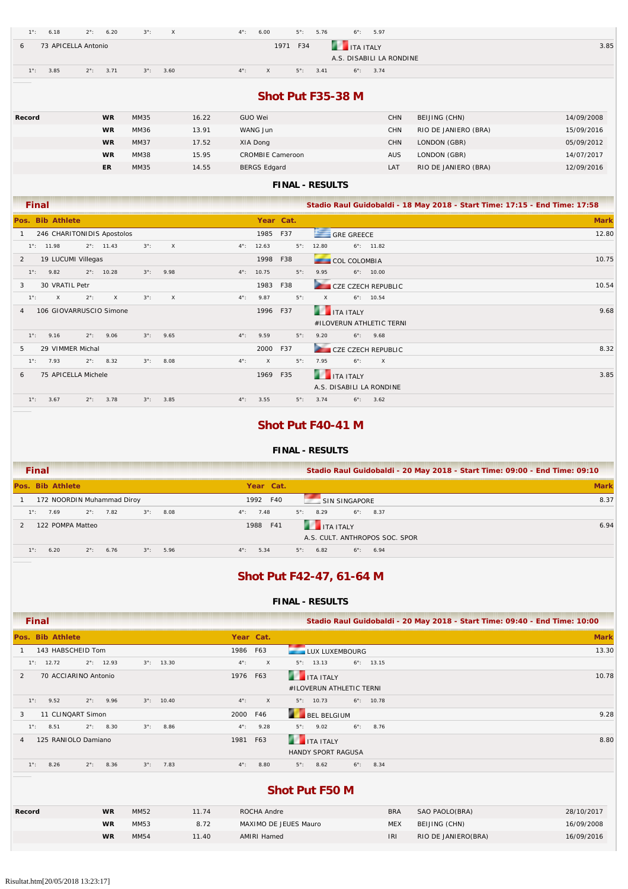|              | $1^\circ$ :   | 6.18                | $2^\circ$ :                | 6.20                | $3^\circ$ : | $\mathsf X$ |       | $4^{\circ}$ : | 6.00                      |                         | $5^\circ$ :<br>5.76         | $6^\circ$ :          | 5.97                     |                                                                            |             |
|--------------|---------------|---------------------|----------------------------|---------------------|-------------|-------------|-------|---------------|---------------------------|-------------------------|-----------------------------|----------------------|--------------------------|----------------------------------------------------------------------------|-------------|
| 6            |               |                     | 73 APICELLA Antonio        |                     |             |             |       |               |                           | 1971 F34                |                             | <b>ITA ITALY</b>     |                          |                                                                            | 3.85        |
|              |               |                     |                            |                     |             |             |       |               |                           |                         |                             |                      | A.S. DISABILI LA RONDINE |                                                                            |             |
|              | $1^\circ$ :   | 3.85                | $2^{\circ}$ :              | 3.71                | $3^\circ$ : | 3.60        |       | $4^{\circ}$ : | $\mathsf X$               |                         | $5^\circ$ :<br>3.41         |                      | $6^{\circ}$ : 3.74       |                                                                            |             |
|              |               |                     |                            |                     |             |             |       |               |                           |                         |                             |                      |                          |                                                                            |             |
|              |               |                     |                            |                     |             |             |       |               |                           |                         |                             | Shot Put F35-38 M    |                          |                                                                            |             |
| Record       |               |                     |                            | <b>WR</b>           | MM35        |             | 16.22 |               | <b>GUO Wei</b>            |                         |                             |                      | CHN                      | BEIJING (CHN)                                                              | 14/09/2008  |
|              |               |                     |                            | <b>WR</b>           | MM36        |             | 13.91 |               | WANG Jun                  |                         |                             |                      | <b>CHN</b>               | RIO DE JANIERO (BRA)                                                       | 15/09/2016  |
|              |               |                     |                            | <b>WR</b>           | <b>MM37</b> |             | 17.52 |               | XIA Dong                  |                         |                             |                      | <b>CHN</b>               | LONDON (GBR)                                                               | 05/09/2012  |
|              |               |                     |                            | <b>WR</b>           | <b>MM38</b> |             | 15.95 |               |                           | <b>CROMBIE Cameroon</b> |                             |                      | <b>AUS</b>               | LONDON (GBR)                                                               | 14/07/2017  |
|              |               |                     |                            | <b>ER</b>           | MM35        |             | 14.55 |               | <b>BERGS Edgard</b>       |                         |                             |                      | LAT                      | RIO DE JANIERO (BRA)                                                       | 12/09/2016  |
|              |               |                     |                            |                     |             |             |       |               |                           |                         | <b>FINAL - RESULTS</b>      |                      |                          |                                                                            |             |
|              |               |                     |                            |                     |             |             |       |               |                           |                         |                             |                      |                          |                                                                            |             |
|              | <b>Final</b>  |                     |                            |                     |             |             |       |               |                           |                         |                             |                      |                          | Stadio Raul Guidobaldi - 18 May 2018 - Start Time: 17:15 - End Time: 17:58 |             |
|              |               | Pos. Bib Athlete    |                            |                     |             |             |       |               |                           | Year Cat.               |                             |                      |                          |                                                                            | <b>Mark</b> |
| $\mathbf{1}$ |               |                     | 246 CHARITONIDIS Apostolos |                     |             |             |       |               | 1985                      | F37                     |                             | GRE GREECE           |                          |                                                                            | 12.80       |
|              |               | $1^{\circ}$ : 11.98 |                            | $2^{\circ}$ : 11.43 | $3^\circ$ : | $\mathsf X$ |       | $4^{\circ}$ : | 12.63                     |                         | 12.80<br>$5^\circ$ :        |                      | $6^{\circ}$ : 11.82      |                                                                            |             |
| 2            |               |                     | 19 LUCUMI Villegas         |                     |             |             |       |               | 1998                      | F38                     |                             | COL COLOMBIA         |                          |                                                                            | 10.75       |
|              | $1^\circ$ :   | 9.82                |                            | $2^{\circ}$ : 10.28 | $3^\circ$ : | 9.98        |       | $4^{\circ}$ : | 10.75                     |                         | $5^\circ$ :<br>9.95         |                      | $6^{\circ}$ : 10.00      |                                                                            |             |
| 3            |               | 30 VRATIL Petr      |                            |                     |             |             |       |               | 1983                      | F38                     |                             |                      | CZE CZECH REPUBLIC       |                                                                            | 10.54       |
|              | $1^{\circ}$ : | $\mathsf{x}$        | $2^\circ$ :                | $\times$            | $3^\circ$ : | $\mathsf X$ |       | $4^{\circ}$ : | 9.87                      |                         | $\mathsf{x}$<br>$5^\circ$ : |                      | $6^{\circ}$ : 10.54      |                                                                            |             |
| 4            |               |                     | 106 GIOVARRUSCIO Simone    |                     |             |             |       |               | 1996 F37                  |                         |                             | <b>THE ITA ITALY</b> |                          |                                                                            | 9.68        |
|              |               |                     |                            |                     |             |             |       |               |                           |                         |                             |                      | #ILOVERUN ATHLETIC TERNI |                                                                            |             |
|              | $1^\circ$ :   | 9.16                | $2^{\circ}$ :              | 9.06                | $3^\circ$ : | 9.65        |       | $4^{\circ}$ : | 9.59                      |                         | $5^\circ$ :<br>9.20         | $6^\circ$ :          | 9.68                     |                                                                            |             |
| 5            |               |                     | 29 VIMMER Michal           |                     |             |             |       |               | 2000                      | F37                     |                             |                      | CZE CZECH REPUBLIC       |                                                                            | 8.32        |
|              | $1^\circ$ :   | 7.93                | $2^\circ$ :                | 8.32                | $3^\circ$ : | 8.08        |       | $4^{\circ}$ : | $\boldsymbol{\mathsf{X}}$ |                         | $5^\circ$ :<br>7.95         | $6^\circ$ :          | $\mathsf X$              |                                                                            |             |
| 6            |               |                     | 75 APICELLA Michele        |                     |             |             |       |               | 1969                      | F35                     |                             | <b>THE ITA ITALY</b> |                          |                                                                            | 3.85        |
|              |               |                     |                            |                     |             |             |       |               |                           |                         |                             |                      | A.S. DISABILI LA RONDINE |                                                                            |             |
|              | $1^\circ$ :   | 3.67                | $2^\circ$ :                | 3.78                | $3^\circ$ : | 3.85        |       | $4^\circ$ :   | 3.55                      |                         | $5^\circ$ :<br>3.74         |                      | $6^{\circ}$ : 3.62       |                                                                            |             |
|              |               |                     |                            |                     |             |             |       |               |                           |                         |                             |                      |                          |                                                                            |             |

### **Shot Put F40-41 M**

#### **FINAL - RESULTS**

| <b>Final</b>                                                      | Stadio Raul Guidobaldi - 20 May 2018 - Start Time: 09:00 - End Time: 09:10 |             |
|-------------------------------------------------------------------|----------------------------------------------------------------------------|-------------|
| Pos. Bib Athlete                                                  | Year Cat.                                                                  | <b>Mark</b> |
| 172 NOORDIN Muhammad Diroy                                        | F40<br>1992<br>SIN SINGAPORE                                               | 8.37        |
| $2^{\circ}$ : 7.82<br>$3^\circ$ :<br>8.08<br>$1^\circ$ :<br>7.69  | $5^{\circ}$ : 8.29<br>$6^\circ$ : 8.37<br>$4^\circ$ :<br>7.48              |             |
| 122 POMPA Matteo                                                  | <b>THE TEALY</b><br>1988<br>F41<br>A.S. CULT. ANTHROPOS SOC. SPOR          | 6.94        |
| $1^\circ$ :<br>5.96<br>$2^\circ$ :<br>6.76<br>$3^\circ$ :<br>6.20 | $4^\circ$ :<br>5.34<br>6.82<br>$5^\circ$ :<br>$6^\circ$ :<br>6.94          |             |

## **Shot Put F42-47, 61-64 M**

#### **FINAL - RESULTS**

| <b>Final</b>                                                      |               | Stadio Raul Guidobaldi - 20 May 2018 - Start Time: 09:40 - End Time: 10:00 |
|-------------------------------------------------------------------|---------------|----------------------------------------------------------------------------|
| Pos. Bib Athlete                                                  | Year Cat.     | <b>Mark</b>                                                                |
| 143 HABSCHEID Tom                                                 | 1986 F63      | 13.30<br>LUX LUXEMBOURG                                                    |
| $2^{\circ}$ : 12.93<br>$3^{\circ}$ : 13.30<br>$1^\circ$ : 12.72   | $4^\circ$ :   | $6^{\circ}$ : 13.15<br>$\times$<br>$5^\circ$ : 13.13                       |
| 70 ACCIARINO Antonio<br>2                                         | 1976 F63      | <b>THE TEALY</b><br>10.78                                                  |
|                                                                   |               | #ILOVERUN ATHLETIC TERNI                                                   |
| $1^\circ$ :<br>9.52<br>$2^{\circ}$ : 9.96<br>$3^{\circ}$ : 10.40  | $4^\circ$ :   | $\mathsf{X}$<br>$5^{\circ}$ : 10.73<br>$6^{\circ}$ : 10.78                 |
| 11 CLINQART Simon<br>3                                            | 2000 F46      | <b>BEL BELGIUM</b><br>9.28                                                 |
| 8.51<br>$2^{\circ}$ : 8.30<br>8.86<br>$3^\circ$ :<br>$1^\circ$ :  | $4^{\circ}$ : | 9.28<br>$5^{\circ}$ : 9.02<br>$6^\circ$ :<br>8.76                          |
| 125 RANIOLO Damiano<br>$\overline{4}$                             | 1981          | <b>THE TEALY</b><br>8.80<br>F63                                            |
|                                                                   |               | <b>HANDY SPORT RAGUSA</b>                                                  |
| 8.26<br>$1^\circ$ :<br>$2^\circ$ :<br>8.36<br>7.83<br>$3^\circ$ : | $4^{\circ}$ : | 8.80<br>$5^{\circ}$ : 8.62<br>$6^{\circ}$ : 8.34                           |
|                                                                   |               |                                                                            |

### **Shot Put F50 M**

| Record | <b>WR</b> | MM52        | 11.74 | ROCHA Andre           | <b>BRA</b> | SAO PAOLO(BRA)      | 28/10/2017 |
|--------|-----------|-------------|-------|-----------------------|------------|---------------------|------------|
|        | <b>WR</b> | MM53        | 8.72  | MAXIMO DE JEUES Mauro | <b>MEX</b> | BEIJING (CHN)       | 16/09/2008 |
|        | <b>WR</b> | <b>MM54</b> | 11.40 | AMIRI Hamed           | IRI        | RIO DE JANIERO(BRA) | 16/09/2016 |
|        |           |             |       |                       |            |                     |            |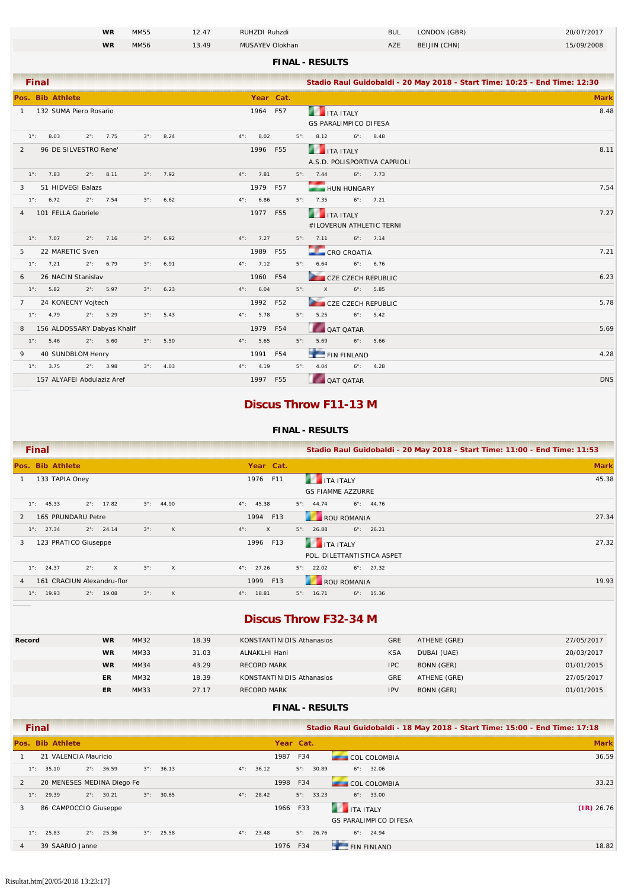|                |                    |                  |                             | <b>WR</b>          | MM55        |                    | 12.47 |               | RUHZDI Ruhzdi      |             |                        |                                                      |                    | <b>BUL</b>                   | LONDON (GBR)                                                               | 20/07/2017  |
|----------------|--------------------|------------------|-----------------------------|--------------------|-------------|--------------------|-------|---------------|--------------------|-------------|------------------------|------------------------------------------------------|--------------------|------------------------------|----------------------------------------------------------------------------|-------------|
|                |                    |                  |                             | <b>WR</b>          | MM56        |                    | 13.49 |               | MUSAYEV Olokhan    |             |                        |                                                      |                    | AZE                          | BEIJIN (CHN)                                                               | 15/09/2008  |
|                |                    |                  |                             |                    |             |                    |       |               |                    |             | <b>FINAL - RESULTS</b> |                                                      |                    |                              |                                                                            |             |
|                | <b>Final</b>       |                  |                             |                    |             |                    |       |               |                    |             |                        |                                                      |                    |                              | Stadio Raul Guidobaldi - 20 May 2018 - Start Time: 10:25 - End Time: 12:30 |             |
|                |                    | Pos. Bib Athlete |                             |                    |             |                    |       |               | Year Cat.          |             |                        |                                                      |                    |                              |                                                                            | <b>Mark</b> |
|                |                    |                  | 1 132 SUMA Piero Rosario    |                    |             |                    |       |               | 1964 F57           |             |                        | <b>THE ITA ITALY</b><br><b>GS PARALIMPICO DIFESA</b> |                    |                              |                                                                            | 8.48        |
|                | $1^{\circ}$ : 8.03 |                  | $2^{\circ}$ : 7.75          |                    |             | $3^{\circ}$ : 8.24 |       | $4^{\circ}$ : | 8.02               |             | $5^{\circ}$ : 8.12     |                                                      | $6^{\circ}$ : 8.48 |                              |                                                                            |             |
| $\overline{2}$ |                    |                  | 96 DE SILVESTRO Rene'       |                    |             |                    |       |               | 1996 F55           |             |                        | <b>THE ITA ITALY</b>                                 |                    |                              |                                                                            | 8.11        |
|                |                    |                  |                             | $2^{\circ}$ : 8.11 |             |                    |       |               |                    |             | $5^{\circ}$ : 7.44     |                                                      | $6^{\circ}$ : 7.73 | A.S.D. POLISPORTIVA CAPRIOLI |                                                                            |             |
|                | $1^{\circ}$ : 7.83 |                  |                             |                    |             | $3^{\circ}$ : 7.92 |       |               | $4^{\circ}$ : 7.81 |             |                        |                                                      |                    |                              |                                                                            |             |
| 3              | $1^{\circ}$ : 6.72 |                  | 51 HIDVEGI Balazs           | $2^{\circ}$ : 7.54 | $3^\circ$ : | 6.62               |       | $4^{\circ}$ : | 1979 F57<br>6.86   |             | $5^{\circ}$ : 7.35     | HUN HUNGARY                                          | $6^{\circ}$ : 7.21 |                              |                                                                            | 7.54        |
| 4              |                    |                  | 101 FELLA Gabriele          |                    |             |                    |       |               | 1977 F55           |             |                        |                                                      |                    |                              |                                                                            | 7.27        |
|                |                    |                  |                             |                    |             |                    |       |               |                    |             |                        | <b>THE ITA ITALY</b>                                 |                    | #ILOVERUN ATHLETIC TERNI     |                                                                            |             |
|                | $1^{\circ}$ : 7.07 |                  |                             | $2^{\circ}$ : 7.16 |             | $3^{\circ}$ : 6.92 |       |               | $4^{\circ}$ : 7.27 |             |                        | $5^{\circ}$ : 7.11 6°: 7.14                          |                    |                              |                                                                            |             |
| 5              |                    |                  | 22 MARETIC Sven             |                    |             |                    |       |               | 1989 F55           |             |                        | CRO CROATIA                                          |                    |                              |                                                                            | 7.21        |
|                | $1^{\circ}$ : 7.21 |                  | $2^{\circ}$ : 6.79          |                    | $3^\circ$ : | 6.91               |       |               | $4^{\circ}$ : 7.12 |             | $5^{\circ}$ : 6.64     |                                                      | $6^{\circ}$ : 6.76 |                              |                                                                            |             |
| 6              |                    |                  | 26 NACIN Stanislav          |                    |             |                    |       |               | 1960 F54           |             |                        | CZE CZECH REPUBLIC                                   |                    |                              |                                                                            | 6.23        |
|                | $1^{\circ}$ : 5.82 |                  | $2^{\circ}$ : 5.97          |                    |             | $3^{\circ}$ : 6.23 |       |               | $4^{\circ}$ : 6.04 | $5^\circ$ : | $\mathsf X$            |                                                      | $6^{\circ}$ : 5.85 |                              |                                                                            |             |
|                |                    |                  | 7 24 KONECNY Vojtech        |                    |             |                    |       |               | 1992 F52           |             |                        | CZE CZECH REPUBLIC                                   |                    |                              |                                                                            | 5.78        |
|                | $1^{\circ}$ : 4.79 |                  |                             | $2^{\circ}$ : 5.29 |             | $3^{\circ}$ : 5.43 |       |               | $4^{\circ}$ : 5.78 |             | $5^{\circ}$ : 5.25     |                                                      | $6^{\circ}$ : 5.42 |                              |                                                                            |             |
| 8              |                    |                  | 156 ALDOSSARY Dabyas Khalif |                    |             |                    |       |               | 1979 F54           |             |                        | <b>QAT QATAR</b>                                     |                    |                              |                                                                            | 5.69        |
|                | $1^{\circ}$ : 5.46 |                  |                             | $2^{\circ}$ : 5.60 |             | $3^{\circ}$ : 5.50 |       | $4^\circ$ :   | 5.65               |             | $5^{\circ}$ : 5.69     |                                                      | $6^\circ$ :        | 5.66                         |                                                                            |             |
| 9              |                    |                  | 40 SUNDBLOM Henry           |                    |             |                    |       |               | 1991 F54           |             |                        | FIN FINLAND                                          |                    |                              |                                                                            | 4.28        |
|                | $1^{\circ}$ : 3.75 |                  |                             | $2^{\circ}$ : 3.98 | $3^\circ$ : | 4.03               |       |               | $4^{\circ}$ : 4.19 |             | $5^{\circ}$ : 4.04     |                                                      | $6^{\circ}$ : 4.28 |                              |                                                                            |             |
|                |                    |                  | 157 ALYAFEI Abdulaziz Aref  |                    |             |                    |       |               | 1997 F55           |             |                        | QAT QATAR                                            |                    |                              |                                                                            | <b>DNS</b>  |

### **Discus Throw F11-13 M**

#### **FINAL - RESULTS**

| <b>Final</b>                                                              |                               | Stadio Raul Guidobaldi - 20 May 2018 - Start Time: 11:00 - End Time: 11:53 |             |
|---------------------------------------------------------------------------|-------------------------------|----------------------------------------------------------------------------|-------------|
| Pos. Bib Athlete                                                          | Year Cat.                     |                                                                            | <b>Mark</b> |
| 133 TAPIA Oney                                                            | 1976 F11                      | <b>THE TEALER</b>                                                          | 45.38       |
|                                                                           |                               | <b>GS FIAMME AZZURRE</b>                                                   |             |
| $2^{\circ}$ : 17.82<br>$1^{\circ}$ : 45.33<br>$3^{\circ}$ : 44.90         | $4^{\circ}$ : 45.38           | $5^\circ$ : 44.74<br>$6^\circ$ : 44.76                                     |             |
| 165 PRUNDARU Petre                                                        | 1994 F13                      | ROU ROMANIA                                                                | 27.34       |
| $3^\circ$ :<br>$1^{\circ}$ : 27.34<br>$2^{\circ}$ : 24.14<br>$\mathsf{X}$ | $4^{\circ}$ :<br>$\mathsf{X}$ | $5^\circ$ :<br>$6^{\circ}$ : 26.21<br>26.88                                |             |
| 123 PRATICO Giuseppe<br>3                                                 | 1996 F13                      | <b>THE TEAL SET IT ALLY</b>                                                | 27.32       |
|                                                                           |                               | POL. DILETTANTISTICA ASPET                                                 |             |
| $3^\circ$ :<br>$2^\circ$ :<br>$1^{\circ}$ : 24.37<br>X<br>$\mathsf{X}$    | $4^{\circ}$ : 27.26           | $5^{\circ}$ : 22.02<br>$6^{\circ}$ : 27.32                                 |             |
| 161 CRACIUN Alexandru-flor                                                | 1999 F13                      | ROU ROMANIA                                                                | 19.93       |
| $3^\circ$ :<br>$1^\circ$ : 19.93<br>$2^{\circ}$ : 19.08<br>$\mathsf{X}$   | $4^{\circ}$ : 18.81           | $5^\circ$ :<br>$6^\circ$ : 15.36<br>16.71                                  |             |
|                                                                           |                               |                                                                            |             |

### **Discus Throw F32-34 M**

|                            | 18.39                     | GRE<br>KONSTANTINIDIS Athanasios | ATHENE (GRE) | 27/05/2017 |
|----------------------------|---------------------------|----------------------------------|--------------|------------|
| MM33<br><b>WR</b><br>31.03 | ALNAKLHI Hani             | <b>KSA</b>                       | DUBAI (UAE)  | 20/03/2017 |
| <b>WR</b><br>MM34<br>43.29 | <b>RECORD MARK</b>        | <b>IPC</b>                       | BONN (GER)   | 01/01/2015 |
| MM32<br>18.39<br>ER        | KONSTANTINIDIS Athanasios | GRE                              | ATHENE (GRE) | 27/05/2017 |
| MM33<br>27.17<br>ER        | <b>RECORD MARK</b>        | <b>IPV</b>                       | BONN (GER)   | 01/01/2015 |

|   | Final         |                       |                            |             |                     |               |       |           |                     |                  |                              | Stadio Raul Guidobaldi - 18 May 2018 - Start Time: 15:00 - End Time: 17:18 |
|---|---------------|-----------------------|----------------------------|-------------|---------------------|---------------|-------|-----------|---------------------|------------------|------------------------------|----------------------------------------------------------------------------|
|   |               | Pos. Bib Athlete      |                            |             |                     |               |       | Year Cat. |                     |                  |                              | <b>Mark</b>                                                                |
|   |               | 21 VALENCIA Mauricio  |                            |             |                     |               |       | 1987      | F34                 |                  | <b>COL COLOMBIA</b>          | 36.59                                                                      |
|   | $1^\circ$ :   | 35.10                 | $2^{\circ}$ : 36.59        |             | $3^{\circ}$ : 36.13 | $4^{\circ}$ : | 36.12 |           | $5^{\circ}$ : 30.89 |                  | $6^{\circ}$ : 32.06          |                                                                            |
| 2 |               |                       | 20 MENESES MEDINA Diego Fe |             |                     |               |       | 1998      | F34                 |                  | <b>COL COLOMBIA</b>          | 33.23                                                                      |
|   | $1^\circ$ :   | 29.39                 | $2^{\circ}$ : 30.21        | $3^\circ$ : | 30.65               | $4^{\circ}$ : | 28.42 |           | $5^{\circ}$ : 33.23 |                  | $6^{\circ}$ : 33.00          |                                                                            |
| 3 |               | 86 CAMPOCCIO Giuseppe |                            |             |                     |               |       | 1966      | F33                 | <b>THE TEALY</b> |                              | $(IR)$ 26.76                                                               |
|   |               |                       |                            |             |                     |               |       |           |                     |                  | <b>GS PARALIMPICO DIFESA</b> |                                                                            |
|   | $1^{\circ}$ : | 25.83                 | $2^{\circ}$ : 25.36        |             | $3^{\circ}$ : 25.58 | $4^{\circ}$ : | 23.48 |           | $5^\circ$ : 26.76   |                  | $6^\circ$ : 24.94            |                                                                            |
| 4 |               | 39 SAARIO Janne       |                            |             |                     |               |       | 1976      | F34                 |                  | <b>FIN FINLAND</b>           | 18.82                                                                      |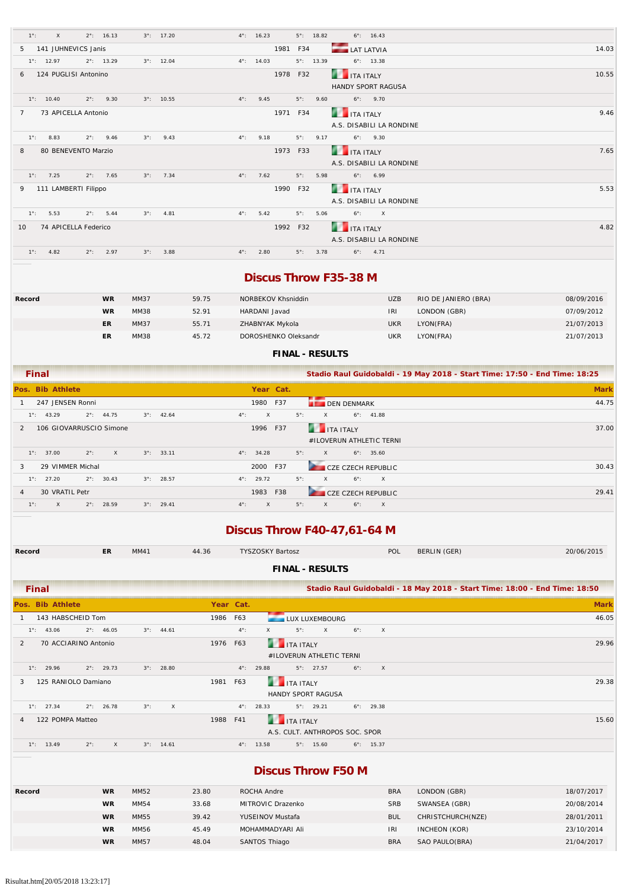| $1^\circ$ :         | $\times$             |               | $2^{\circ}$ : 16.13 |             | $3^{\circ}$ : 17.20 |               | $4^{\circ}$ : 16.23 |          | $5^{\circ}$ : 18.82 |      | $6^\circ$ : 16.43        |       |
|---------------------|----------------------|---------------|---------------------|-------------|---------------------|---------------|---------------------|----------|---------------------|------|--------------------------|-------|
| .5                  | 141 JUHNEVICS Janis  |               |                     |             |                     |               |                     | 1981 F34 |                     |      | <b>LAT LATVIA</b>        | 14.03 |
| $1^{\circ}$ : 12.97 |                      |               | $2^{\circ}$ : 13.29 |             | $3^{\circ}$ : 12.04 |               | $4^{\circ}$ : 14.03 |          | $5^{\circ}$ : 13.39 |      | $6^\circ$ : 13.38        |       |
| 6                   | 124 PUGLISI Antonino |               |                     |             |                     |               |                     | 1978 F32 |                     |      | <b>THE TEALY</b>         | 10.55 |
|                     |                      |               |                     |             |                     |               |                     |          |                     |      | HANDY SPORT RAGUSA       |       |
| $1^{\circ}$ : 10.40 |                      |               | $2^{\circ}$ : 9.30  |             | $3^{\circ}$ : 10.55 | $4^{\circ}$ : | 9.45                |          | $5^\circ$ :         | 9.60 | $6^\circ$ : 9.70         |       |
| $7^{\circ}$         | 73 APICELLA Antonio  |               |                     |             |                     |               |                     | 1971 F34 |                     |      | <b>THE ITA ITALY</b>     | 9.46  |
|                     |                      |               |                     |             |                     |               |                     |          |                     |      | A.S. DISABILI LA RONDINE |       |
| $1^\circ$ :         | 8.83                 |               | $2^{\circ}$ : 9.46  | $3^\circ$ : | 9.43                | $4^{\circ}$ : | 9.18                |          | $5^\circ$ :         | 9.17 | $6^{\circ}$ : 9.30       |       |
| 8                   | 80 BENEVENTO Marzio  |               |                     |             |                     |               |                     | 1973 F33 |                     |      | <b>THE TEALY</b>         | 7.65  |
|                     |                      |               |                     |             |                     |               |                     |          |                     |      | A.S. DISABILI LA RONDINE |       |
| $1^{\circ}$ : 7.25  |                      |               | $2^{\circ}$ : 7.65  |             | $3^{\circ}$ : 7.34  |               | $4^{\circ}$ : 7.62  |          | $5^\circ$ :         | 5.98 | $6^\circ$ : 6.99         |       |
| 9                   | 111 LAMBERTI Filippo |               |                     |             |                     |               |                     | 1990 F32 |                     |      | <b>THE TANK ITALY</b>    | 5.53  |
|                     |                      |               |                     |             |                     |               |                     |          |                     |      | A.S. DISABILI LA RONDINE |       |
| $1^\circ$ :         | 5.53                 |               | $2^{\circ}$ : 5.44  | $3^\circ$ : | 4.81                | $4^{\circ}$ : | 5.42                |          | $5^\circ$ :         | 5.06 | $6^\circ$ : X            |       |
| 10 <sup>1</sup>     | 74 APICELLA Federico |               |                     |             |                     |               |                     | 1992 F32 |                     |      | <b>THE TEALY</b>         | 4.82  |
|                     |                      |               |                     |             |                     |               |                     |          |                     |      | A.S. DISABILI LA RONDINE |       |
| $1^{\circ}$ :       | 4.82                 | $2^{\circ}$ : | 2.97                | $3^\circ$ : | 3.88                | $4^{\circ}$ : | 2.80                |          | $5^\circ$ :         | 3.78 | $6^{\circ}$ : 4.71       |       |

### **Discus Throw F35-38 M**

| Record | <b>WR</b> | MM37        | 59.75 | NORBEKOV Khsniddin   | <b>UZB</b> | RIO DE JANIERO (BRA) | 08/09/2016 |
|--------|-----------|-------------|-------|----------------------|------------|----------------------|------------|
|        | <b>WR</b> | MM38        | 52.91 | HARDANI Javad        | <b>IRI</b> | LONDON (GBR)         | 07/09/2012 |
|        | ER        | <b>MM37</b> | 55.71 | ZHABNYAK Mykola      | <b>UKR</b> | LYON(FRA)            | 21/07/2013 |
|        | ER        | MM38        | 45.72 | DOROSHENKO Oleksandr | <b>UKR</b> | LYON(FRA)            | 21/07/2013 |

**FINAL - RESULTS**

| <b>Final</b>                                                             | Stadio Raul Guidobaldi - 19 May 2018 - Start Time: 17:50 - End Time: 18:25    |             |
|--------------------------------------------------------------------------|-------------------------------------------------------------------------------|-------------|
| Pos. Bib Athlete                                                         | Year Cat.                                                                     | <b>Mark</b> |
| 247 JENSEN Ronni                                                         | 1980 F37<br><b>DEN DENMARK</b>                                                | 44.75       |
| $2^{\circ}$ : 44.75<br>$3^{\circ}$ : 42.64<br>$1^\circ$ : 43.29          | $5^\circ$ :<br>$4^{\circ}$ :<br>$\times$<br>$6^{\circ}$ : 41.88<br>$\times$   |             |
| 106 GIOVARRUSCIO Simone                                                  | ITA ITALY<br>1996 F37                                                         | 37.00       |
|                                                                          | #ILOVERUN ATHLETIC TERNI                                                      |             |
| $2^\circ$ :<br>$1^{\circ}$ : 37.00<br>$3^{\circ}$ : 33.11<br>$\times$    | $5^\circ$ :<br>$6^\circ$ : 35.60<br>$4^{\circ}$ : 34.28<br>$\times$           |             |
| 29 VIMMER Michal<br>3                                                    | 2000 F37<br><b>CZE CZECH REPUBLIC</b>                                         | 30.43       |
| $2^{\circ}$ : 30.43<br>$1^{\circ}$ : 27.20<br>$3^{\circ}$ : 28.57        | $5^\circ$ :<br>$4^{\circ}$ : 29.72<br>$6^\circ$ :<br>$\times$<br>$\mathsf{X}$ |             |
| 30 VRATIL Petr<br>$\overline{4}$                                         | 1983<br>F38<br><b>CZE CZECH REPUBLIC</b>                                      | 29.41       |
| $1^\circ$ :<br>$2^{\circ}$ :<br>28.59<br>$3^{\circ}$ : 29.41<br>$\times$ | $5^\circ$ :<br>$4^\circ$ :<br>$\mathsf{X}$<br>$6^\circ$ :<br>$\times$<br>X    |             |

# **Discus Throw F40-47,61-64 M**

| Record                             | ER.                       | MM41        |                     | 44.36     |               | <b>TYSZOSKY Bartosz</b>                    |              |             | POL               | BERLIN (GER)                                                               | 20/06/2015  |
|------------------------------------|---------------------------|-------------|---------------------|-----------|---------------|--------------------------------------------|--------------|-------------|-------------------|----------------------------------------------------------------------------|-------------|
|                                    |                           |             |                     |           |               | <b>FINAL - RESULTS</b>                     |              |             |                   |                                                                            |             |
| <b>Final</b>                       |                           |             |                     |           |               |                                            |              |             |                   | Stadio Raul Guidobaldi - 18 May 2018 - Start Time: 18:00 - End Time: 18:50 |             |
| Pos. Bib Athlete                   |                           |             |                     | Year Cat. |               |                                            |              |             |                   |                                                                            | <b>Mark</b> |
| 143 HABSCHEID Tom                  |                           |             |                     | 1986 F63  |               | LUX LUXEMBOURG                             |              |             |                   |                                                                            | 46.05       |
| 43.06<br>$1^\circ$ :               | $2^{\circ}$ : 46.05       |             | $3^{\circ}$ : 44.61 |           | $4^{\circ}$ : | $5^\circ$ :<br>X                           | $\mathsf{X}$ | $6^\circ$ : | $\mathsf{X}$      |                                                                            |             |
| 70 ACCIARINO Antonio<br>2          |                           |             |                     | 1976      | F63           | <b>THE TEALY</b>                           |              |             |                   |                                                                            | 29.96       |
|                                    |                           |             |                     |           |               | #ILOVERUN ATHLETIC TERNI                   |              |             |                   |                                                                            |             |
| $1^{\circ}$ : 29.96                | $2^{\circ}$ : 29.73       |             | $3^{\circ}$ : 28.80 |           |               | $5^{\circ}$ : 27.57<br>$4^{\circ}$ : 29.88 |              | $6^\circ$ : | $\mathsf{X}$      |                                                                            |             |
| 125 RANIOLO Damiano<br>3           |                           |             |                     | 1981      | F63           | <b>THE ITA ITALY</b>                       |              |             |                   |                                                                            | 29.38       |
|                                    |                           |             |                     |           |               | HANDY SPORT RAGUSA                         |              |             |                   |                                                                            |             |
| $1^{\circ}$ : 27.34                | $2^{\circ}$ : 26.78       | $3^\circ$ : | $\times$            |           |               | $5^{\circ}$ : 29.21<br>$4^{\circ}$ : 28.33 |              |             | $6^\circ$ : 29.38 |                                                                            |             |
| 122 POMPA Matteo<br>$\overline{4}$ |                           |             |                     | 1988      | F41           | ITA ITALY                                  |              |             |                   |                                                                            | 15.60       |
|                                    |                           |             |                     |           |               | A.S. CULT. ANTHROPOS SOC. SPOR             |              |             |                   |                                                                            |             |
| $1^{\circ}$ : 13.49                | $2^{\circ}$ :<br>$\times$ |             | $3^{\circ}$ : 14.61 |           |               | $5^\circ$ : 15.60<br>$4^{\circ}$ : 13.58   |              |             | $6^\circ$ : 15.37 |                                                                            |             |
|                                    |                           |             |                     |           |               | <b>Discus Throw F50 M</b>                  |              |             |                   |                                                                            |             |
|                                    |                           |             |                     |           |               |                                            |              |             |                   |                                                                            |             |

| Record | <b>WR</b> | MM52        | 23.80 | ROCHA Andre       | <b>BRA</b> | LONDON (GBR)      | 18/07/2017 |
|--------|-----------|-------------|-------|-------------------|------------|-------------------|------------|
|        | <b>WR</b> | MM54        | 33.68 | MITROVIC Drazenko | <b>SRB</b> | SWANSEA (GBR)     | 20/08/2014 |
|        | <b>WR</b> | MM55        | 39.42 | YUSEINOV Mustafa  | <b>BUL</b> | CHRISTCHURCH(NZE) | 28/01/2011 |
|        | <b>WR</b> | MM56        | 45.49 | MOHAMMADYARI Ali  | <b>IRI</b> | INCHEON (KOR)     | 23/10/2014 |
|        | <b>WR</b> | <b>MM57</b> | 48.04 | SANTOS Thiago     | <b>BRA</b> | SAO PAULO(BRA)    | 21/04/2017 |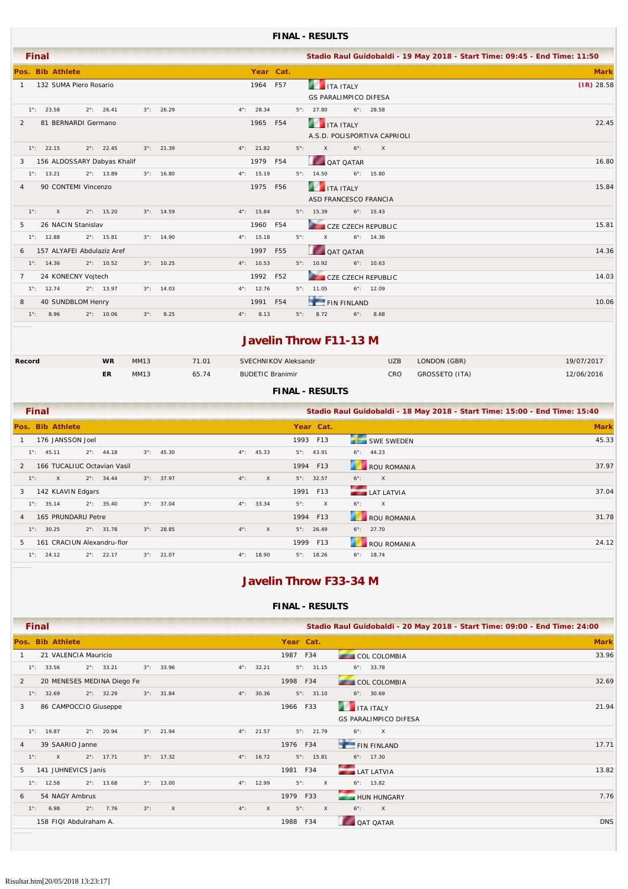#### **FINAL - RESULTS**

|                |               | <b>Final</b>               |  |                               |             |                     |               |                     |           |             |                              |             |                              | Stadio Raul Guidobaldi - 19 May 2018 - Start Time: 09:45 - End Time: 11:50 |
|----------------|---------------|----------------------------|--|-------------------------------|-------------|---------------------|---------------|---------------------|-----------|-------------|------------------------------|-------------|------------------------------|----------------------------------------------------------------------------|
|                |               | Pos. Bib Athlete           |  |                               |             |                     |               |                     | Year Cat. |             |                              |             |                              | <b>Mark</b>                                                                |
| $\mathbf{1}$   |               | 132 SUMA Piero Rosario     |  |                               |             |                     |               |                     | 1964 F57  |             | <b>THE TEALY</b>             |             |                              | $(IR)$ 28.58                                                               |
|                |               |                            |  |                               |             |                     |               |                     |           |             | <b>GS PARALIMPICO DIFESA</b> |             |                              |                                                                            |
|                |               | $1^{\circ}$ : 23.58        |  | $2^{\circ}$ : 26.41           |             | $3^{\circ}$ : 26.29 |               | $4^{\circ}$ : 28.34 |           |             | $5^{\circ}$ : 27.80          |             | $6^\circ$ : 28.58            |                                                                            |
| 2              |               | 81 BERNARDI Germano        |  |                               |             |                     |               |                     | 1965 F54  |             | <b>ITA ITALY</b>             |             |                              | 22.45                                                                      |
|                |               |                            |  |                               |             |                     |               |                     |           |             |                              |             | A.S.D. POLISPORTIVA CAPRIOLI |                                                                            |
|                |               | $1^{\circ}$ : 22.15        |  | $2^{\circ}$ : 22.45           |             | $3^{\circ}$ : 21.39 |               | $4^{\circ}$ : 21.82 |           | $5^\circ$ : | $\mathsf{X}$                 | $6^\circ$ : | $\times$                     |                                                                            |
|                |               |                            |  | 3 156 ALDOSSARY Dabyas Khalif |             |                     |               |                     | 1979 F54  |             | <b>QAT QATAR</b>             |             |                              | 16.80                                                                      |
|                |               | $1^{\circ}$ : 13.21        |  | $2^{\circ}$ : 13.89           |             | $3^{\circ}$ : 16.80 |               | $4^{\circ}$ : 15.19 |           |             | $5^{\circ}$ : 14.50          |             | $6^{\circ}$ : 15.80          |                                                                            |
| $\overline{4}$ |               | 90 CONTEMI Vincenzo        |  |                               |             |                     |               | 1975                | F56       |             | ITA ITALY                    |             |                              | 15.84                                                                      |
|                |               |                            |  |                               |             |                     |               |                     |           |             | <b>ASD FRANCESCO FRANCIA</b> |             |                              |                                                                            |
|                | $1^\circ$ :   | $\chi$                     |  | $2^{\circ}$ : 15.20           |             | $3^{\circ}$ : 14.59 |               | $4^{\circ}$ : 15.84 |           |             | $5^{\circ}$ : 15.39          |             | $6^{\circ}$ : 15.43          |                                                                            |
| 5 <sup>5</sup> |               | 26 NACIN Stanislav         |  |                               |             |                     |               | 1960                | F54       |             | CZE CZECH REPUBLIC           |             |                              | 15.81                                                                      |
|                |               | $1^{\circ}$ : 12.88        |  | $2^{\circ}$ : 15.81           |             | $3^{\circ}$ : 14.90 |               | $4^{\circ}$ : 15.18 |           | $5^\circ$ : | $\mathsf{X}$                 |             | $6^{\circ}$ : 14.36          |                                                                            |
|                |               | 157 ALYAFEI Abdulaziz Aref |  |                               |             |                     |               | 1997                | F55       |             | OAT QATAR                    |             |                              | 14.36                                                                      |
|                |               | $1^{\circ}$ : 14.36        |  | $2^{\circ}$ : 10.52           |             | $3^{\circ}$ : 10.25 |               | $4^{\circ}$ : 10.53 |           |             | $5^{\circ}$ : 10.92          |             | $6^\circ$ : 10.63            |                                                                            |
| $7^{\circ}$    |               | 24 KONECNY Vojtech         |  |                               |             |                     |               | 1992                | F52       |             | CZE CZECH REPUBLIC           |             |                              | 14.03                                                                      |
|                |               | $1^{\circ}$ : 12.74        |  | $2^{\circ}$ : 13.97           |             | $3^{\circ}$ : 14.03 |               | $4^{\circ}$ : 12.76 |           |             | $5^{\circ}$ : 11.05          |             | $6^{\circ}$ : 12.09          |                                                                            |
| 8              |               | 40 SUNDBLOM Henry          |  |                               |             |                     |               |                     | 1991 F54  |             | <b>FIN FINLAND</b>           |             |                              | 10.06                                                                      |
|                | $1^{\circ}$ : | 8.96                       |  | $2^{\circ}$ : 10.06           | $3^\circ$ : | 8.25                | $4^{\circ}$ : | 8.13                |           | $5^\circ$ : | 8.72                         | $6^\circ$ : | 8.68                         |                                                                            |
|                |               |                            |  |                               |             |                     |               |                     |           |             |                              |             |                              |                                                                            |

### **Javelin Throw F11-13 M**

| Record | WR | MM13 | 71.01 | SVECHNIKOV Aleksandr    | <b>UZB</b> | LONDON (GBR)   | 19/07/2017 |
|--------|----|------|-------|-------------------------|------------|----------------|------------|
|        | ER | MM13 | 65.74 | <b>BUDETIC Branimir</b> | CRO        | GROSSETO (ITA) | 12/06/2016 |

#### **FINAL - RESULTS**

| <b>Final</b>                                       |                     |                               |                      | Stadio Raul Guidobaldi - 18 May 2018 - Start Time: 15:00 - End Time: 15:40 |             |
|----------------------------------------------------|---------------------|-------------------------------|----------------------|----------------------------------------------------------------------------|-------------|
| Pos. Bib Athlete                                   |                     |                               | Year Cat.            |                                                                            | <b>Mark</b> |
| 176 JANSSON Joel                                   |                     |                               | 1993 F13             | <b>SWE SWEDEN</b>                                                          | 45.33       |
| $2^{\circ}$ : 44.18<br>$1^\circ$ : 45.11           | $3^{\circ}$ : 45.30 | $4^{\circ}$ : 45.33           | $5^{\circ}$ : 43.91  | $6^{\circ}$ : 44.23                                                        |             |
| 166 TUCALIUC Octavian Vasil<br>$\mathcal{P}$       |                     |                               | 1994 F13             | <b>ROU ROMANIA</b>                                                         | 37.97       |
| $2^{\circ}$ : 34.44<br>$1^\circ$ :<br>$\mathsf{X}$ | $3^{\circ}$ : 37.97 | $4^\circ$ :<br>$\mathsf{X}$   | $5^{\circ}$ : 32.57  | $\mathsf{X}$<br>$6^\circ$ :                                                |             |
| 142 KLAVIN Edgars<br>3                             |                     |                               | 1991 F13             | <b>LAT LATVIA</b>                                                          | 37.04       |
| $1^\circ$ : 35.14<br>$2^{\circ}$ : 35.40           | $3^{\circ}$ : 37.04 | $4^{\circ}$ : 33.34           | $5^\circ$ :<br>X     | $\mathsf{X}$<br>$6^\circ$ :                                                |             |
| 165 PRUNDARU Petre<br>4                            |                     |                               | F13<br>1994          | ROU ROMANIA                                                                | 31.78       |
| $2^{\circ}$ : 31.78<br>$1^\circ$ : 30.25           | $3^{\circ}$ : 28.85 | $4^{\circ}$ :<br>$\mathsf{X}$ | $5^\circ$ : 26.49    | $6^\circ$ : 27.70                                                          |             |
| 161 CRACIUN Alexandru-flor<br>5.                   |                     |                               | 1999 F13             | <b>ROU ROMANIA</b>                                                         | 24.12       |
| $1^\circ$ : 24.12<br>$2^{\circ}$ : 22.17           | $3^{\circ}$ : 21.07 | $4^{\circ}$ : 18.90           | $5^\circ$ :<br>18.26 | $6^\circ$ : 18.74                                                          |             |

### **Javelin Throw F33-34 M**

|   | <b>Final</b>                |                      |               |                            |             |                     |                        |                             |                     | Stadio Raul Guidobaldi - 20 May 2018 - Start Time: 09:00 - End Time: 24:00 |             |
|---|-----------------------------|----------------------|---------------|----------------------------|-------------|---------------------|------------------------|-----------------------------|---------------------|----------------------------------------------------------------------------|-------------|
|   | Pos. Bib Athlete            |                      |               |                            |             |                     |                        |                             | Year Cat.           |                                                                            | <b>Mark</b> |
|   |                             | 21 VALENCIA Mauricio |               |                            |             |                     |                        | 1987 F34                    |                     | COL COLOMBIA                                                               | 33.96       |
|   | $1^{\circ}$ : 33.56         |                      |               | $2^{\circ}$ : 33.21        |             | $3^{\circ}$ : 33.96 | 32.21<br>$4^{\circ}$ : |                             | $5^{\circ}$ : 31.15 | $6^{\circ}$ : 33.78                                                        |             |
| 2 |                             |                      |               | 20 MENESES MEDINA Diego Fe |             |                     |                        | 1998 F34                    |                     | COL COLOMBIA                                                               | 32.69       |
|   | $1^{\circ}$ : 32.69         |                      |               | $2^{\circ}$ : 32.29        |             | $3^{\circ}$ : 31.84 | 30.36<br>$4^\circ$ :   |                             | $5^\circ$ : 31.10   | $6^{\circ}$ : 30.69                                                        |             |
| 3 |                             |                      |               | 86 CAMPOCCIO Giuseppe      |             |                     |                        | 1966                        | F33                 | <b>THE ITA ITALY</b>                                                       | 21.94       |
|   |                             |                      |               |                            |             |                     |                        |                             |                     | <b>GS PARALIMPICO DIFESA</b>                                               |             |
|   | $1^{\circ}$ : 19.87         |                      | $2^{\circ}$ : | 20.94                      |             | $3^{\circ}$ : 21.94 | $4^{\circ}$ : 21.57    |                             | $5^\circ$ : 21.79   | $\mathsf{X}$<br>$6^\circ$ :                                                |             |
| 4 |                             | 39 SAARIO Janne      |               |                            |             |                     |                        | 1976 F34                    |                     | FIN FINLAND                                                                | 17.71       |
|   | $1^\circ$ :<br>$\mathsf{X}$ |                      |               | $2^{\circ}$ : 17.71        |             | $3^{\circ}$ : 17.32 | $4^{\circ}$ : 16.72    |                             | $5^{\circ}$ : 15.81 | $6^{\circ}$ : 17.30                                                        |             |
| 5 | 141 JUHNEVICS Janis         |                      |               |                            |             |                     |                        | 1981 F34                    |                     | LAT LATVIA                                                                 | 13.82       |
|   | $1^{\circ}$ : 12.58         |                      |               | $2^{\circ}$ : 13.68        |             | $3^{\circ}$ : 13.00 | $4^{\circ}$ : 12.99    | $5^\circ$ :                 | X                   | $6^{\circ}$ : 13.82                                                        |             |
| 6 |                             | 54 NAGY Ambrus       |               |                            |             |                     |                        | 1979 F33                    |                     | -<br>HUN HUNGARY                                                           | 7.76        |
|   | $1^\circ$ :<br>6.98         |                      |               | $2^{\circ}$ : 7.76         | $3^\circ$ : | $\mathsf{X}$        | $4^{\circ}$ :          | $5^\circ$ :<br>$\mathsf{X}$ | $\times$            | $6^\circ$ :<br>$\mathsf{X}$                                                |             |
|   | 158 FIQI Abdulraham A.      |                      |               |                            |             |                     |                        | 1988                        | F34                 | <b>QAT QATAR</b>                                                           | <b>DNS</b>  |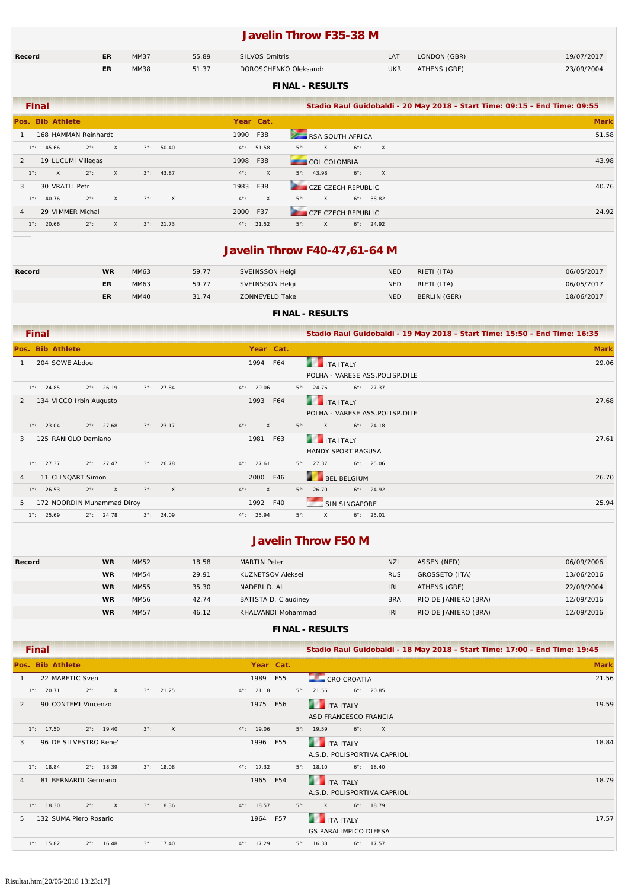### **Javelin Throw F35-38 M**

| Record | ER | MM37 | 55.89 | <b>SILVOS Dmitris</b> | LAT | LONDON (GBR) | 19/07/2017 |
|--------|----|------|-------|-----------------------|-----|--------------|------------|
|        | ΕR | MM38 | 51.37 | DOROSCHENKO Oleksandr | UKR | ATHENS (GRE) | 23/09/2004 |

#### **FINAL - RESULTS**

| <b>Final</b>      |                      |               |              |             |                     |             |                     | Stadio Raul Guidobaldi - 20 May 2018 - Start Time: 09:15 - End Time: 09:55 |             |
|-------------------|----------------------|---------------|--------------|-------------|---------------------|-------------|---------------------|----------------------------------------------------------------------------|-------------|
| Pos. Bib Athlete  |                      |               |              |             |                     |             | Year Cat.           |                                                                            | <b>Mark</b> |
|                   | 168 HAMMAN Reinhardt |               |              |             |                     | 1990 F38    |                     | RSA SOUTH AFRICA                                                           | 51.58       |
| $1^\circ$ : 45.66 |                      | $2^\circ$ :   | X            |             | $3^{\circ}$ : 50.40 |             | $4^{\circ}$ : 51.58 | $6^\circ$ :<br>$5^\circ$ :<br>$\mathsf{X}$<br>$\mathsf{X}$                 |             |
| 2                 | 19 LUCUMI Villegas   |               |              |             |                     | 1998 F38    |                     | <b>COL COLOMBIA</b>                                                        | 43.98       |
| $1^\circ$ :       | $\times$             | $2^{\circ}$ : | $\mathsf{X}$ |             | $3^{\circ}$ : 43.87 | $4^\circ$ : | $\mathsf{x}$        | $6^\circ$ : X<br>$5^\circ$ : 43.98                                         |             |
| 3                 | 30 VRATIL Petr       |               |              |             |                     | 1983 F38    |                     | <b>CZE CZECH REPUBLIC</b>                                                  | 40.76       |
| $1^\circ$ : 40.76 |                      | $2^\circ$ :   | $\times$     | $3^\circ$ : | $\mathsf{X}$        | $4^\circ$ : | $\times$            | $5^\circ$ :<br>$6^\circ$ : 38.82<br>$\mathsf{X}$                           |             |
| $\overline{4}$    | 29 VIMMER Michal     |               |              |             |                     | 2000 F37    |                     | <b>CZE CZECH REPUBLIC</b>                                                  | 24.92       |
| $1^\circ$ : 20.66 |                      | $2^\circ$ :   | $\times$     |             | $3^{\circ}$ : 21.73 |             | $4^{\circ}$ : 21.52 | $5^\circ$ :<br>$\times$<br>$6^\circ$ : 24.92                               |             |

### **Javelin Throw F40-47,61-64 M**

| Record | WR | MM63 | 59.77 | SVEINSSON Helgi | <b>NED</b> | RIETI (ITA)  | 06/05/2017 |
|--------|----|------|-------|-----------------|------------|--------------|------------|
|        |    | MM63 | 59.77 | SVEINSSON Helgi | <b>NED</b> | RIETI (ITA)  | 06/05/2017 |
|        | ΕR | MM40 | 31.74 | ZONNEVELD Take  | <b>NED</b> | BERLIN (GER) | 18/06/2017 |

### **FINAL - RESULTS**

| <b>Final</b>                                                                    | Stadio Raul Guidobaldi - 19 May 2018 - Start Time: 15:50 - End Time: 16:35        |             |
|---------------------------------------------------------------------------------|-----------------------------------------------------------------------------------|-------------|
| Pos. Bib Athlete                                                                | Year Cat.                                                                         | <b>Mark</b> |
| 204 SOWE Abdou                                                                  | 1994 F64<br><b>THE TANK ITALY</b><br>POLHA - VARESE ASS.POLISP.DILE               | 29.06       |
| $1^{\circ}$ : 24.85<br>$2^{\circ}$ : 26.19<br>$3^{\circ}$ : 27.84               | $4^{\circ}$ : 29.06<br>$5^\circ$ : 24.76<br>$6^\circ$ : 27.37                     |             |
| 134 VICCO Irbin Augusto<br>2                                                    | <b>THE TEALY</b><br>1993 F64<br>POLHA - VARESE ASS.POLISP.DILE                    | 27.68       |
| $2^{\circ}$ : 27.68<br>$3^{\circ}$ : 23.17<br>$1^\circ$ :<br>23.04              | $4^{\circ}$ :<br>$\mathsf{X}$<br>$5^\circ$ :<br>$6^\circ$ : 24.18<br>$\mathsf{X}$ |             |
| 125 RANIOLO Damiano<br>3                                                        | <b>THE TEAL SET ITALY</b><br>F63<br>1981<br><b>HANDY SPORT RAGUSA</b>             | 27.61       |
| $1^\circ$ :<br>27.37<br>$2^{\circ}$ : 27.47<br>$3^{\circ}$ : 26.78              | $4^{\circ}$ : 27.61<br>$5^{\circ}$ : 27.37<br>$6^\circ$ : 25.06                   |             |
| 11 CLINQART Simon<br>$\overline{4}$                                             | BEL BELGIUM<br>2000 F46                                                           | 26.70       |
| $3^\circ$ :<br>$2^\circ$ :<br>$\mathsf{X}$<br>$\mathsf{X}$<br>$1^\circ$ : 26.53 | $4^{\circ}$ :<br>$5^\circ$ : 26.70<br>$\mathsf{X}$<br>$6^\circ$ : 24.92           |             |
| 172 NOORDIN Muhammad Diroy<br>5                                                 | 1992 F40<br><b>SIN SINGAPORE</b>                                                  | 25.94       |
| $1^{\circ}$ : 25.69<br>$2^{\circ}$ : 24.78<br>$3^{\circ}$ : 24.09               | $5^\circ$ :<br>$4^{\circ}$ : 25.94<br>$6^{\circ}$ : 25.01<br>$\times$             |             |

### **Javelin Throw F50 M**

| Record | <b>WR</b> | MM52        | 18.58 | <b>MARTIN Peter</b>  | <b>NZL</b> | ASSEN (NED)          | 06/09/2006 |
|--------|-----------|-------------|-------|----------------------|------------|----------------------|------------|
|        | <b>WR</b> | MM54        | 29.91 | KUZNETSOV Aleksei    | <b>RUS</b> | GROSSETO (ITA)       | 13/06/2016 |
|        | <b>WR</b> | MM55        | 35.30 | NADERI D. Ali        | <b>IRI</b> | ATHENS (GRE)         | 22/09/2004 |
|        | <b>WR</b> | MM56        | 42.74 | BATISTA D. Claudiney | <b>BRA</b> | RIO DE JANIERO (BRA) | 12/09/2016 |
|        | <b>WR</b> | <b>MM57</b> | 46.12 | KHALVANDI Mohammad   | <b>IRI</b> | RIO DE JANIERO (BRA) | 12/09/2016 |

| <b>Final</b>                                                              | Stadio Raul Guidobaldi - 18 May 2018 - Start Time: 17:00 - End Time: 19:45 |             |
|---------------------------------------------------------------------------|----------------------------------------------------------------------------|-------------|
| Pos. Bib Athlete                                                          | Year Cat.                                                                  | <b>Mark</b> |
| 22 MARETIC Sven                                                           | 1989 F55<br>CRO CROATIA                                                    | 21.56       |
| $\times$<br>$3^{\circ}$ : 21.25<br>$1^{\circ}$ : 20.71<br>$2^\circ$ :     | $6^\circ$ : 20.85<br>$4^{\circ}$ : 21.18<br>$5^{\circ}$ : 21.56            |             |
| 90 CONTEMI Vincenzo<br>2                                                  | <b>THE TEALY</b><br>1975<br>F56                                            | 19.59       |
|                                                                           | ASD FRANCESCO FRANCIA                                                      |             |
| $\mathsf{X}$<br>$1^{\circ}$ : 17.50<br>$2^{\circ}$ : 19.40<br>$3^\circ$ : | $4^{\circ}$ : 19.06<br>$5^\circ$ : 19.59<br>$6^\circ$ :<br>$\mathsf{X}$    |             |
| 96 DE SILVESTRO Rene'<br>3                                                | ITA ITALY<br>F55<br>1996                                                   | 18.84       |
|                                                                           | A.S.D. POLISPORTIVA CAPRIOLI                                               |             |
| 18.84<br>$2^{\circ}$ : 18.39<br>$3^{\circ}$ : 18.08<br>$1^{\circ}$ :      | $4^{\circ}$ : 17.32<br>$6^{\circ}$ : 18.40<br>$5^{\circ}$ : 18.10          |             |
| 81 BERNARDI Germano<br>4                                                  | <b>THE ITA ITALY</b><br>1965 F54                                           | 18.79       |
|                                                                           | A.S.D. POLISPORTIVA CAPRIOLI                                               |             |
| $1^{\circ}$ : 18.30<br>$2^\circ$ :<br>$\times$<br>$3^{\circ}$ : 18.36     | $4^{\circ}$ : 18.57<br>$5^\circ$ :<br>$\times$<br>$6^\circ$ : 18.79        |             |
| 132 SUMA Piero Rosario<br>5                                               | <b>THE ITA ITALY</b><br>F57<br>1964                                        | 17.57       |
|                                                                           | <b>GS PARALIMPICO DIFESA</b>                                               |             |
| $1^{\circ}$ : 15.82<br>$2^{\circ}$ : 16.48<br>$3^{\circ}$ : 17.40         | $4^{\circ}$ : 17.29<br>$6^{\circ}$ : 17.57<br>$5^{\circ}$ : 16.38          |             |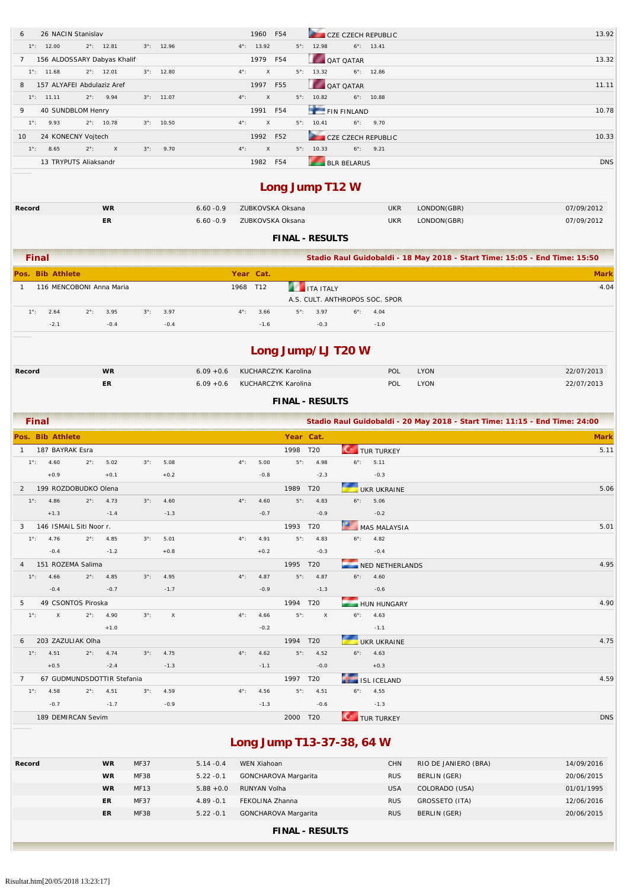| 26 NACIN Stanislav<br>6               |                                                          |                    |                     |              |               | 1960                | F54                                       |                     |                                             |                                |                                                                            | 13.92       |
|---------------------------------------|----------------------------------------------------------|--------------------|---------------------|--------------|---------------|---------------------|-------------------------------------------|---------------------|---------------------------------------------|--------------------------------|----------------------------------------------------------------------------|-------------|
| $1^{\circ}$ : 12.00                   | $2^{\circ}$ : 12.81                                      |                    | $3^{\circ}$ : 12.96 |              |               | $4^{\circ}$ : 13.92 |                                           | $5^{\circ}$ : 12.98 | <b>CZE CZECH REPUBLIC</b>                   | $6^{\circ}$ : 13.41            |                                                                            |             |
|                                       |                                                          |                    |                     |              |               |                     |                                           |                     |                                             |                                |                                                                            |             |
| 7<br>$1^{\circ}$ : 11.68              | 156 ALDOSSARY Dabyas Khalif<br>$2^{\circ}$ : 12.01       |                    | $3^{\circ}$ : 12.80 |              | $4^{\circ}$ : | 1979<br>X           | F54                                       | $5^{\circ}$ : 13.32 | QAT QATAR                                   | $6^{\circ}$ : 12.86            |                                                                            | 13.32       |
|                                       |                                                          |                    |                     |              |               |                     |                                           |                     |                                             |                                |                                                                            |             |
| 8                                     | 157 ALYAFEI Abdulaziz Aref<br>9.94<br>$2^{\circ}$ :      |                    | $3^{\circ}$ : 11.07 |              | $4^{\circ}$ : | 1997<br>X           | F55                                       | $5^{\circ}$ : 10.82 | QAT QATAR                                   | $6^{\circ}$ : 10.88            |                                                                            | 11.11       |
| $1^{\circ}$ : 11.11                   |                                                          |                    |                     |              |               |                     |                                           |                     |                                             |                                |                                                                            |             |
| 40 SUNDBLOM Henry<br>9                |                                                          |                    |                     |              |               | 1991                | F54                                       | $5^{\circ}$ : 10.41 | FIN FINLAND                                 |                                |                                                                            | 10.78       |
| 9.93<br>$1^{\circ}$ :                 | $2^{\circ}$ : 10.78                                      | $3^\circ$ :        | 10.50               |              | $4^{\circ}$ : | X                   |                                           |                     | $6^\circ$ :                                 | 9.70                           |                                                                            |             |
| 24 KONECNY Vojtech<br>10              |                                                          |                    |                     |              |               | 1992                | F52                                       |                     | CZE CZECH REPUBLIC                          |                                |                                                                            | 10.33       |
| 8.65<br>$1^{\circ}$ :                 | $2^{\circ}$ :<br>X                                       | $3^\circ$ :        | 9.70                |              | $4^{\circ}$ : | $\mathsf X$         |                                           | $5^{\circ}$ : 10.33 | $6^\circ$ :                                 | 9.21                           |                                                                            |             |
|                                       | 13 TRYPUTS Aliaksandr                                    |                    |                     |              |               | 1982 F54            | Long Jump T12 W                           |                     | <b>BLR BELARUS</b>                          |                                |                                                                            | <b>DNS</b>  |
| Record                                | <b>WR</b>                                                |                    |                     | $6.60 - 0.9$ |               |                     | ZUBKOVSKA Oksana                          |                     |                                             | <b>UKR</b>                     | LONDON(GBR)                                                                | 07/09/2012  |
|                                       | ER.                                                      |                    |                     | $6.60 - 0.9$ |               |                     | ZUBKOVSKA Oksana                          |                     |                                             | <b>UKR</b>                     | LONDON(GBR)                                                                | 07/09/2012  |
|                                       |                                                          |                    |                     |              |               |                     | <b>FINAL - RESULTS</b>                    |                     |                                             |                                |                                                                            |             |
| Final                                 |                                                          |                    |                     |              |               |                     |                                           |                     |                                             |                                | Stadio Raul Guidobaldi - 18 May 2018 - Start Time: 15:05 - End Time: 15:50 |             |
| Pos. Bib Athlete                      |                                                          |                    |                     |              |               | Year Cat.           |                                           |                     |                                             |                                |                                                                            | <b>Mark</b> |
| $\mathbf{1}$                          | 116 MENCOBONI Anna Maria                                 |                    |                     |              |               | 1968 T12            |                                           | <b>ITA ITALY</b>    |                                             |                                |                                                                            | 4.04        |
|                                       |                                                          |                    |                     |              |               |                     |                                           |                     |                                             | A.S. CULT. ANTHROPOS SOC. SPOR |                                                                            |             |
| 2.64<br>$1^{\circ}$ :                 | 3.95<br>$2^{\circ}$ :                                    | $3^\circ$ :        | 3.97                |              | $4^{\circ}$ : | 3.66                | $5^\circ$ :                               | 3.97                | $6^\circ$ :                                 | 4.04                           |                                                                            |             |
| $-2.1$                                | $-0.4$                                                   |                    | $-0.4$              |              |               | $-1.6$              |                                           | $-0.3$              |                                             | $-1.0$                         |                                                                            |             |
| Record                                | <b>WR</b>                                                |                    |                     | $6.09 + 0.6$ |               |                     | KUCHARCZYK Karolina                       |                     | Long Jump/LJ T20 W                          | POL                            | <b>LYON</b>                                                                | 22/07/2013  |
|                                       | ER.                                                      |                    |                     | $6.09 + 0.6$ |               |                     | KUCHARCZYK Karolina                       |                     |                                             | POL                            | <b>LYON</b>                                                                | 22/07/2013  |
|                                       |                                                          |                    |                     |              |               |                     | <b>FINAL - RESULTS</b>                    |                     |                                             |                                |                                                                            |             |
| Final                                 |                                                          |                    |                     |              |               |                     |                                           |                     |                                             |                                | Stadio Raul Guidobaldi - 20 May 2018 - Start Time: 11:15 - End Time: 24:00 |             |
| Pos. Bib Athlete                      |                                                          |                    |                     |              |               |                     |                                           | Year Cat.           |                                             |                                |                                                                            | <b>Mark</b> |
| 187 BAYRAK Esra<br>-1                 |                                                          |                    |                     |              |               |                     | 1998 T20                                  |                     |                                             | <b>TUR TURKEY</b>              |                                                                            | 5.11        |
| $1^{\circ}$ :<br>4.60                 | 5.02<br>$2^{\circ}$ :                                    | $3^\circ$ :        | 5.08                |              | $4^{\circ}$ : | 5.00                | $5^\circ$ :                               | 4.98                | $6^\circ$ :                                 | 5.11                           |                                                                            |             |
| $+0.9$                                | $+0.1$                                                   |                    | $+0.2$              |              |               | $-0.8$              |                                           | $-2.3$              |                                             | $-0.3$                         |                                                                            |             |
| 2                                     | 199 ROZDOBUDKO Olena                                     |                    |                     |              |               |                     | 1989 T20                                  |                     |                                             | <b>UKR UKRAINE</b>             |                                                                            | 5.06        |
| $1^{\circ}$ : 4.86 $2^{\circ}$ : 4.73 |                                                          | $3^{\circ}$ : 4.60 |                     |              |               |                     | $4^{\circ}$ : 4.60 $5^{\circ}$ : 4.83     |                     | $6^{\circ}$ : 5.06                          |                                |                                                                            |             |
|                                       | $+1.3$ $-1.4$ $-1.3$                                     |                    |                     |              |               |                     | $-0.7$ $-0.9$                             |                     | $-0.2$                                      |                                |                                                                            |             |
| 3 146 ISMAIL Siti Noor r.             |                                                          |                    |                     |              |               |                     | <b>1993 T20</b>                           |                     |                                             | MAS MALAYSIA                   |                                                                            | 5.01        |
|                                       | $1^{\circ}$ : 4.76 $2^{\circ}$ : 4.85 $3^{\circ}$ : 5.01 |                    |                     |              |               |                     | $4^{\circ}$ : 4.91 $5^{\circ}$ : 4.83     |                     | $6^{\circ}$ : 4.82                          |                                |                                                                            |             |
| $-0.4$ $-1.2$                         |                                                          |                    | $+0.8$              |              |               |                     | $+0.2$ $-0.3$                             |                     |                                             | $-0.4$                         |                                                                            |             |
| 4 151 ROZEMA Salima                   |                                                          |                    |                     |              |               |                     | <b>1995 T20</b>                           |                     |                                             | NED NETHERLANDS                |                                                                            | 4.95        |
|                                       | $1^{\circ}$ : 4.66 $2^{\circ}$ : 4.85 $3^{\circ}$ : 4.95 |                    |                     |              |               |                     | $4^{\circ}$ : 4.87 $5^{\circ}$ : 4.87     |                     | $6^{\circ}$ : 4.60                          |                                |                                                                            |             |
|                                       | $-0.4$ $-0.7$                                            |                    | $-1.7$              |              |               |                     | $-0.9$ $-1.3$                             |                     |                                             | $-0.6$                         |                                                                            |             |
| 5 49 CSONTOS Piroska                  |                                                          |                    |                     |              |               |                     | 1994 T20                                  |                     |                                             | HUN HUNGARY                    |                                                                            | 4.90        |
|                                       | $1^{\circ}$ : X $2^{\circ}$ : 4.90 $3^{\circ}$ : X       |                    |                     |              |               |                     |                                           |                     | $4^{\circ}$ : 4.66 $5^{\circ}$ : X 6°: 4.63 |                                |                                                                            |             |
| $+1.0$                                |                                                          |                    |                     |              |               |                     | $-0.2$                                    |                     |                                             | $-1.1$                         |                                                                            |             |
| 6 203 ZAZULIAK Olha                   |                                                          |                    |                     |              |               |                     | 1994 T20                                  |                     |                                             | UKR UKRAINE                    |                                                                            | 4.75        |
|                                       | 1°: 4.51  2°: 4.74  3°: 4.75                             |                    |                     |              |               |                     | $4^{\circ}$ : $4.62$ $5^{\circ}$ : $4.52$ |                     | $6^{\circ}$ : 4.63                          |                                |                                                                            |             |
|                                       | $+0.5$ $-2.4$ $-1.3$                                     |                    |                     |              |               |                     | $-1.1$ $-0.0$                             |                     |                                             | $+0.3$                         |                                                                            |             |
| 7 67 GUDMUNDSDOTTIR Stefania          |                                                          |                    |                     |              |               |                     | 1997 T20                                  |                     |                                             | <b>ISL ICELAND</b>             |                                                                            | 4.59        |
|                                       | 1°: 4.58 2°: 4.51 3°: 4.59                               |                    |                     |              |               |                     | $4^{\circ}$ : 4.56 $5^{\circ}$ : 4.51     |                     | $6^{\circ}$ : 4.55                          |                                |                                                                            |             |
|                                       | $-0.7$ $-1.7$                                            | $-0.9$             |                     |              |               |                     | $-1.3$ $-0.6$                             |                     |                                             | $-1.3$                         |                                                                            |             |
|                                       | 189 DEMIRCAN Sevim                                       |                    |                     |              |               |                     |                                           | 2000 T20            |                                             | <b>TUR TURKEY</b>              |                                                                            | <b>DNS</b>  |
|                                       |                                                          |                    |                     |              |               |                     |                                           |                     |                                             |                                |                                                                            |             |

# **Long Jump T13-37-38, 64 W**

| Record | <b>WR</b> | <b>MF37</b> | $5.14 - 0.4$ | WEN Xiahoan          | <b>CHN</b> | RIO DE JANIERO (BRA) | 14/09/2016 |
|--------|-----------|-------------|--------------|----------------------|------------|----------------------|------------|
|        | <b>WR</b> | <b>MF38</b> | $5.22 - 0.1$ | GONCHAROVA Margarita | <b>RUS</b> | BERLIN (GER)         | 20/06/2015 |
|        | <b>WR</b> | <b>MF13</b> | $5.88 + 0.0$ | RUNYAN Volha         | <b>USA</b> | COLORADO (USA)       | 01/01/1995 |
|        | ER        | <b>MF37</b> | $4.89 - 0.1$ | FEKOLINA Zhanna      | <b>RUS</b> | GROSSETO (ITA)       | 12/06/2016 |
|        | ER        | <b>MF38</b> | $5.22 - 0.1$ | GONCHAROVA Margarita | <b>RUS</b> | BERLIN (GER)         | 20/06/2015 |
|        |           |             |              |                      |            |                      |            |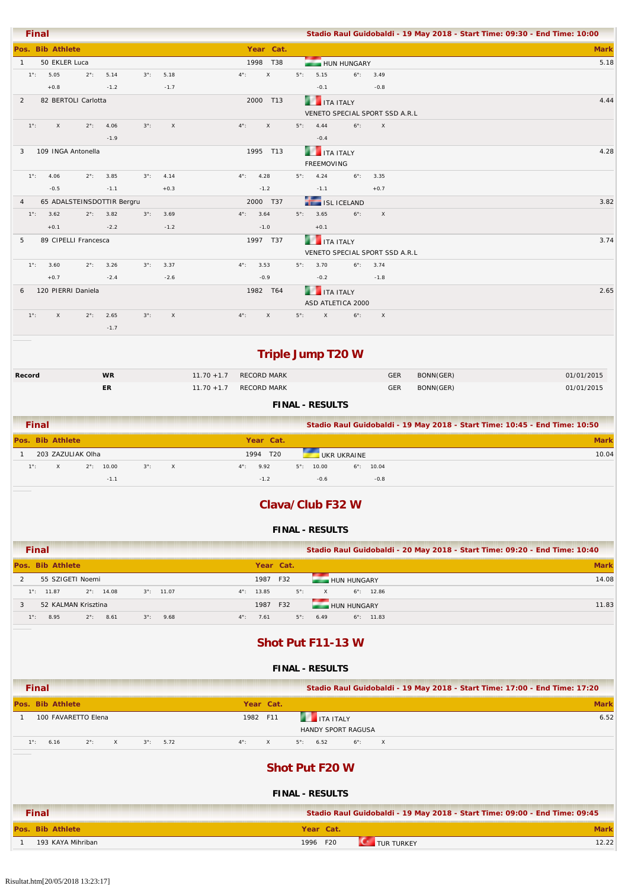| <b>Final</b>                             |                            |                    |              |                               |                             |             |                                | Stadio Raul Guidobaldi - 19 May 2018 - Start Time: 09:30 - End Time: 10:00 |
|------------------------------------------|----------------------------|--------------------|--------------|-------------------------------|-----------------------------|-------------|--------------------------------|----------------------------------------------------------------------------|
| Pos. Bib Athlete                         |                            |                    |              | Year Cat.                     |                             |             |                                | <b>Mark</b>                                                                |
| 50 EKLER Luca<br>$\overline{1}$          |                            |                    |              | 1998 T38                      | HUN HUNGARY                 |             |                                | 5.18                                                                       |
| $1^{\circ}$ :<br>5.05                    | 5.14<br>$2^{\circ}$ :      | $3^\circ$ :        | 5.18         | $4^{\circ}$ :<br>$\mathsf{X}$ | $5^\circ$ :<br>5.15         |             | $6^{\circ}$ : 3.49             |                                                                            |
| $+0.8$                                   | $-1.2$                     |                    | $-1.7$       |                               | $-0.1$                      |             | $-0.8$                         |                                                                            |
| 82 BERTOLI Carlotta<br>2                 |                            |                    |              | 2000 T13                      | <b>THE ITA ITALY</b>        |             |                                | 4.44                                                                       |
|                                          |                            |                    |              |                               |                             |             | VENETO SPECIAL SPORT SSD A.R.L |                                                                            |
| $1^\circ$ :<br>$\mathsf{X}$              | 4.06<br>$2^{\circ}$ :      | $3^\circ$ :        | $\mathsf{X}$ | $4^{\circ}$ :<br>$\mathsf{x}$ | $5^{\circ}$ : 4.44          | $6^\circ$ : | $\mathsf{X}$                   |                                                                            |
|                                          | $-1.9$                     |                    |              |                               | $-0.4$                      |             |                                |                                                                            |
| 109 INGA Antonella<br>3                  |                            |                    |              | 1995 T13                      | <b>THE ITA ITALY</b>        |             |                                | 4.28                                                                       |
|                                          |                            |                    |              |                               | <b>FREEMOVING</b>           |             |                                |                                                                            |
| $1^{\circ}$ :<br>4.06                    | $2^{\circ}$ : 3.85         | $3^\circ$ :        | 4.14         | 4.28<br>$4^{\circ}$ :         | $5^{\circ}$ : 4.24          | $6^\circ$ : | 3.35                           |                                                                            |
| $-0.5$                                   | $-1.1$                     |                    | $+0.3$       | $-1.2$                        | $-1.1$                      |             | $+0.7$                         |                                                                            |
| $\overline{4}$                           | 65 ADALSTEINSDOTTIR Bergru |                    |              | 2000 T37                      | <b>TELESTICELAND</b>        |             |                                | 3.82                                                                       |
| 3.62<br>$1^{\circ}$ :                    | $2^{\circ}$ : 3.82         | $3^{\circ}$ : 3.69 |              | $4^{\circ}$ : 3.64            | $5^{\circ}$ : 3.65          | $6^\circ$ : | $\mathsf{X}$                   |                                                                            |
| $+0.1$                                   | $-2.2$                     |                    | $-1.2$       | $-1.0$                        | $+0.1$                      |             |                                |                                                                            |
| 89 CIPELLI Francesca<br>5                |                            |                    |              | 1997 T37                      | <b>THE ITA ITALY</b>        |             |                                | 3.74                                                                       |
|                                          |                            |                    |              |                               |                             |             | VENETO SPECIAL SPORT SSD A.R.L |                                                                            |
| $1^{\circ}$ :<br>3.60                    | $2^{\circ}$ : 3.26         | $3^\circ$ :        | 3.37         | $4^{\circ}$ :<br>3.53         | $5^{\circ}$ : 3.70          | $6^\circ$ : | 3.74                           |                                                                            |
| $+0.7$                                   | $-2.4$                     |                    | $-2.6$       | $-0.9$                        | $-0.2$                      |             | $-1.8$                         |                                                                            |
| 120 PIERRI Daniela<br>6                  |                            |                    |              | 1982 T64                      | <b>THE ITA ITALY</b>        |             |                                | 2.65                                                                       |
|                                          |                            |                    |              |                               | ASD ATLETICA 2000           |             |                                |                                                                            |
| $1^\circ$ :<br>$\boldsymbol{\mathsf{X}}$ | 2.65<br>$2^{\circ}$ :      | $3^\circ$ :        | $\mathsf{X}$ | $\mathsf{X}$<br>$4^{\circ}$ : | $5^\circ$ :<br>$\mathsf{X}$ | $6^\circ$ : | $\boldsymbol{\mathsf{X}}$      |                                                                            |
|                                          | $-1.7$                     |                    |              |                               |                             |             |                                |                                                                            |
|                                          |                            |                    |              |                               |                             |             |                                |                                                                            |

# **Triple Jump T20 W**

| Record                 | <b>WR</b> |                        | 11.70 +1.7 RECORD MARK | <b>GER</b> | BONN(GER) | 01/01/2015 |  |  |
|------------------------|-----------|------------------------|------------------------|------------|-----------|------------|--|--|
|                        | ER        | 11.70 +1.7 RECORD MARK |                        |            | BONN(GER) | 01/01/2015 |  |  |
| <b>FINAL - RESULTS</b> |           |                        |                        |            |           |            |  |  |

| <b>Final</b>  |                   |                     |             |          |                     |                 |                      |             |                     | Stadio Raul Guidobaldi - 19 May 2018 - Start Time: 10:45 - End Time: 10:50 |
|---------------|-------------------|---------------------|-------------|----------|---------------------|-----------------|----------------------|-------------|---------------------|----------------------------------------------------------------------------|
|               | Pos. Bib Athlete  |                     |             |          | Year Cat.           |                 |                      |             |                     | <b>Mark</b>                                                                |
|               | 203 ZAZULIAK Olha |                     |             |          | 1994                | T <sub>20</sub> |                      | UKR UKRAINE |                     | 10.04                                                                      |
| $1^{\circ}$ : | $\times$          | $2^{\circ}$ : 10.00 | $3^\circ$ : | $\times$ | 9.92<br>$4^\circ$ : |                 | 10.00<br>$5^\circ$ : |             | $6^{\circ}$ : 10.04 |                                                                            |
|               |                   | $-1.1$              |             |          | $-1.2$              |                 | $-0.6$               |             | $-0.8$              |                                                                            |

## **Clava/Club F32 W**

#### **FINAL - RESULTS**

| <b>Final</b>                                                      | Stadio Raul Guidobaldi - 20 May 2018 - Start Time: 09:20 - End Time: 10:40 |             |
|-------------------------------------------------------------------|----------------------------------------------------------------------------|-------------|
| Pos. Bib Athlete                                                  | Year Cat.                                                                  | <b>Mark</b> |
| 55 SZIGETI Noemi                                                  | F32<br>1987<br><b>HUN HUNGARY</b>                                          | 14.08       |
| $2^{\circ}$ : 14.08<br>$3^{\circ}$ : 11.07<br>$1^\circ$ : 11.87   | $5^\circ$ :<br>$4^{\circ}$ : 13.85<br>$6^\circ$ : 12.86<br>$\times$        |             |
| 52 KALMAN Krisztina                                               | HUN HUNGARY<br>1987 F32                                                    | 11.83       |
| $1^\circ$ :<br>8.95<br>$2^\circ$ :<br>8.61<br>9.68<br>$3^\circ$ : | $4^{\circ}$ :<br>7.61<br>$5^\circ$ :<br>$6^\circ$ : 11.83<br>6.49          |             |

### **Shot Put F11-13 W**

| <b>Final</b>                                                          |                           | Stadio Raul Guidobaldi - 19 May 2018 - Start Time: 17:00 - End Time: 17:20 |
|-----------------------------------------------------------------------|---------------------------|----------------------------------------------------------------------------|
| Pos. Bib Athlete                                                      | Year Cat.                 | <b>Mark</b>                                                                |
| 100 FAVARETTO Elena                                                   | 1982 F11                  | 6.52<br><b>THE TEAL ITALY</b><br>HANDY SPORT RAGUSA                        |
| 6.16<br>$2^\circ$ :<br>$\times$<br>$3^\circ$ :<br>5.72<br>$1^\circ$ : | $\times$<br>$4^{\circ}$ : | $5^{\circ}$ : 6.52<br>$6^\circ$ :<br>$\mathsf{X}$                          |
|                                                                       |                           | <b>Shot Put F20 W</b><br><b>FINAL - RESULTS</b>                            |
| <b>Final</b>                                                          |                           | Stadio Raul Guidobaldi - 19 May 2018 - Start Time: 09:00 - End Time: 09:45 |
| Pos. Bib Athlete                                                      |                           | <b>Mark</b><br>Year Cat.                                                   |
| 193 KAYA Mihriban                                                     |                           | 12.22<br>1996 F20<br><b>TUR TURKEY</b>                                     |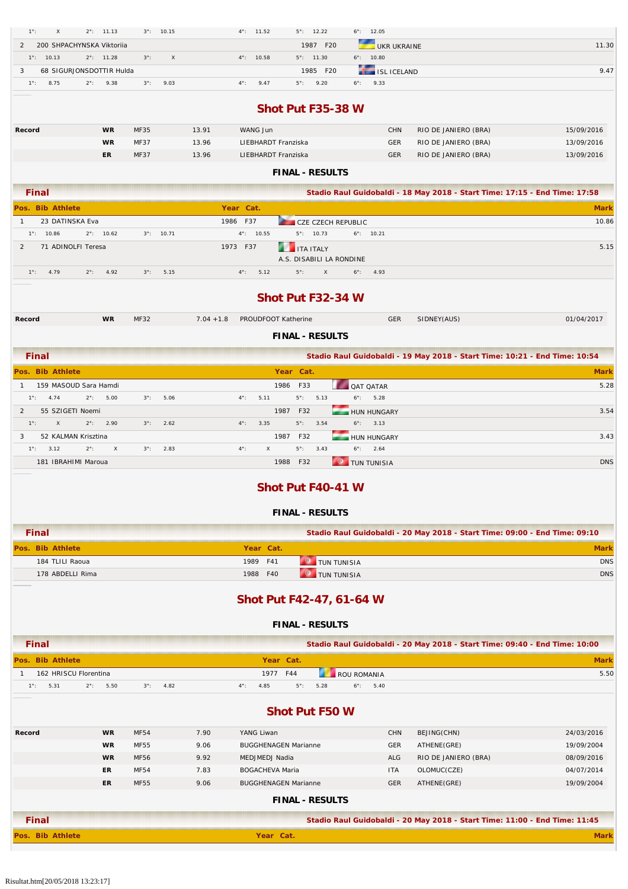| 200 SHPACHYNSKA Viktoriia<br>2<br>$1^{\circ}$ : 10.13<br>$2^{\circ}$ : 11.28 |             |                     |                                                                            |                                                                            |
|------------------------------------------------------------------------------|-------------|---------------------|----------------------------------------------------------------------------|----------------------------------------------------------------------------|
|                                                                              |             |                     | 1987 F20<br><b>UKR UKRAINE</b>                                             | 11.30                                                                      |
|                                                                              | $3^\circ$ : | $\mathsf X$         | $6^{\circ}$ : 10.80<br>$4^{\circ}$ : 10.58<br>$5^{\circ}$ : 11.30          |                                                                            |
| 68 SIGURJONSDOTTIR Hulda<br>3                                                |             |                     | 1985 F20<br><b>ISL ICELAND</b>                                             | 9.47                                                                       |
| 8.75<br>$2^{\circ}$ :<br>9.38<br>$1^{\circ}$ :                               | $3^\circ$ : | 9.03                | $4^{\circ}$ :<br>9.47<br>9.20<br>9.33<br>$5^\circ$ :<br>$6^\circ$ :        |                                                                            |
|                                                                              |             |                     |                                                                            |                                                                            |
|                                                                              |             |                     | Shot Put F35-38 W                                                          |                                                                            |
|                                                                              |             |                     |                                                                            |                                                                            |
| <b>WR</b><br>Record                                                          | MF35        | 13.91               | WANG Jun<br><b>CHN</b>                                                     | RIO DE JANIERO (BRA)<br>15/09/2016                                         |
| <b>WR</b>                                                                    | MF37        | 13.96               | <b>GER</b><br>LIEBHARDT Franziska                                          | RIO DE JANIERO (BRA)<br>13/09/2016                                         |
| ER                                                                           | MF37        | 13.96               | LIEBHARDT Franziska<br>GER                                                 | RIO DE JANIERO (BRA)<br>13/09/2016                                         |
|                                                                              |             |                     | <b>FINAL - RESULTS</b>                                                     |                                                                            |
|                                                                              |             |                     |                                                                            |                                                                            |
| <b>Final</b>                                                                 |             |                     |                                                                            | Stadio Raul Guidobaldi - 18 May 2018 - Start Time: 17:15 - End Time: 17:58 |
| Pos. Bib Athlete                                                             |             |                     | Year Cat.                                                                  | <b>Mark</b>                                                                |
| 23 DATINSKA Eva<br>$\mathbf{1}$                                              |             |                     | 1986 F37<br>CZE CZECH REPUBLIC                                             | 10.86                                                                      |
| $1^{\circ}$ : 10.86<br>$2^{\circ}$ : 10.62                                   |             | $3^{\circ}$ : 10.71 | $4^{\circ}$ : 10.55<br>$5^{\circ}$ : 10.73<br>$6^{\circ}$ : 10.21          |                                                                            |
| 71 ADINOLFI Teresa<br>$\overline{2}$                                         |             |                     | 1973 F37<br><b>THE ITA ITALY</b>                                           | 5.15                                                                       |
|                                                                              |             |                     | A.S. DISABILI LA RONDINE                                                   |                                                                            |
| $1^{\circ}$ :<br>4.79<br>$2^{\circ}$ :<br>4.92                               | $3^\circ$ : | 5.15                | $4^{\circ}$ :<br>5.12<br>$5^\circ$ :<br>$\mathsf{x}$<br>$6^{\circ}$ : 4.93 |                                                                            |
|                                                                              |             |                     |                                                                            |                                                                            |
|                                                                              |             |                     | Shot Put F32-34 W                                                          |                                                                            |
|                                                                              |             |                     |                                                                            |                                                                            |
| <b>WR</b><br>Record                                                          | MF32        |                     | GER<br>$7.04 + 1.8$<br>PROUDFOOT Katherine<br>SIDNEY(AUS)                  | 01/04/2017                                                                 |
|                                                                              |             |                     |                                                                            |                                                                            |
|                                                                              |             |                     | <b>FINAL - RESULTS</b>                                                     |                                                                            |
| Final                                                                        |             |                     |                                                                            | Stadio Raul Guidobaldi - 19 May 2018 - Start Time: 10:21 - End Time: 10:54 |
| Pos. Bib Athlete                                                             |             |                     | Year Cat.                                                                  | <b>Mark</b>                                                                |
|                                                                              |             |                     |                                                                            |                                                                            |
| 159 MASOUD Sara Hamdi<br>$\mathbf{1}$                                        |             |                     | 1986 F33<br>QAT QATAR                                                      | 5.28                                                                       |
| $1^{\circ}$ : 4.74<br>$2^{\circ}$ :<br>5.00                                  | $3^\circ$ : | 5.06                | 5.11<br>$5^\circ$ :<br>5.13<br>$6^{\circ}$ : 5.28<br>$4^{\circ}$ :         |                                                                            |
| 55 SZIGETI Noemi<br>2                                                        |             |                     | 1987 F32<br>HUN HUNGARY                                                    | 3.54                                                                       |
| $\mathsf X$<br>$2^{\circ}$ :<br>$1^{\circ}$ :<br>2.90                        | $3^\circ$ : | 2.62                | 3.35<br>$5^\circ$ :<br>3.54<br>$6^{\circ}$ : 3.13<br>$4^{\circ}$ :         |                                                                            |
|                                                                              |             |                     |                                                                            |                                                                            |
| 3<br>52 KALMAN Krisztina                                                     |             |                     | 1987 F32<br><b>HUN HUNGARY</b>                                             | 3.43                                                                       |
| $1^{\circ}$ : 3.12<br>$2^{\circ}$ :<br>$\times$                              | $3^\circ$ : | 2.83                | $6^{\circ}$ : 2.64<br>$4^{\circ}$ :<br>X<br>$5^\circ$ :<br>3.43            |                                                                            |
| 181 IBRAHIMI Maroua                                                          |             |                     | <b>O</b> TUN TUNISIA<br>1988 F32                                           | <b>DNS</b>                                                                 |
|                                                                              |             |                     |                                                                            |                                                                            |
|                                                                              |             |                     | Shot Put F40-41 W                                                          |                                                                            |
|                                                                              |             |                     |                                                                            |                                                                            |
|                                                                              |             |                     | <b>FINAL - RESULTS</b>                                                     |                                                                            |
|                                                                              |             |                     |                                                                            |                                                                            |
| <b>Final</b>                                                                 |             |                     |                                                                            | Stadio Raul Guidobaldi - 20 May 2018 - Start Time: 09:00 - End Time: 09:10 |
| Pos. Bib Athlete                                                             |             |                     | Year Cat.                                                                  | <b>Mark</b>                                                                |
| 184 TLILI Raoua                                                              |             |                     | <b>O</b> TUN TUNISIA<br>1989<br>F41                                        | <b>DNS</b>                                                                 |
| 178 ABDELLI Rima                                                             |             |                     | <b>O</b> TUN TUNISIA<br>1988<br>F40                                        | <b>DNS</b>                                                                 |
|                                                                              |             |                     |                                                                            |                                                                            |
|                                                                              |             |                     | Shot Put F42-47, 61-64 W                                                   |                                                                            |
|                                                                              |             |                     |                                                                            |                                                                            |
|                                                                              |             |                     | <b>FINAL - RESULTS</b>                                                     |                                                                            |
|                                                                              |             |                     |                                                                            |                                                                            |
| <b>Final</b>                                                                 |             |                     |                                                                            | Stadio Raul Guidobaldi - 20 May 2018 - Start Time: 09:40 - End Time: 10:00 |
| Pos. Bib Athlete                                                             |             |                     | Year Cat.                                                                  | <b>Mark</b>                                                                |
| 162 HRISCU Florentina<br>$\mathbf{1}$                                        |             |                     | 1977 F44<br>ROU ROMANIA                                                    | 5.50                                                                       |
| 5.31<br>$2^{\circ}$ :<br>$1^\circ$ :<br>5.50                                 | $3^\circ$ : | 4.82                | 4.85<br>$5^{\circ}$ :<br>5.28<br>$4^{\circ}$ :<br>$6^\circ$ :<br>5.40      |                                                                            |
|                                                                              |             |                     |                                                                            |                                                                            |
|                                                                              |             |                     | <b>Shot Put F50 W</b>                                                      |                                                                            |
|                                                                              |             |                     |                                                                            |                                                                            |
| <b>WR</b><br>Record                                                          | MF54        | 7.90                | YANG Liwan<br><b>CHN</b><br>BEJING(CHN)                                    | 24/03/2016                                                                 |
| WR                                                                           | MF55        | 9.06                | <b>GER</b><br>ATHENE(GRE)<br><b>BUGGHENAGEN Marianne</b>                   | 19/09/2004                                                                 |
| <b>WR</b>                                                                    | MF56        | 9.92                | <b>ALG</b><br>MEDJMEDJ Nadia                                               | RIO DE JANIERO (BRA)<br>08/09/2016                                         |
| ER                                                                           | MF54        | 7.83                | <b>BOGACHEVA Maria</b><br>OLOMUC(CZE)<br>ITA                               | 04/07/2014                                                                 |
| ER.                                                                          | <b>MF55</b> | 9.06                | <b>GER</b><br>ATHENE(GRE)<br><b>BUGGHENAGEN Marianne</b>                   | 19/09/2004                                                                 |
|                                                                              |             |                     |                                                                            |                                                                            |
|                                                                              |             |                     | <b>FINAL - RESULTS</b>                                                     |                                                                            |
| <b>Final</b>                                                                 |             |                     |                                                                            | Stadio Raul Guidobaldi - 20 May 2018 - Start Time: 11:00 - End Time: 11:45 |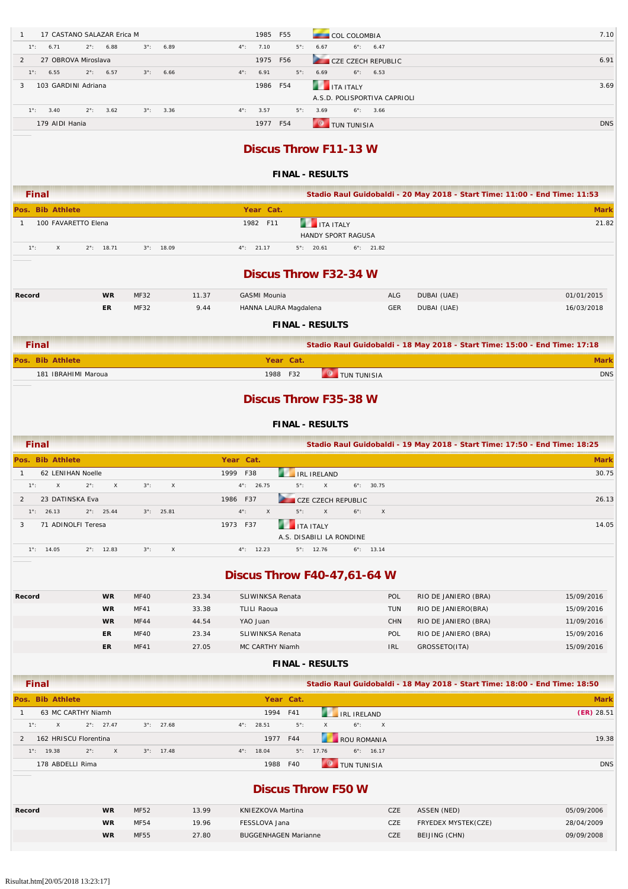| 17 CASTANO SALAZAR Erica M              |                     |                     |       | 1985                               | F55         |                              | COL COLOMBIA                 |                              |                                                                            | 7.10         |
|-----------------------------------------|---------------------|---------------------|-------|------------------------------------|-------------|------------------------------|------------------------------|------------------------------|----------------------------------------------------------------------------|--------------|
| $1^{\circ}$ :<br>6.71<br>$2^{\circ}$ :  | 6.88                | $3^\circ$ :         | 6.89  | $4^{\circ}$ :<br>7.10              | $5^\circ$ : | 6.67                         | $6^\circ$ :                  | 6.47                         |                                                                            |              |
| 27 OBROVA Miroslava<br>2                |                     |                     |       | 1975                               | F56         |                              | CZE CZECH REPUBLIC           |                              |                                                                            | 6.91         |
| 6.55<br>$1^{\circ}$ :<br>$2^\circ$ :    | 6.57                | $3^\circ$ :         | 6.66  | $4^\circ$ :<br>6.91                | $5^\circ$ : | 6.69                         | $6^\circ$ :                  | 6.53                         |                                                                            |              |
| 103 GARDINI Adriana<br>3                |                     |                     |       | 1986                               | F54         | <b>THE ITA ITALY</b>         |                              |                              |                                                                            | 3.69         |
|                                         |                     |                     |       |                                    |             |                              |                              | A.S.D. POLISPORTIVA CAPRIOLI |                                                                            |              |
| 3.40<br>$1^{\circ}$ :<br>$2^{\circ}$ :  | 3.62                | $3^\circ$ :         | 3.36  | 3.57<br>$4^{\circ}$ :              | $5^\circ$ : | 3.69                         | $6^\circ$ :                  | 3.66                         |                                                                            |              |
| 179 AIDI Hania                          |                     |                     |       |                                    | 1977 F54    |                              | <b>O</b> TUN TUNISIA         |                              |                                                                            | <b>DNS</b>   |
|                                         |                     |                     |       |                                    |             |                              |                              |                              |                                                                            |              |
|                                         |                     |                     |       |                                    |             | <b>Discus Throw F11-13 W</b> |                              |                              |                                                                            |              |
|                                         |                     |                     |       |                                    |             |                              |                              |                              |                                                                            |              |
|                                         |                     |                     |       |                                    |             | <b>FINAL - RESULTS</b>       |                              |                              |                                                                            |              |
| <b>Final</b>                            |                     |                     |       |                                    |             |                              |                              |                              | Stadio Raul Guidobaldi - 20 May 2018 - Start Time: 11:00 - End Time: 11:53 |              |
| Pos. Bib Athlete                        |                     |                     |       | Year Cat.                          |             |                              |                              |                              |                                                                            | <b>Mark</b>  |
| 100 FAVARETTO Elena<br>$\mathbf{1}$     |                     |                     |       | 1982 F11                           |             | <b>THE ITA ITALY</b>         |                              |                              |                                                                            | 21.82        |
|                                         |                     |                     |       |                                    |             | HANDY SPORT RAGUSA           |                              |                              |                                                                            |              |
| $1^{\circ}$ :<br>X                      | $2^{\circ}$ : 18.71 | $3^{\circ}$ : 18.09 |       | $4^{\circ}$ : 21.17                |             | $5^{\circ}$ : 20.61          | $6^{\circ}$ : 21.82          |                              |                                                                            |              |
|                                         |                     |                     |       |                                    |             |                              |                              |                              |                                                                            |              |
|                                         |                     |                     |       |                                    |             | <b>Discus Throw F32-34 W</b> |                              |                              |                                                                            |              |
|                                         |                     |                     |       |                                    |             |                              |                              |                              |                                                                            |              |
| Record                                  | <b>WR</b>           | MF32                | 11.37 | <b>GASMI Mounia</b>                |             |                              |                              | ALG                          | DUBAI (UAE)                                                                | 01/01/2015   |
|                                         | ER.                 | MF32                | 9.44  | HANNA LAURA Magdalena              |             |                              |                              | <b>GER</b>                   | DUBAI (UAE)                                                                | 16/03/2018   |
|                                         |                     |                     |       |                                    |             | <b>FINAL - RESULTS</b>       |                              |                              |                                                                            |              |
| <b>Final</b>                            |                     |                     |       |                                    |             |                              |                              |                              |                                                                            |              |
|                                         |                     |                     |       |                                    |             |                              |                              |                              | Stadio Raul Guidobaldi - 18 May 2018 - Start Time: 15:00 - End Time: 17:18 |              |
| os. Bib Athlete                         |                     |                     |       |                                    | Year Cat.   |                              |                              |                              |                                                                            | <b>Mark</b>  |
| 181 IBRAHIMI Maroua                     |                     |                     |       |                                    | 1988 F32    |                              | <b>O</b> TUN TUNISIA         |                              |                                                                            | <b>DNS</b>   |
|                                         |                     |                     |       |                                    |             |                              |                              |                              |                                                                            |              |
|                                         |                     |                     |       |                                    |             |                              |                              |                              |                                                                            |              |
|                                         |                     |                     |       |                                    |             |                              | <b>Discus Throw F35-38 W</b> |                              |                                                                            |              |
|                                         |                     |                     |       |                                    |             |                              |                              |                              |                                                                            |              |
|                                         |                     |                     |       |                                    |             | <b>FINAL - RESULTS</b>       |                              |                              |                                                                            |              |
| <b>Final</b>                            |                     |                     |       |                                    |             |                              |                              |                              | Stadio Raul Guidobaldi - 19 May 2018 - Start Time: 17:50 - End Time: 18:25 |              |
| Pos. Bib Athlete                        |                     |                     |       | Year Cat.                          |             |                              |                              |                              |                                                                            | <b>Mark</b>  |
| 62 LENIHAN Noelle<br>1                  |                     |                     |       | 1999 F38                           |             | <b>IRL IRELAND</b>           |                              |                              |                                                                            | 30.75        |
| $1^{\circ}$ :<br>X<br>$2^{\circ}$ :     | X                   | $3^\circ$ :         | X     | $4^{\circ}$ : 26.75                | $5^\circ$ : | X                            | $6^{\circ}$ : 30.75          |                              |                                                                            |              |
| 23 DATINSKA Eva                         |                     |                     |       | 1986 F37                           |             | CZE CZECH REPUBLIC           |                              |                              |                                                                            | 26.13        |
| $1^{\circ}$ : 26.13                     | $2^{\circ}$ : 25.44 | $3^{\circ}$ : 25.81 |       | $4^{\circ}$ :<br>$\mathsf{x}$      | $5^\circ$ : | X                            | $6^\circ$ :                  | X                            |                                                                            |              |
| 71 ADINOLFI Teresa<br>3                 |                     |                     |       | 1973 F37                           |             | <b>ITA ITALY</b>             |                              |                              |                                                                            | 14.05        |
|                                         |                     |                     |       |                                    |             | A.S. DISABILI LA RONDINE     |                              |                              |                                                                            |              |
| $1^{\circ}$ : 14.05                     | $2^{\circ}$ : 12.83 | $3^\circ$ :         | X     | $4^{\circ}$ : 12.23                |             | $5^{\circ}$ : 12.76          | $6^{\circ}$ : 13.14          |                              |                                                                            |              |
|                                         |                     |                     |       |                                    |             |                              |                              |                              |                                                                            |              |
|                                         |                     |                     |       | <b>Discus Throw F40-47,61-64 W</b> |             |                              |                              |                              |                                                                            |              |
| Record                                  | <b>WR</b>           | <b>MF40</b>         | 23.34 | SLIWINKSA Renata                   |             |                              |                              | POL                          | RIO DE JANIERO (BRA)                                                       | 15/09/2016   |
|                                         | WR                  | MF41                | 33.38 | <b>TLILI Raoua</b>                 |             |                              |                              | <b>TUN</b>                   | RIO DE JANIERO(BRA)                                                        | 15/09/2016   |
|                                         | <b>WR</b>           | MF44                | 44.54 | YAO Juan                           |             |                              |                              | CHN                          | RIO DE JANIERO (BRA)                                                       | 11/09/2016   |
|                                         | ER                  | MF40                | 23.34 | SLIWINKSA Renata                   |             |                              |                              | POL                          | RIO DE JANIERO (BRA)                                                       | 15/09/2016   |
|                                         | ER                  | MF41                | 27.05 | MC CARTHY Niamh                    |             |                              |                              | <b>IRL</b>                   | GROSSETO(ITA)                                                              | 15/09/2016   |
|                                         |                     |                     |       |                                    |             |                              |                              |                              |                                                                            |              |
|                                         |                     |                     |       |                                    |             | <b>FINAL - RESULTS</b>       |                              |                              |                                                                            |              |
| <b>Final</b>                            |                     |                     |       |                                    |             |                              |                              |                              | Stadio Raul Guidobaldi - 18 May 2018 - Start Time: 18:00 - End Time: 18:50 |              |
| Pos. Bib Athlete                        |                     |                     |       |                                    | Year Cat.   |                              |                              |                              |                                                                            | <b>Mark</b>  |
| 63 MC CARTHY Niamh<br>$\mathbf{1}$      |                     |                     |       |                                    | 1994 F41    |                              | <b>IRL IRELAND</b>           |                              |                                                                            | $(ER)$ 28.51 |
| $1^{\circ}$ :<br>$\mathsf{x}$           | $2^{\circ}$ : 27.47 | $3^\circ$ :         | 27.68 | 28.51<br>$4^{\circ}$ :             | $5^\circ$ : | $\mathsf X$                  | $6^\circ$ :                  | $\mathsf X$                  |                                                                            |              |
| 162 HRISCU Florentina<br>$\overline{2}$ |                     |                     |       |                                    | 1977 F44    |                              | ROU ROMANIA                  |                              |                                                                            | 19.38        |
| $1^{\circ}$ : 19.38<br>$2^{\circ}$ :    | $\mathsf X$         | $3^{\circ}$ : 17.48 |       | $4^{\circ}$ : 18.04                |             | $5^{\circ}$ : 17.76          | $6^{\circ}$ : 16.17          |                              |                                                                            |              |
| 178 ABDELLI Rima                        |                     |                     |       |                                    | 1988 F40    | $\bullet$                    | <b>TUN TUNISIA</b>           |                              |                                                                            | <b>DNS</b>   |

### **Discus Throw F50 W**

| Record | <b>WR</b> | <b>MF52</b> | 13.99 | KNIEZKOVA Martina           | CZE        | ASSEN (NED)         | 05/09/2006 |
|--------|-----------|-------------|-------|-----------------------------|------------|---------------------|------------|
|        | <b>WR</b> | <b>MF54</b> | 19.96 | FESSLOVA Jana               | CZE        | FRYEDEX MYSTEK(CZE) | 28/04/2009 |
|        | <b>WR</b> | <b>MF55</b> | 27.80 | <b>BUGGENHAGEN Marianne</b> | <b>CZE</b> | BEIJING (CHN)       | 09/09/2008 |
|        |           |             |       |                             |            |                     |            |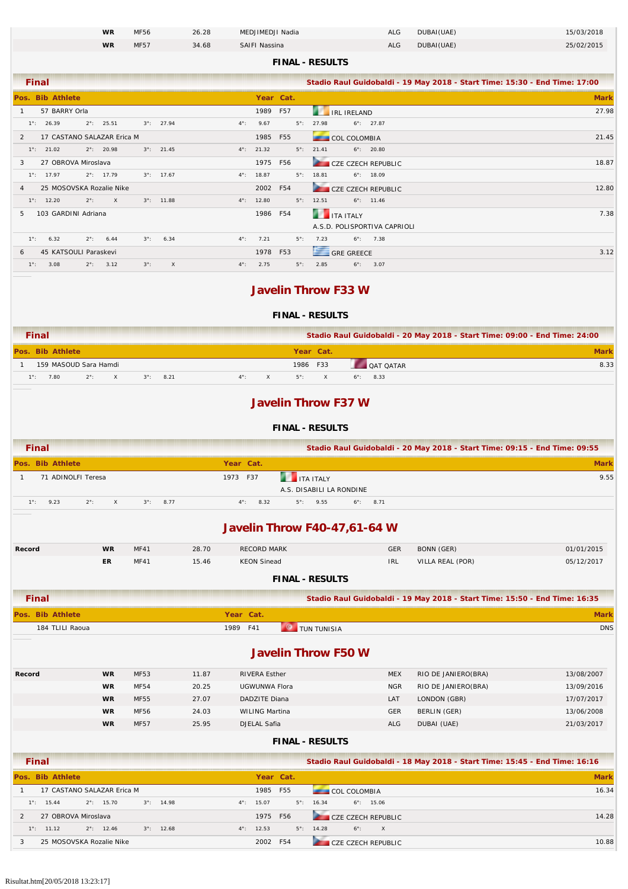| <b>WR</b> | <b>MF56</b> | 26.28 | MEDJIMEDJI Nadia | ALG | DUBAI(UAE) | 15/03/2018 |
|-----------|-------------|-------|------------------|-----|------------|------------|
| <b>WR</b> | <b>MF57</b> | 34.68 | SAIFI Nassina    | ALG | DUBAI(UAE) | 25/02/2015 |

#### **FINAL - RESULTS**

| <b>Final</b>                                                                              |                     |             | Stadio Raul Guidobaldi - 19 May 2018 - Start Time: 15:30 - End Time: 17:00 |  |  |  |
|-------------------------------------------------------------------------------------------|---------------------|-------------|----------------------------------------------------------------------------|--|--|--|
| Pos. Bib Athlete                                                                          | Year Cat.           |             | <b>Mark</b>                                                                |  |  |  |
| 57 BARRY Orla                                                                             | 1989 F57            |             | 27.98<br><b>EXAMPLE IRELAND</b>                                            |  |  |  |
| $2^{\circ}$ : 25.51<br>$3^{\circ}$ : 27.94<br>$4^{\circ}$ :<br>$1^\circ$ : 26.39          | 9.67                | $5^\circ$ : | $6^\circ$ : 27.87<br>27.98                                                 |  |  |  |
| 17 CASTANO SALAZAR Erica M<br>$\overline{2}$                                              | 1985 F55            |             | 21.45<br><b>COL COLOMBIA</b>                                               |  |  |  |
| $2^{\circ}$ : 20.98<br>$3^{\circ}$ : 21.45<br>$1^{\circ}$ : 21.02                         | $4^{\circ}$ : 21.32 | $5^\circ$ : | $6^{\circ}$ : 20.80<br>21.41                                               |  |  |  |
| 27 OBROVA Miroslava<br>3                                                                  | 1975 F56            |             | <b>Contract Contract</b><br>18.87<br><b>CZE CZECH REPUBLIC</b>             |  |  |  |
| $1^\circ$ : 17.97<br>$2^{\circ}$ : 17.79<br>$3^{\circ}$ : 17.67                           | $4^{\circ}$ : 18.87 | $5^\circ$ : | 18.81<br>$6^{\circ}$ : 18.09                                               |  |  |  |
| 25 MOSOVSKA Rozalie Nike<br>$\overline{4}$                                                | 2002 F54            |             | 12.80<br><b>Contract Contract</b><br><b>CZE CZECH REPUBLIC</b>             |  |  |  |
| $1^{\circ}$ : 12.20<br>$2^\circ$ :<br>X<br>$3^{\circ}$ : 11.88                            | $4^{\circ}$ : 12.80 | $5^\circ$ : | 12.51<br>$6^\circ$ : 11.46                                                 |  |  |  |
| 103 GARDINI Adriana<br>5.                                                                 | 1986 F54            |             | 7.38<br><b>THE TEALY</b>                                                   |  |  |  |
|                                                                                           |                     |             | A.S.D. POLISPORTIVA CAPRIOLI                                               |  |  |  |
| $1^\circ$ :<br>$2^\circ$ :<br>$4^\circ$ :<br>6.32<br>6.44<br>$3^\circ$ :<br>6.34          | 7.21                | $5^\circ$ : | $6^{\circ}$ : 7.38<br>7.23                                                 |  |  |  |
| 45 KATSOULI Paraskevi<br>6                                                                | 1978 F53            |             | GRE GREECE<br>3.12                                                         |  |  |  |
| $\mathsf{X}$<br>$2^{\circ}$ : 3.12<br>$3^\circ$ :<br>$1^\circ$ :<br>3.08<br>$4^{\circ}$ : | 2.75                | $5^\circ$ : | 2.85<br>$6^\circ$ :<br>3.07                                                |  |  |  |

### **Javelin Throw F33 W**

#### **FINAL - RESULTS**

| Final |                       |               |  |             |      |  |     | Stadio Raul Guidobaldi - 20 May 2018 - Start Time: 09:00 - End Time: 24:00 |  |                     |      |  |  |
|-------|-----------------------|---------------|--|-------------|------|--|-----|----------------------------------------------------------------------------|--|---------------------|------|--|--|
|       | Pos. Bib Athlete      |               |  |             |      |  |     | Year Cat.                                                                  |  |                     | Mark |  |  |
|       | 159 MASOUD Sara Hamdi |               |  |             |      |  |     | 1986 F33                                                                   |  | <b>DAT OATAR</b>    | 8.33 |  |  |
| : 1°  | 7.80                  | $2^{\circ}$ : |  | $3^\circ$ : | 8.21 |  | л۰. | - 50                                                                       |  | 8.33<br>$6^\circ$ : |      |  |  |

#### **Javelin Throw F37 W**

### **FINAL - RESULTS**

| <b>Final</b>                       |                                     |                     |                       |                          |             |            | Stadio Raul Guidobaldi - 20 May 2018 - Start Time: 09:15 - End Time: 09:55 |  |             |
|------------------------------------|-------------------------------------|---------------------|-----------------------|--------------------------|-------------|------------|----------------------------------------------------------------------------|--|-------------|
| Pos. Bib Athlete                   |                                     |                     | Year Cat.             |                          |             |            |                                                                            |  | <b>Mark</b> |
| 71 ADINOLFI Teresa                 |                                     |                     | 1973 F37              | <b>THE ITA ITALY</b>     |             |            |                                                                            |  | 9.55        |
|                                    |                                     |                     |                       | A.S. DISABILI LA RONDINE |             |            |                                                                            |  |             |
| $2^\circ$ :<br>$1^\circ$ :<br>9.23 | $\times$                            | $3^\circ$ :<br>8.77 | 8.32<br>$4^{\circ}$ : | $5^{\circ}$ : 9.55       | $6^\circ$ : | 8.71       |                                                                            |  |             |
|                                    | <b>Javelin Throw F40-47,61-64 W</b> |                     |                       |                          |             |            |                                                                            |  |             |
| Record                             | <b>WR</b><br><b>MF41</b>            | 28.70               | <b>RECORD MARK</b>    |                          |             | GER        | BONN (GER)                                                                 |  | 01/01/2015  |
|                                    | <b>ER</b><br><b>MF41</b>            | 15.46               | <b>KEON Sinead</b>    |                          |             | <b>IRL</b> | VILLA REAL (POR)                                                           |  | 05/12/2017  |

#### **FINAL - RESULTS**

| Final                   |           | Stadio Raul Guidobaldi - 19 May 2018 - Start Time: 15:50 - End Time: 16:35 |
|-------------------------|-----------|----------------------------------------------------------------------------|
| <b>Pos. Bib Athlete</b> | Year Cat. | Markl                                                                      |
| 184 TLILI Raoua         | 1989 F41  | <b>DNS</b><br><b>TUN TUNISIA</b>                                           |

### **Javelin Throw F50 W**

| Record | <b>WR</b> | <b>MF53</b> | 11.87 | RIVERA Esther  | <b>MEX</b> | RIO DE JANIERO(BRA) | 13/08/2007 |
|--------|-----------|-------------|-------|----------------|------------|---------------------|------------|
|        | <b>WR</b> | <b>MF54</b> | 20.25 | UGWUNWA Flora  | <b>NGR</b> | RIO DE JANIERO(BRA) | 13/09/2016 |
|        | <b>WR</b> | <b>MF55</b> | 27.07 | DADZITE Diana  | LAT        | LONDON (GBR)        | 17/07/2017 |
|        | <b>WR</b> | <b>MF56</b> | 24.03 | WILING Martina | <b>GER</b> | BERLIN (GER)        | 13/06/2008 |
|        | <b>WR</b> | <b>MF57</b> | 25.95 | DJELAL Safia   | <b>ALG</b> | DUBAI (UAE)         | 21/03/2017 |

| <b>Final</b>  |                     |                            |  |                     |               |           | Stadio Raul Guidobaldi - 18 May 2018 - Start Time: 15:45 - End Time: 16:16 |                     |                     |  |                           |             |  |
|---------------|---------------------|----------------------------|--|---------------------|---------------|-----------|----------------------------------------------------------------------------|---------------------|---------------------|--|---------------------------|-------------|--|
|               | Pos. Bib Athlete    |                            |  |                     |               | Year Cat. |                                                                            |                     |                     |  |                           | <b>Mark</b> |  |
|               |                     | 17 CASTANO SALAZAR Erica M |  |                     |               | 1985 F55  |                                                                            |                     | <b>COL COLOMBIA</b> |  |                           | 16.34       |  |
| $1^{\circ}$ : | 15.44               | $2^{\circ}$ : 15.70        |  | $3^{\circ}$ : 14.98 | $4^{\circ}$ : | 15.07     |                                                                            | $5^\circ$ : 16.34   |                     |  | $6^\circ$ : 15.06         |             |  |
|               | 27 OBROVA Miroslava |                            |  |                     |               | 1975 F56  |                                                                            |                     |                     |  | CZE CZECH REPUBLIC        | 14.28       |  |
|               | $1^\circ$ : 11.12   | $2^{\circ}$ : 12.46        |  | $3^{\circ}$ : 12.68 | $4^{\circ}$ : | 12.53     |                                                                            | $5^{\circ}$ : 14.28 |                     |  | $6^\circ$ : X             |             |  |
|               |                     | 25 MOSOVSKA Rozalie Nike   |  |                     |               | 2002 F54  |                                                                            |                     |                     |  | <b>CZE CZECH REPUBLIC</b> | 10.88       |  |